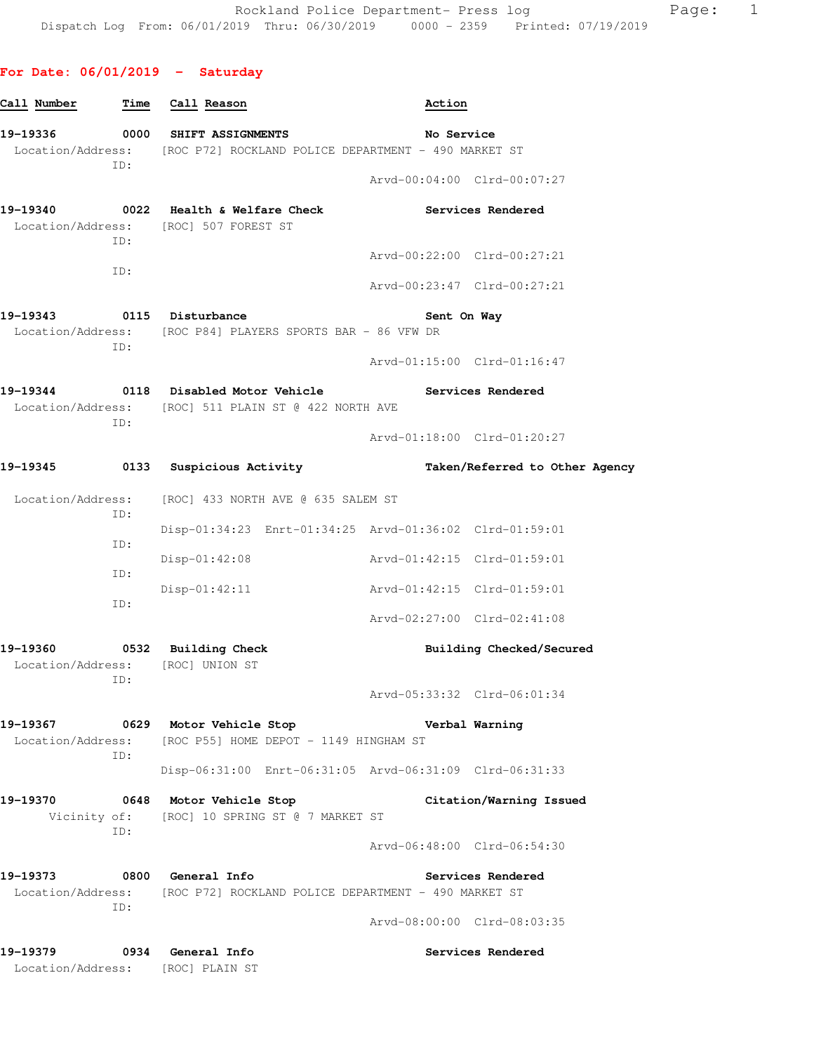# **For Date: 06/01/2019 - Saturday**

| Call Number                | Time | Call Reason                                                                                                    | Action                      |                                |
|----------------------------|------|----------------------------------------------------------------------------------------------------------------|-----------------------------|--------------------------------|
|                            |      | 19-19336 0000 SHIFT ASSIGNMENTS<br>Location/Address: [ROC P72] ROCKLAND POLICE DEPARTMENT - 490 MARKET ST      | No Service                  |                                |
|                            | ID:  |                                                                                                                | Arvd-00:04:00 Clrd-00:07:27 |                                |
|                            | ID:  | 19-19340 0022 Health & Welfare Check<br>Location/Address: [ROC] 507 FOREST ST                                  |                             | Services Rendered              |
|                            |      |                                                                                                                | Arvd-00:22:00 Clrd-00:27:21 |                                |
|                            | ID:  |                                                                                                                | Arvd-00:23:47 Clrd-00:27:21 |                                |
| 19-19343 0115 Disturbance  | ID:  | Location/Address: [ROC P84] PLAYERS SPORTS BAR - 86 VFW DR                                                     | Sent On Way                 |                                |
|                            |      |                                                                                                                |                             | Arvd-01:15:00 Clrd-01:16:47    |
|                            | ID:  | 19-19344 0118 Disabled Motor Vehicle Services Rendered<br>Location/Address: [ROC] 511 PLAIN ST @ 422 NORTH AVE |                             |                                |
|                            |      |                                                                                                                | Arvd-01:18:00 Clrd-01:20:27 |                                |
| 19-19345                   | 0133 | Suspicious Activity                                                                                            |                             | Taken/Referred to Other Agency |
| Location/Address:<br>ID:   |      | [ROC] 433 NORTH AVE @ 635 SALEM ST                                                                             |                             |                                |
|                            | ID:  | Disp-01:34:23 Enrt-01:34:25 Arvd-01:36:02 Clrd-01:59:01                                                        |                             |                                |
|                            | ID:  | $Disp-01:42:08$                                                                                                | Arvd-01:42:15 Clrd-01:59:01 |                                |
|                            | ID:  | $Disp-01:42:11$                                                                                                | Arvd-01:42:15 Clrd-01:59:01 |                                |
|                            |      |                                                                                                                | Arvd-02:27:00 Clrd-02:41:08 |                                |
|                            |      | 19-19360 0532 Building Check<br>Location/Address: [ROC] UNION ST                                               |                             | Building Checked/Secured       |
|                            | ID:  |                                                                                                                | Arvd-05:33:32 Clrd-06:01:34 |                                |
|                            |      | 19-19367 0629 Motor Vehicle Stop<br>Location/Address: [ROC P55] HOME DEPOT - 1149 HINGHAM ST                   | Verbal Warning              |                                |
|                            | ID:  | Disp-06:31:00 Enrt-06:31:05 Arvd-06:31:09 Clrd-06:31:33                                                        |                             |                                |
|                            |      | 19-19370 0648 Motor Vehicle Stop<br>Vicinity of: [ROC] 10 SPRING ST @ 7 MARKET ST                              |                             | Citation/Warning Issued        |
|                            | ID:  |                                                                                                                | Arvd-06:48:00 Clrd-06:54:30 |                                |
| 19-19373 0800 General Info | ID:  | Location/Address: [ROC P72] ROCKLAND POLICE DEPARTMENT - 490 MARKET ST                                         |                             | Services Rendered              |
|                            |      |                                                                                                                | Arvd-08:00:00 Clrd-08:03:35 |                                |
| 19-19379 0934 General Info |      | Location/Address: [ROC] PLAIN ST                                                                               |                             | Services Rendered              |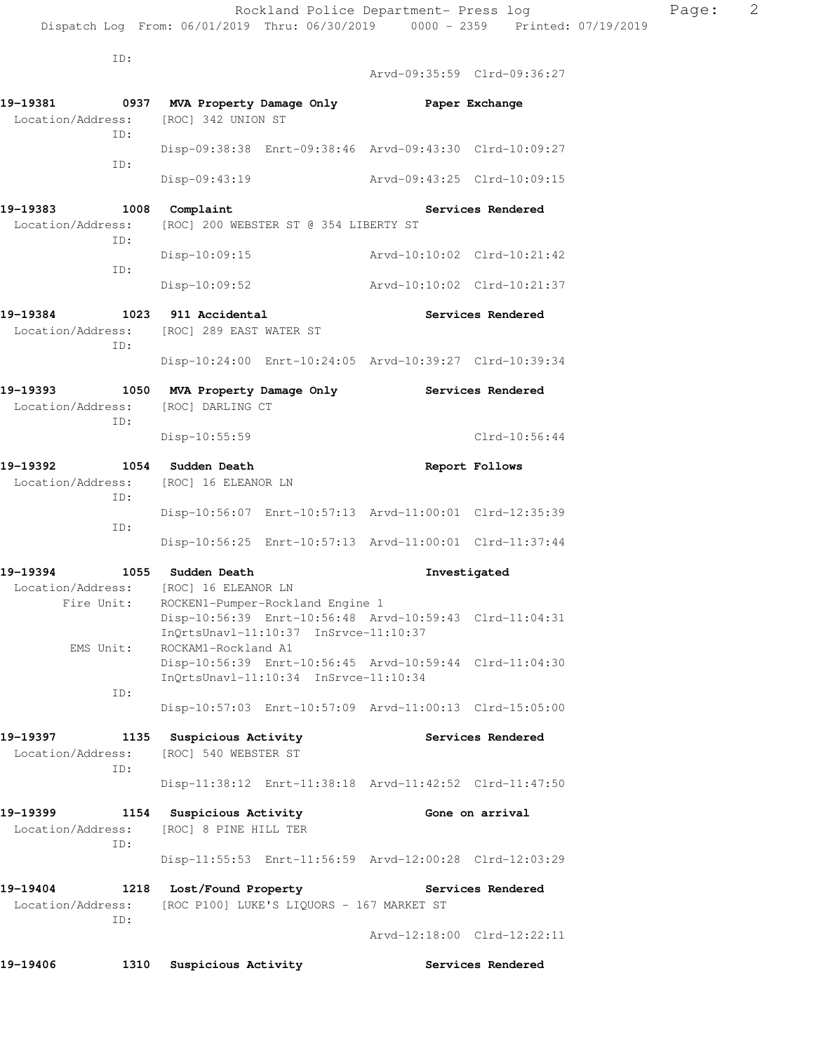Dispatch Log From: 06/01/2019 Thru: 06/30/2019 0000 - 2359 Printed: 07/19/2019

ID:

 Arvd-09:35:59 Clrd-09:36:27 **19-19381 0937 MVA Property Damage Only Paper Exchange**  Location/Address: [ROC] 342 UNION ST ID: Disp-09:38:38 Enrt-09:38:46 Arvd-09:43:30 Clrd-10:09:27 ID: Disp-09:43:19 Arvd-09:43:25 Clrd-10:09:15 19-19383 1008 Complaint **19-19383** Services Rendered Location/Address: [ROC] 200 WEBSTER ST @ 354 LIBERTY ST ID: Disp-10:09:15 Arvd-10:10:02 Clrd-10:21:42 ID: Disp-10:09:52 Arvd-10:10:02 Clrd-10:21:37 **19-19384 1023 911 Accidental Services Rendered**  Location/Address: [ROC] 289 EAST WATER ST ID: Disp-10:24:00 Enrt-10:24:05 Arvd-10:39:27 Clrd-10:39:34 **19-19393 1050 MVA Property Damage Only Services Rendered**  Location/Address: [ROC] DARLING CT ID: Disp-10:55:59 Clrd-10:56:44 **19-19392 1054 Sudden Death Report Follows**  Location/Address: [ROC] 16 ELEANOR LN ID: Disp-10:56:07 Enrt-10:57:13 Arvd-11:00:01 Clrd-12:35:39 ID: Disp-10:56:25 Enrt-10:57:13 Arvd-11:00:01 Clrd-11:37:44 **19-19394 1055 Sudden Death Investigated**  Location/Address: [ROC] 16 ELEANOR LN Fire Unit: ROCKEN1-Pumper-Rockland Engine 1 Disp-10:56:39 Enrt-10:56:48 Arvd-10:59:43 Clrd-11:04:31 InQrtsUnavl-11:10:37 InSrvce-11:10:37 EMS Unit: ROCKAM1-Rockland A1 Disp-10:56:39 Enrt-10:56:45 Arvd-10:59:44 Clrd-11:04:30 InQrtsUnavl-11:10:34 InSrvce-11:10:34 ID: Disp-10:57:03 Enrt-10:57:09 Arvd-11:00:13 Clrd-15:05:00 19-19397 **1135** Suspicious Activity **19-1939** Services Rendered Location/Address: [ROC] 540 WEBSTER ST ID: Disp-11:38:12 Enrt-11:38:18 Arvd-11:42:52 Clrd-11:47:50 **19-19399 1154 Suspicious Activity Gone on arrival**  Location/Address: [ROC] 8 PINE HILL TER ID: Disp-11:55:53 Enrt-11:56:59 Arvd-12:00:28 Clrd-12:03:29 **19-19404 1218 Lost/Found Property Services Rendered**  Location/Address: [ROC P100] LUKE'S LIQUORS - 167 MARKET ST ID: Arvd-12:18:00 Clrd-12:22:11

**19-19406 1310 Suspicious Activity Services Rendered**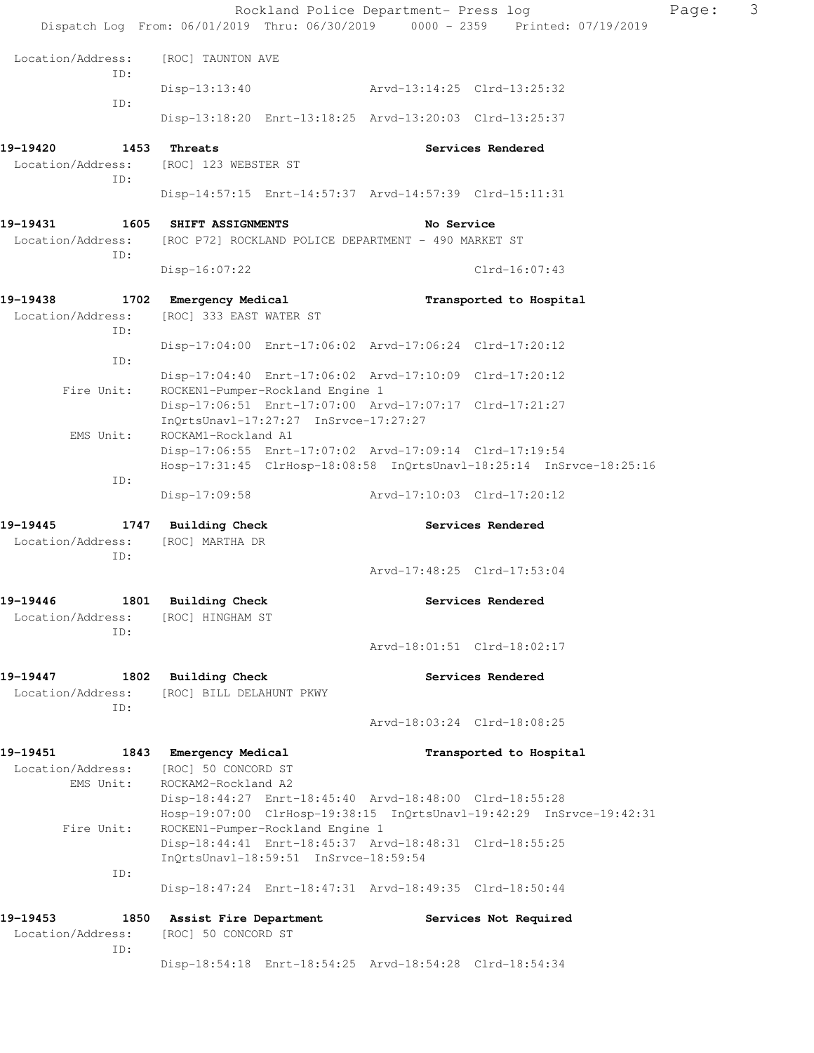|                                                               |                                                    |                                       | Rockland Police Department- Press log                   |                                                                                | Page: | 3 |
|---------------------------------------------------------------|----------------------------------------------------|---------------------------------------|---------------------------------------------------------|--------------------------------------------------------------------------------|-------|---|
|                                                               |                                                    |                                       |                                                         | Dispatch Log From: 06/01/2019 Thru: 06/30/2019 0000 - 2359 Printed: 07/19/2019 |       |   |
| Location/Address:<br>ID:                                      | [ROC] TAUNTON AVE                                  |                                       |                                                         |                                                                                |       |   |
| ID:                                                           | $Disp-13:13:40$                                    |                                       | Arvd-13:14:25 Clrd-13:25:32                             |                                                                                |       |   |
|                                                               |                                                    |                                       | Disp-13:18:20 Enrt-13:18:25 Arvd-13:20:03 Clrd-13:25:37 |                                                                                |       |   |
| 19-19420                                                      | 1453 Threats                                       |                                       |                                                         | Services Rendered                                                              |       |   |
| Location/Address:<br>ID:                                      | [ROC] 123 WEBSTER ST                               |                                       |                                                         |                                                                                |       |   |
|                                                               |                                                    |                                       | Disp-14:57:15 Enrt-14:57:37 Arvd-14:57:39 Clrd-15:11:31 |                                                                                |       |   |
| 19-19431                                                      | 1605 SHIFT ASSIGNMENTS                             |                                       | No Service                                              |                                                                                |       |   |
| Location/Address:<br>ID:                                      |                                                    |                                       | [ROC P72] ROCKLAND POLICE DEPARTMENT - 490 MARKET ST    |                                                                                |       |   |
|                                                               | Disp-16:07:22                                      |                                       |                                                         | $Clrd-16:07:43$                                                                |       |   |
| 19-19438                                                      | 1702 Emergency Medical                             |                                       |                                                         | Transported to Hospital                                                        |       |   |
| Location/Address:<br>ID:                                      | [ROC] 333 EAST WATER ST                            |                                       |                                                         |                                                                                |       |   |
| ID:                                                           |                                                    |                                       | Disp-17:04:00 Enrt-17:06:02 Arvd-17:06:24 Clrd-17:20:12 |                                                                                |       |   |
| Fire Unit:                                                    |                                                    | ROCKEN1-Pumper-Rockland Engine 1      | Disp-17:04:40 Enrt-17:06:02 Arvd-17:10:09 Clrd-17:20:12 |                                                                                |       |   |
|                                                               |                                                    | InQrtsUnavl-17:27:27 InSrvce-17:27:27 | Disp-17:06:51 Enrt-17:07:00 Arvd-17:07:17 Clrd-17:21:27 |                                                                                |       |   |
| EMS Unit:                                                     | ROCKAM1-Rockland A1                                |                                       |                                                         |                                                                                |       |   |
|                                                               |                                                    |                                       | Disp-17:06:55 Enrt-17:07:02 Arvd-17:09:14 Clrd-17:19:54 | Hosp-17:31:45 ClrHosp-18:08:58 InQrtsUnavl-18:25:14 InSrvce-18:25:16           |       |   |
| ID:                                                           |                                                    |                                       |                                                         |                                                                                |       |   |
|                                                               | Disp-17:09:58                                      |                                       | Arvd-17:10:03 Clrd-17:20:12                             |                                                                                |       |   |
| 19-19445<br>Location/Address: [ROC] MARTHA DR<br>ID:          | 1747 Building Check                                |                                       |                                                         | Services Rendered                                                              |       |   |
|                                                               |                                                    |                                       |                                                         | Arvd-17:48:25 Clrd-17:53:04                                                    |       |   |
| 19–19446<br>Location/Address:<br>ID:                          | 1801 Building Check<br>[ROC] HINGHAM ST            |                                       |                                                         | Services Rendered                                                              |       |   |
|                                                               |                                                    |                                       |                                                         | Arvd-18:01:51 Clrd-18:02:17                                                    |       |   |
| 19-19447<br>Location/Address: [ROC] BILL DELAHUNT PKWY<br>ID: | 1802 Building Check                                |                                       |                                                         | Services Rendered                                                              |       |   |
|                                                               |                                                    |                                       |                                                         | Arvd-18:03:24 Clrd-18:08:25                                                    |       |   |
| 19-19451                                                      | 1843 Emergency Medical                             |                                       |                                                         | Transported to Hospital                                                        |       |   |
| Location/Address:<br>EMS Unit:                                | [ROC] 50 CONCORD ST<br>ROCKAM2-Rockland A2         |                                       |                                                         |                                                                                |       |   |
|                                                               |                                                    |                                       | Disp-18:44:27 Enrt-18:45:40 Arvd-18:48:00 Clrd-18:55:28 | Hosp-19:07:00 ClrHosp-19:38:15 InQrtsUnavl-19:42:29 InSrvce-19:42:31           |       |   |
| Fire Unit:                                                    |                                                    | ROCKEN1-Pumper-Rockland Engine 1      | Disp-18:44:41 Enrt-18:45:37 Arvd-18:48:31 Clrd-18:55:25 |                                                                                |       |   |
| ID:                                                           |                                                    | InQrtsUnavl-18:59:51 InSrvce-18:59:54 |                                                         |                                                                                |       |   |
|                                                               |                                                    |                                       | Disp-18:47:24 Enrt-18:47:31 Arvd-18:49:35 Clrd-18:50:44 |                                                                                |       |   |
| 19-19453<br>Location/Address:<br>ID:                          | 1850 Assist Fire Department<br>[ROC] 50 CONCORD ST |                                       |                                                         | Services Not Required                                                          |       |   |
|                                                               |                                                    |                                       |                                                         | Disp-18:54:18 Enrt-18:54:25 Arvd-18:54:28 Clrd-18:54:34                        |       |   |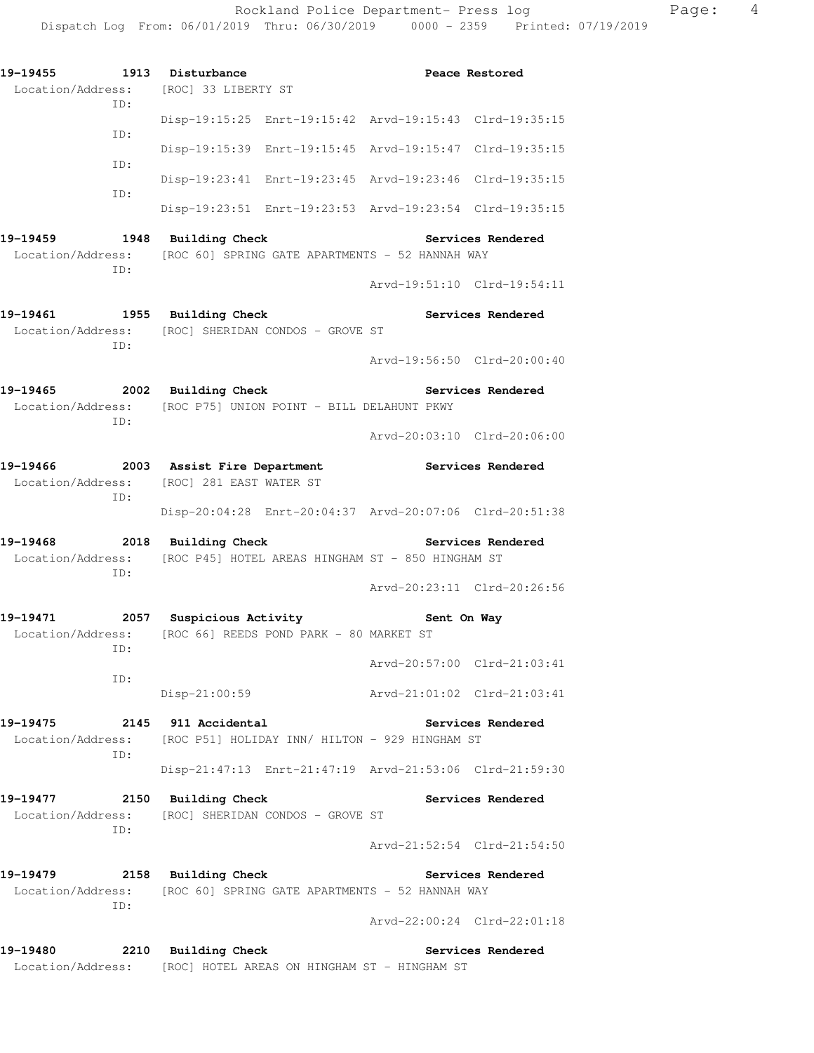| 19-19455<br>Location/Address: [ROC] 33 LIBERTY ST                                                          |            | 1913 Disturbance    |                                                         |                          | Peace Restored              |
|------------------------------------------------------------------------------------------------------------|------------|---------------------|---------------------------------------------------------|--------------------------|-----------------------------|
| ID:                                                                                                        |            |                     | Disp-19:15:25 Enrt-19:15:42 Arvd-19:15:43 Clrd-19:35:15 |                          |                             |
|                                                                                                            | ID:<br>ID: |                     | Disp-19:15:39 Enrt-19:15:45 Arvd-19:15:47 Clrd-19:35:15 |                          |                             |
|                                                                                                            |            |                     | Disp-19:23:41 Enrt-19:23:45 Arvd-19:23:46 Clrd-19:35:15 |                          |                             |
| ID:                                                                                                        |            |                     | Disp-19:23:51 Enrt-19:23:53 Arvd-19:23:54 Clrd-19:35:15 |                          |                             |
| 19-19459 1948 Building Check<br>Location/Address: [ROC 60] SPRING GATE APARTMENTS - 52 HANNAH WAY<br>ID:   |            |                     |                                                         | <b>Services Rendered</b> |                             |
|                                                                                                            |            |                     |                                                         |                          | Arvd-19:51:10 Clrd-19:54:11 |
| 19-19461 1955 Building Check<br>Location/Address: [ROC] SHERIDAN CONDOS - GROVE ST<br>ID:                  |            |                     |                                                         |                          | Services Rendered           |
|                                                                                                            |            |                     |                                                         |                          | Arvd-19:56:50 Clrd-20:00:40 |
| 19-19465 2002 Building Check<br>Location/Address: [ROC P75] UNION POINT - BILL DELAHUNT PKWY               |            |                     |                                                         | Services Rendered        |                             |
| ID:                                                                                                        |            |                     |                                                         |                          | Arvd-20:03:10 Clrd-20:06:00 |
| 19-19466 2003 Assist Fire Department<br>Location/Address: [ROC] 281 EAST WATER ST                          |            |                     |                                                         |                          | Services Rendered           |
| ID:                                                                                                        |            |                     | Disp-20:04:28 Enrt-20:04:37 Arvd-20:07:06 Clrd-20:51:38 |                          |                             |
| 19-19468 2018 Building Check<br>Location/Address: [ROC P45] HOTEL AREAS HINGHAM ST - 850 HINGHAM ST        |            |                     |                                                         | Services Rendered        |                             |
| ID:                                                                                                        |            |                     |                                                         |                          | Arvd-20:23:11 Clrd-20:26:56 |
| 19-19471 2057 Suspicious Activity 5ent On Way<br>Location/Address: [ROC 66] REEDS POND PARK - 80 MARKET ST |            |                     |                                                         |                          |                             |
| ID:                                                                                                        |            |                     |                                                         |                          | Arvd-20:57:00 Clrd-21:03:41 |
| ID:                                                                                                        |            | $Disp-21:00:59$     |                                                         |                          | Arvd-21:01:02 Clrd-21:03:41 |
| 19-19475<br>Location/Address: [ROC P51] HOLIDAY INN/ HILTON - 929 HINGHAM ST                               |            | 2145 911 Accidental |                                                         |                          | Services Rendered           |
| ID:                                                                                                        |            |                     | Disp-21:47:13 Enrt-21:47:19 Arvd-21:53:06 Clrd-21:59:30 |                          |                             |
| 19-19477<br>Location/Address: [ROC] SHERIDAN CONDOS - GROVE ST<br>ID:                                      |            | 2150 Building Check |                                                         |                          | Services Rendered           |
|                                                                                                            |            |                     |                                                         |                          | Arvd-21:52:54 Clrd-21:54:50 |
| 19-19479 2158 Building Check<br>Location/Address: [ROC 60] SPRING GATE APARTMENTS - 52 HANNAH WAY<br>ID:   |            |                     |                                                         | <b>Services Rendered</b> |                             |
|                                                                                                            |            |                     |                                                         |                          | Arvd-22:00:24 Clrd-22:01:18 |
| 19-19480<br>Location/Address: [ROC] HOTEL AREAS ON HINGHAM ST - HINGHAM ST                                 |            | 2210 Building Check |                                                         |                          | Services Rendered           |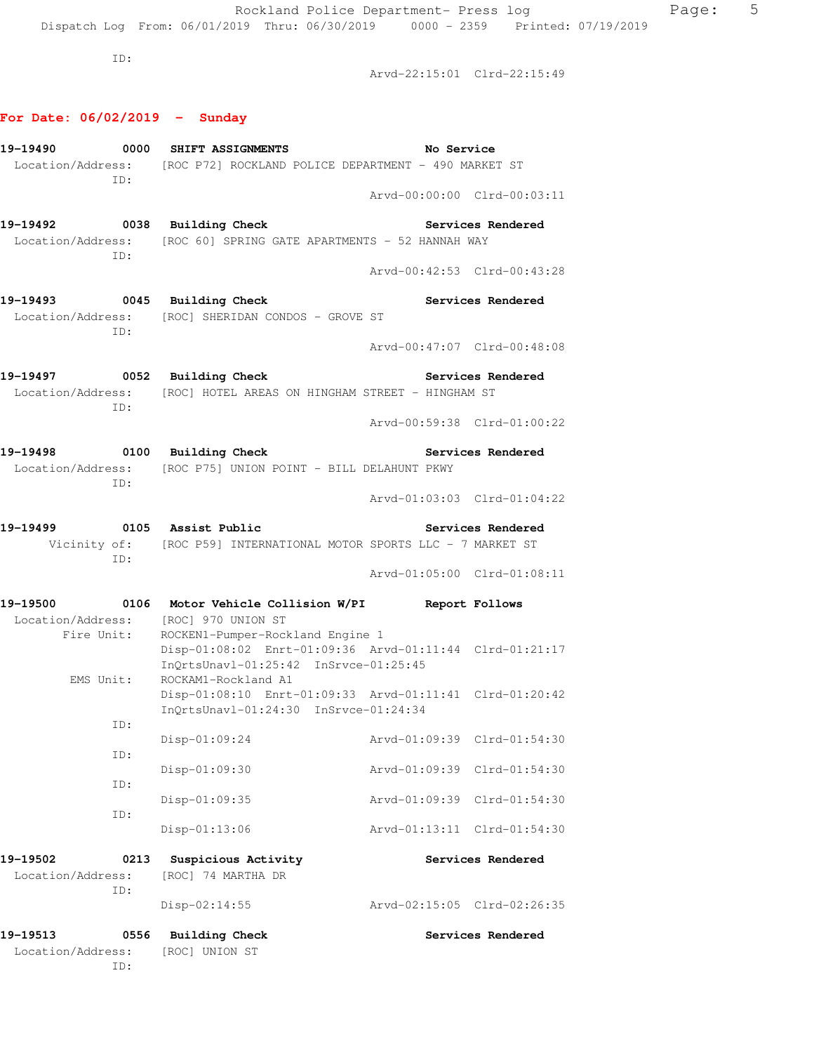ID:

Arvd-22:15:01 Clrd-22:15:49

### **For Date: 06/02/2019 - Sunday**

|                   |      | 19-19490 0000 SHIFT ASSIGNMENTS                                                          | No Service                  |                          |
|-------------------|------|------------------------------------------------------------------------------------------|-----------------------------|--------------------------|
|                   | ID:  | Location/Address: [ROC P72] ROCKLAND POLICE DEPARTMENT - 490 MARKET ST                   |                             |                          |
|                   |      |                                                                                          | Arvd-00:00:00 Clrd-00:03:11 |                          |
|                   |      | 19-19492 0038 Building Check Services Rendered                                           |                             |                          |
|                   | ID:  | Location/Address: [ROC 60] SPRING GATE APARTMENTS - 52 HANNAH WAY                        |                             |                          |
|                   |      |                                                                                          | Arvd-00:42:53 Clrd-00:43:28 |                          |
|                   |      | 19-19493 0045 Building Check                                                             |                             | Services Rendered        |
|                   |      | Location/Address: [ROC] SHERIDAN CONDOS - GROVE ST                                       |                             |                          |
|                   | ID:  |                                                                                          | Arvd-00:47:07 Clrd-00:48:08 |                          |
|                   |      | 19-19497 0052 Building Check                                                             | <b>Services Rendered</b>    |                          |
|                   |      | Location/Address: [ROC] HOTEL AREAS ON HINGHAM STREET - HINGHAM ST                       |                             |                          |
|                   | ID:  |                                                                                          | Arvd-00:59:38 Clrd-01:00:22 |                          |
|                   |      | 19-19498 0100 Building Check                                                             |                             | <b>Services Rendered</b> |
|                   |      | Location/Address: [ROC P75] UNION POINT - BILL DELAHUNT PKWY                             |                             |                          |
|                   | ID:  |                                                                                          | Arvd-01:03:03 Clrd-01:04:22 |                          |
|                   |      |                                                                                          |                             |                          |
|                   |      | Vicinity of: [ROC P59] INTERNATIONAL MOTOR SPORTS LLC - 7 MARKET ST                      |                             |                          |
|                   | ID:  |                                                                                          | Arvd-01:05:00 Clrd-01:08:11 |                          |
|                   |      |                                                                                          |                             |                          |
|                   |      | 19-19500 0106 Motor Vehicle Collision W/PI Report Follows                                |                             |                          |
|                   |      | Location/Address: [ROC] 970 UNION ST<br>Fire Unit: ROCKEN1-Pumper-Rockland Engine 1      |                             |                          |
|                   |      | Disp-01:08:02 Enrt-01:09:36 Arvd-01:11:44 Clrd-01:21:17                                  |                             |                          |
|                   |      | InOrtsUnavl-01:25:42 InSrvce-01:25:45                                                    |                             |                          |
|                   |      | EMS Unit: ROCKAM1-Rockland A1<br>Disp-01:08:10 Enrt-01:09:33 Arvd-01:11:41 Clrd-01:20:42 |                             |                          |
|                   |      | InQrtsUnavl-01:24:30 InSrvce-01:24:34                                                    |                             |                          |
|                   | ID:  | Disp-01:09:24 Arvd-01:09:39 Clrd-01:54:30                                                |                             |                          |
|                   | ID:  |                                                                                          |                             |                          |
|                   |      | $Disp-01:09:30$                                                                          | Arvd-01:09:39 Clrd-01:54:30 |                          |
|                   | ID:  | $Disp-01:09:35$                                                                          | Arvd-01:09:39 Clrd-01:54:30 |                          |
|                   | ID:  |                                                                                          |                             |                          |
|                   |      | Disp-01:13:06                                                                            | Arvd-01:13:11 Clrd-01:54:30 |                          |
| 19-19502          | 0213 | Suspicious Activity                                                                      |                             | Services Rendered        |
| Location/Address: | ID:  | [ROC] 74 MARTHA DR                                                                       |                             |                          |
|                   |      | $Disp-02:14:55$                                                                          | Arvd-02:15:05 Clrd-02:26:35 |                          |
| 19–19513          | 0556 | <b>Building Check</b>                                                                    |                             | Services Rendered        |
| Location/Address: |      | [ROC] UNION ST                                                                           |                             |                          |
|                   | ID:  |                                                                                          |                             |                          |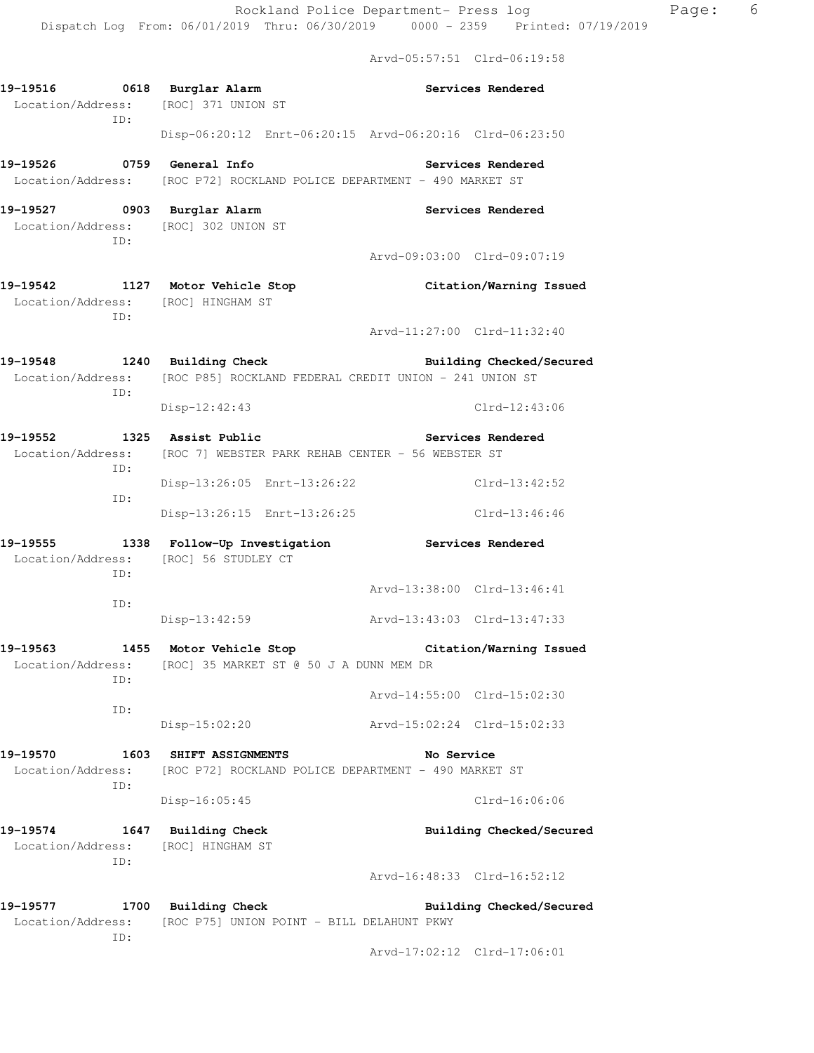Arvd-05:57:51 Clrd-06:19:58

|                   | ID:                         | 19-19516 0618 Burglar Alarm<br>Location/Address: [ROC] 371 UNION ST    | Services Rendered                                                                                    |  |
|-------------------|-----------------------------|------------------------------------------------------------------------|------------------------------------------------------------------------------------------------------|--|
|                   |                             |                                                                        | Disp-06:20:12 Enrt-06:20:15 Arvd-06:20:16 Clrd-06:23:50                                              |  |
|                   |                             | 19-19526 0759 General Info                                             | <b>Services Rendered</b>                                                                             |  |
|                   |                             | Location/Address: [ROC P72] ROCKLAND POLICE DEPARTMENT - 490 MARKET ST |                                                                                                      |  |
|                   |                             | 19-19527 0903 Burglar Alarm                                            | <b>Services Rendered</b>                                                                             |  |
|                   | ID:                         | Location/Address: [ROC] 302 UNION ST                                   |                                                                                                      |  |
|                   |                             |                                                                        | Arvd-09:03:00 Clrd-09:07:19                                                                          |  |
|                   |                             | 19-19542 1127 Motor Vehicle Stop                                       | Citation/Warning Issued                                                                              |  |
|                   | ID:                         | Location/Address: [ROC] HINGHAM ST                                     |                                                                                                      |  |
|                   |                             |                                                                        | Arvd-11:27:00 Clrd-11:32:40                                                                          |  |
|                   |                             | 19-19548 1240 Building Check                                           | Building Checked/Secured<br>Location/Address: [ROC P85] ROCKLAND FEDERAL CREDIT UNION - 241 UNION ST |  |
|                   | ID:                         | Disp-12:42:43                                                          | $Clrd-12:43:06$                                                                                      |  |
|                   |                             | 19-19552 1325 Assist Public                                            | <b>Services Rendered</b>                                                                             |  |
| ID:               |                             | Location/Address: [ROC 7] WEBSTER PARK REHAB CENTER - 56 WEBSTER ST    |                                                                                                      |  |
| ID:               | Disp-13:26:05 Enrt-13:26:22 | Clrd-13:42:52                                                          |                                                                                                      |  |
|                   |                             | Disp-13:26:15 Enrt-13:26:25                                            | Clrd-13:46:46                                                                                        |  |
| 19-19555          |                             | 1338 Follow-Up Investigation                                           | Services Rendered                                                                                    |  |
|                   | ID:                         | Location/Address: [ROC] 56 STUDLEY CT                                  |                                                                                                      |  |
|                   | ID:                         |                                                                        | Arvd-13:38:00 Clrd-13:46:41                                                                          |  |
|                   |                             | $Disp-13:42:59$                                                        | Arvd-13:43:03 Clrd-13:47:33                                                                          |  |
|                   |                             | 19-19563 1455 Motor Vehicle Stop                                       | Citation/Warning Issued                                                                              |  |
| Location/Address: | ID:                         | [ROC] 35 MARKET ST @ 50 J A DUNN MEM DR                                |                                                                                                      |  |
|                   |                             |                                                                        | Arvd-14:55:00 Clrd-15:02:30                                                                          |  |
|                   | ID:                         | $Disp-15:02:20$                                                        | Arvd-15:02:24 Clrd-15:02:33                                                                          |  |
| 19-19570          |                             | 1603 SHIFT ASSIGNMENTS                                                 | No Service                                                                                           |  |
| Location/Address: | ID:                         | [ROC P72] ROCKLAND POLICE DEPARTMENT - 490 MARKET ST                   |                                                                                                      |  |
|                   |                             | Disp-16:05:45                                                          | $C1rd-16:06:06$                                                                                      |  |
| 19-19574          |                             | 1647 Building Check                                                    | Building Checked/Secured                                                                             |  |
|                   | ID:                         | Location/Address: [ROC] HINGHAM ST                                     |                                                                                                      |  |
|                   |                             |                                                                        | Arvd-16:48:33 Clrd-16:52:12                                                                          |  |
| 19-19577          |                             | 1700 Building Check                                                    | Building Checked/Secured                                                                             |  |
| Location/Address: | ID:                         | [ROC P75] UNION POINT - BILL DELAHUNT PKWY                             |                                                                                                      |  |
|                   |                             |                                                                        | Arvd-17:02:12 Clrd-17:06:01                                                                          |  |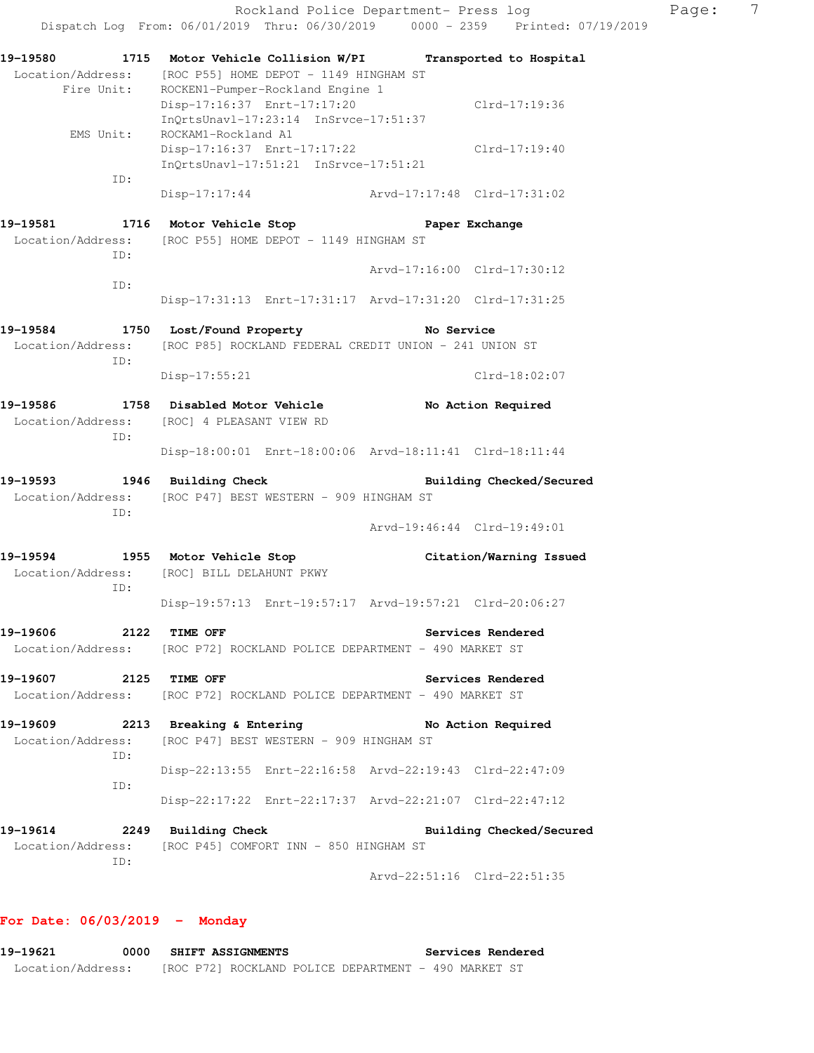| 19-19580                        |                                                                                                           | 1715 Motor Vehicle Collision W/PI Transported to Hospital |
|---------------------------------|-----------------------------------------------------------------------------------------------------------|-----------------------------------------------------------|
| Location/Address:<br>Fire Unit: | [ROC P55] HOME DEPOT - 1149 HINGHAM ST<br>ROCKEN1-Pumper-Rockland Engine 1<br>Disp-17:16:37 Enrt-17:17:20 | Clrd-17:19:36                                             |
| EMS Unit:                       | InQrtsUnavl-17:23:14 InSrvce-17:51:37<br>ROCKAM1-Rockland A1                                              |                                                           |
|                                 | Disp-17:16:37 Enrt-17:17:22<br>InQrtsUnavl-17:51:21 InSrvce-17:51:21                                      | Clrd-17:19:40                                             |
| ID:                             | $Disp-17:17:44$                                                                                           | Arvd-17:17:48 Clrd-17:31:02                               |
|                                 | 19-19581 1716 Motor Vehicle Stop                                                                          | Paper Exchange                                            |
|                                 | Location/Address: [ROC P55] HOME DEPOT - 1149 HINGHAM ST                                                  |                                                           |
| ID:                             |                                                                                                           | Arvd-17:16:00 Clrd-17:30:12                               |
| ID:                             |                                                                                                           | Disp-17:31:13 Enrt-17:31:17 Arvd-17:31:20 Clrd-17:31:25   |
|                                 | 19-19584 1750 Lost/Found Property                                                                         | No Service                                                |
|                                 | Location/Address: [ROC P85] ROCKLAND FEDERAL CREDIT UNION - 241 UNION ST                                  |                                                           |
| ID:                             | Disp-17:55:21                                                                                             | $Clrd-18:02:07$                                           |
| 19-19586                        | 1758 Disabled Motor Vehicle                                                                               | No Action Required                                        |
|                                 | Location/Address: [ROC] 4 PLEASANT VIEW RD                                                                |                                                           |
| ID:                             |                                                                                                           | Disp-18:00:01 Enrt-18:00:06 Arvd-18:11:41 Clrd-18:11:44   |
| 19–19593                        | 1946 Building Check                                                                                       | Building Checked/Secured                                  |
|                                 | Location/Address: [ROC P47] BEST WESTERN - 909 HINGHAM ST                                                 |                                                           |
| ID:                             |                                                                                                           | Arvd-19:46:44 Clrd-19:49:01                               |
|                                 | 19-19594 1955 Motor Vehicle Stop                                                                          | Citation/Warning Issued                                   |
|                                 | Location/Address: [ROC] BILL DELAHUNT PKWY                                                                |                                                           |
| ID:                             |                                                                                                           | Disp-19:57:13 Enrt-19:57:17 Arvd-19:57:21 Clrd-20:06:27   |
| 19-19606<br>2122                | TIME OFF                                                                                                  | Services Rendered                                         |
|                                 | Location/Address: [ROC P72] ROCKLAND POLICE DEPARTMENT - 490 MARKET ST                                    |                                                           |
| 19-19607                        | 2125 TIME OFF                                                                                             | Services Rendered                                         |
|                                 | Location/Address: [ROC P72] ROCKLAND POLICE DEPARTMENT - 490 MARKET ST                                    |                                                           |
| 19-19609                        | 2213 Breaking & Entering                                                                                  | No Action Required                                        |
|                                 | Location/Address: [ROC P47] BEST WESTERN - 909 HINGHAM ST                                                 |                                                           |
| ID:                             |                                                                                                           |                                                           |
| ID:                             |                                                                                                           | Disp-22:13:55 Enrt-22:16:58 Arvd-22:19:43 Clrd-22:47:09   |
|                                 |                                                                                                           | Disp-22:17:22 Enrt-22:17:37 Arvd-22:21:07 Clrd-22:47:12   |
| 19-19614                        | 2249 Building Check                                                                                       | Building Checked/Secured                                  |
|                                 | Location/Address: [ROC P45] COMFORT INN - 850 HINGHAM ST                                                  |                                                           |
| ID:                             |                                                                                                           | Arvd-22:51:16 Clrd-22:51:35                               |

## **For Date: 06/03/2019 - Monday**

| 19-19621          | 0000 | <b>SHIFT ASSIGNMENTS</b> |                                                      | Services Rendered |  |
|-------------------|------|--------------------------|------------------------------------------------------|-------------------|--|
| Location/Address: |      |                          | [ROC P72] ROCKLAND POLICE DEPARTMENT - 490 MARKET ST |                   |  |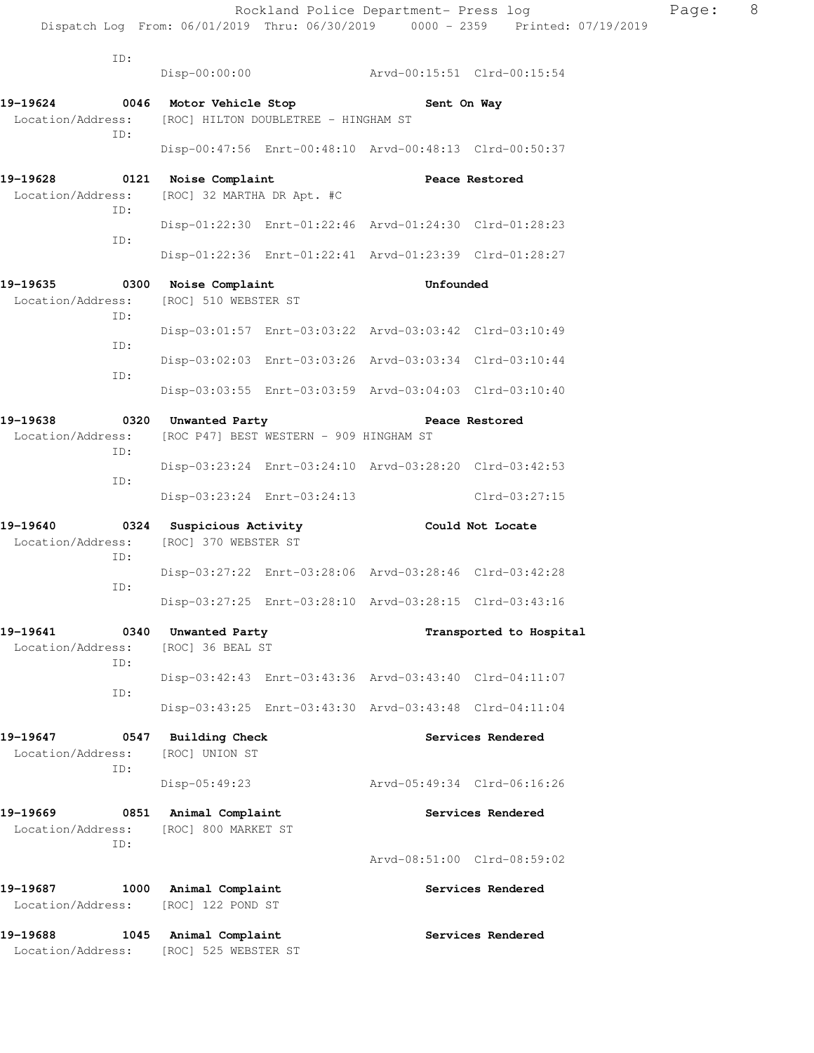|                                                                                                   |                                                                |                                                         | Dispatch Log From: 06/01/2019 Thru: 06/30/2019 0000 - 2359 Printed: 07/19/2019 |  |
|---------------------------------------------------------------------------------------------------|----------------------------------------------------------------|---------------------------------------------------------|--------------------------------------------------------------------------------|--|
| ID:                                                                                               | $Disp-00:00:00$                                                | Arvd-00:15:51 Clrd-00:15:54                             |                                                                                |  |
|                                                                                                   |                                                                |                                                         |                                                                                |  |
| 19-19624 0046 Motor Vehicle Stop<br>Location/Address: [ROC] HILTON DOUBLETREE - HINGHAM ST<br>ID: |                                                                | Sent On Way                                             |                                                                                |  |
|                                                                                                   |                                                                | Disp-00:47:56 Enrt-00:48:10 Arvd-00:48:13 Clrd-00:50:37 |                                                                                |  |
| 19-19628 0121 Noise Complaint<br>Location/Address: [ROC] 32 MARTHA DR Apt. #C<br>ID:              |                                                                | <b>Peace Restored</b>                                   |                                                                                |  |
| ID:                                                                                               |                                                                | Disp-01:22:30 Enrt-01:22:46 Arvd-01:24:30 Clrd-01:28:23 |                                                                                |  |
|                                                                                                   |                                                                | Disp-01:22:36 Enrt-01:22:41 Arvd-01:23:39 Clrd-01:28:27 |                                                                                |  |
| 19–19635<br>Location/Address: [ROC] 510 WEBSTER ST<br>ID:                                         | 0300 Noise Complaint                                           | Unfounded                                               |                                                                                |  |
| ID:                                                                                               |                                                                | Disp-03:01:57 Enrt-03:03:22 Arvd-03:03:42 Clrd-03:10:49 |                                                                                |  |
| ID:                                                                                               |                                                                | Disp-03:02:03 Enrt-03:03:26 Arvd-03:03:34 Clrd-03:10:44 |                                                                                |  |
|                                                                                                   |                                                                | Disp-03:03:55 Enrt-03:03:59 Arvd-03:04:03 Clrd-03:10:40 |                                                                                |  |
| 19–19638<br>Location/Address:<br>ID:                                                              | 0320 Unwanted Party<br>[ROC P47] BEST WESTERN - 909 HINGHAM ST |                                                         | Peace Restored                                                                 |  |
| ID:                                                                                               |                                                                | Disp-03:23:24 Enrt-03:24:10 Arvd-03:28:20 Clrd-03:42:53 |                                                                                |  |
|                                                                                                   | Disp-03:23:24 Enrt-03:24:13                                    |                                                         | Clrd-03:27:15                                                                  |  |
| 19-19640<br>Location/Address:<br>ID:                                                              | 0324 Suspicious Activity<br>[ROC] 370 WEBSTER ST               | Could Not Locate                                        |                                                                                |  |
| ID:                                                                                               |                                                                | Disp-03:27:22 Enrt-03:28:06 Arvd-03:28:46 Clrd-03:42:28 |                                                                                |  |
|                                                                                                   |                                                                | Disp-03:27:25 Enrt-03:28:10 Arvd-03:28:15 Clrd-03:43:16 |                                                                                |  |
| 19-19641<br>0340<br>Location/Address:<br>ID:                                                      | Unwanted Party<br>[ROC] 36 BEAL ST                             |                                                         | Transported to Hospital                                                        |  |
| ID:                                                                                               |                                                                | Disp-03:42:43 Enrt-03:43:36 Arvd-03:43:40 Clrd-04:11:07 |                                                                                |  |
|                                                                                                   |                                                                | Disp-03:43:25 Enrt-03:43:30 Arvd-03:43:48 Clrd-04:11:04 |                                                                                |  |
| 19-19647<br>Location/Address:<br>ID:                                                              | 0547 Building Check<br>[ROC] UNION ST                          |                                                         | Services Rendered                                                              |  |
|                                                                                                   | Disp-05:49:23                                                  | Arvd-05:49:34 Clrd-06:16:26                             |                                                                                |  |
| 19–19669<br>0851<br>Location/Address:<br>ID:                                                      | Animal Complaint<br>[ROC] 800 MARKET ST                        |                                                         | Services Rendered                                                              |  |
|                                                                                                   |                                                                | Arvd-08:51:00 Clrd-08:59:02                             |                                                                                |  |
| 19–19687<br>1000<br>Location/Address:                                                             | Animal Complaint<br>[ROC] 122 POND ST                          |                                                         | Services Rendered                                                              |  |
| 19–19688<br>1045                                                                                  | Animal Complaint                                               |                                                         | Services Rendered                                                              |  |

Location/Address: [ROC] 525 WEBSTER ST

Rockland Police Department- Press log Page: 8<br>019 Thru: 06/30/2019 0000 - 2359 Printed: 07/19/2019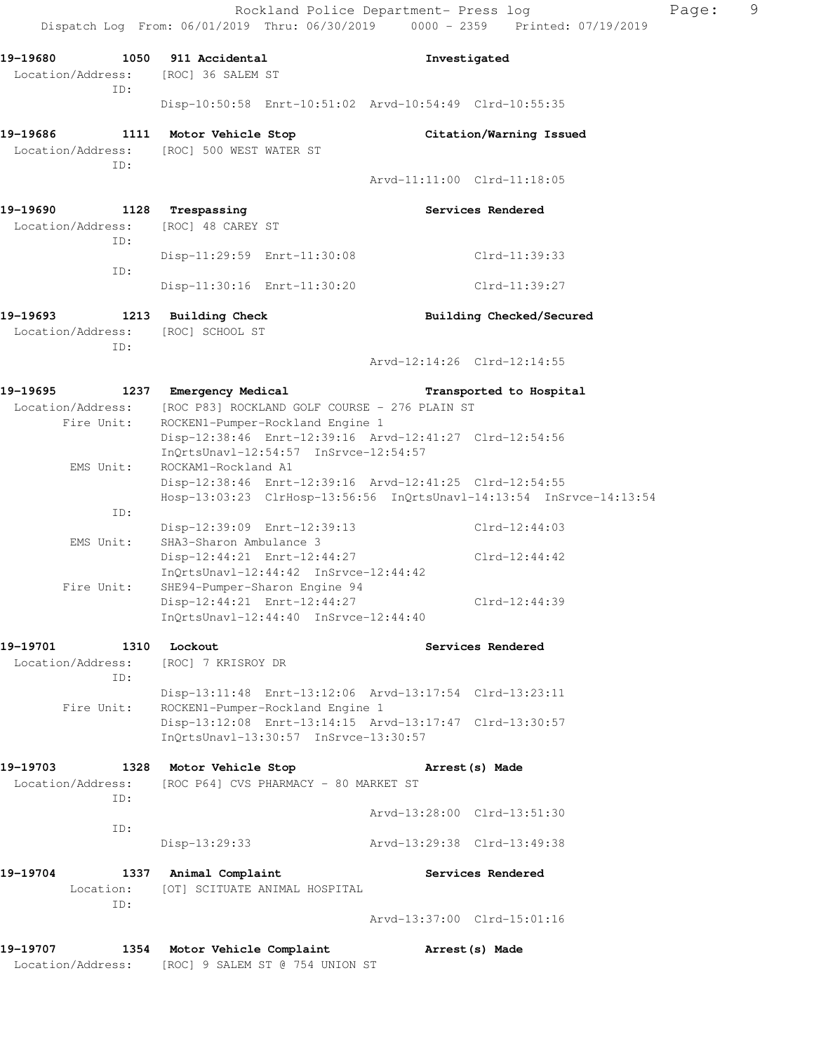Rockland Police Department- Press log extending Page: 9 Dispatch Log From: 06/01/2019 Thru: 06/30/2019 0000 - 2359 Printed: 07/19/2019 **19-19680 1050 911 Accidental Investigated**  Location/Address: [ROC] 36 SALEM ST ID: Disp-10:50:58 Enrt-10:51:02 Arvd-10:54:49 Clrd-10:55:35 **19-19686 1111 Motor Vehicle Stop Citation/Warning Issued**  Location/Address: [ROC] 500 WEST WATER ST ID: Arvd-11:11:00 Clrd-11:18:05 19-19690 1128 Trespassing **19-1969** Services Rendered Location/Address: [ROC] 48 CAREY ST ID: Disp-11:29:59 Enrt-11:30:08 Clrd-11:39:33 ID: Disp-11:30:16 Enrt-11:30:20 Clrd-11:39:27 **19-19693 1213 Building Check Building Checked/Secured**  Location/Address: [ROC] SCHOOL ST ID: Arvd-12:14:26 Clrd-12:14:55 **19-19695 1237 Emergency Medical Transported to Hospital**  Location/Address: [ROC P83] ROCKLAND GOLF COURSE - 276 PLAIN ST Fire Unit: ROCKEN1-Pumper-Rockland Engine 1 Disp-12:38:46 Enrt-12:39:16 Arvd-12:41:27 Clrd-12:54:56 InQrtsUnavl-12:54:57 InSrvce-12:54:57 EMS Unit: ROCKAM1-Rockland A1 Disp-12:38:46 Enrt-12:39:16 Arvd-12:41:25 Clrd-12:54:55 Hosp-13:03:23 ClrHosp-13:56:56 InQrtsUnavl-14:13:54 InSrvce-14:13:54 ID: Disp-12:39:09 Enrt-12:39:13 Clrd-12:44:03 EMS Unit: SHA3-Sharon Ambulance 3 Disp-12:44:21 Enrt-12:44:27 Clrd-12:44:42 InQrtsUnavl-12:44:42 InSrvce-12:44:42 Fire Unit: SHE94-Pumper-Sharon Engine 94 Disp-12:44:21 Enrt-12:44:27 Clrd-12:44:39 InQrtsUnavl-12:44:40 InSrvce-12:44:40 19-19701 1310 Lockout **1310 Services Rendered**  Location/Address: [ROC] 7 KRISROY DR ID: Disp-13:11:48 Enrt-13:12:06 Arvd-13:17:54 Clrd-13:23:11 Fire Unit: ROCKEN1-Pumper-Rockland Engine 1 Disp-13:12:08 Enrt-13:14:15 Arvd-13:17:47 Clrd-13:30:57 InQrtsUnavl-13:30:57 InSrvce-13:30:57 **19-19703 1328 Motor Vehicle Stop Arrest(s) Made**  Location/Address: [ROC P64] CVS PHARMACY - 80 MARKET ST ID: Arvd-13:28:00 Clrd-13:51:30 ID: Disp-13:29:33 Arvd-13:29:38 Clrd-13:49:38 19-19704 1337 Animal Complaint **19-19704** Services Rendered Location: [OT] SCITUATE ANIMAL HOSPITAL ID: Arvd-13:37:00 Clrd-15:01:16 **19-19707 1354 Motor Vehicle Complaint Arrest(s) Made** 

Location/Address: [ROC] 9 SALEM ST @ 754 UNION ST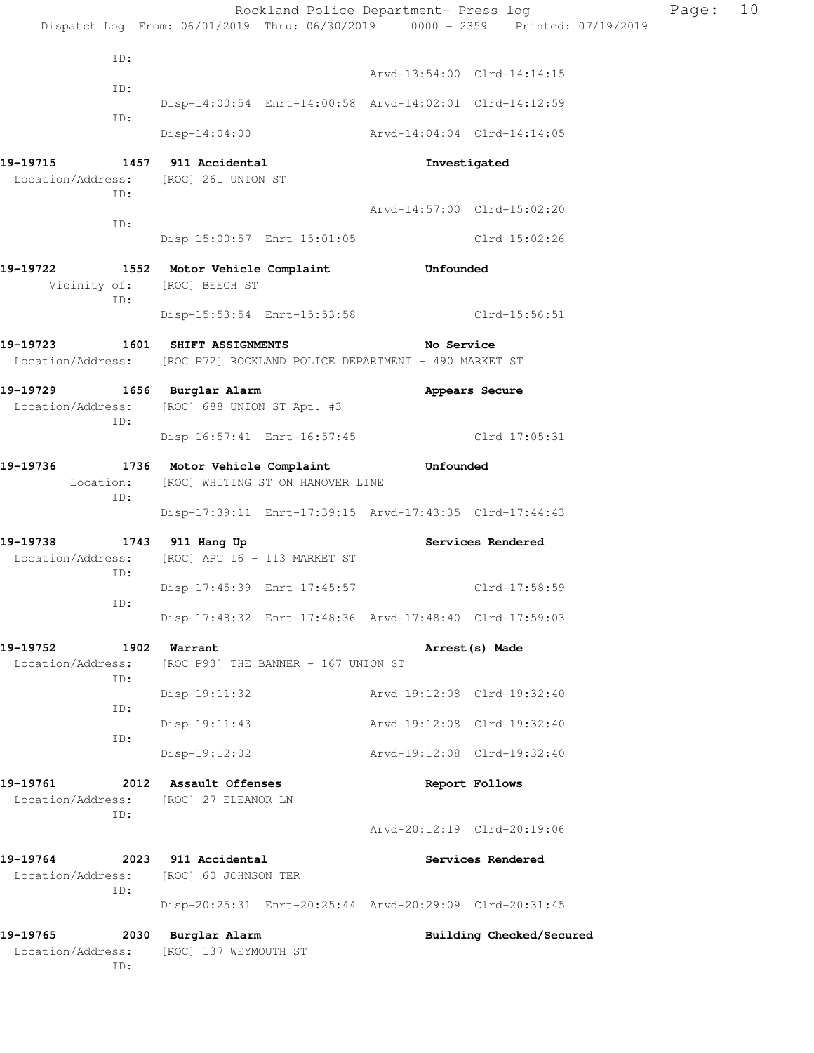|                                                |                                                                                               | Rockland Police Department- Press log                                          | Page: | 10 |
|------------------------------------------------|-----------------------------------------------------------------------------------------------|--------------------------------------------------------------------------------|-------|----|
|                                                |                                                                                               | Dispatch Log From: 06/01/2019 Thru: 06/30/2019 0000 - 2359 Printed: 07/19/2019 |       |    |
| ID:                                            |                                                                                               | Arvd-13:54:00 Clrd-14:14:15                                                    |       |    |
| ID:                                            |                                                                                               |                                                                                |       |    |
| ID:                                            |                                                                                               | Disp-14:00:54 Enrt-14:00:58 Arvd-14:02:01 Clrd-14:12:59                        |       |    |
|                                                |                                                                                               | Disp-14:04:00 Arvd-14:04:04 Clrd-14:14:05                                      |       |    |
| Location/Address: [ROC] 261 UNION ST<br>ID:    | 19-19715 1457 911 Accidental                                                                  | Investigated                                                                   |       |    |
| ID:                                            |                                                                                               | Arvd-14:57:00 Clrd-15:02:20                                                    |       |    |
|                                                | Disp-15:00:57 Enrt-15:01:05                                                                   | Clrd-15:02:26                                                                  |       |    |
| 19–19722<br>Vicinity of: [ROC] BEECH ST<br>ID: | 1552 Motor Vehicle Complaint                                                                  | Unfounded                                                                      |       |    |
|                                                |                                                                                               | Disp-15:53:54 Enrt-15:53:58 Clrd-15:56:51                                      |       |    |
| 19-19723 1601 SHIFT ASSIGNMENTS                |                                                                                               | No Service                                                                     |       |    |
|                                                | Location/Address: [ROC P72] ROCKLAND POLICE DEPARTMENT - 490 MARKET ST                        |                                                                                |       |    |
| 19-19729 1656 Burglar Alarm<br>ID:             | Location/Address: [ROC] 688 UNION ST Apt. #3                                                  | Appears Secure                                                                 |       |    |
|                                                |                                                                                               | Disp-16:57:41 Enrt-16:57:45 Clrd-17:05:31                                      |       |    |
| ID:                                            | 19-19736 1736 Motor Vehicle Complaint Unfounded<br>Location: [ROC] WHITING ST ON HANOVER LINE |                                                                                |       |    |
|                                                |                                                                                               | Disp-17:39:11 Enrt-17:39:15 Arvd-17:43:35 Clrd-17:44:43                        |       |    |
| 19-19738 1743 911 Hang Up<br>ID:               | Location/Address: [ROC] APT 16 - 113 MARKET ST                                                | Services Rendered                                                              |       |    |
| ID:                                            | Disp-17:45:39 Enrt-17:45:57                                                                   | $Clrd-17:58:59$                                                                |       |    |
|                                                |                                                                                               | Disp-17:48:32 Enrt-17:48:36 Arvd-17:48:40 Clrd-17:59:03                        |       |    |
| 19–19752<br>Location/Address:<br>ID:           | 1902 Warrant<br>[ROC P93] THE BANNER - 167 UNION ST                                           | Arrest (s) Made                                                                |       |    |
|                                                | Disp-19:11:32                                                                                 | Arvd-19:12:08 Clrd-19:32:40                                                    |       |    |
| ID:                                            | $Disp-19:11:43$                                                                               | Arvd-19:12:08 Clrd-19:32:40                                                    |       |    |
| ID:                                            | Disp-19:12:02                                                                                 | Arvd-19:12:08 Clrd-19:32:40                                                    |       |    |
| 19-19761<br>Location/Address:                  | 2012 Assault Offenses<br>[ROC] 27 ELEANOR LN                                                  | Report Follows                                                                 |       |    |
| ID:                                            |                                                                                               | Arvd-20:12:19 Clrd-20:19:06                                                    |       |    |
| 19-19764<br>2023<br>Location/Address:          | 911 Accidental<br>[ROC] 60 JOHNSON TER                                                        | Services Rendered                                                              |       |    |
| ID:                                            |                                                                                               | Disp-20:25:31 Enrt-20:25:44 Arvd-20:29:09 Clrd-20:31:45                        |       |    |
| 19-19765<br>2030<br>Location/Address:<br>ID:   | Burglar Alarm<br>[ROC] 137 WEYMOUTH ST                                                        | Building Checked/Secured                                                       |       |    |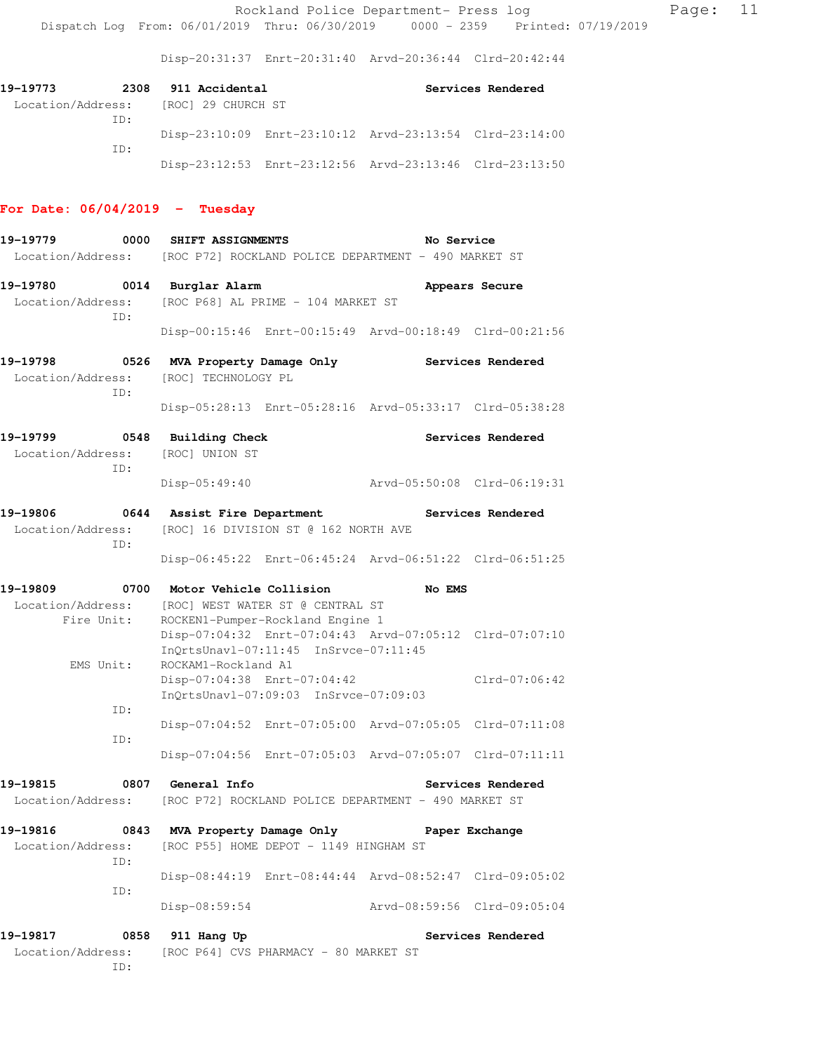Disp-20:31:37 Enrt-20:31:40 Arvd-20:36:44 Clrd-20:42:44

| 19–19773 |     | 2308 911 Accidental                  |                                                         | Services Rendered |
|----------|-----|--------------------------------------|---------------------------------------------------------|-------------------|
|          |     | Location/Address: [ROC] 29 CHURCH ST |                                                         |                   |
|          | TD: |                                      |                                                         |                   |
|          |     |                                      | Disp-23:10:09 Enrt-23:10:12 Arvd-23:13:54 Clrd-23:14:00 |                   |
|          | TD: |                                      |                                                         |                   |
|          |     |                                      | Disp-23:12:53 Enrt-23:12:56 Arvd-23:13:46 Clrd-23:13:50 |                   |

# **For Date: 06/04/2019 - Tuesday**

| 19-19779                      | 0000       | SHIFT ASSIGNMENTS            |                                                                                                                                      | No Service                  |                   |
|-------------------------------|------------|------------------------------|--------------------------------------------------------------------------------------------------------------------------------------|-----------------------------|-------------------|
|                               |            |                              | Location/Address: [ROC P72] ROCKLAND POLICE DEPARTMENT - 490 MARKET ST                                                               |                             |                   |
| 19-19780                      |            | 0014 Burglar Alarm           |                                                                                                                                      |                             | Appears Secure    |
| Location/Address:<br>ID:      |            |                              | [ROC P68] AL PRIME - 104 MARKET ST                                                                                                   |                             |                   |
|                               |            |                              | Disp-00:15:46 Enrt-00:15:49 Arvd-00:18:49 Clrd-00:21:56                                                                              |                             |                   |
| 19-19798<br>Location/Address: | 0526       | [ROC] TECHNOLOGY PL          | MVA Property Damage Only                                                                                                             |                             | Services Rendered |
|                               | ID:        |                              | Disp-05:28:13 Enrt-05:28:16 Arvd-05:33:17 Clrd-05:38:28                                                                              |                             |                   |
| 19-19799                      |            | 0548 Building Check          |                                                                                                                                      |                             | Services Rendered |
| Location/Address:             | ID:        | [ROC] UNION ST               |                                                                                                                                      |                             |                   |
|                               |            | Disp-05:49:40                |                                                                                                                                      | Arvd-05:50:08 Clrd-06:19:31 |                   |
| 19-19806<br>Location/Address: |            | 0644 Assist Fire Department  | [ROC] 16 DIVISION ST @ 162 NORTH AVE                                                                                                 |                             | Services Rendered |
|                               | ID:        |                              | Disp-06:45:22 Enrt-06:45:24 Arvd-06:51:22 Clrd-06:51:25                                                                              |                             |                   |
| 19-19809                      |            | 0700 Motor Vehicle Collision |                                                                                                                                      | No EMS                      |                   |
| Location/Address:             |            |                              | [ROC] WEST WATER ST @ CENTRAL ST                                                                                                     |                             |                   |
|                               | Fire Unit: |                              | ROCKEN1-Pumper-Rockland Engine 1<br>Disp-07:04:32 Enrt-07:04:43 Arvd-07:05:12 Clrd-07:07:10<br>InQrtsUnavl-07:11:45 InSrvce-07:11:45 |                             |                   |
|                               | EMS Unit:  | ROCKAM1-Rockland A1          | Disp-07:04:38 Enrt-07:04:42<br>InQrtsUnavl-07:09:03 InSrvce-07:09:03                                                                 |                             | $Clrd-07:06:42$   |
|                               | ID:        |                              | Disp-07:04:52 Enrt-07:05:00 Arvd-07:05:05 Clrd-07:11:08                                                                              |                             |                   |
|                               | ID:        |                              | Disp-07:04:56 Enrt-07:05:03 Arvd-07:05:07 Clrd-07:11:11                                                                              |                             |                   |
| 19-19815                      |            | 0807 General Info            |                                                                                                                                      |                             | Services Rendered |
|                               |            |                              | Location/Address: [ROC P72] ROCKLAND POLICE DEPARTMENT - 490 MARKET ST                                                               |                             |                   |
| 19-19816                      |            |                              | 0843 MVA Property Damage Only                                                                                                        |                             | Paper Exchange    |
| Location/Address:             | ID:        |                              | [ROC P55] HOME DEPOT - 1149 HINGHAM ST                                                                                               |                             |                   |
|                               | ID:        |                              | Disp-08:44:19 Enrt-08:44:44 Arvd-08:52:47 Clrd-09:05:02                                                                              |                             |                   |
|                               |            | Disp-08:59:54                |                                                                                                                                      | Arvd-08:59:56 Clrd-09:05:04 |                   |
| 19-19817                      | 0858       | 911 Hang Up                  |                                                                                                                                      |                             | Services Rendered |
| Location/Address:             | ID:        |                              | [ROC P64] CVS PHARMACY - 80 MARKET ST                                                                                                |                             |                   |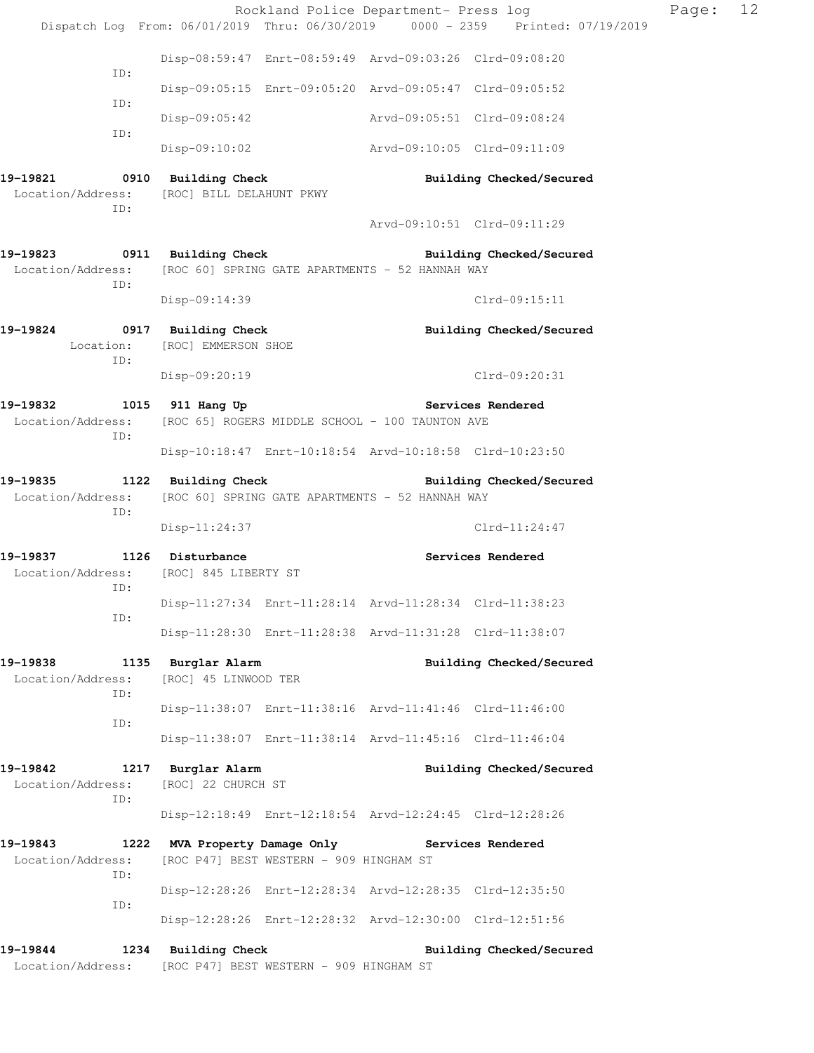|                                                                                                          |                                                                          | Rockland Police Department- Press log |                                                                                | Page: | 12 |
|----------------------------------------------------------------------------------------------------------|--------------------------------------------------------------------------|---------------------------------------|--------------------------------------------------------------------------------|-------|----|
|                                                                                                          |                                                                          |                                       | Dispatch Log From: 06/01/2019 Thru: 06/30/2019 0000 - 2359 Printed: 07/19/2019 |       |    |
| ID:                                                                                                      | Disp-08:59:47 Enrt-08:59:49 Arvd-09:03:26 Clrd-09:08:20                  |                                       |                                                                                |       |    |
| ID:                                                                                                      | Disp-09:05:15 Enrt-09:05:20 Arvd-09:05:47 Clrd-09:05:52                  |                                       |                                                                                |       |    |
|                                                                                                          | $Disp-09:05:42$                                                          | Arvd-09:05:51 Clrd-09:08:24           |                                                                                |       |    |
| ID:                                                                                                      | Disp-09:10:02 Arvd-09:10:05 Clrd-09:11:09                                |                                       |                                                                                |       |    |
| 19-19821 0910 Building Check<br>Location/Address: [ROC] BILL DELAHUNT PKWY<br>ID:                        |                                                                          |                                       | Building Checked/Secured                                                       |       |    |
|                                                                                                          |                                                                          |                                       | Arvd-09:10:51 Clrd-09:11:29                                                    |       |    |
| 19-19823 0911 Building Check<br>Location/Address: [ROC 60] SPRING GATE APARTMENTS - 52 HANNAH WAY<br>ID: |                                                                          |                                       | Building Checked/Secured                                                       |       |    |
|                                                                                                          | Disp-09:14:39                                                            |                                       | Clrd-09:15:11                                                                  |       |    |
| 19-19824<br>ID:                                                                                          | 0917 Building Check<br>Location: [ROC] EMMERSON SHOE                     |                                       | Building Checked/Secured                                                       |       |    |
|                                                                                                          | Disp-09:20:19                                                            |                                       | Clrd-09:20:31                                                                  |       |    |
| 19-19832<br>Location/Address: [ROC 65] ROGERS MIDDLE SCHOOL - 100 TAUNTON AVE<br>ID:                     | 1015 911 Hang Up                                                         |                                       | Services Rendered                                                              |       |    |
|                                                                                                          | Disp-10:18:47 Enrt-10:18:54 Arvd-10:18:58 Clrd-10:23:50                  |                                       |                                                                                |       |    |
| 19-19835<br>Location/Address: [ROC 60] SPRING GATE APARTMENTS - 52 HANNAH WAY<br>ID:                     | 1122 Building Check                                                      |                                       | Building Checked/Secured                                                       |       |    |
|                                                                                                          | Disp-11:24:37                                                            |                                       | $Clrd-11:24:47$                                                                |       |    |
| 19-19837 1126 Disturbance<br>Location/Address: [ROC] 845 LIBERTY ST                                      |                                                                          |                                       | Services Rendered                                                              |       |    |
| ID:                                                                                                      | Disp-11:27:34 Enrt-11:28:14 Arvd-11:28:34 Clrd-11:38:23                  |                                       |                                                                                |       |    |
| ID:                                                                                                      | Disp-11:28:30 Enrt-11:28:38 Arvd-11:31:28 Clrd-11:38:07                  |                                       |                                                                                |       |    |
|                                                                                                          |                                                                          |                                       |                                                                                |       |    |
| 19-19838<br>Location/Address:<br>ID:                                                                     | 1135 Burglar Alarm<br>[ROC] 45 LINWOOD TER                               |                                       | Building Checked/Secured                                                       |       |    |
| ID:                                                                                                      | Disp-11:38:07 Enrt-11:38:16 Arvd-11:41:46 Clrd-11:46:00                  |                                       |                                                                                |       |    |
|                                                                                                          | Disp-11:38:07 Enrt-11:38:14 Arvd-11:45:16 Clrd-11:46:04                  |                                       |                                                                                |       |    |
| 19-19842<br>Location/Address:<br>ID:                                                                     | 1217 Burglar Alarm<br>[ROC] 22 CHURCH ST                                 |                                       | Building Checked/Secured                                                       |       |    |
|                                                                                                          | Disp-12:18:49 Enrt-12:18:54 Arvd-12:24:45 Clrd-12:28:26                  |                                       |                                                                                |       |    |
| 19-19843<br>Location/Address:<br>ID:                                                                     | 1222 MVA Property Damage Only<br>[ROC P47] BEST WESTERN - 909 HINGHAM ST |                                       | Services Rendered                                                              |       |    |
| ID:                                                                                                      | Disp-12:28:26 Enrt-12:28:34 Arvd-12:28:35 Clrd-12:35:50                  |                                       |                                                                                |       |    |
|                                                                                                          | Disp-12:28:26 Enrt-12:28:32 Arvd-12:30:00 Clrd-12:51:56                  |                                       |                                                                                |       |    |
| 19-19844<br>Location/Address:                                                                            | 1234 Building Check<br>[ROC P47] BEST WESTERN - 909 HINGHAM ST           |                                       | Building Checked/Secured                                                       |       |    |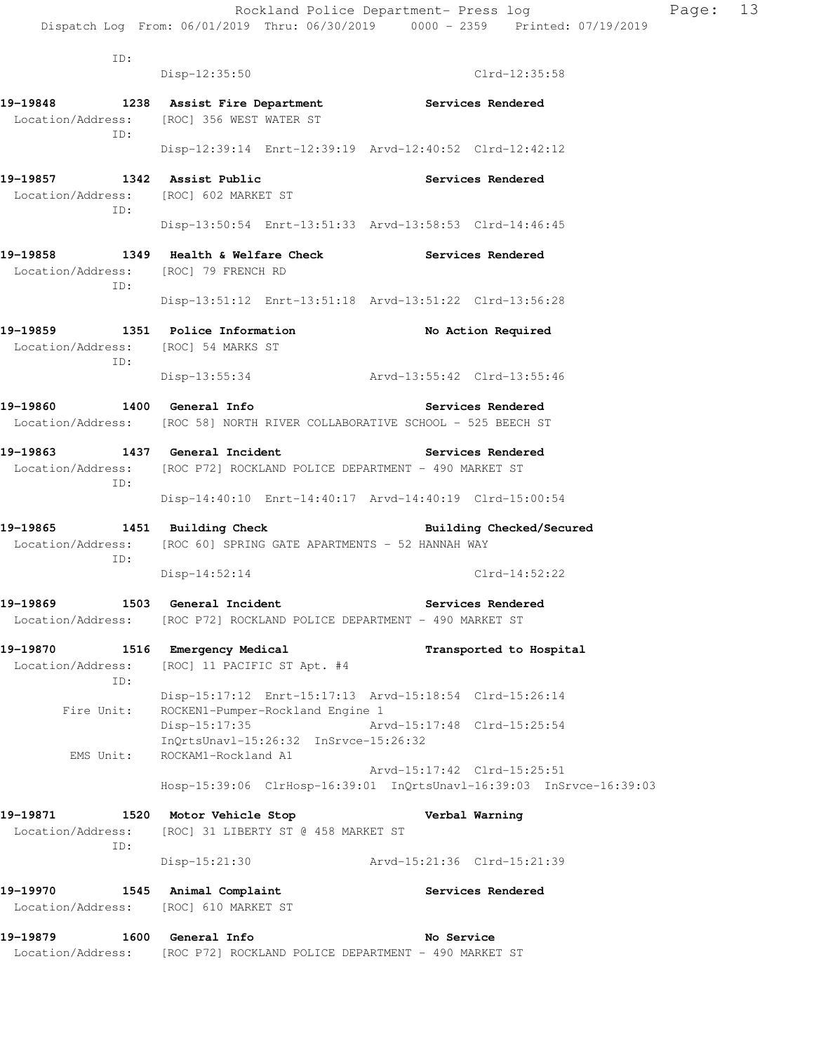| ID:                                                                            | $Disp-12:35:50$                                                                                          | Clrd-12:35:58                                                                                       |
|--------------------------------------------------------------------------------|----------------------------------------------------------------------------------------------------------|-----------------------------------------------------------------------------------------------------|
|                                                                                |                                                                                                          |                                                                                                     |
| TD:                                                                            | Location/Address: [ROC] 356 WEST WATER ST                                                                | 19-19848 1238 Assist Fire Department Services Rendered                                              |
|                                                                                |                                                                                                          | Disp-12:39:14 Enrt-12:39:19 Arvd-12:40:52 Clrd-12:42:12                                             |
| 19-19857 1342 Assist Public<br>Location/Address: [ROC] 602 MARKET ST<br>ID:    |                                                                                                          | Services Rendered                                                                                   |
|                                                                                |                                                                                                          | Disp-13:50:54 Enrt-13:51:33 Arvd-13:58:53 Clrd-14:46:45                                             |
| Location/Address: [ROC] 79 FRENCH RD<br>ID:                                    |                                                                                                          | 19-19858 1349 Health & Welfare Check Services Rendered                                              |
|                                                                                |                                                                                                          | Disp-13:51:12 Enrt-13:51:18 Arvd-13:51:22 Clrd-13:56:28                                             |
| 19-19859 1351 Police Information<br>Location/Address: [ROC] 54 MARKS ST<br>ID: |                                                                                                          | No Action Required                                                                                  |
|                                                                                |                                                                                                          | Disp-13:55:34 Arvd-13:55:42 Clrd-13:55:46                                                           |
| 19-19860 1400 General Info                                                     |                                                                                                          | Services Rendered                                                                                   |
|                                                                                |                                                                                                          | Location/Address: [ROC 58] NORTH RIVER COLLABORATIVE SCHOOL - 525 BEECH ST                          |
| 19-19863 1437 General Incident<br>ID:                                          | Location/Address: [ROC P72] ROCKLAND POLICE DEPARTMENT - 490 MARKET ST                                   | <b>Services Rendered</b>                                                                            |
|                                                                                |                                                                                                          | Disp-14:40:10 Enrt-14:40:17 Arvd-14:40:19 Clrd-15:00:54                                             |
|                                                                                | 19-19865 1451 Building Check<br>Location/Address: [ROC 60] SPRING GATE APARTMENTS - 52 HANNAH WAY        | <b>Building Checked/Secured</b>                                                                     |
| ID:                                                                            | Disp-14:52:14                                                                                            | $Clrd-14:52:22$                                                                                     |
|                                                                                | 19-19869 1503 General Incident<br>Location/Address: [ROC P72] ROCKLAND POLICE DEPARTMENT - 490 MARKET ST | <b>Services Rendered</b>                                                                            |
| 19-19870<br>Location/Address:<br>ID:                                           | 1516 Emergency Medical<br>[ROC] 11 PACIFIC ST Apt. #4                                                    | Transported to Hospital                                                                             |
| Fire Unit:                                                                     | ROCKEN1-Pumper-Rockland Engine 1                                                                         | Disp-15:17:12 Enrt-15:17:13 Arvd-15:18:54 Clrd-15:26:14                                             |
| EMS Unit:                                                                      | $Disp-15:17:35$<br>InOrtsUnavl-15:26:32 InSrvce-15:26:32<br>ROCKAM1-Rockland A1                          | Arvd-15:17:48 Clrd-15:25:54                                                                         |
|                                                                                |                                                                                                          | Arvd-15:17:42 Clrd-15:25:51<br>Hosp-15:39:06 ClrHosp-16:39:01 InQrtsUnavl-16:39:03 InSrvce-16:39:03 |
| 19-19871                                                                       | 1520 Motor Vehicle Stop                                                                                  | Verbal Warning                                                                                      |
| Location/Address:<br>ID:                                                       | [ROC] 31 LIBERTY ST @ 458 MARKET ST                                                                      |                                                                                                     |
|                                                                                | Disp-15:21:30                                                                                            | Arvd-15:21:36 Clrd-15:21:39                                                                         |
| 19-19970<br>Location/Address:                                                  | 1545 Animal Complaint<br>[ROC] 610 MARKET ST                                                             | Services Rendered                                                                                   |
| 19-19879<br>1600                                                               | General Info                                                                                             | No Service                                                                                          |
|                                                                                | Location/Address: [ROC P72] ROCKLAND POLICE DEPARTMENT - 490 MARKET ST                                   |                                                                                                     |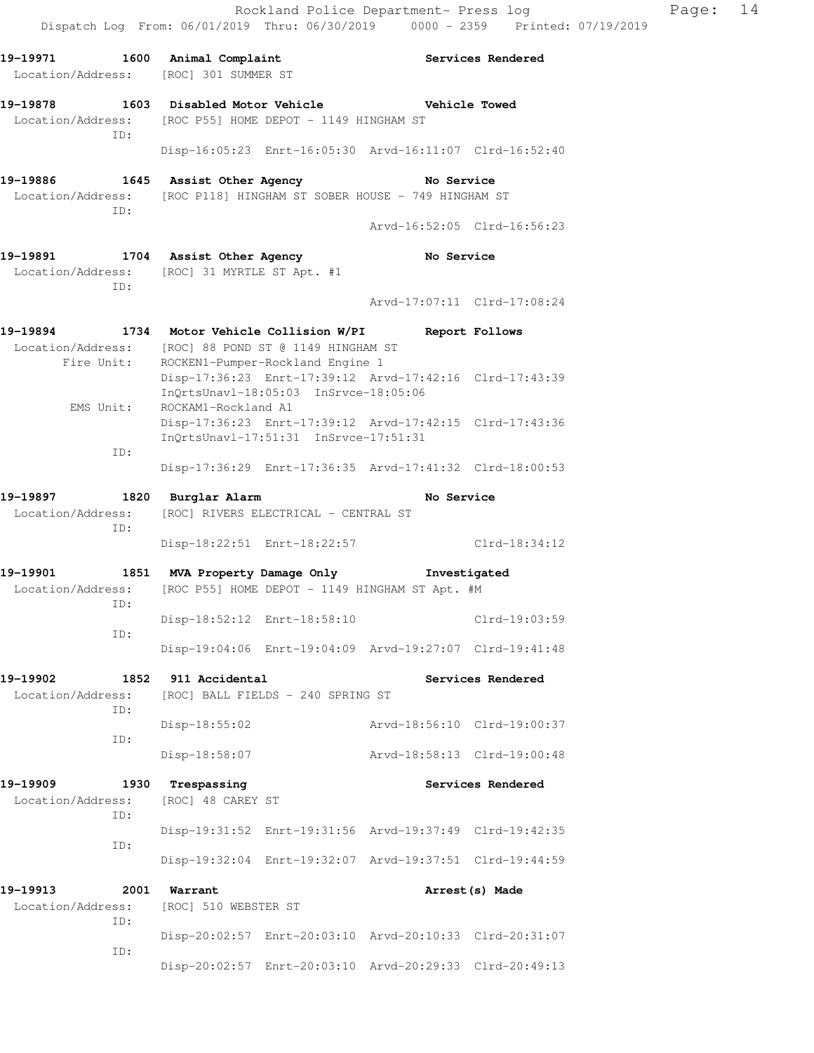| 19-19971                                            |                                         | 1600 Animal Complaint<br>Location/Address: [ROC] 301 SUMMER ST |                                                                                          |                                                                                                             | Services Rendered           |
|-----------------------------------------------------|-----------------------------------------|----------------------------------------------------------------|------------------------------------------------------------------------------------------|-------------------------------------------------------------------------------------------------------------|-----------------------------|
| 19-19878                                            |                                         |                                                                |                                                                                          | 1603 Disabled Motor Vehicle Network Chicle Towed                                                            |                             |
| Location/Address:                                   |                                         |                                                                | [ROC P55] HOME DEPOT - 1149 HINGHAM ST                                                   |                                                                                                             |                             |
|                                                     | ID:                                     |                                                                |                                                                                          | Disp-16:05:23 Enrt-16:05:30 Arvd-16:11:07 Clrd-16:52:40                                                     |                             |
| 19-19886<br>Location/Address:                       | 1645<br>TD:                             |                                                                | Assist Other Agency                                                                      | No Service<br>[ROC P118] HINGHAM ST SOBER HOUSE - 749 HINGHAM ST                                            |                             |
|                                                     |                                         |                                                                |                                                                                          |                                                                                                             | Arvd-16:52:05 Clrd-16:56:23 |
| 19-19891 1704 Assist Other Agency                   | ID:                                     | Location/Address: [ROC] 31 MYRTLE ST Apt. #1                   |                                                                                          | No Service                                                                                                  |                             |
|                                                     |                                         |                                                                |                                                                                          |                                                                                                             | Arvd-17:07:11 Clrd-17:08:24 |
| 19-19894                                            | Fire Unit:                              |                                                                | Location/Address: [ROC] 88 POND ST @ 1149 HINGHAM ST<br>ROCKEN1-Pumper-Rockland Engine 1 | 1734 Motor Vehicle Collision W/PI Report Follows<br>Disp-17:36:23 Enrt-17:39:12 Arvd-17:42:16 Clrd-17:43:39 |                             |
|                                                     | EMS Unit:                               | ROCKAM1-Rockland A1                                            | InOrtsUnavl-18:05:03 InSrvce-18:05:06                                                    |                                                                                                             |                             |
|                                                     |                                         |                                                                | InQrtsUnavl-17:51:31 InSrvce-17:51:31                                                    | Disp-17:36:23 Enrt-17:39:12 Arvd-17:42:15 Clrd-17:43:36                                                     |                             |
|                                                     | ID:                                     |                                                                |                                                                                          | Disp-17:36:29 Enrt-17:36:35 Arvd-17:41:32 Clrd-18:00:53                                                     |                             |
| 19-19897<br>Location/Address:                       | $\begin{array}{ccc} & 1820 \end{array}$ | Burglar Alarm                                                  | [ROC] RIVERS ELECTRICAL - CENTRAL ST                                                     | No Service                                                                                                  |                             |
|                                                     | ID:                                     |                                                                |                                                                                          | Disp-18:22:51 Enrt-18:22:57 Clrd-18:34:12                                                                   |                             |
| 19-19901 1851 MVA Property Damage Only Threstigated |                                         |                                                                |                                                                                          |                                                                                                             |                             |
| Location/Address:                                   | ID:                                     |                                                                |                                                                                          | [ROC P55] HOME DEPOT - 1149 HINGHAM ST Apt. #M                                                              |                             |
|                                                     | ID:                                     |                                                                | Disp-18:52:12 Enrt-18:58:10                                                              |                                                                                                             | $Clrd-19:03:59$             |
|                                                     |                                         |                                                                |                                                                                          | Disp-19:04:06 Enrt-19:04:09 Arvd-19:27:07 Clrd-19:41:48                                                     |                             |
| 19-19902<br>Location/Address:                       | 1852<br>ID:                             | 911 Accidental                                                 | [ROC] BALL FIELDS - 240 SPRING ST                                                        |                                                                                                             | Services Rendered           |
|                                                     | ID:                                     | Disp-18:55:02                                                  |                                                                                          |                                                                                                             | Arvd-18:56:10 Clrd-19:00:37 |
|                                                     |                                         | Disp-18:58:07                                                  |                                                                                          | Arvd-18:58:13 Clrd-19:00:48                                                                                 |                             |
| 19-19909<br>Location/Address:                       | 1930<br>ID:                             | Trespassing<br>[ROC] 48 CAREY ST                               |                                                                                          |                                                                                                             | Services Rendered           |
|                                                     | ID:                                     |                                                                |                                                                                          | Disp-19:31:52 Enrt-19:31:56 Arvd-19:37:49 Clrd-19:42:35                                                     |                             |
|                                                     |                                         |                                                                |                                                                                          | Disp-19:32:04 Enrt-19:32:07 Arvd-19:37:51 Clrd-19:44:59                                                     |                             |
| 19-19913<br>Location/Address:                       | 2001<br>ID:                             | Warrant<br>[ROC] 510 WEBSTER ST                                |                                                                                          |                                                                                                             | Arrest (s) Made             |
|                                                     |                                         |                                                                |                                                                                          | Disp-20:02:57 Enrt-20:03:10 Arvd-20:10:33 Clrd-20:31:07                                                     |                             |
|                                                     | ID:                                     |                                                                |                                                                                          | Disp-20:02:57 Enrt-20:03:10 Arvd-20:29:33 Clrd-20:49:13                                                     |                             |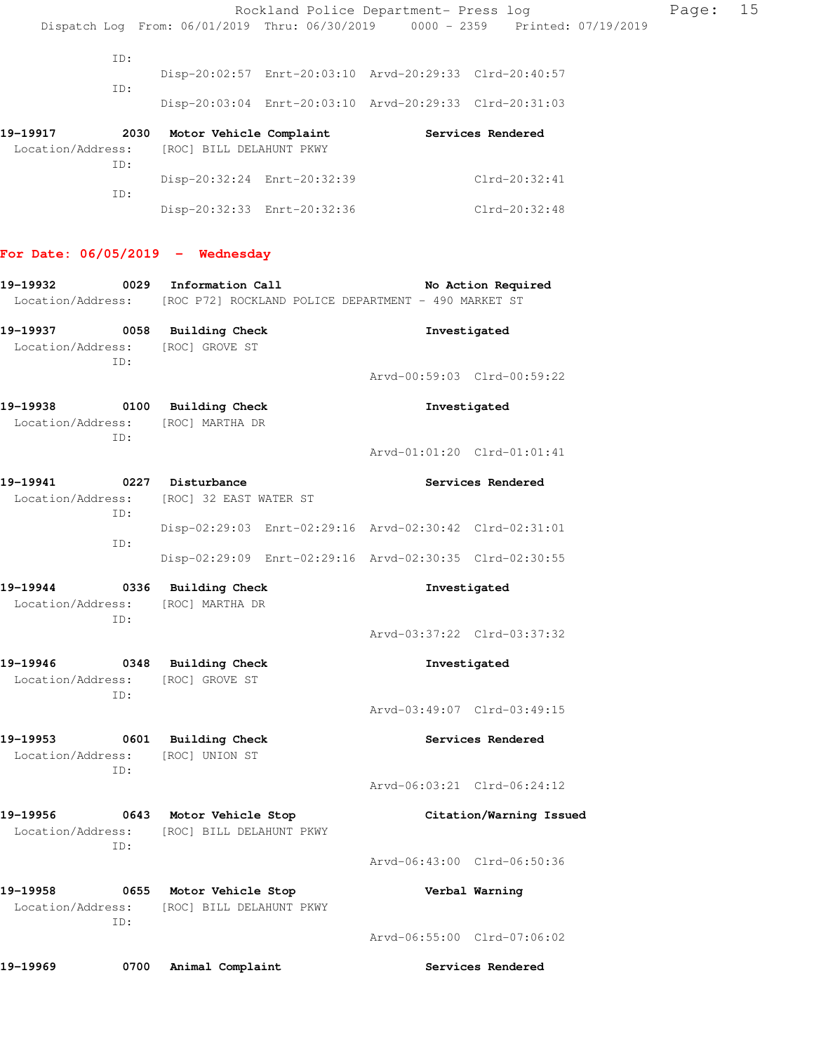|                                                                                                          |      |                                                                       |                             | Rockland Police Department- Press log                   |                                                                                | Page: | 15 |
|----------------------------------------------------------------------------------------------------------|------|-----------------------------------------------------------------------|-----------------------------|---------------------------------------------------------|--------------------------------------------------------------------------------|-------|----|
|                                                                                                          |      |                                                                       |                             |                                                         | Dispatch Log From: 06/01/2019 Thru: 06/30/2019 0000 - 2359 Printed: 07/19/2019 |       |    |
|                                                                                                          | ID:  |                                                                       |                             |                                                         |                                                                                |       |    |
|                                                                                                          | ID:  |                                                                       |                             | Disp-20:02:57 Enrt-20:03:10 Arvd-20:29:33 Clrd-20:40:57 |                                                                                |       |    |
|                                                                                                          |      |                                                                       |                             | Disp-20:03:04 Enrt-20:03:10 Arvd-20:29:33 Clrd-20:31:03 |                                                                                |       |    |
| 19–19917<br>Location/Address:                                                                            | ID:  | [ROC] BILL DELAHUNT PKWY                                              |                             | 2030 Motor Vehicle Complaint Services Rendered          |                                                                                |       |    |
|                                                                                                          |      |                                                                       | Disp-20:32:24 Enrt-20:32:39 |                                                         | Clrd-20:32:41                                                                  |       |    |
|                                                                                                          | ID:  |                                                                       | Disp-20:32:33 Enrt-20:32:36 |                                                         | Clrd-20:32:48                                                                  |       |    |
| For Date: $06/05/2019$ - Wednesday                                                                       |      |                                                                       |                             |                                                         |                                                                                |       |    |
| 19-19932 0029 Information Call<br>Location/Address: [ROC P72] ROCKLAND POLICE DEPARTMENT - 490 MARKET ST |      |                                                                       |                             |                                                         | No Action Required                                                             |       |    |
| 19-19937 0058 Building Check<br>Location/Address: [ROC] GROVE ST                                         |      |                                                                       |                             |                                                         | Investigated                                                                   |       |    |
|                                                                                                          | ID:  |                                                                       |                             | Arvd-00:59:03 Clrd-00:59:22                             |                                                                                |       |    |
| 19-19938<br>Location/Address: [ROC] MARTHA DR                                                            | ID:  | 0100 Building Check                                                   |                             |                                                         | Investigated                                                                   |       |    |
|                                                                                                          |      |                                                                       |                             | Arvd-01:01:20 Clrd-01:01:41                             |                                                                                |       |    |
| 19-19941<br>Location/Address:                                                                            | ID:  | 0227 Disturbance<br>[ROC] 32 EAST WATER ST                            |                             |                                                         | Services Rendered                                                              |       |    |
|                                                                                                          |      |                                                                       |                             | Disp-02:29:03 Enrt-02:29:16 Arvd-02:30:42 Clrd-02:31:01 |                                                                                |       |    |
|                                                                                                          | ID:  |                                                                       |                             | Disp-02:29:09 Enrt-02:29:16 Arvd-02:30:35 Clrd-02:30:55 |                                                                                |       |    |
| 19-19944<br>Location/Address:                                                                            | ID:  | 0336 Building Check<br>[ROC] MARTHA DR                                |                             |                                                         | Investigated                                                                   |       |    |
|                                                                                                          |      |                                                                       |                             |                                                         | Arvd-03:37:22 Clrd-03:37:32                                                    |       |    |
| 19-19946                                                                                                 |      | 0348 Building Check<br>Location/Address: [ROC] GROVE ST               |                             |                                                         | Investigated                                                                   |       |    |
|                                                                                                          | ID:  |                                                                       |                             | Arvd-03:49:07 Clrd-03:49:15                             |                                                                                |       |    |
| 19–19953<br>Location/Address:                                                                            |      | 0601 Building Check<br>[ROC] UNION ST                                 |                             |                                                         | Services Rendered                                                              |       |    |
|                                                                                                          | ID:  |                                                                       |                             |                                                         | Arvd-06:03:21 Clrd-06:24:12                                                    |       |    |
| 19-19956                                                                                                 | ID:  | 0643 Motor Vehicle Stop<br>Location/Address: [ROC] BILL DELAHUNT PKWY |                             |                                                         | Citation/Warning Issued                                                        |       |    |
|                                                                                                          |      |                                                                       |                             | Arvd-06:43:00 Clrd-06:50:36                             |                                                                                |       |    |
| 19–19958<br>Location/Address:                                                                            | ID:  | 0655 Motor Vehicle Stop<br>[ROC] BILL DELAHUNT PKWY                   |                             |                                                         | Verbal Warning                                                                 |       |    |
|                                                                                                          |      |                                                                       |                             | Arvd-06:55:00 Clrd-07:06:02                             |                                                                                |       |    |
| 19–19969                                                                                                 | 0700 | Animal Complaint                                                      |                             |                                                         | Services Rendered                                                              |       |    |
|                                                                                                          |      |                                                                       |                             |                                                         |                                                                                |       |    |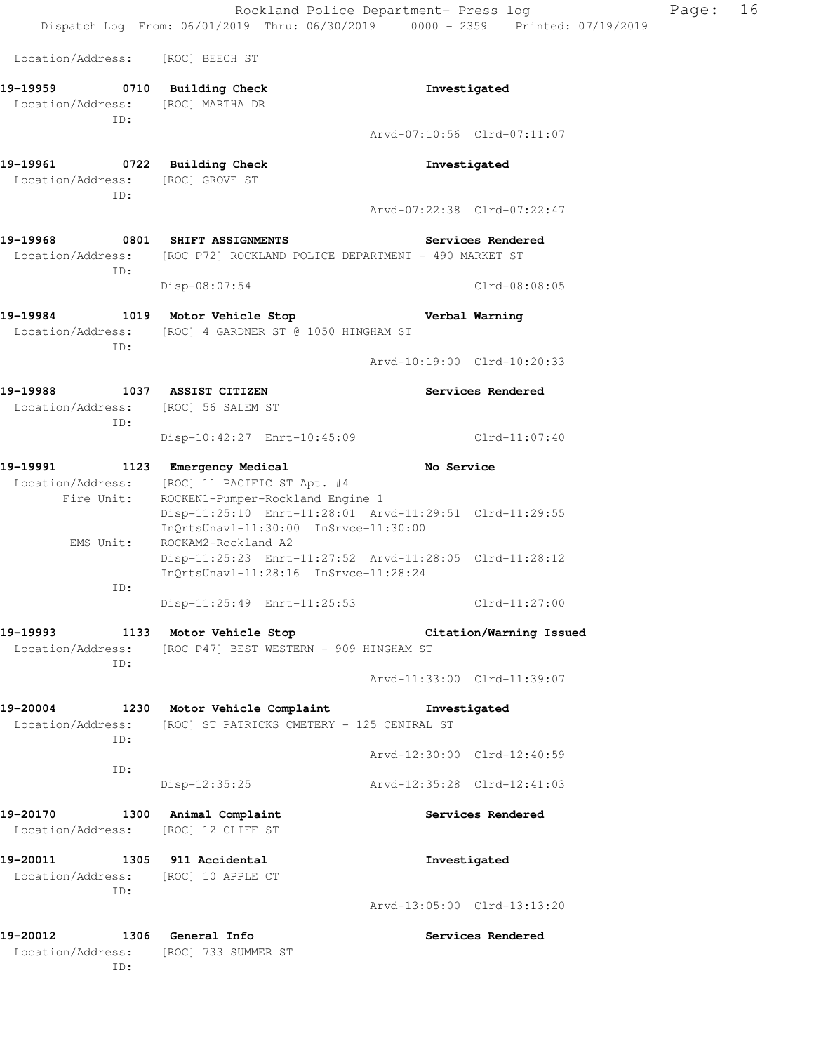Rockland Police Department- Press log Page: 16 Dispatch Log From: 06/01/2019 Thru: 06/30/2019 0000 - 2359 Printed: 07/19/2019 Location/Address: [ROC] BEECH ST **19-19959 0710 Building Check Investigated**  Location/Address: [ROC] MARTHA DR ID: Arvd-07:10:56 Clrd-07:11:07 **19-19961 0722 Building Check Investigated**  Location/Address: [ROC] GROVE ST ID: Arvd-07:22:38 Clrd-07:22:47 **19-19968 0801 SHIFT ASSIGNMENTS Services Rendered**  Location/Address: [ROC P72] ROCKLAND POLICE DEPARTMENT - 490 MARKET ST ID: Disp-08:07:54 Clrd-08:08:05 **19-19984 1019 Motor Vehicle Stop Verbal Warning**  Location/Address: [ROC] 4 GARDNER ST @ 1050 HINGHAM ST ID: Arvd-10:19:00 Clrd-10:20:33 **19-19988 1037 ASSIST CITIZEN Services Rendered**  Location/Address: [ROC] 56 SALEM ST ID: Disp-10:42:27 Enrt-10:45:09 Clrd-11:07:40 **19-19991 1123 Emergency Medical No Service**  Location/Address: [ROC] 11 PACIFIC ST Apt. #4 Fire Unit: ROCKEN1-Pumper-Rockland Engine 1 Disp-11:25:10 Enrt-11:28:01 Arvd-11:29:51 Clrd-11:29:55 InQrtsUnavl-11:30:00 InSrvce-11:30:00 EMS Unit: ROCKAM2-Rockland A2 Disp-11:25:23 Enrt-11:27:52 Arvd-11:28:05 Clrd-11:28:12 InQrtsUnavl-11:28:16 InSrvce-11:28:24 ID: Disp-11:25:49 Enrt-11:25:53 Clrd-11:27:00 **19-19993 1133 Motor Vehicle Stop Citation/Warning Issued**  Location/Address: [ROC P47] BEST WESTERN - 909 HINGHAM ST ID: Arvd-11:33:00 Clrd-11:39:07 **19-20004 1230 Motor Vehicle Complaint Investigated**  Location/Address: [ROC] ST PATRICKS CMETERY - 125 CENTRAL ST ID: Arvd-12:30:00 Clrd-12:40:59 ID: Disp-12:35:25 Arvd-12:35:28 Clrd-12:41:03 **19-20170 1300 Animal Complaint Services Rendered**  Location/Address: [ROC] 12 CLIFF ST **19-20011 1305 911 Accidental Investigated**  Location/Address: [ROC] 10 APPLE CT ID: Arvd-13:05:00 Clrd-13:13:20

**19-20012 1306 General Info Services Rendered**  Location/Address: [ROC] 733 SUMMER ST ID: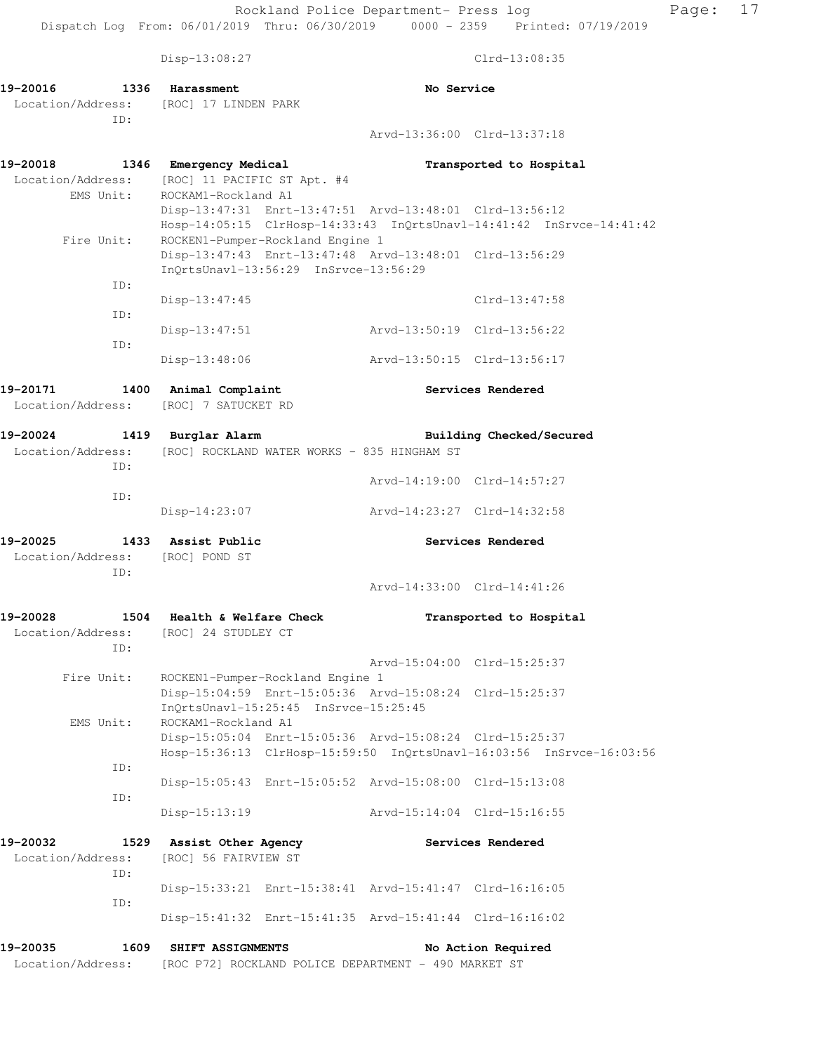Disp-13:08:27 Clrd-13:08:35

**19-20016 1336 Harassment No Service**  Location/Address: [ROC] 17 LINDEN PARK ID: Arvd-13:36:00 Clrd-13:37:18 **19-20018 1346 Emergency Medical Transported to Hospital**  Location/Address: [ROC] 11 PACIFIC ST Apt. #4 EMS Unit: ROCKAM1-Rockland A1 Disp-13:47:31 Enrt-13:47:51 Arvd-13:48:01 Clrd-13:56:12 Hosp-14:05:15 ClrHosp-14:33:43 InQrtsUnavl-14:41:42 InSrvce-14:41:42 Fire Unit: ROCKEN1-Pumper-Rockland Engine 1 Disp-13:47:43 Enrt-13:47:48 Arvd-13:48:01 Clrd-13:56:29 InQrtsUnavl-13:56:29 InSrvce-13:56:29 ID: Disp-13:47:45 Clrd-13:47:58 ID: Disp-13:47:51 Arvd-13:50:19 Clrd-13:56:22 ID: Disp-13:48:06 Arvd-13:50:15 Clrd-13:56:17 **19-20171 1400 Animal Complaint Services Rendered**  Location/Address: [ROC] 7 SATUCKET RD **19-20024 1419 Burglar Alarm Building Checked/Secured**  Location/Address: [ROC] ROCKLAND WATER WORKS - 835 HINGHAM ST ID: Arvd-14:19:00 Clrd-14:57:27 ID: Disp-14:23:07 Arvd-14:23:27 Clrd-14:32:58 **19-20025 1433 Assist Public Services Rendered**  Location/Address: [ROC] POND ST ID: Arvd-14:33:00 Clrd-14:41:26 **19-20028 1504 Health & Welfare Check Transported to Hospital**  Location/Address: [ROC] 24 STUDLEY CT ID: Arvd-15:04:00 Clrd-15:25:37 Fire Unit: ROCKEN1-Pumper-Rockland Engine 1 Disp-15:04:59 Enrt-15:05:36 Arvd-15:08:24 Clrd-15:25:37 InQrtsUnavl-15:25:45 InSrvce-15:25:45 EMS Unit: ROCKAM1-Rockland A1 Disp-15:05:04 Enrt-15:05:36 Arvd-15:08:24 Clrd-15:25:37 Hosp-15:36:13 ClrHosp-15:59:50 InQrtsUnavl-16:03:56 InSrvce-16:03:56 ID: Disp-15:05:43 Enrt-15:05:52 Arvd-15:08:00 Clrd-15:13:08 ID: Disp-15:13:19 Arvd-15:14:04 Clrd-15:16:55 **19-20032 1529 Assist Other Agency Services Rendered**  Location/Address: [ROC] 56 FAIRVIEW ST ID: Disp-15:33:21 Enrt-15:38:41 Arvd-15:41:47 Clrd-16:16:05 ID: Disp-15:41:32 Enrt-15:41:35 Arvd-15:41:44 Clrd-16:16:02 **19-20035 1609 SHIFT ASSIGNMENTS No Action Required**  Location/Address: [ROC P72] ROCKLAND POLICE DEPARTMENT - 490 MARKET ST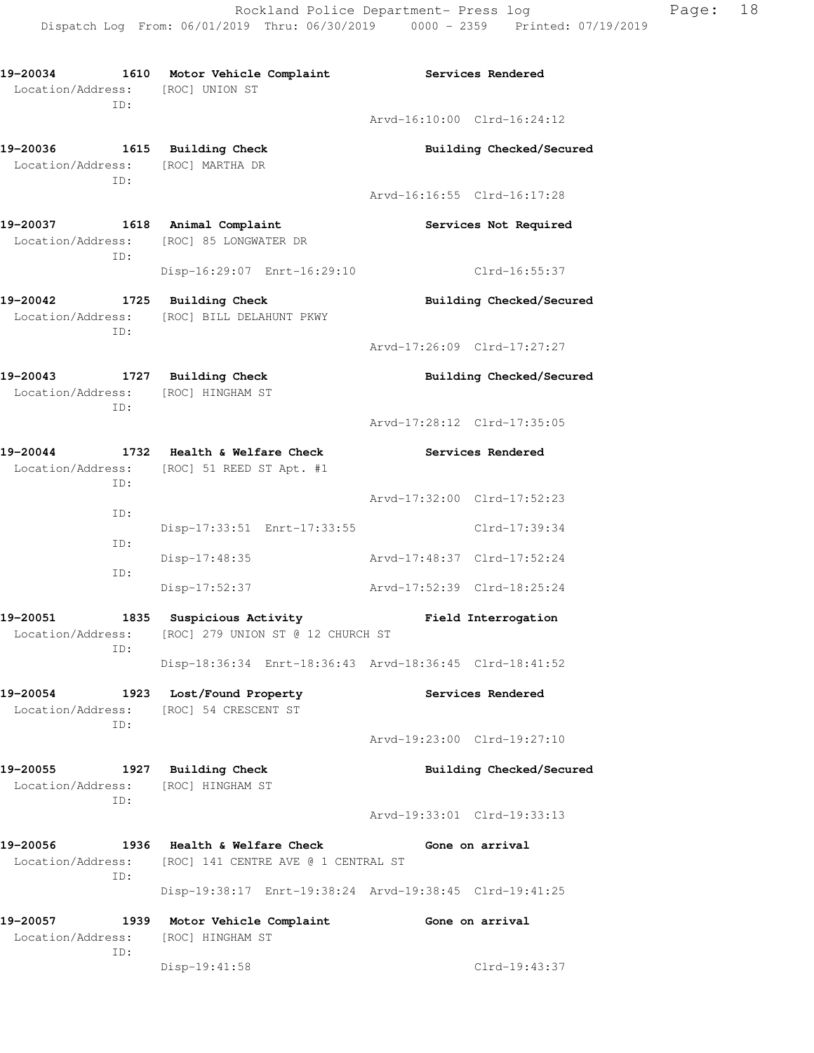**19-20034 1610 Motor Vehicle Complaint Services Rendered**  Location/Address: [ROC] UNION ST ID: Arvd-16:10:00 Clrd-16:24:12 **19-20036 1615 Building Check Building Checked/Secured**  Location/Address: [ROC] MARTHA DR ID: Arvd-16:16:55 Clrd-16:17:28 **19-20037 1618 Animal Complaint Services Not Required**  Location/Address: [ROC] 85 LONGWATER DR ID: Disp-16:29:07 Enrt-16:29:10 Clrd-16:55:37 19-20042 1725 Building Check **Building Checked/Secured**  Location/Address: [ROC] BILL DELAHUNT PKWY ID: Arvd-17:26:09 Clrd-17:27:27 **19-20043 1727 Building Check Building Checked/Secured**  Location/Address: [ROC] HINGHAM ST ID: Arvd-17:28:12 Clrd-17:35:05 **19-20044 1732 Health & Welfare Check Services Rendered**  Location/Address: [ROC] 51 REED ST Apt. #1 ID: Arvd-17:32:00 Clrd-17:52:23 ID: Disp-17:33:51 Enrt-17:33:55 Clrd-17:39:34 ID: Disp-17:48:35 Arvd-17:48:37 Clrd-17:52:24 ID: Disp-17:52:37 Arvd-17:52:39 Clrd-18:25:24 **19-20051 1835 Suspicious Activity Field Interrogation**  Location/Address: [ROC] 279 UNION ST @ 12 CHURCH ST ID: Disp-18:36:34 Enrt-18:36:43 Arvd-18:36:45 Clrd-18:41:52 **19-20054 1923 Lost/Found Property Services Rendered**  Location/Address: [ROC] 54 CRESCENT ST ID: Arvd-19:23:00 Clrd-19:27:10 **19-20055 1927 Building Check Building Checked/Secured**  Location/Address: [ROC] HINGHAM ST ID: Arvd-19:33:01 Clrd-19:33:13 **19-20056 1936 Health & Welfare Check Gone on arrival**  Location/Address: [ROC] 141 CENTRE AVE @ 1 CENTRAL ST ID: Disp-19:38:17 Enrt-19:38:24 Arvd-19:38:45 Clrd-19:41:25 **19-20057 1939 Motor Vehicle Complaint Gone on arrival**  Location/Address: [ROC] HINGHAM ST ID: Disp-19:41:58 Clrd-19:43:37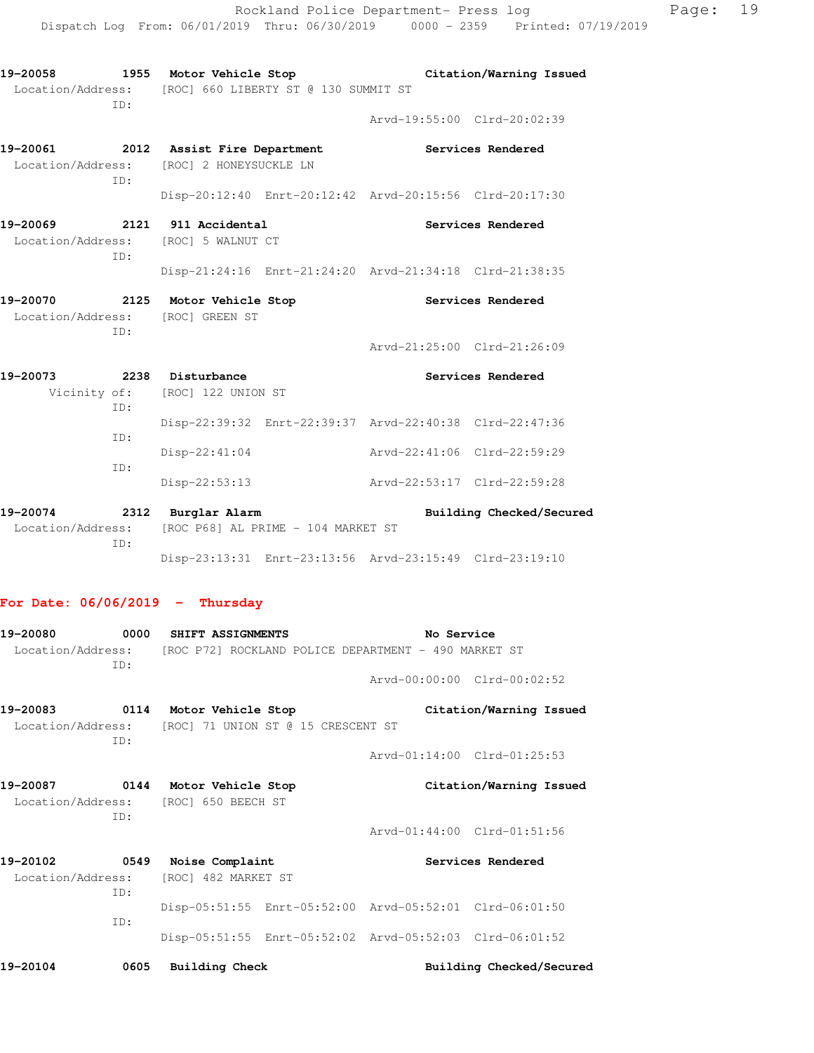| TD:                                                          | Location/Address: [ROC] 660 LIBERTY ST @ 130 SUMMIT ST         |                                                         |  |
|--------------------------------------------------------------|----------------------------------------------------------------|---------------------------------------------------------|--|
|                                                              |                                                                | Arvd-19:55:00 Clrd-20:02:39                             |  |
| Location/Address:<br>ID:                                     | 19-20061 2012 Assist Fire Department<br>[ROC] 2 HONEYSUCKLE LN | Services Rendered                                       |  |
|                                                              |                                                                | Disp-20:12:40 Enrt-20:12:42 Arvd-20:15:56 Clrd-20:17:30 |  |
| 19-20069 2121 911 Accidental<br>Location/Address:<br>TD:     | [ROC] 5 WALNUT CT                                              | Services Rendered                                       |  |
|                                                              |                                                                | Disp-21:24:16 Enrt-21:24:20 Arvd-21:34:18 Clrd-21:38:35 |  |
| 19-20070 2125 Motor Vehicle Stop<br>Location/Address:<br>ID: | [ROC] GREEN ST                                                 | Services Rendered                                       |  |
|                                                              |                                                                | Arvd-21:25:00 Clrd-21:26:09                             |  |
| 19-20073<br>TD:                                              | 2238 Disturbance<br>Vicinity of: [ROC] 122 UNION ST            | Services Rendered                                       |  |
| TD:                                                          |                                                                | Disp-22:39:32 Enrt-22:39:37 Arvd-22:40:38 Clrd-22:47:36 |  |
| TD:                                                          | Disp-22:41:04                                                  | Arvd-22:41:06 Clrd-22:59:29                             |  |
|                                                              | Disp-22:53:13                                                  | Arvd-22:53:17 Clrd-22:59:28                             |  |
| 19-20074<br>2312<br>Location/Address:<br>ID:                 | Burglar Alarm<br>[ROC P68] AL PRIME - 104 MARKET ST            | Building Checked/Secured                                |  |
|                                                              |                                                                | Disp-23:13:31 Enrt-23:13:56 Arvd-23:15:49 Clrd-23:19:10 |  |

**19-20058 1955 Motor Vehicle Stop Citation/Warning Issued** 

## **For Date: 06/06/2019 - Thursday**

| 19–20080          | 0000 | SHIFT ASSIGNMENTS                    |                                    | No Service                                              |                          |
|-------------------|------|--------------------------------------|------------------------------------|---------------------------------------------------------|--------------------------|
| Location/Address: | TD:  |                                      |                                    | [ROC P72] ROCKLAND POLICE DEPARTMENT - 490 MARKET ST    |                          |
|                   |      |                                      |                                    | $Arvd-00:00:00$ $Clrd-00:02:52$                         |                          |
| 19–20083          |      | 0114 Motor Vehicle Stop              |                                    |                                                         | Citation/Warning Issued  |
| Location/Address: | TD:  |                                      | [ROC] 71 UNION ST @ 15 CRESCENT ST |                                                         |                          |
|                   |      |                                      |                                    | Arvd-01:14:00 Clrd-01:25:53                             |                          |
| 19-20087          |      | 0144 Motor Vehicle Stop              |                                    |                                                         | Citation/Warning Issued  |
|                   | ID:  | Location/Address: [ROC] 650 BEECH ST |                                    |                                                         |                          |
|                   |      |                                      |                                    | Arvd-01:44:00 Clrd-01:51:56                             |                          |
| 19-20102          | 0549 | Noise Complaint                      |                                    |                                                         | Services Rendered        |
| Location/Address: | ID:  | [ROC] 482 MARKET ST                  |                                    |                                                         |                          |
|                   |      |                                      |                                    | Disp-05:51:55 Enrt-05:52:00 Arvd-05:52:01 Clrd-06:01:50 |                          |
|                   | TD:  |                                      |                                    | Disp-05:51:55 Enrt-05:52:02 Arvd-05:52:03 Clrd-06:01:52 |                          |
| 19-20104          | 0605 | <b>Building Check</b>                |                                    |                                                         | Building Checked/Secured |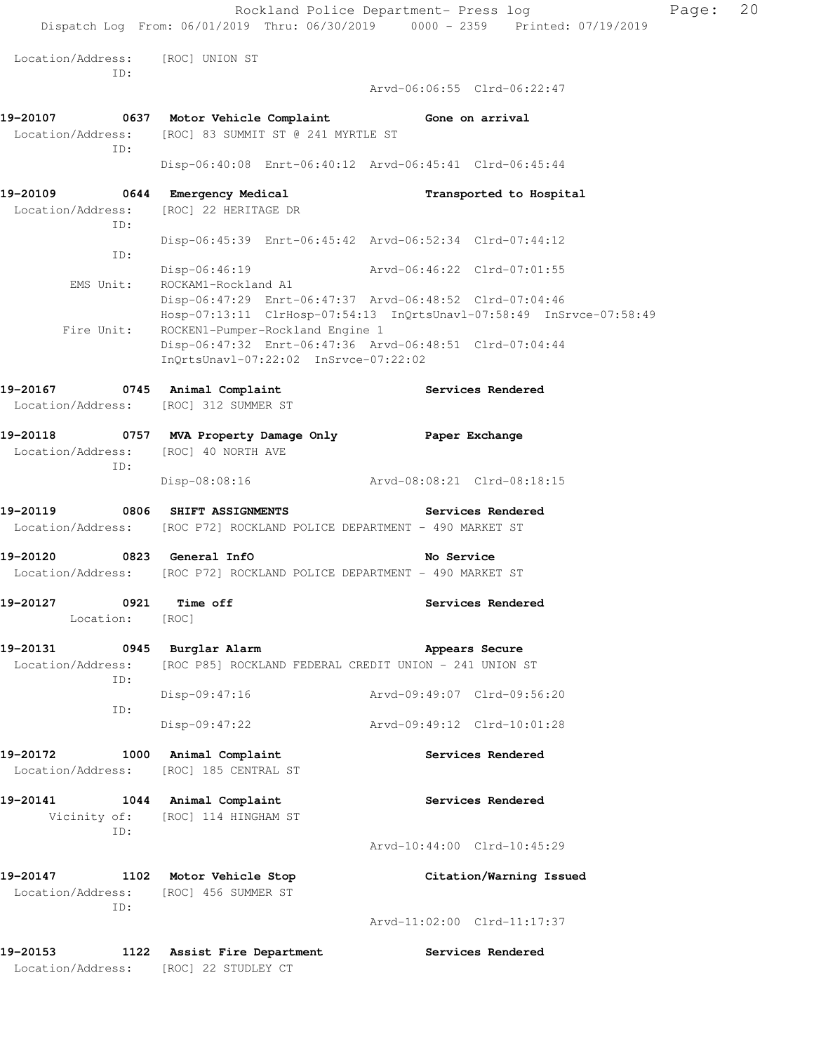Rockland Police Department- Press log Page: 20 Dispatch Log From: 06/01/2019 Thru: 06/30/2019 0000 - 2359 Printed: 07/19/2019 Location/Address: [ROC] UNION ST ID: Arvd-06:06:55 Clrd-06:22:47 **19-20107 0637 Motor Vehicle Complaint Gone on arrival**  Location/Address: [ROC] 83 SUMMIT ST @ 241 MYRTLE ST ID: Disp-06:40:08 Enrt-06:40:12 Arvd-06:45:41 Clrd-06:45:44 **19-20109 0644 Emergency Medical Transported to Hospital**  Location/Address: [ROC] 22 HERITAGE DR ID: Disp-06:45:39 Enrt-06:45:42 Arvd-06:52:34 Clrd-07:44:12 ID: Disp-06:46:19 Arvd-06:46:22 Clrd-07:01:55 EMS Unit: ROCKAM1-Rockland A1 Disp-06:47:29 Enrt-06:47:37 Arvd-06:48:52 Clrd-07:04:46 Hosp-07:13:11 ClrHosp-07:54:13 InQrtsUnavl-07:58:49 InSrvce-07:58:49 Fire Unit: ROCKEN1-Pumper-Rockland Engine 1 Disp-06:47:32 Enrt-06:47:36 Arvd-06:48:51 Clrd-07:04:44 InQrtsUnavl-07:22:02 InSrvce-07:22:02 **19-20167 0745 Animal Complaint Services Rendered**  Location/Address: [ROC] 312 SUMMER ST **19-20118 0757 MVA Property Damage Only Paper Exchange**  Location/Address: [ROC] 40 NORTH AVE ID: Disp-08:08:16 Arvd-08:08:21 Clrd-08:18:15 **19-20119 0806 SHIFT ASSIGNMENTS Services Rendered**  Location/Address: [ROC P72] ROCKLAND POLICE DEPARTMENT - 490 MARKET ST **19-20120 0823 General InfO No Service**  Location/Address: [ROC P72] ROCKLAND POLICE DEPARTMENT - 490 MARKET ST **19-20127 0921 Time off Services Rendered**  Location: [ROC] **19-20131 0945 Burglar Alarm Appears Secure**  Location/Address: [ROC P85] ROCKLAND FEDERAL CREDIT UNION - 241 UNION ST ID: Disp-09:47:16 Arvd-09:49:07 Clrd-09:56:20 ID: Disp-09:47:22 Arvd-09:49:12 Clrd-10:01:28 19-20172 1000 Animal Complaint **19-20172** Services Rendered Location/Address: [ROC] 185 CENTRAL ST **19-20141 1044 Animal Complaint Services Rendered**  Vicinity of: [ROC] 114 HINGHAM ST ID: Arvd-10:44:00 Clrd-10:45:29 **19-20147 1102 Motor Vehicle Stop Citation/Warning Issued**  Location/Address: [ROC] 456 SUMMER ST ID: Arvd-11:02:00 Clrd-11:17:37 **19-20153 1122 Assist Fire Department Services Rendered**  Location/Address: [ROC] 22 STUDLEY CT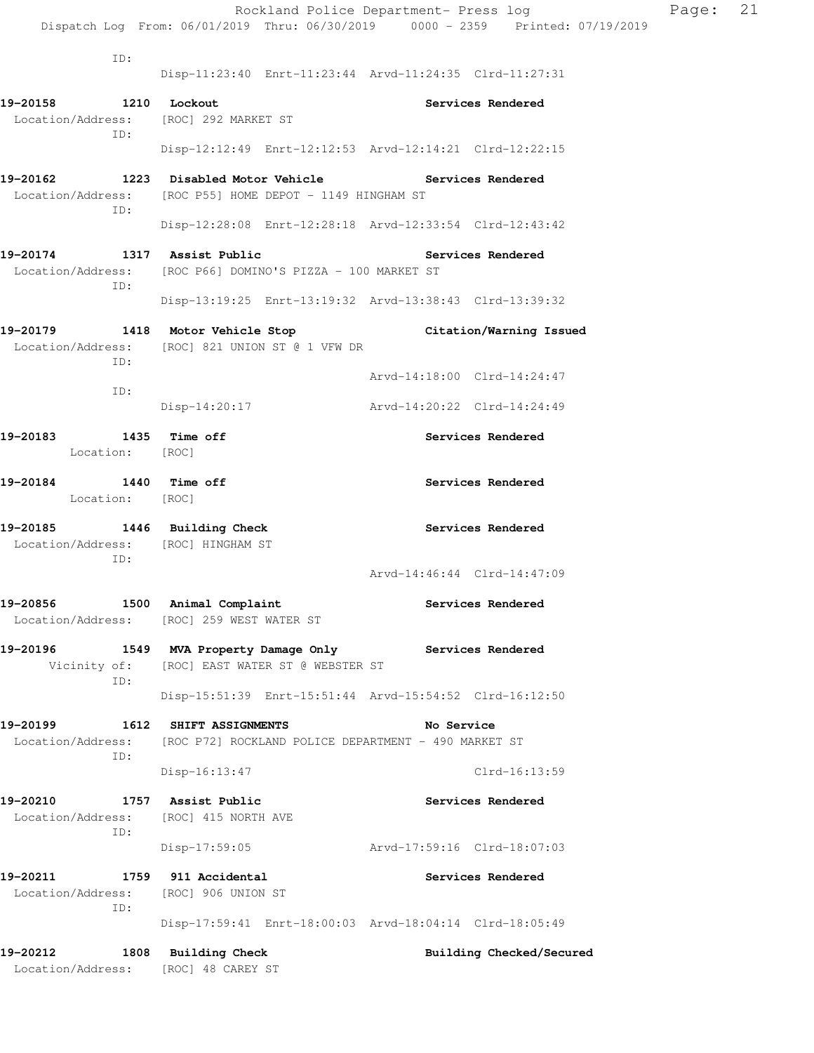|                                                                           |                                                                                                                    | Rockland Police Department- Press log                                          | Page: | 21 |
|---------------------------------------------------------------------------|--------------------------------------------------------------------------------------------------------------------|--------------------------------------------------------------------------------|-------|----|
|                                                                           |                                                                                                                    | Dispatch Log From: 06/01/2019 Thru: 06/30/2019 0000 - 2359 Printed: 07/19/2019 |       |    |
| ID:                                                                       |                                                                                                                    | Disp-11:23:40 Enrt-11:23:44 Arvd-11:24:35 Clrd-11:27:31                        |       |    |
| 19-20158 1210 Lockout<br>Location/Address: [ROC] 292 MARKET ST            |                                                                                                                    | Services Rendered                                                              |       |    |
| ID:                                                                       |                                                                                                                    | Disp-12:12:49 Enrt-12:12:53 Arvd-12:14:21 Clrd-12:22:15                        |       |    |
| ID:                                                                       | 19-20162 1223 Disabled Motor Vehicle Services Rendered<br>Location/Address: [ROC P55] HOME DEPOT - 1149 HINGHAM ST |                                                                                |       |    |
|                                                                           |                                                                                                                    | Disp-12:28:08 Enrt-12:28:18 Arvd-12:33:54 Clrd-12:43:42                        |       |    |
| 19-20174 1317 Assist Public                                               | Location/Address: [ROC P66] DOMINO'S PIZZA - 100 MARKET ST                                                         | <b>Services Rendered</b>                                                       |       |    |
| ID:                                                                       |                                                                                                                    | Disp-13:19:25 Enrt-13:19:32 Arvd-13:38:43 Clrd-13:39:32                        |       |    |
|                                                                           | Location/Address: [ROC] 821 UNION ST @ 1 VFW DR                                                                    | 19-20179 1418 Motor Vehicle Stop Citation/Warning Issued                       |       |    |
| ID:                                                                       |                                                                                                                    | Arvd-14:18:00 Clrd-14:24:47                                                    |       |    |
| ID:                                                                       | Disp-14:20:17                                                                                                      | Arvd-14:20:22 Clrd-14:24:49                                                    |       |    |
| 1435 Time off<br>19-20183<br>Location: [ROC]                              |                                                                                                                    | Services Rendered                                                              |       |    |
| 19-20184 1440 Time off<br>Location: [ROC]                                 |                                                                                                                    | Services Rendered                                                              |       |    |
| 19-20185 1446 Building Check<br>Location/Address: [ROC] HINGHAM ST<br>ID: |                                                                                                                    | Services Rendered                                                              |       |    |
|                                                                           |                                                                                                                    | Arvd-14:46:44 Clrd-14:47:09                                                    |       |    |
| 19-20856                                                                  | 1500 Animal Complaint<br>Location/Address: [ROC] 259 WEST WATER ST                                                 | Services Rendered                                                              |       |    |
| 19-20196<br>Vicinity of:                                                  | 1549 MVA Property Damage Only Services Rendered<br>[ROC] EAST WATER ST @ WEBSTER ST                                |                                                                                |       |    |
| ID:                                                                       |                                                                                                                    | Disp-15:51:39 Enrt-15:51:44 Arvd-15:54:52 Clrd-16:12:50                        |       |    |
| 19-20199<br>Location/Address:                                             | 1612 SHIFT ASSIGNMENTS<br>[ROC P72] ROCKLAND POLICE DEPARTMENT - 490 MARKET ST                                     | No Service                                                                     |       |    |
| ID:                                                                       | $Disp-16:13:47$                                                                                                    | $Clrd-16:13:59$                                                                |       |    |
| 19-20210<br>Location/Address:<br>ID:                                      | 1757 Assist Public<br>[ROC] 415 NORTH AVE                                                                          | Services Rendered                                                              |       |    |
|                                                                           | $Disp-17:59:05$                                                                                                    | Arvd-17:59:16 Clrd-18:07:03                                                    |       |    |
| 19-20211<br>Location/Address:<br>ID:                                      | 1759 911 Accidental<br>[ROC] 906 UNION ST                                                                          | Services Rendered                                                              |       |    |
|                                                                           |                                                                                                                    | Disp-17:59:41 Enrt-18:00:03 Arvd-18:04:14 Clrd-18:05:49                        |       |    |
| 19-20212<br>Location/Address:                                             | 1808 Building Check<br>[ROC] 48 CAREY ST                                                                           | Building Checked/Secured                                                       |       |    |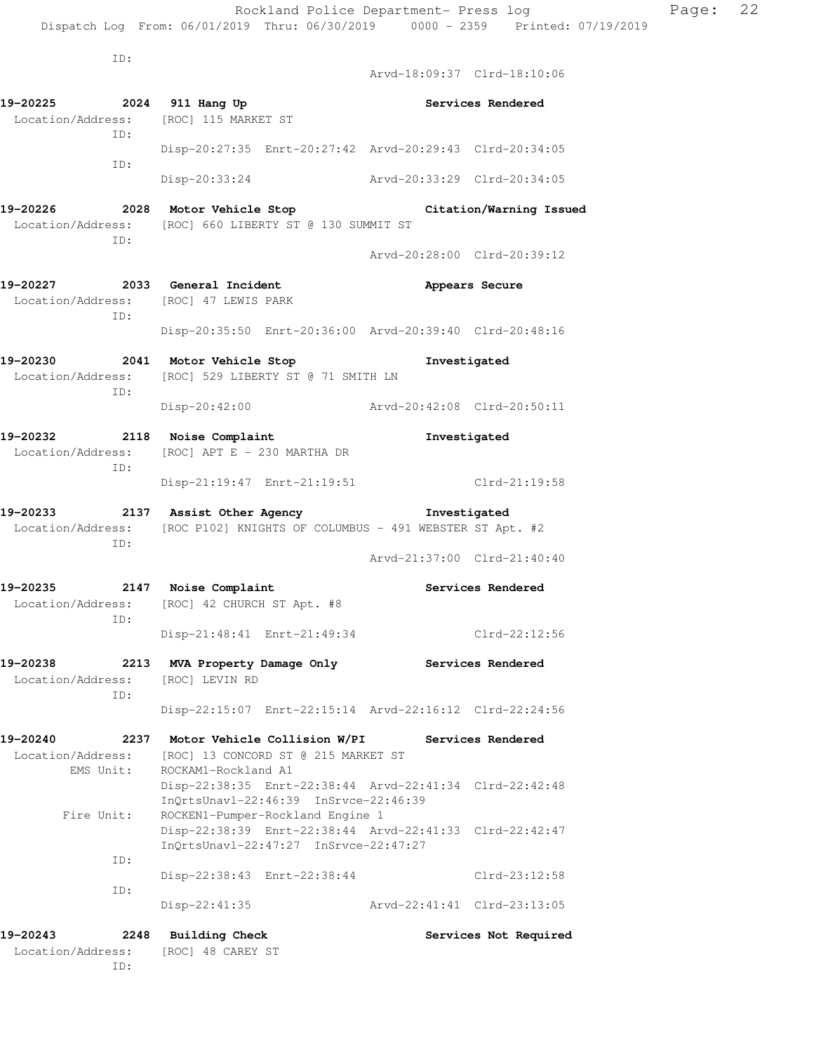ID: Arvd-18:09:37 Clrd-18:10:06 **19-20225 2024 911 Hang Up Services Rendered**  Location/Address: [ROC] 115 MARKET ST ID: Disp-20:27:35 Enrt-20:27:42 Arvd-20:29:43 Clrd-20:34:05 ID: Disp-20:33:24 Arvd-20:33:29 Clrd-20:34:05 **19-20226 2028 Motor Vehicle Stop Citation/Warning Issued**  Location/Address: [ROC] 660 LIBERTY ST @ 130 SUMMIT ST ID: Arvd-20:28:00 Clrd-20:39:12 **19-20227 2033 General Incident Appears Secure**  Location/Address: [ROC] 47 LEWIS PARK ID: Disp-20:35:50 Enrt-20:36:00 Arvd-20:39:40 Clrd-20:48:16 **19-20230 2041 Motor Vehicle Stop Investigated**  Location/Address: [ROC] 529 LIBERTY ST @ 71 SMITH LN ID: Disp-20:42:00 Arvd-20:42:08 Clrd-20:50:11 **19-20232 2118 Noise Complaint Investigated**  Location/Address: [ROC] APT E - 230 MARTHA DR ID: Disp-21:19:47 Enrt-21:19:51 Clrd-21:19:58 **19-20233 2137 Assist Other Agency Investigated**  Location/Address: [ROC P102] KNIGHTS OF COLUMBUS - 491 WEBSTER ST Apt. #2 ID: Arvd-21:37:00 Clrd-21:40:40 **19-20235 2147 Noise Complaint Services Rendered**  Location/Address: [ROC] 42 CHURCH ST Apt. #8 ID: Disp-21:48:41 Enrt-21:49:34 Clrd-22:12:56 **19-20238 2213 MVA Property Damage Only Services Rendered**  Location/Address: [ROC] LEVIN RD ID: Disp-22:15:07 Enrt-22:15:14 Arvd-22:16:12 Clrd-22:24:56 **19-20240 2237 Motor Vehicle Collision W/PI Services Rendered**  Location/Address: [ROC] 13 CONCORD ST @ 215 MARKET ST EMS Unit: ROCKAM1-Rockland A1 Disp-22:38:35 Enrt-22:38:44 Arvd-22:41:34 Clrd-22:42:48 InQrtsUnavl-22:46:39 InSrvce-22:46:39 Fire Unit: ROCKEN1-Pumper-Rockland Engine 1 Disp-22:38:39 Enrt-22:38:44 Arvd-22:41:33 Clrd-22:42:47 InQrtsUnavl-22:47:27 InSrvce-22:47:27 ID: Disp-22:38:43 Enrt-22:38:44 Clrd-23:12:58 ID: Disp-22:41:35 Arvd-22:41:41 Clrd-23:13:05 **19-20243 2248 Building Check Services Not Required**  Location/Address: [ROC] 48 CAREY ST

ID: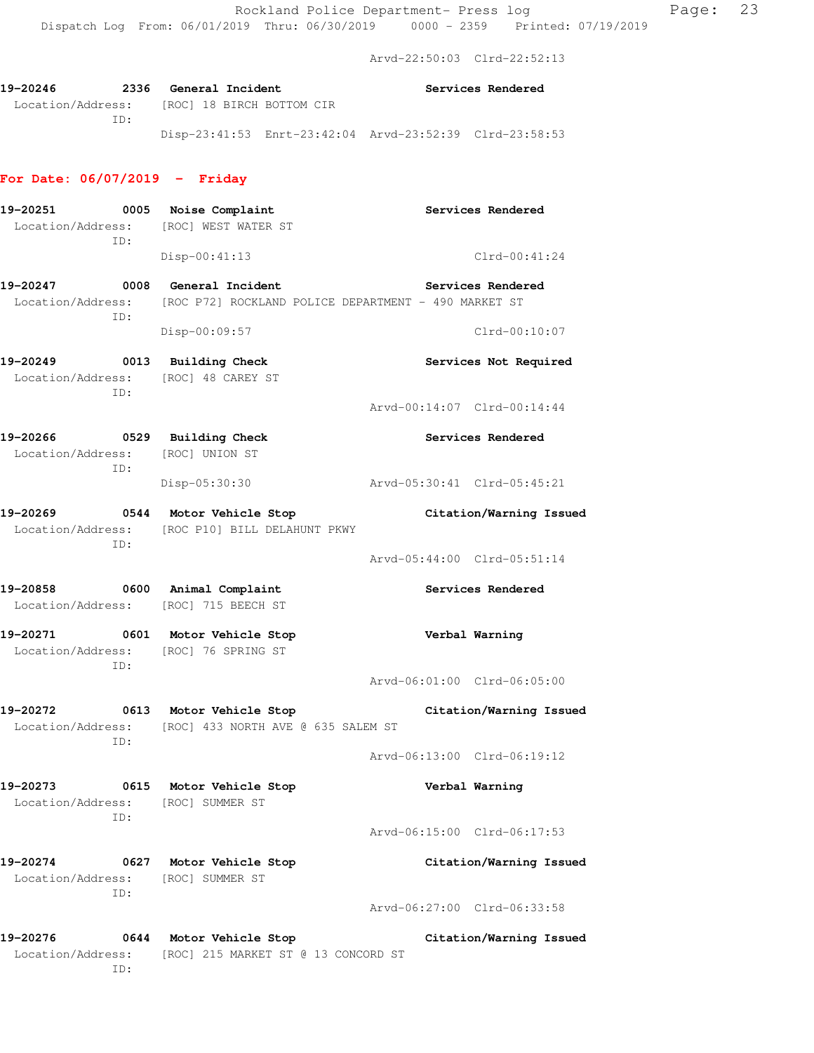Arvd-22:50:03 Clrd-22:52:13

| 19-20246          | 2336 | <b>General Incident</b> |                           |                                                         | Services Rendered |
|-------------------|------|-------------------------|---------------------------|---------------------------------------------------------|-------------------|
| Location/Address: |      |                         | [ROC] 18 BIRCH BOTTOM CIR |                                                         |                   |
|                   | TD:  |                         |                           |                                                         |                   |
|                   |      |                         |                           | Disp-23:41:53 Enrt-23:42:04 Arvd-23:52:39 Clrd-23:58:53 |                   |

# **For Date: 06/07/2019 - Friday**

| 19-20251                      | ID:         | 0005 Noise Complaint<br>Location/Address: [ROC] WEST WATER ST                                           |                             | Services Rendered       |
|-------------------------------|-------------|---------------------------------------------------------------------------------------------------------|-----------------------------|-------------------------|
|                               |             | $Disp-00:41:13$                                                                                         |                             | $Clrd-00:41:24$         |
| Location/Address:             | ID:         | 19-20247 0008 General Incident<br>[ROC P72] ROCKLAND POLICE DEPARTMENT - 490 MARKET ST<br>Disp-00:09:57 | <b>Services Rendered</b>    | $Clrd-00:10:07$         |
|                               | ID:         | 19-20249 0013 Building Check<br>Location/Address: [ROC] 48 CAREY ST                                     |                             | Services Not Required   |
|                               |             |                                                                                                         | Arvd-00:14:07 Clrd-00:14:44 |                         |
| Location/Address:             | ID:         | 19-20266 0529 Building Check<br>[ROC] UNION ST                                                          |                             | Services Rendered       |
|                               |             | Disp-05:30:30                                                                                           | Arvd-05:30:41 Clrd-05:45:21 |                         |
|                               | ID:         | 19-20269 0544 Motor Vehicle Stop<br>Location/Address: [ROC P10] BILL DELAHUNT PKWY                      |                             | Citation/Warning Issued |
|                               |             |                                                                                                         | Arvd-05:44:00 Clrd-05:51:14 |                         |
|                               |             | 19-20858 0600 Animal Complaint<br>Location/Address: [ROC] 715 BEECH ST                                  |                             | Services Rendered       |
|                               | ID:         | 19-20271 0601 Motor Vehicle Stop<br>Location/Address: [ROC] 76 SPRING ST                                |                             | Verbal Warning          |
|                               |             |                                                                                                         | Arvd-06:01:00 Clrd-06:05:00 |                         |
|                               | ID:         | 19-20272 0613 Motor Vehicle Stop<br>Location/Address: [ROC] 433 NORTH AVE @ 635 SALEM ST                |                             | Citation/Warning Issued |
|                               |             |                                                                                                         | Arvd-06:13:00 Clrd-06:19:12 |                         |
| 19-20273<br>Location/Address: | 0615<br>ID: | Motor Vehicle Stop<br>[ROC] SUMMER ST                                                                   |                             | Verbal Warning          |
|                               |             |                                                                                                         | Arvd-06:15:00 Clrd-06:17:53 |                         |
| 19-20274<br>Location/Address: | 0627<br>ID: | Motor Vehicle Stop<br>[ROC] SUMMER ST                                                                   |                             | Citation/Warning Issued |
|                               |             |                                                                                                         | Arvd-06:27:00 Clrd-06:33:58 |                         |
| 19-20276<br>Location/Address: | 0644<br>ID: | Motor Vehicle Stop<br>[ROC] 215 MARKET ST @ 13 CONCORD ST                                               |                             | Citation/Warning Issued |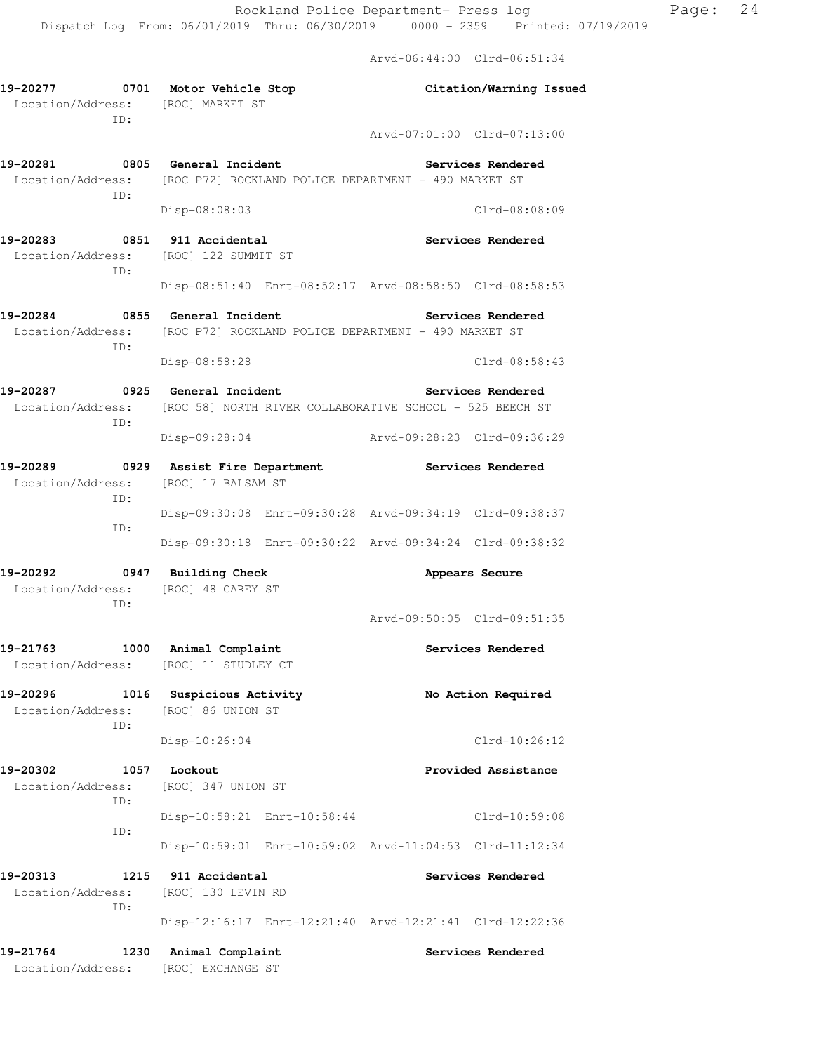Arvd-06:44:00 Clrd-06:51:34

| 19-20277 0701 Motor Vehicle Stop<br>Location/Address: [ROC] MARKET ST<br>ID: |                                                                            | Citation/Warning Issued                                 |
|------------------------------------------------------------------------------|----------------------------------------------------------------------------|---------------------------------------------------------|
|                                                                              |                                                                            | Arvd-07:01:00 Clrd-07:13:00                             |
| 19-20281 0805 General Incident<br>ID:                                        | Location/Address: [ROC P72] ROCKLAND POLICE DEPARTMENT - 490 MARKET ST     | Services Rendered                                       |
|                                                                              | Disp-08:08:03                                                              | Clrd-08:08:09                                           |
| 19-20283<br>ID:                                                              | 0851 911 Accidental<br>Location/Address: [ROC] 122 SUMMIT ST               | <b>Services Rendered</b>                                |
|                                                                              |                                                                            | Disp-08:51:40 Enrt-08:52:17 Arvd-08:58:50 Clrd-08:58:53 |
| 19-20284                                                                     | 0855 General Incident                                                      | Services Rendered                                       |
|                                                                              | Location/Address: [ROC P72] ROCKLAND POLICE DEPARTMENT - 490 MARKET ST     |                                                         |
| ID:                                                                          | Disp-08:58:28                                                              | $Clrd-08:58:43$                                         |
| 19-20287 0925 General Incident                                               |                                                                            | <b>Services Rendered</b>                                |
| ID:                                                                          | Location/Address: [ROC 58] NORTH RIVER COLLABORATIVE SCHOOL - 525 BEECH ST |                                                         |
|                                                                              | Disp-09:28:04                                                              | Arvd-09:28:23 Clrd-09:36:29                             |
|                                                                              | 19-20289 0929 Assist Fire Department                                       | Services Rendered                                       |
| Location/Address: [ROC] 17 BALSAM ST<br>ID:                                  |                                                                            |                                                         |
| ID:                                                                          |                                                                            | Disp-09:30:08 Enrt-09:30:28 Arvd-09:34:19 Clrd-09:38:37 |
|                                                                              |                                                                            | Disp-09:30:18 Enrt-09:30:22 Arvd-09:34:24 Clrd-09:38:32 |
| 19-20292<br>Location/Address:                                                | 0947 Building Check<br>[ROC] 48 CAREY ST                                   | Appears Secure                                          |
| ID:                                                                          |                                                                            | Arvd-09:50:05 Clrd-09:51:35                             |
| 19-21763                                                                     | 1000 Animal Complaint<br>Location/Address: [ROC] 11 STUDLEY CT             | Services Rendered                                       |
| 19-20296<br>Location/Address:<br>ID:                                         | 1016 Suspicious Activity<br>[ROC] 86 UNION ST                              | No Action Required                                      |
|                                                                              | Disp-10:26:04                                                              | Clrd-10:26:12                                           |
| 19-20302                                                                     | 1057 Lockout                                                               | Provided Assistance                                     |
| Location/Address:<br>ID:                                                     | [ROC] 347 UNION ST                                                         |                                                         |
| ID:                                                                          | Disp-10:58:21 Enrt-10:58:44                                                | Clrd-10:59:08                                           |
|                                                                              |                                                                            | Disp-10:59:01 Enrt-10:59:02 Arvd-11:04:53 Clrd-11:12:34 |
| 19-20313<br>1215<br>Location/Address:<br>ID:                                 | 911 Accidental<br>[ROC] 130 LEVIN RD                                       | Services Rendered                                       |
|                                                                              |                                                                            | Disp-12:16:17 Enrt-12:21:40 Arvd-12:21:41 Clrd-12:22:36 |
| 19-21764<br>Location/Address: [ROC] EXCHANGE ST                              | 1230 Animal Complaint                                                      | Services Rendered                                       |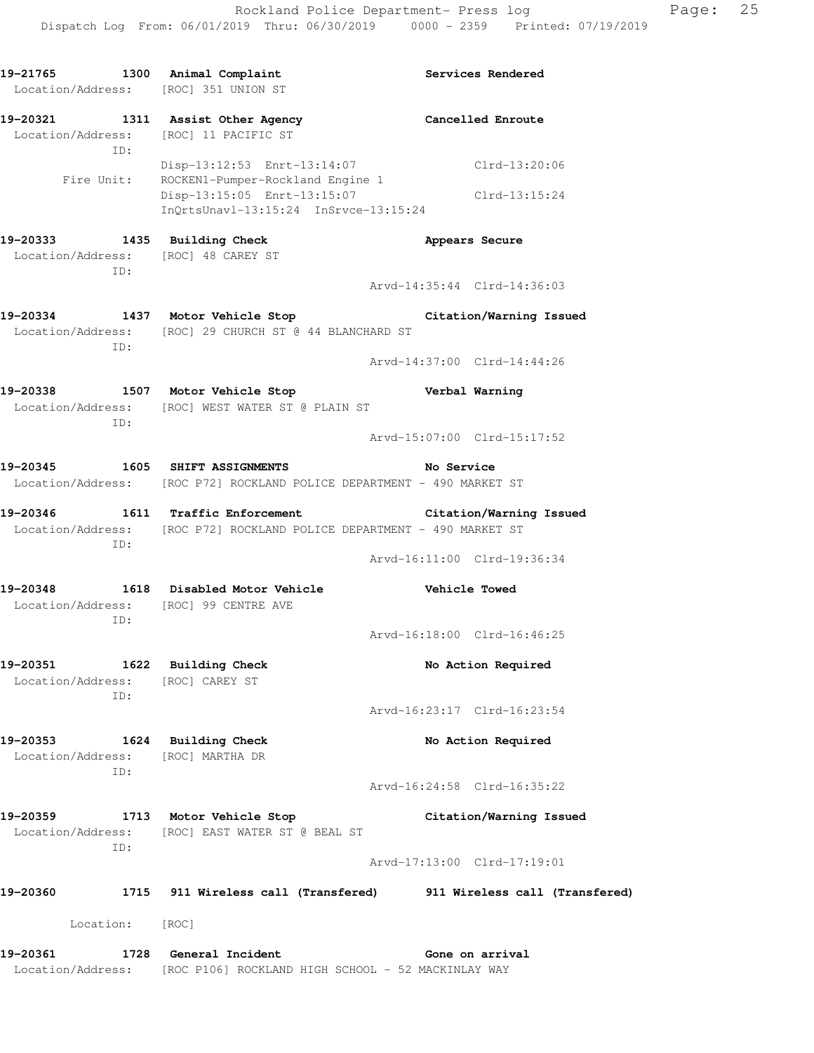**19-21765 1300 Animal Complaint Services Rendered** 

| 19-20361<br>1728                                                 | General Incident                                                                                                                    | Gone on arrival                                                    |  |  |
|------------------------------------------------------------------|-------------------------------------------------------------------------------------------------------------------------------------|--------------------------------------------------------------------|--|--|
| Location:                                                        | [ROC]                                                                                                                               |                                                                    |  |  |
| 19-20360                                                         |                                                                                                                                     | 1715 911 Wireless call (Transfered) 911 Wireless call (Transfered) |  |  |
| ID:                                                              |                                                                                                                                     | Arvd-17:13:00 Clrd-17:19:01                                        |  |  |
| 19-20359                                                         | 1713 Motor Vehicle Stop<br>Location/Address: [ROC] EAST WATER ST @ BEAL ST                                                          | Citation/Warning Issued                                            |  |  |
| ID:                                                              |                                                                                                                                     | Arvd-16:24:58 Clrd-16:35:22                                        |  |  |
| 19–20353<br>Location/Address:                                    | 1624 Building Check<br>[ROC] MARTHA DR                                                                                              | No Action Required                                                 |  |  |
| ID:                                                              |                                                                                                                                     | Arvd-16:23:17 Clrd-16:23:54                                        |  |  |
| 19-20351 1622 Building Check<br>Location/Address: [ROC] CAREY ST |                                                                                                                                     | No Action Required                                                 |  |  |
| ID:                                                              |                                                                                                                                     | Arvd-16:18:00 Clrd-16:46:25                                        |  |  |
| 19-20348<br>Location/Address: [ROC] 99 CENTRE AVE                | 1618 Disabled Motor Vehicle                                                                                                         | <b>Vehicle Towed</b>                                               |  |  |
| ID:                                                              |                                                                                                                                     | Arvd-16:11:00 Clrd-19:36:34                                        |  |  |
|                                                                  | 19-20346 1611 Traffic Enforcement Citation/Warning Issued<br>Location/Address: [ROC P72] ROCKLAND POLICE DEPARTMENT - 490 MARKET ST |                                                                    |  |  |
|                                                                  | Location/Address: [ROC P72] ROCKLAND POLICE DEPARTMENT - 490 MARKET ST                                                              |                                                                    |  |  |
|                                                                  |                                                                                                                                     | Arvd-15:07:00 Clrd-15:17:52<br>No Service                          |  |  |
| ID:                                                              | 19-20338 1507 Motor Vehicle Stop 19 Verbal Warning<br>Location/Address: [ROC] WEST WATER ST @ PLAIN ST                              |                                                                    |  |  |
|                                                                  |                                                                                                                                     | Arvd-14:37:00 Clrd-14:44:26                                        |  |  |
| ID:                                                              | Location/Address: [ROC] 29 CHURCH ST @ 44 BLANCHARD ST                                                                              |                                                                    |  |  |
|                                                                  | 19-20334 1437 Motor Vehicle Stop                                                                                                    | Citation/Warning Issued                                            |  |  |
| Location/Address: [ROC] 48 CAREY ST<br>ID:                       |                                                                                                                                     | Arvd-14:35:44 Clrd-14:36:03                                        |  |  |
| 19-20333 1435 Building Check                                     |                                                                                                                                     | Appears Secure                                                     |  |  |
| Fire Unit:                                                       | ROCKEN1-Pumper-Rockland Engine 1<br>Disp-13:15:05 Enrt-13:15:07<br>$InQrtsUnav1-13:15:24$ $InSrvce-13:15:24$                        | $Clrd-13:15:24$                                                    |  |  |
| ID:                                                              | Disp-13:12:53 Enrt-13:14:07                                                                                                         | Clrd-13:20:06                                                      |  |  |
| Location/Address: [ROC] 11 PACIFIC ST                            | 19-20321 1311 Assist Other Agency                                                                                                   | <b>Cancelled Enroute</b>                                           |  |  |
| Location/Address: [ROC] 351 UNION ST                             |                                                                                                                                     |                                                                    |  |  |

Location/Address: [ROC P106] ROCKLAND HIGH SCHOOL - 52 MACKINLAY WAY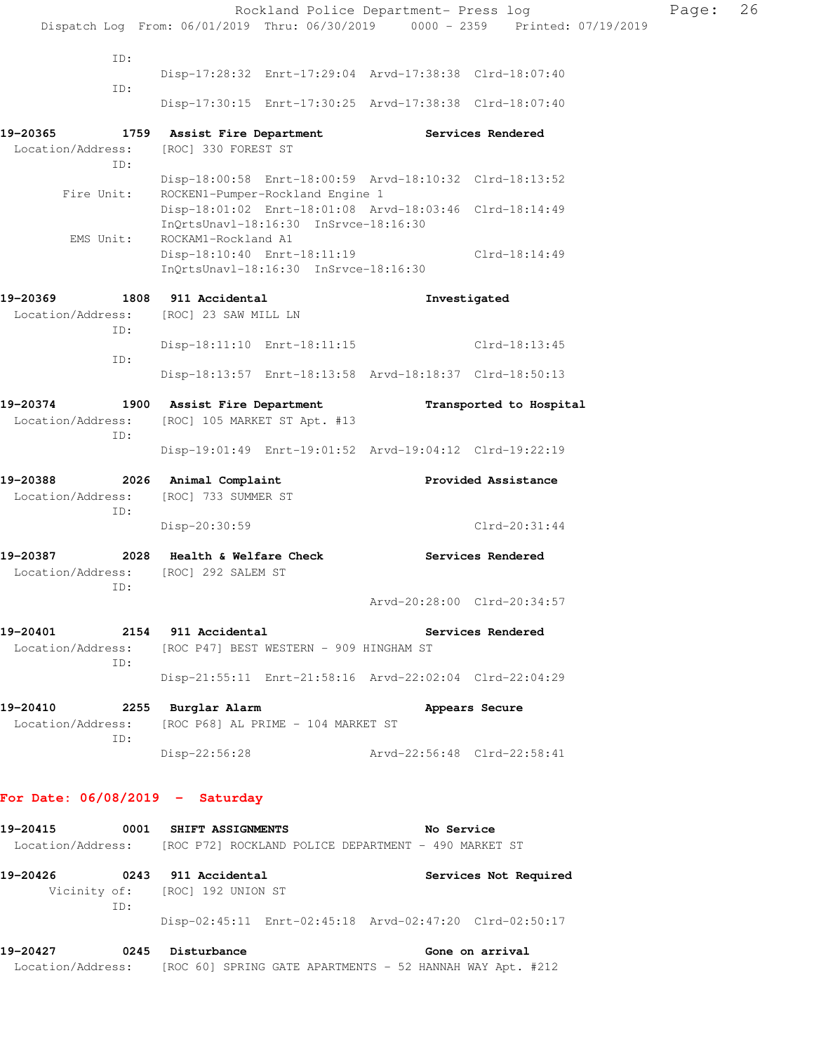|                                                                        |                                                                                |                                                           | Rockland Police Department- Press log                   |                             |  |  |  |
|------------------------------------------------------------------------|--------------------------------------------------------------------------------|-----------------------------------------------------------|---------------------------------------------------------|-----------------------------|--|--|--|
|                                                                        | Dispatch Log From: 06/01/2019 Thru: 06/30/2019 0000 - 2359 Printed: 07/19/2019 |                                                           |                                                         |                             |  |  |  |
| ID:                                                                    |                                                                                |                                                           |                                                         |                             |  |  |  |
|                                                                        |                                                                                |                                                           | Disp-17:28:32 Enrt-17:29:04 Arvd-17:38:38 Clrd-18:07:40 |                             |  |  |  |
| ID:                                                                    |                                                                                |                                                           | Disp-17:30:15 Enrt-17:30:25 Arvd-17:38:38 Clrd-18:07:40 |                             |  |  |  |
|                                                                        |                                                                                |                                                           |                                                         |                             |  |  |  |
| 19-20365                                                               | 1759 Assist Fire Department                                                    |                                                           |                                                         | Services Rendered           |  |  |  |
| Location/Address:<br>ID:                                               | [ROC] 330 FOREST ST                                                            |                                                           |                                                         |                             |  |  |  |
|                                                                        |                                                                                |                                                           | Disp-18:00:58 Enrt-18:00:59 Arvd-18:10:32 Clrd-18:13:52 |                             |  |  |  |
| Fire Unit:                                                             |                                                                                | ROCKEN1-Pumper-Rockland Engine 1                          |                                                         |                             |  |  |  |
|                                                                        |                                                                                | InOrtsUnavl-18:16:30 InSrvce-18:16:30                     | Disp-18:01:02 Enrt-18:01:08 Arvd-18:03:46 Clrd-18:14:49 |                             |  |  |  |
| EMS Unit:                                                              | ROCKAM1-Rockland A1                                                            |                                                           |                                                         |                             |  |  |  |
|                                                                        | Disp-18:10:40 Enrt-18:11:19                                                    |                                                           |                                                         | Clrd-18:14:49               |  |  |  |
|                                                                        |                                                                                | InQrtsUnavl-18:16:30 InSrvce-18:16:30                     |                                                         |                             |  |  |  |
| 19-20369                                                               | 1808 911 Accidental                                                            |                                                           |                                                         | Investigated                |  |  |  |
| Location/Address:                                                      | [ROC] 23 SAW MILL LN                                                           |                                                           |                                                         |                             |  |  |  |
| ID:                                                                    |                                                                                | Disp-18:11:10 Enrt-18:11:15                               |                                                         | Clrd-18:13:45               |  |  |  |
| ID:                                                                    |                                                                                |                                                           |                                                         |                             |  |  |  |
|                                                                        |                                                                                |                                                           | Disp-18:13:57 Enrt-18:13:58 Arvd-18:18:37 Clrd-18:50:13 |                             |  |  |  |
| 19-20374                                                               | 1900 Assist Fire Department                                                    |                                                           |                                                         | Transported to Hospital     |  |  |  |
| Location/Address:                                                      | [ROC] 105 MARKET ST Apt. #13                                                   |                                                           |                                                         |                             |  |  |  |
| ID:                                                                    |                                                                                |                                                           | Disp-19:01:49 Enrt-19:01:52 Arvd-19:04:12 Clrd-19:22:19 |                             |  |  |  |
|                                                                        |                                                                                |                                                           |                                                         |                             |  |  |  |
| 19-20388                                                               | 2026<br>Animal Complaint                                                       |                                                           |                                                         | Provided Assistance         |  |  |  |
| Location/Address:<br>ID:                                               | [ROC] 733 SUMMER ST                                                            |                                                           |                                                         |                             |  |  |  |
|                                                                        | Disp-20:30:59                                                                  |                                                           |                                                         | $Clrd-20:31:44$             |  |  |  |
| 19-20387                                                               | 2028<br>Health & Welfare Check                                                 |                                                           |                                                         | Services Rendered           |  |  |  |
| Location/Address:                                                      | [ROC] 292 SALEM ST                                                             |                                                           |                                                         |                             |  |  |  |
| ID:                                                                    |                                                                                |                                                           |                                                         |                             |  |  |  |
|                                                                        |                                                                                |                                                           |                                                         | Arvd-20:28:00 Clrd-20:34:57 |  |  |  |
| 19-20401 2154 911 Accidental                                           |                                                                                |                                                           |                                                         | Services Rendered           |  |  |  |
| ID:                                                                    |                                                                                | Location/Address: [ROC P47] BEST WESTERN - 909 HINGHAM ST |                                                         |                             |  |  |  |
|                                                                        |                                                                                |                                                           | Disp-21:55:11 Enrt-21:58:16 Arvd-22:02:04 Clrd-22:04:29 |                             |  |  |  |
|                                                                        |                                                                                |                                                           |                                                         |                             |  |  |  |
| 19-20410<br>Location/Address: [ROC P68] AL PRIME - 104 MARKET ST       | 2255 Burglar Alarm                                                             |                                                           |                                                         | Appears Secure              |  |  |  |
| ID:                                                                    |                                                                                |                                                           |                                                         |                             |  |  |  |
|                                                                        | Disp-22:56:28                                                                  |                                                           | Arvd-22:56:48 Clrd-22:58:41                             |                             |  |  |  |
|                                                                        |                                                                                |                                                           |                                                         |                             |  |  |  |
| For Date: $06/08/2019$ - Saturday                                      |                                                                                |                                                           |                                                         |                             |  |  |  |
| 19-20415                                                               | 0001 SHIFT ASSIGNMENTS                                                         |                                                           | No Service                                              |                             |  |  |  |
| Location/Address: [ROC P72] ROCKLAND POLICE DEPARTMENT - 490 MARKET ST |                                                                                |                                                           |                                                         |                             |  |  |  |
| 19-20426                                                               | 0243 911 Accidental                                                            |                                                           |                                                         | Services Not Required       |  |  |  |
|                                                                        | Vicinity of: [ROC] 192 UNION ST                                                |                                                           |                                                         |                             |  |  |  |
| ID:                                                                    |                                                                                |                                                           |                                                         |                             |  |  |  |
|                                                                        |                                                                                |                                                           | Disp-02:45:11 Enrt-02:45:18 Arvd-02:47:20 Clrd-02:50:17 |                             |  |  |  |

Page: 26

19-20427 0245 Disturbance **Gone on arrival** 

Location/Address: [ROC 60] SPRING GATE APARTMENTS - 52 HANNAH WAY Apt. #212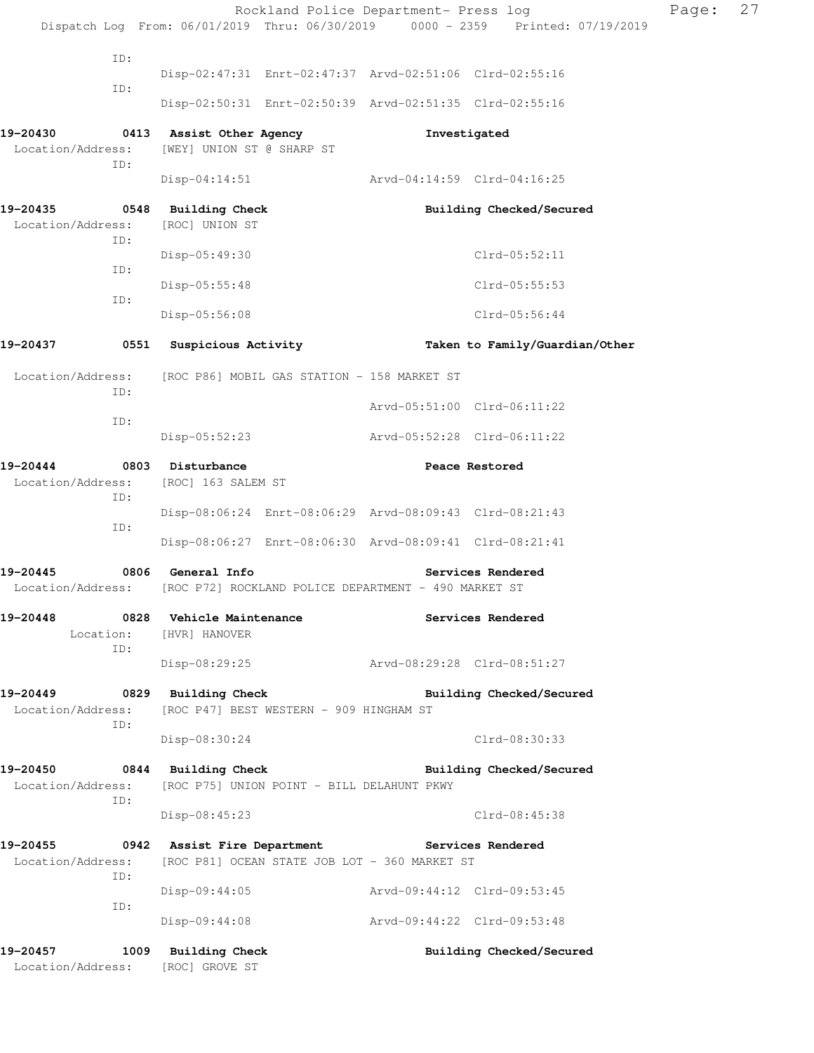|                                      |                                                                              | Rockland Police Department- Press log |                                                                                | Page: | 27 |
|--------------------------------------|------------------------------------------------------------------------------|---------------------------------------|--------------------------------------------------------------------------------|-------|----|
|                                      |                                                                              |                                       | Dispatch Log From: 06/01/2019 Thru: 06/30/2019 0000 - 2359 Printed: 07/19/2019 |       |    |
| ID:                                  | Disp-02:47:31 Enrt-02:47:37 Arvd-02:51:06 Clrd-02:55:16                      |                                       |                                                                                |       |    |
| ID:                                  |                                                                              |                                       |                                                                                |       |    |
|                                      | Disp-02:50:31 Enrt-02:50:39 Arvd-02:51:35 Clrd-02:55:16                      |                                       |                                                                                |       |    |
| 19-20430<br>Location/Address:<br>ID: | 0413 Assist Other Agency<br>[WEY] UNION ST @ SHARP ST                        |                                       | Investigated                                                                   |       |    |
|                                      | Disp-04:14:51 Arvd-04:14:59 Clrd-04:16:25                                    |                                       |                                                                                |       |    |
| 19-20435<br>Location/Address:        | 0548 Building Check<br>[ROC] UNION ST                                        |                                       | Building Checked/Secured                                                       |       |    |
| ID:                                  | Disp-05:49:30                                                                |                                       | Clrd-05:52:11                                                                  |       |    |
| ID:                                  | Disp-05:55:48                                                                |                                       | Clrd-05:55:53                                                                  |       |    |
| ID:                                  | Disp-05:56:08                                                                |                                       | $Clrd-05:56:44$                                                                |       |    |
| 19-20437<br>0551                     | Suspicious Activity                                                          |                                       | Taken to Family/Guardian/Other                                                 |       |    |
| Location/Address:                    | [ROC P86] MOBIL GAS STATION - 158 MARKET ST                                  |                                       |                                                                                |       |    |
| ID:                                  |                                                                              |                                       | Arvd-05:51:00 Clrd-06:11:22                                                    |       |    |
| ID:                                  | Disp-05:52:23                                                                | Arvd-05:52:28 Clrd-06:11:22           |                                                                                |       |    |
| 19-20444<br>Location/Address:<br>ID: | 0803 Disturbance<br>[ROC] 163 SALEM ST                                       |                                       | Peace Restored                                                                 |       |    |
|                                      | Disp-08:06:24 Enrt-08:06:29 Arvd-08:09:43 Clrd-08:21:43                      |                                       |                                                                                |       |    |
| ID:                                  | Disp-08:06:27 Enrt-08:06:30 Arvd-08:09:41 Clrd-08:21:41                      |                                       |                                                                                |       |    |
| 19-20445                             | 0806 General Info                                                            |                                       | Services Rendered                                                              |       |    |
| Location/Address:                    | [ROC P72] ROCKLAND POLICE DEPARTMENT - 490 MARKET ST                         |                                       |                                                                                |       |    |
| 19-20448<br>ID:                      | 0828 Vehicle Maintenance<br>Location: [HVR] HANOVER                          |                                       | Services Rendered                                                              |       |    |
|                                      | Disp-08:29:25                                                                | Arvd-08:29:28 Clrd-08:51:27           |                                                                                |       |    |
| 19-20449                             | 0829 Building Check                                                          |                                       | Building Checked/Secured                                                       |       |    |
| Location/Address:<br>ID:             | [ROC P47] BEST WESTERN - 909 HINGHAM ST                                      |                                       |                                                                                |       |    |
|                                      | Disp-08:30:24                                                                |                                       | Clrd-08:30:33                                                                  |       |    |
| 19-20450<br>Location/Address:<br>ID: | 0844 Building Check<br>[ROC P75] UNION POINT - BILL DELAHUNT PKWY            |                                       | Building Checked/Secured                                                       |       |    |
|                                      | Disp-08:45:23                                                                |                                       | Clrd-08:45:38                                                                  |       |    |
| 19-20455<br>Location/Address:<br>ID: | 0942 Assist Fire Department<br>[ROC P81] OCEAN STATE JOB LOT - 360 MARKET ST |                                       | Services Rendered                                                              |       |    |
|                                      | $Disp-09:44:05$                                                              | Arvd-09:44:12 Clrd-09:53:45           |                                                                                |       |    |
| ID:                                  | Disp-09:44:08                                                                | Arvd-09:44:22 Clrd-09:53:48           |                                                                                |       |    |
| 19–20457<br>Location/Address:        | 1009 Building Check<br>[ROC] GROVE ST                                        |                                       | Building Checked/Secured                                                       |       |    |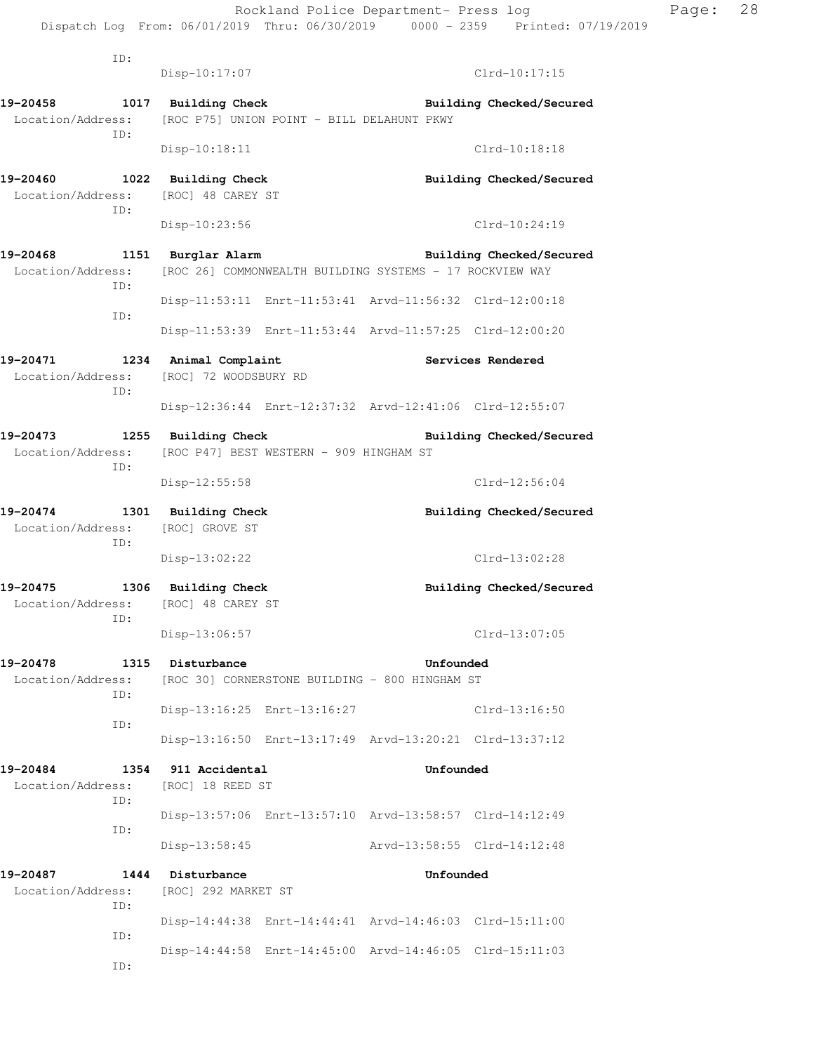ID: Disp-10:17:07 Clrd-10:17:15 **19-20458 1017 Building Check Building Checked/Secured**  Location/Address: [ROC P75] UNION POINT - BILL DELAHUNT PKWY ID: Disp-10:18:11 Clrd-10:18:18 **19-20460 1022 Building Check Building Checked/Secured**  Location/Address: [ROC] 48 CAREY ST ID: Disp-10:23:56 Clrd-10:24:19 **19-20468 1151 Burglar Alarm Building Checked/Secured**  Location/Address: [ROC 26] COMMONWEALTH BUILDING SYSTEMS - 17 ROCKVIEW WAY ID: Disp-11:53:11 Enrt-11:53:41 Arvd-11:56:32 Clrd-12:00:18 ID: Disp-11:53:39 Enrt-11:53:44 Arvd-11:57:25 Clrd-12:00:20 **19-20471 1234 Animal Complaint Services Rendered**  Location/Address: [ROC] 72 WOODSBURY RD ID: Disp-12:36:44 Enrt-12:37:32 Arvd-12:41:06 Clrd-12:55:07 **19-20473 1255 Building Check Building Checked/Secured**  Location/Address: [ROC P47] BEST WESTERN - 909 HINGHAM ST ID: Disp-12:55:58 Clrd-12:56:04 **19-20474 1301 Building Check Building Checked/Secured**  Location/Address: [ROC] GROVE ST ID: Disp-13:02:22 Clrd-13:02:28 19-20475 1306 Building Check **Building Building Checked/Secured** Location/Address: [ROC] 48 CAREY ST ID: Disp-13:06:57 Clrd-13:07:05 **19-20478 1315 Disturbance Unfounded**  Location/Address: [ROC 30] CORNERSTONE BUILDING - 800 HINGHAM ST ID: Disp-13:16:25 Enrt-13:16:27 Clrd-13:16:50 ID: Disp-13:16:50 Enrt-13:17:49 Arvd-13:20:21 Clrd-13:37:12 **19-20484 1354 911 Accidental Unfounded**  Location/Address: [ROC] 18 REED ST ID: Disp-13:57:06 Enrt-13:57:10 Arvd-13:58:57 Clrd-14:12:49 ID: Disp-13:58:45 Arvd-13:58:55 Clrd-14:12:48 **19-20487 1444 Disturbance Unfounded**  Location/Address: [ROC] 292 MARKET ST ID: Disp-14:44:38 Enrt-14:44:41 Arvd-14:46:03 Clrd-15:11:00 ID: Disp-14:44:58 Enrt-14:45:00 Arvd-14:46:05 Clrd-15:11:03 ID: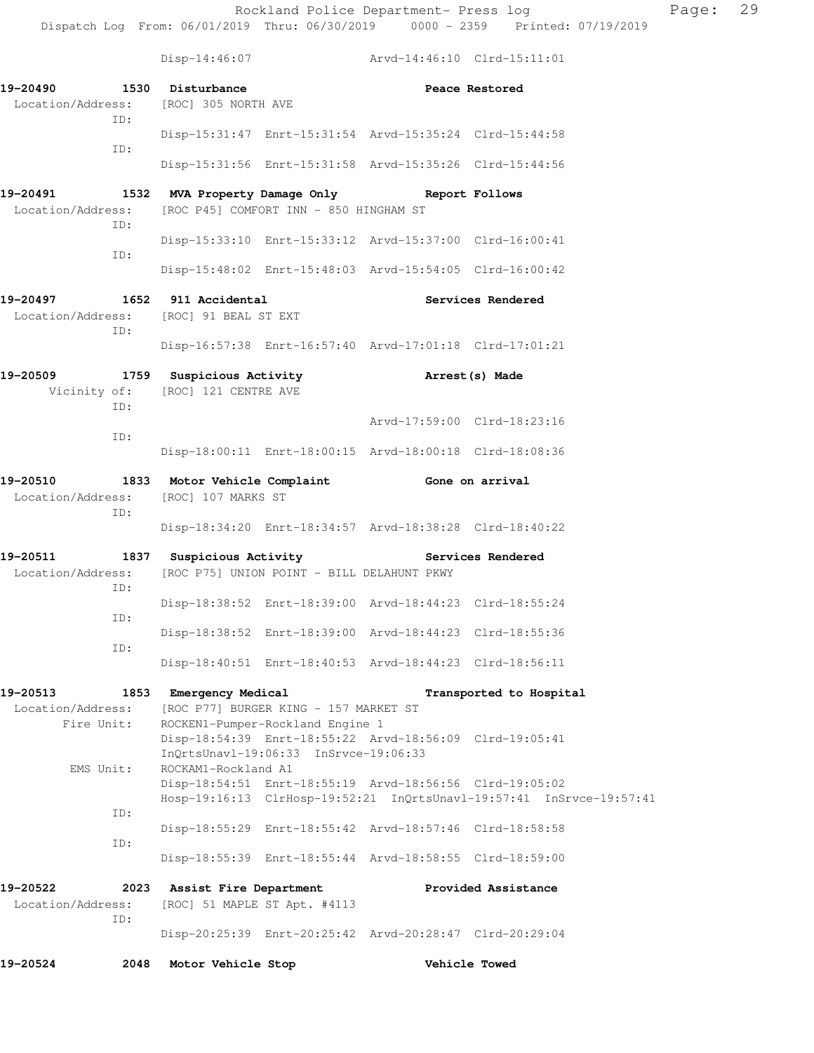Disp-14:46:07 Arvd-14:46:10 Clrd-15:11:01

**19-20490 1530 Disturbance Peace Restored**  Location/Address: [ROC] 305 NORTH AVE ID: Disp-15:31:47 Enrt-15:31:54 Arvd-15:35:24 Clrd-15:44:58 ID: Disp-15:31:56 Enrt-15:31:58 Arvd-15:35:26 Clrd-15:44:56 **19-20491 1532 MVA Property Damage Only Report Follows**  Location/Address: [ROC P45] COMFORT INN - 850 HINGHAM ST ID: Disp-15:33:10 Enrt-15:33:12 Arvd-15:37:00 Clrd-16:00:41 ID: Disp-15:48:02 Enrt-15:48:03 Arvd-15:54:05 Clrd-16:00:42 **19-20497 1652 911 Accidental Services Rendered**  Location/Address: [ROC] 91 BEAL ST EXT ID: Disp-16:57:38 Enrt-16:57:40 Arvd-17:01:18 Clrd-17:01:21 **19-20509 1759 Suspicious Activity Arrest(s) Made**  Vicinity of: [ROC] 121 CENTRE AVE ID: Arvd-17:59:00 Clrd-18:23:16 ID: Disp-18:00:11 Enrt-18:00:15 Arvd-18:00:18 Clrd-18:08:36 **19-20510 1833 Motor Vehicle Complaint Gone on arrival**  Location/Address: [ROC] 107 MARKS ST ID: Disp-18:34:20 Enrt-18:34:57 Arvd-18:38:28 Clrd-18:40:22 19-20511 1837 Suspicious Activity **1828 Services Rendered**  Location/Address: [ROC P75] UNION POINT - BILL DELAHUNT PKWY ID: Disp-18:38:52 Enrt-18:39:00 Arvd-18:44:23 Clrd-18:55:24 ID: Disp-18:38:52 Enrt-18:39:00 Arvd-18:44:23 Clrd-18:55:36 ID: Disp-18:40:51 Enrt-18:40:53 Arvd-18:44:23 Clrd-18:56:11 **19-20513 1853 Emergency Medical Transported to Hospital**  Location/Address: [ROC P77] BURGER KING - 157 MARKET ST Fire Unit: ROCKEN1-Pumper-Rockland Engine 1 Disp-18:54:39 Enrt-18:55:22 Arvd-18:56:09 Clrd-19:05:41 InQrtsUnavl-19:06:33 InSrvce-19:06:33 EMS Unit: ROCKAM1-Rockland A1 Disp-18:54:51 Enrt-18:55:19 Arvd-18:56:56 Clrd-19:05:02 Hosp-19:16:13 ClrHosp-19:52:21 InQrtsUnavl-19:57:41 InSrvce-19:57:41 ID: Disp-18:55:29 Enrt-18:55:42 Arvd-18:57:46 Clrd-18:58:58 ID: Disp-18:55:39 Enrt-18:55:44 Arvd-18:58:55 Clrd-18:59:00 **19-20522 2023 Assist Fire Department Provided Assistance**  Location/Address: [ROC] 51 MAPLE ST Apt. #4113 ID: Disp-20:25:39 Enrt-20:25:42 Arvd-20:28:47 Clrd-20:29:04 **19-20524 2048 Motor Vehicle Stop Vehicle Towed**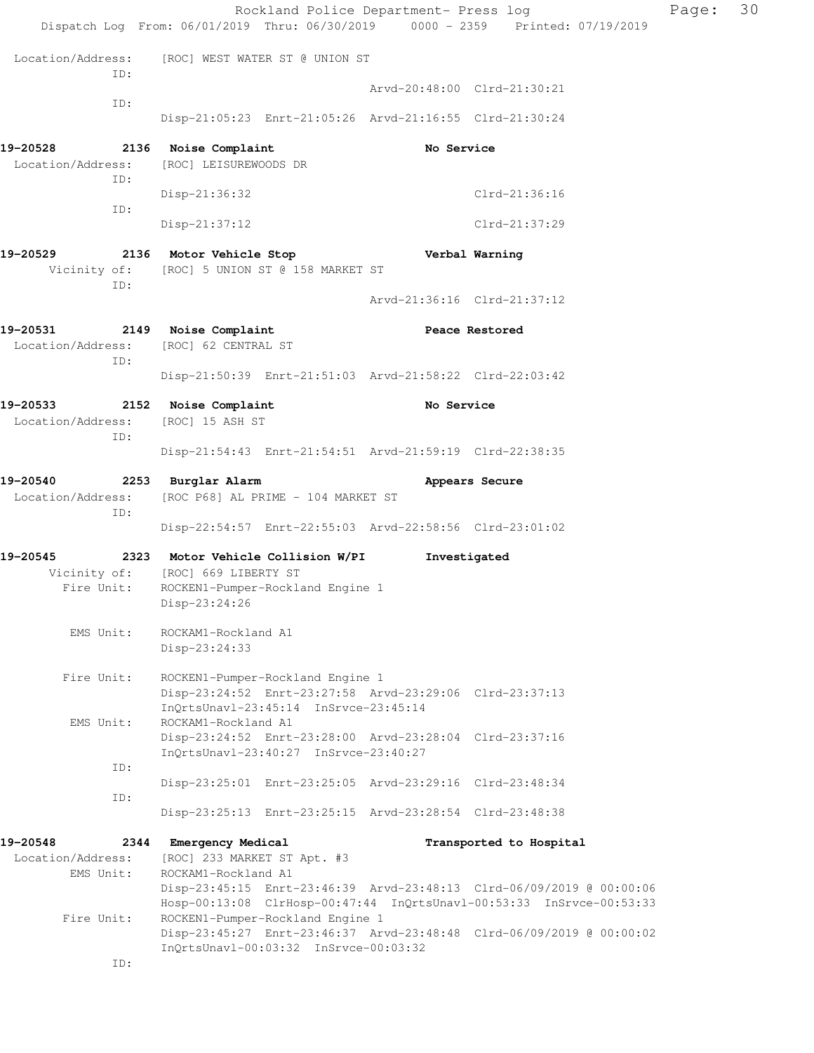|                                      | Dispatch Log From: 06/01/2019 Thru: 06/30/2019 0000 - 2359 Printed: 07/19/2019                                                       | Rockland Police Department- Press log |                                                                      | Page: | 30 |
|--------------------------------------|--------------------------------------------------------------------------------------------------------------------------------------|---------------------------------------|----------------------------------------------------------------------|-------|----|
| Location/Address:<br>ID:             | [ROC] WEST WATER ST @ UNION ST                                                                                                       |                                       |                                                                      |       |    |
| ID:                                  |                                                                                                                                      |                                       | Arvd-20:48:00 Clrd-21:30:21                                          |       |    |
|                                      | Disp-21:05:23 Enrt-21:05:26 Arvd-21:16:55 Clrd-21:30:24                                                                              |                                       |                                                                      |       |    |
| 19-20528                             | 2136 Noise Complaint                                                                                                                 | No Service                            |                                                                      |       |    |
| Location/Address:<br>ID:             | [ROC] LEISUREWOODS DR                                                                                                                |                                       |                                                                      |       |    |
|                                      | $Disp-21:36:32$                                                                                                                      |                                       | $Clrd-21:36:16$                                                      |       |    |
| ID:                                  | $Disp-21:37:12$                                                                                                                      |                                       | Clrd-21:37:29                                                        |       |    |
| 19-20529<br>ID:                      | 2136 Motor Vehicle Stop<br>Vicinity of: [ROC] 5 UNION ST @ 158 MARKET ST                                                             |                                       | Verbal Warning                                                       |       |    |
|                                      |                                                                                                                                      |                                       | Arvd-21:36:16 Clrd-21:37:12                                          |       |    |
| 19-20531<br>Location/Address:<br>ID: | 2149 Noise Complaint<br>[ROC] 62 CENTRAL ST                                                                                          |                                       | Peace Restored                                                       |       |    |
|                                      | Disp-21:50:39 Enrt-21:51:03 Arvd-21:58:22 Clrd-22:03:42                                                                              |                                       |                                                                      |       |    |
| 19-20533                             | 2152 Noise Complaint                                                                                                                 | No Service                            |                                                                      |       |    |
| Location/Address:<br>ID:             | [ROC] 15 ASH ST                                                                                                                      |                                       |                                                                      |       |    |
|                                      | Disp-21:54:43 Enrt-21:54:51 Arvd-21:59:19 Clrd-22:38:35                                                                              |                                       |                                                                      |       |    |
| 19-20540<br>Location/Address:<br>ID: | 2253 Burglar Alarm<br>[ROC P68] AL PRIME - 104 MARKET ST                                                                             |                                       | Appears Secure                                                       |       |    |
|                                      | Disp-22:54:57 Enrt-22:55:03 Arvd-22:58:56 Clrd-23:01:02                                                                              |                                       |                                                                      |       |    |
| 19–20545                             | 2323 Motor Vehicle Collision W/PI                                                                                                    |                                       | Investigated                                                         |       |    |
| Fire Unit:                           | Vicinity of: [ROC] 669 LIBERTY ST<br>ROCKEN1-Pumper-Rockland Engine 1<br>Disp-23:24:26                                               |                                       |                                                                      |       |    |
| EMS Unit:                            | ROCKAM1-Rockland A1<br>Disp-23:24:33                                                                                                 |                                       |                                                                      |       |    |
| Fire Unit:                           | ROCKEN1-Pumper-Rockland Engine 1<br>Disp-23:24:52 Enrt-23:27:58 Arvd-23:29:06 Clrd-23:37:13<br>InOrtsUnav1-23:45:14 InSrvce-23:45:14 |                                       |                                                                      |       |    |
| EMS Unit:                            | ROCKAM1-Rockland A1<br>Disp-23:24:52 Enrt-23:28:00 Arvd-23:28:04 Clrd-23:37:16<br>InQrtsUnavl-23:40:27 InSrvce-23:40:27              |                                       |                                                                      |       |    |
| ID:                                  | Disp-23:25:01 Enrt-23:25:05 Arvd-23:29:16 Clrd-23:48:34                                                                              |                                       |                                                                      |       |    |
| ID:                                  | Disp-23:25:13 Enrt-23:25:15 Arvd-23:28:54 Clrd-23:48:38                                                                              |                                       |                                                                      |       |    |
| 19-20548                             |                                                                                                                                      |                                       |                                                                      |       |    |
| Location/Address:                    | 2344 Emergency Medical<br>[ROC] 233 MARKET ST Apt. #3                                                                                |                                       | Transported to Hospital                                              |       |    |
| EMS Unit:                            | ROCKAM1-Rockland A1                                                                                                                  |                                       | Disp-23:45:15 Enrt-23:46:39 Arvd-23:48:13 Clrd-06/09/2019 @ 00:00:06 |       |    |
|                                      |                                                                                                                                      |                                       | Hosp-00:13:08 ClrHosp-00:47:44 InQrtsUnavl-00:53:33 InSrvce-00:53:33 |       |    |
| Fire Unit:                           | ROCKEN1-Pumper-Rockland Engine 1<br>InQrtsUnavl-00:03:32 InSrvce-00:03:32                                                            |                                       | Disp-23:45:27 Enrt-23:46:37 Arvd-23:48:48 Clrd-06/09/2019 @ 00:00:02 |       |    |
| ID:                                  |                                                                                                                                      |                                       |                                                                      |       |    |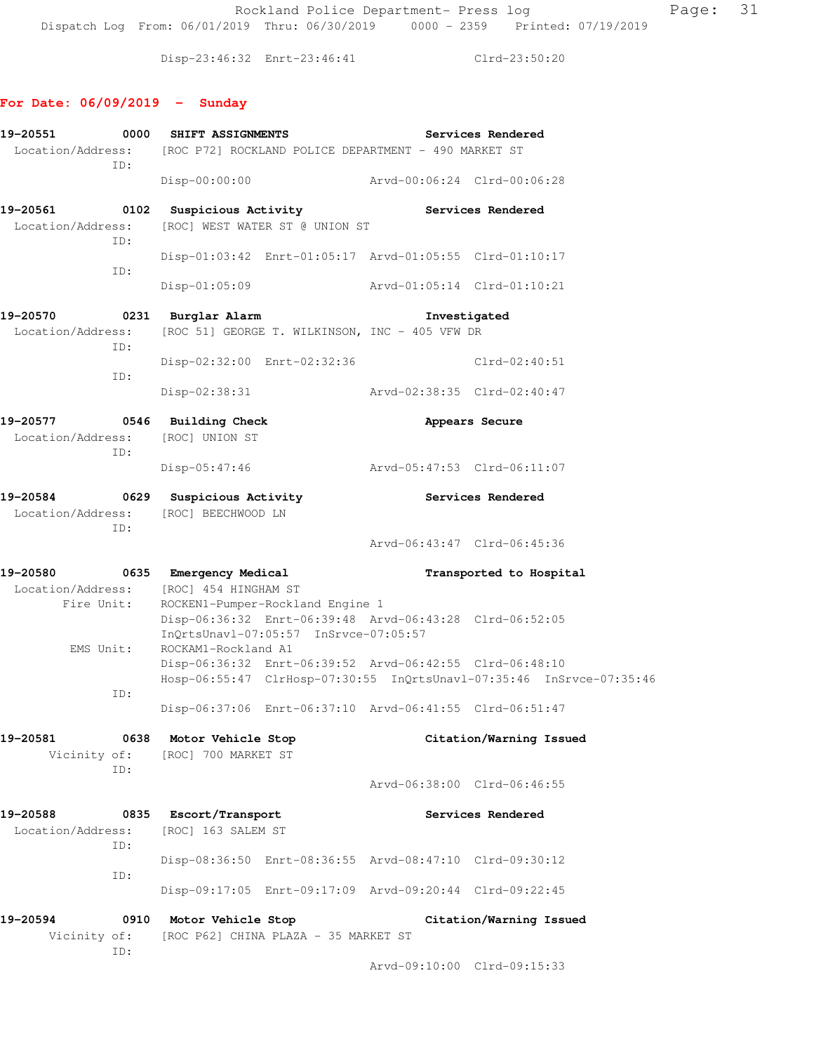Rockland Police Department- Press log Fage: 31 Dispatch Log From: 06/01/2019 Thru: 06/30/2019 0000 - 2359 Printed: 07/19/2019

Disp-23:46:32 Enrt-23:46:41 Clrd-23:50:20

### **For Date: 06/09/2019 - Sunday**

| 19-20551<br>0000<br>Location/Address:                   | SHIFT ASSIGNMENTS<br>[ROC P72] ROCKLAND POLICE DEPARTMENT - 490 MARKET ST     | Services Rendered                                                                  |  |  |
|---------------------------------------------------------|-------------------------------------------------------------------------------|------------------------------------------------------------------------------------|--|--|
| ID:                                                     | Disp-00:00:00                                                                 | Arvd-00:06:24 Clrd-00:06:28                                                        |  |  |
| 19-20561<br>Location/Address:<br>ID:                    | 0102 Suspicious Activity<br>[ROC] WEST WATER ST @ UNION ST                    | Services Rendered                                                                  |  |  |
| ID:                                                     |                                                                               | Disp-01:03:42 Enrt-01:05:17 Arvd-01:05:55 Clrd-01:10:17                            |  |  |
|                                                         | $Disp-01:05:09$                                                               | Arvd-01:05:14 Clrd-01:10:21                                                        |  |  |
| 19-20570<br>Location/Address:<br>ID:                    | 0231 Burglar Alarm<br>[ROC 51] GEORGE T. WILKINSON, INC - 405 VFW DR          | Investigated                                                                       |  |  |
| ID:                                                     | Disp-02:32:00 Enrt-02:32:36                                                   | $Clrd-02:40:51$                                                                    |  |  |
|                                                         | $Disp-02:38:31$                                                               | Arvd-02:38:35 Clrd-02:40:47                                                        |  |  |
| 19-20577<br>Location/Address:<br>ID:                    | 0546 Building Check<br>[ROC] UNION ST                                         | Appears Secure                                                                     |  |  |
|                                                         | $Disp-05:47:46$                                                               | Arvd-05:47:53 Clrd-06:11:07                                                        |  |  |
| 19-20584<br>Location/Address: [ROC] BEECHWOOD LN<br>ID: | 0629 Suspicious Activity                                                      | Services Rendered                                                                  |  |  |
|                                                         |                                                                               | Arvd-06:43:47 Clrd-06:45:36                                                        |  |  |
| 19-20580<br>0635<br>Location/Address:<br>Fire Unit:     | Emergency Medical<br>[ROC] 454 HINGHAM ST<br>ROCKEN1-Pumper-Rockland Engine 1 | Transported to Hospital<br>Disp-06:36:32 Enrt-06:39:48 Arvd-06:43:28 Clrd-06:52:05 |  |  |
| EMS Unit:                                               | InQrtsUnavl-07:05:57 InSrvce-07:05:57<br>ROCKAM1-Rockland A1                  | Disp-06:36:32 Enrt-06:39:52 Arvd-06:42:55 Clrd-06:48:10                            |  |  |
| ID:                                                     |                                                                               | Hosp-06:55:47 ClrHosp-07:30:55 InQrtsUnavl-07:35:46 InSrvce-07:35:46               |  |  |
|                                                         |                                                                               | Disp-06:37:06 Enrt-06:37:10 Arvd-06:41:55 Clrd-06:51:47                            |  |  |
| 19-20581<br>Vicinity of:<br>ID:                         | 0638 Motor Vehicle Stop<br>[ROC] 700 MARKET ST                                | Citation/Warning Issued                                                            |  |  |
|                                                         |                                                                               | Arvd-06:38:00 Clrd-06:46:55                                                        |  |  |
| 19-20588<br>0835<br>Location/Address:<br>ID:            | Escort/Transport<br>[ROC] 163 SALEM ST                                        | Services Rendered                                                                  |  |  |
| ID:                                                     |                                                                               | Disp-08:36:50 Enrt-08:36:55 Arvd-08:47:10 Clrd-09:30:12                            |  |  |
|                                                         |                                                                               | Disp-09:17:05 Enrt-09:17:09 Arvd-09:20:44 Clrd-09:22:45                            |  |  |
| 19-20594                                                | 0910 Motor Vehicle Stop                                                       | Citation/Warning Issued                                                            |  |  |
| Vicinity of:<br>ID:                                     | [ROC P62] CHINA PLAZA - 35 MARKET ST                                          |                                                                                    |  |  |
|                                                         |                                                                               | Arvd-09:10:00 Clrd-09:15:33                                                        |  |  |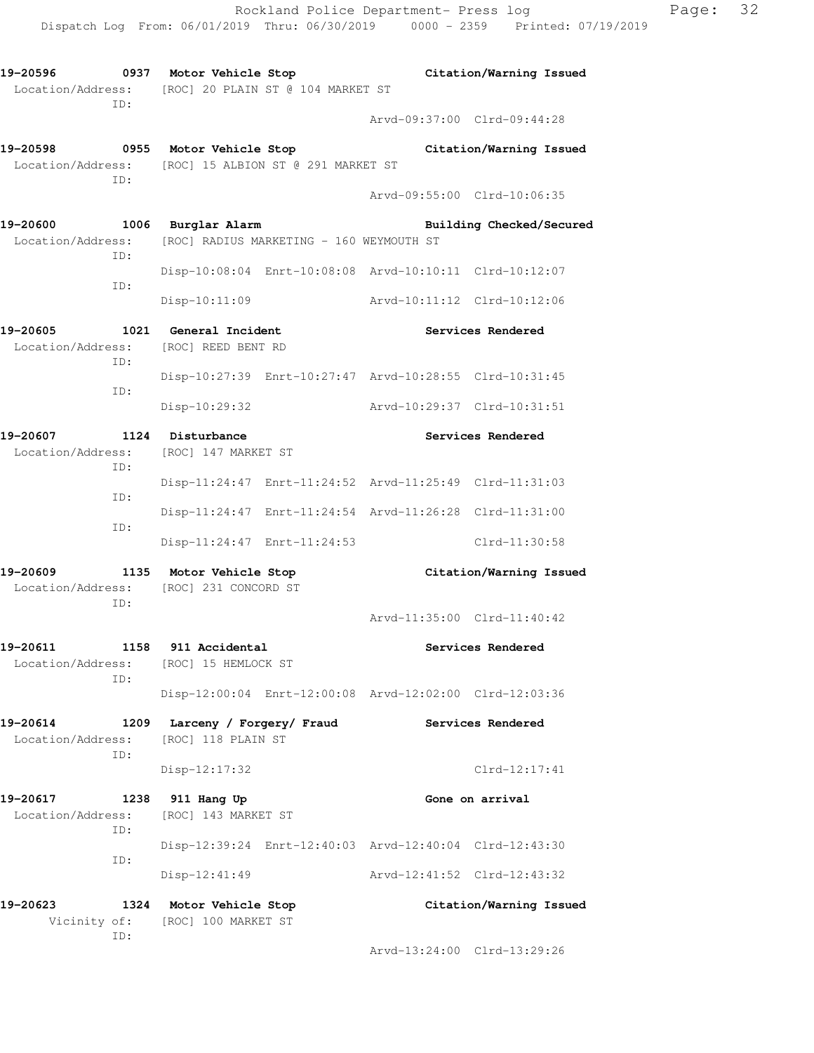**19-20596 0937 Motor Vehicle Stop Citation/Warning Issued** 

Location/Address: [ROC] 20 PLAIN ST @ 104 MARKET ST

ID:

 Arvd-09:37:00 Clrd-09:44:28 **19-20598 0955 Motor Vehicle Stop Citation/Warning Issued**  Location/Address: [ROC] 15 ALBION ST @ 291 MARKET ST ID: Arvd-09:55:00 Clrd-10:06:35 **19-20600 1006 Burglar Alarm Building Checked/Secured**  Location/Address: [ROC] RADIUS MARKETING - 160 WEYMOUTH ST ID: Disp-10:08:04 Enrt-10:08:08 Arvd-10:10:11 Clrd-10:12:07 ID: Disp-10:11:09 Arvd-10:11:12 Clrd-10:12:06 **19-20605 1021 General Incident Services Rendered**  Location/Address: [ROC] REED BENT RD ID: Disp-10:27:39 Enrt-10:27:47 Arvd-10:28:55 Clrd-10:31:45 ID: Disp-10:29:32 Arvd-10:29:37 Clrd-10:31:51 **19-20607 1124 Disturbance Services Rendered**  Location/Address: [ROC] 147 MARKET ST ID: Disp-11:24:47 Enrt-11:24:52 Arvd-11:25:49 Clrd-11:31:03 ID: Disp-11:24:47 Enrt-11:24:54 Arvd-11:26:28 Clrd-11:31:00 ID: Disp-11:24:47 Enrt-11:24:53 Clrd-11:30:58 **19-20609 1135 Motor Vehicle Stop Citation/Warning Issued**  Location/Address: [ROC] 231 CONCORD ST ID: Arvd-11:35:00 Clrd-11:40:42 **19-20611 1158 911 Accidental Services Rendered**  Location/Address: [ROC] 15 HEMLOCK ST ID: Disp-12:00:04 Enrt-12:00:08 Arvd-12:02:00 Clrd-12:03:36 **19-20614 1209 Larceny / Forgery/ Fraud Services Rendered**  Location/Address: [ROC] 118 PLAIN ST ID: Disp-12:17:32 Clrd-12:17:41 19-20617 1238 911 Hang Up **Gone on arrival** Location/Address: [ROC] 143 MARKET ST ID: Disp-12:39:24 Enrt-12:40:03 Arvd-12:40:04 Clrd-12:43:30 ID: Disp-12:41:49 Arvd-12:41:52 Clrd-12:43:32 **19-20623 1324 Motor Vehicle Stop Citation/Warning Issued**  Vicinity of: [ROC] 100 MARKET ST ID: Arvd-13:24:00 Clrd-13:29:26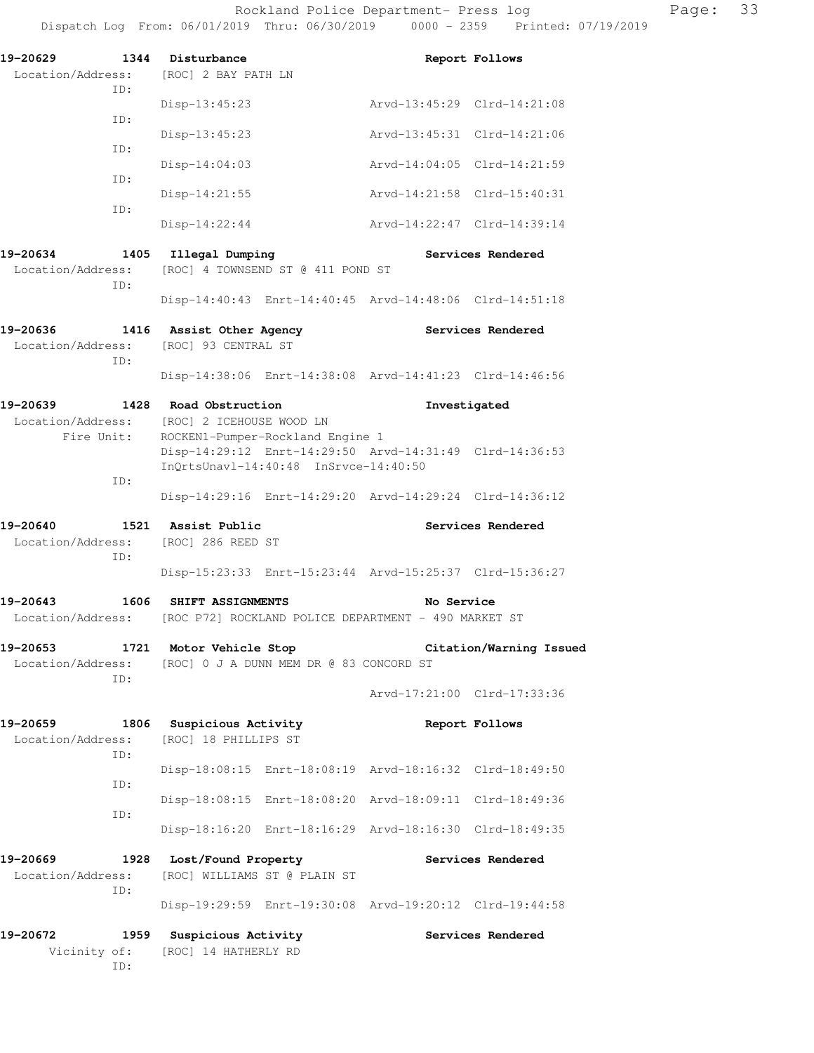| 19-20629<br>Location/Address: [ROC] 2 BAY PATH LN<br>TD: | 1344 Disturbance                                                                                                                                 | Report Follows                                                                       |  |  |  |  |  |
|----------------------------------------------------------|--------------------------------------------------------------------------------------------------------------------------------------------------|--------------------------------------------------------------------------------------|--|--|--|--|--|
|                                                          | $Disp-13:45:23$                                                                                                                                  | Arvd-13:45:29 Clrd-14:21:08                                                          |  |  |  |  |  |
| ID:                                                      | $Disp-13:45:23$                                                                                                                                  | Arvd-13:45:31 Clrd-14:21:06                                                          |  |  |  |  |  |
| ID:                                                      | $Disp-14:04:03$                                                                                                                                  | Arvd-14:04:05 Clrd-14:21:59                                                          |  |  |  |  |  |
| ID:                                                      | Disp-14:21:55                                                                                                                                    | Arvd-14:21:58 Clrd-15:40:31                                                          |  |  |  |  |  |
| TD:                                                      | $Disp-14:22:44$                                                                                                                                  | Arvd-14:22:47 Clrd-14:39:14                                                          |  |  |  |  |  |
| 19-20634<br>Location/Address:<br>TD:                     | 1405 Illegal Dumping                                                                                                                             | Services Rendered<br>[ROC] 4 TOWNSEND ST @ 411 POND ST                               |  |  |  |  |  |
|                                                          |                                                                                                                                                  | Disp-14:40:43 Enrt-14:40:45 Arvd-14:48:06 Clrd-14:51:18                              |  |  |  |  |  |
| 19-20636<br>Location/Address: [ROC] 93 CENTRAL ST<br>TD: | 1416 Assist Other Agency                                                                                                                         | Services Rendered                                                                    |  |  |  |  |  |
|                                                          |                                                                                                                                                  | Disp-14:38:06 Enrt-14:38:08 Arvd-14:41:23 Clrd-14:46:56                              |  |  |  |  |  |
| 19-20639<br>Fire Unit:<br>ID:                            | 1428 Road Obstruction<br>Location/Address: [ROC] 2 ICEHOUSE WOOD LN<br>ROCKEN1-Pumper-Rockland Engine 1<br>InQrtsUnavl-14:40:48 InSrvce-14:40:50 | Investigated<br>Disp-14:29:12 Enrt-14:29:50 Arvd-14:31:49 Clrd-14:36:53              |  |  |  |  |  |
|                                                          |                                                                                                                                                  | Disp-14:29:16 Enrt-14:29:20 Arvd-14:29:24 Clrd-14:36:12                              |  |  |  |  |  |
| 19-20640<br>Location/Address: [ROC] 286 REED ST<br>ID:   | 1521 Assist Public                                                                                                                               | Services Rendered                                                                    |  |  |  |  |  |
|                                                          |                                                                                                                                                  | Disp-15:23:33 Enrt-15:23:44 Arvd-15:25:37 Clrd-15:36:27                              |  |  |  |  |  |
| 19-20643                                                 | <b>1606 SHIFT ASSIGNMENTS</b>                                                                                                                    | No Service<br>Location/Address: [ROC P72] ROCKLAND POLICE DEPARTMENT - 490 MARKET ST |  |  |  |  |  |
| 19-20653<br>1721<br>Location/Address:<br>TD:             | Motor Vehicle Stop<br>[ROC] 0 J A DUNN MEM DR @ 83 CONCORD ST                                                                                    | Citation/Warning Issued                                                              |  |  |  |  |  |
|                                                          |                                                                                                                                                  | Arvd-17:21:00 Clrd-17:33:36                                                          |  |  |  |  |  |
| 19-20659<br>1806<br>Location/Address:<br>ID:             | Suspicious Activity<br>[ROC] 18 PHILLIPS ST                                                                                                      | Report Follows                                                                       |  |  |  |  |  |
| ID:                                                      |                                                                                                                                                  | Disp-18:08:15 Enrt-18:08:19 Arvd-18:16:32 Clrd-18:49:50                              |  |  |  |  |  |
| ID:                                                      |                                                                                                                                                  | Disp-18:08:15 Enrt-18:08:20 Arvd-18:09:11 Clrd-18:49:36                              |  |  |  |  |  |
|                                                          |                                                                                                                                                  | Disp-18:16:20 Enrt-18:16:29 Arvd-18:16:30 Clrd-18:49:35                              |  |  |  |  |  |
| 19-20669<br>1928<br>Location/Address:<br>ID:             | Lost/Found Property<br>[ROC] WILLIAMS ST @ PLAIN ST                                                                                              | Services Rendered                                                                    |  |  |  |  |  |
|                                                          |                                                                                                                                                  | Disp-19:29:59 Enrt-19:30:08 Arvd-19:20:12 Clrd-19:44:58                              |  |  |  |  |  |
| 19-20672<br>1959<br>Vicinity of:<br>ID:                  | Suspicious Activity<br>[ROC] 14 HATHERLY RD                                                                                                      | Services Rendered                                                                    |  |  |  |  |  |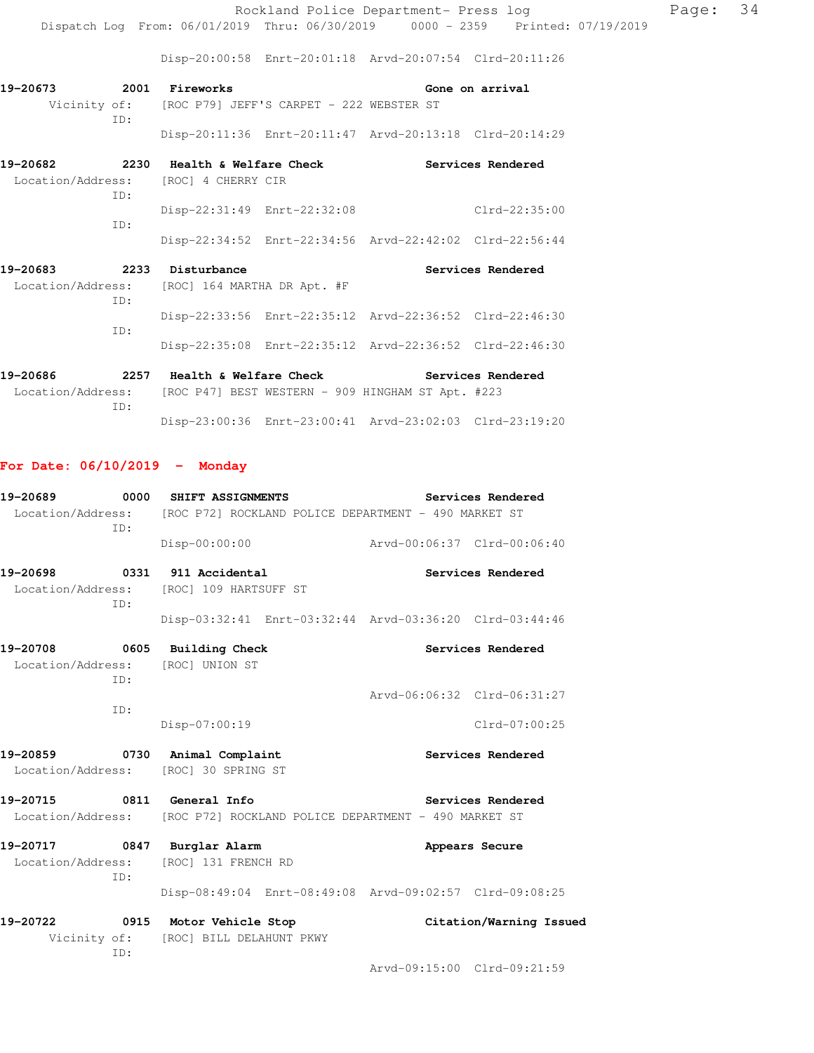Rockland Police Department- Press log Page: 34 Dispatch Log From: 06/01/2019 Thru: 06/30/2019 0000 - 2359 Printed: 07/19/2019

Disp-20:00:58 Enrt-20:01:18 Arvd-20:07:54 Clrd-20:11:26

| 19-20673 | 2001 | Fireworks                                             |                                                         |  | Gone on arrival   |
|----------|------|-------------------------------------------------------|---------------------------------------------------------|--|-------------------|
|          |      | Vicinity of: [ROC P79] JEFF'S CARPET - 222 WEBSTER ST |                                                         |  |                   |
|          | TD:  |                                                       |                                                         |  |                   |
|          |      |                                                       | Disp-20:11:36 Enrt-20:11:47 Arvd-20:13:18 Clrd-20:14:29 |  |                   |
| 19-20682 | 2230 | Health & Welfare Check                                |                                                         |  | Services Rendered |
|          |      | Location/Address: [ROC] 4 CHERRY CIR                  |                                                         |  |                   |
|          | TD:  |                                                       |                                                         |  |                   |
|          |      | Disp-22:31:49 Enrt-22:32:08                           |                                                         |  | $Clrd-22:35:00$   |
|          | TD:  |                                                       |                                                         |  |                   |
|          |      |                                                       | Disp-22:34:52 Enrt-22:34:56 Arvd-22:42:02 Clrd-22:56:44 |  |                   |

| 19-20683 | 2233 | Disturbance                                   |                                                         | Services Rendered |
|----------|------|-----------------------------------------------|---------------------------------------------------------|-------------------|
|          |      | Location/Address: [ROC] 164 MARTHA DR Apt. #F |                                                         |                   |
|          | TD:  |                                               |                                                         |                   |
|          |      |                                               | Disp-22:33:56 Enrt-22:35:12 Arvd-22:36:52 Clrd-22:46:30 |                   |
|          | TD:  |                                               | Disp-22:35:08 Enrt-22:35:12 Arvd-22:36:52 Clrd-22:46:30 |                   |

| 19-20686          | 2257 | Health & Welfare Check |                                                         |  | Services Rendered |
|-------------------|------|------------------------|---------------------------------------------------------|--|-------------------|
| Location/Address: |      |                        | [ROC P47] BEST WESTERN - 909 HINGHAM ST Apt. #223       |  |                   |
|                   | TD:  |                        |                                                         |  |                   |
|                   |      |                        | Disp-23:00:36 Enrt-23:00:41 Arvd-23:02:03 Clrd-23:19:20 |  |                   |

### **For Date: 06/10/2019 - Monday**

| 19-20689                                                                    | 0000 | <b>SHIFT ASSIGNMENTS</b>                                                  |                   |                             | Services Rendered       |  |  |
|-----------------------------------------------------------------------------|------|---------------------------------------------------------------------------|-------------------|-----------------------------|-------------------------|--|--|
|                                                                             | ID:  | Location/Address: [ROC P72] ROCKLAND POLICE DEPARTMENT - 490 MARKET ST    |                   |                             |                         |  |  |
|                                                                             |      | $Disp-00:00:00$                                                           |                   | Arvd-00:06:37 Clrd-00:06:40 |                         |  |  |
|                                                                             |      | 19-20698 0331 911 Accidental                                              |                   |                             | Services Rendered       |  |  |
| Location/Address: [ROC] 109 HARTSUFF ST<br>ID:                              |      |                                                                           |                   |                             |                         |  |  |
|                                                                             |      | Disp-03:32:41 Enrt-03:32:44 Arvd-03:36:20 Clrd-03:44:46                   |                   |                             |                         |  |  |
|                                                                             | TD:  | 19-20708 0605 Building Check<br>Location/Address: [ROC] UNION ST          | Services Rendered |                             |                         |  |  |
|                                                                             | ID:  |                                                                           |                   | Arvd-06:06:32 Clrd-06:31:27 |                         |  |  |
|                                                                             |      | Disp-07:00:19                                                             |                   |                             | Clrd-07:00:25           |  |  |
|                                                                             |      | 19-20859 0730 Animal Complaint<br>Location/Address: [ROC] 30 SPRING ST    |                   | <b>Services Rendered</b>    |                         |  |  |
| 19-20715 0811 General Info                                                  |      | Location/Address: [ROC P72] ROCKLAND POLICE DEPARTMENT - 490 MARKET ST    |                   | Services Rendered           |                         |  |  |
| 19-20717 0847 Burglar Alarm<br>Location/Address: [ROC] 131 FRENCH RD<br>ID: |      | Appears Secure                                                            |                   |                             |                         |  |  |
|                                                                             |      | Disp-08:49:04 Enrt-08:49:08 Arvd-09:02:57 Clrd-09:08:25                   |                   |                             |                         |  |  |
|                                                                             | ID:  | 19-20722 0915 Motor Vehicle Stop<br>Vicinity of: [ROC] BILL DELAHUNT PKWY |                   |                             | Citation/Warning Issued |  |  |
|                                                                             |      |                                                                           |                   | Arvd-09:15:00 Clrd-09:21:59 |                         |  |  |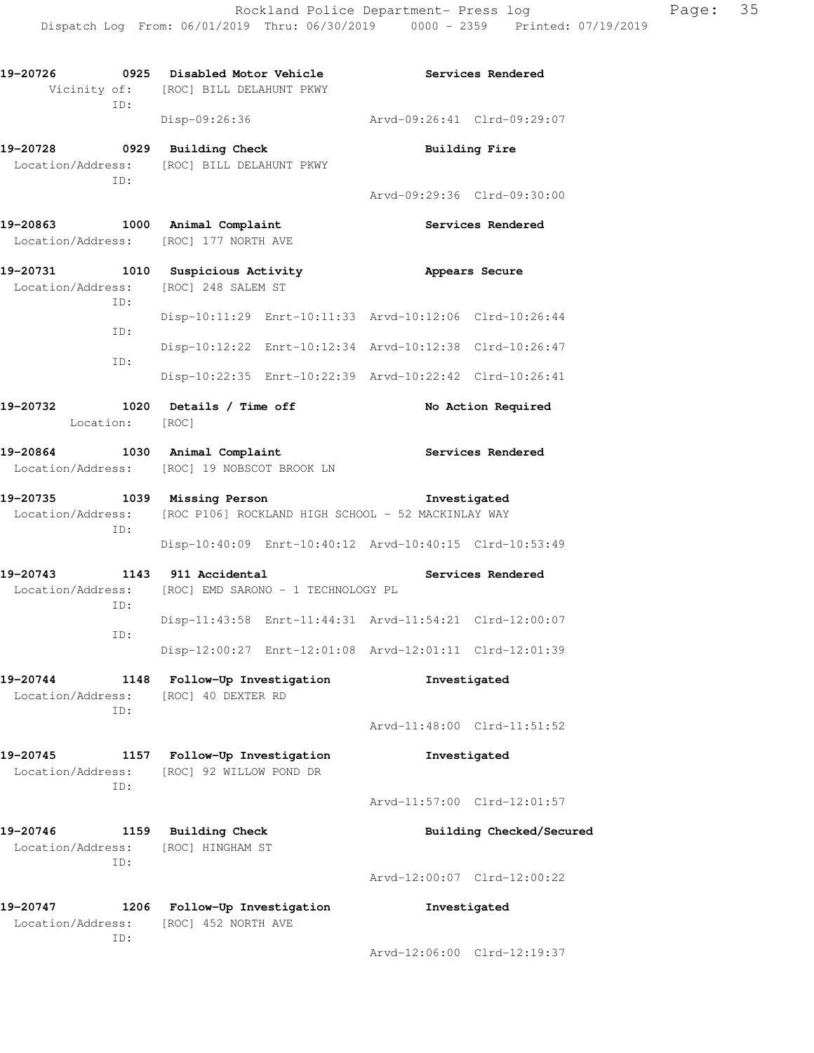| 19-20726<br>ID:                                       | 0925 Disabled Motor Vehicle<br>Vicinity of: [ROC] BILL DELAHUNT PKWY                        | Services Rendered                                       |  |  |
|-------------------------------------------------------|---------------------------------------------------------------------------------------------|---------------------------------------------------------|--|--|
|                                                       | Disp-09:26:36                                                                               | Arvd-09:26:41 Clrd-09:29:07                             |  |  |
| 19-20728                                              | 0929 Building Check<br>Location/Address: [ROC] BILL DELAHUNT PKWY                           | <b>Building Fire</b>                                    |  |  |
| ID:                                                   |                                                                                             | Arvd-09:29:36 Clrd-09:30:00                             |  |  |
| 19-20863                                              | 1000 Animal Complaint<br>Location/Address: [ROC] 177 NORTH AVE                              | Services Rendered                                       |  |  |
| ID:                                                   | 19-20731 1010 Suspicious Activity<br>Location/Address: [ROC] 248 SALEM ST                   | Appears Secure                                          |  |  |
| ID:                                                   |                                                                                             | Disp-10:11:29 Enrt-10:11:33 Arvd-10:12:06 Clrd-10:26:44 |  |  |
| ID:                                                   |                                                                                             | Disp-10:12:22 Enrt-10:12:34 Arvd-10:12:38 Clrd-10:26:47 |  |  |
|                                                       |                                                                                             | Disp-10:22:35 Enrt-10:22:39 Arvd-10:22:42 Clrd-10:26:41 |  |  |
| Location: [ROC]                                       | 19-20732 1020 Details / Time off                                                            | No Action Required                                      |  |  |
| 19-20864 1030 Animal Complaint                        | Location/Address: [ROC] 19 NOBSCOT BROOK LN                                                 | <b>Services Rendered</b>                                |  |  |
| 19-20735<br>ID:                                       | 1039 Missing Person<br>Location/Address: [ROC P106] ROCKLAND HIGH SCHOOL - 52 MACKINLAY WAY | Investigated                                            |  |  |
|                                                       |                                                                                             | Disp-10:40:09 Enrt-10:40:12 Arvd-10:40:15 Clrd-10:53:49 |  |  |
| 19-20743<br>ID:                                       | 1143 911 Accidental<br>Location/Address: [ROC] EMD SARONO - 1 TECHNOLOGY PL                 | Services Rendered                                       |  |  |
| ID:                                                   |                                                                                             | Disp-11:43:58 Enrt-11:44:31 Arvd-11:54:21 Clrd-12:00:07 |  |  |
|                                                       |                                                                                             | Disp-12:00:27 Enrt-12:01:08 Arvd-12:01:11 Clrd-12:01:39 |  |  |
| 19-20744<br>Location/Address:<br>ID:                  | 1148 Follow-Up Investigation<br>[ROC] 40 DEXTER RD                                          | Investigated                                            |  |  |
|                                                       |                                                                                             | Arvd-11:48:00 Clrd-11:51:52                             |  |  |
| 19-20745                                              | 1157 Follow-Up Investigation<br>Location/Address: [ROC] 92 WILLOW POND DR                   | Investigated                                            |  |  |
| ID:                                                   |                                                                                             | Arvd-11:57:00 Clrd-12:01:57                             |  |  |
| 19-20746<br>Location/Address: [ROC] HINGHAM ST<br>ID: | 1159 Building Check                                                                         | Building Checked/Secured                                |  |  |
|                                                       |                                                                                             | Arvd-12:00:07 Clrd-12:00:22                             |  |  |
| 19-20747                                              | 1206 Follow-Up Investigation<br>Location/Address: [ROC] 452 NORTH AVE                       | Investigated                                            |  |  |
| ID:                                                   |                                                                                             | Arvd-12:06:00 Clrd-12:19:37                             |  |  |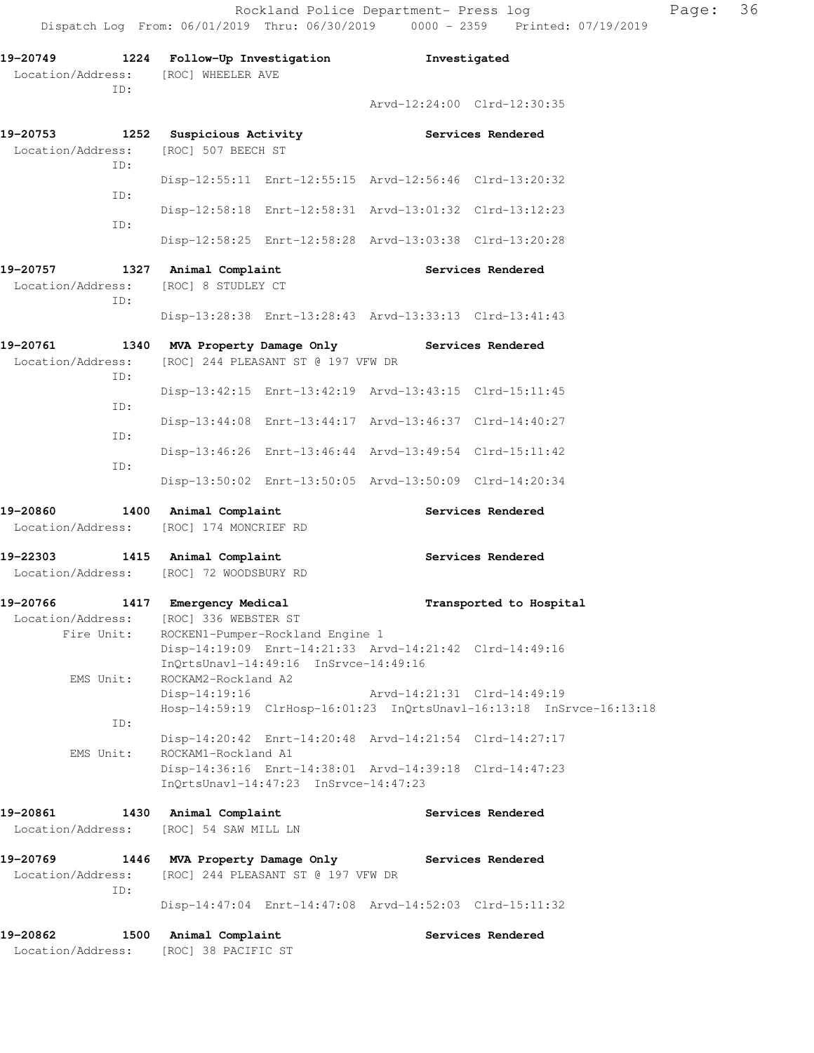| 19-20749<br>ID:                                                                      |                                                 | 1224 Follow-Up Investigation<br>Location/Address: [ROC] WHEELER AVE                              |                             | Investigated                                                         |  |  |
|--------------------------------------------------------------------------------------|-------------------------------------------------|--------------------------------------------------------------------------------------------------|-----------------------------|----------------------------------------------------------------------|--|--|
|                                                                                      |                                                 |                                                                                                  |                             | Arvd-12:24:00 Clrd-12:30:35                                          |  |  |
| 19-20753 1252 Suspicious Activity<br>Location/Address: [ROC] 507 BEECH ST            |                                                 |                                                                                                  |                             | <b>Services Rendered</b>                                             |  |  |
| ID:                                                                                  |                                                 | Disp-12:55:11 Enrt-12:55:15 Arvd-12:56:46 Clrd-13:20:32                                          |                             |                                                                      |  |  |
| ID:                                                                                  |                                                 | Disp-12:58:18 Enrt-12:58:31 Arvd-13:01:32 Clrd-13:12:23                                          |                             |                                                                      |  |  |
| ID:                                                                                  |                                                 | Disp-12:58:25 Enrt-12:58:28 Arvd-13:03:38 Clrd-13:20:28                                          |                             |                                                                      |  |  |
| 19-20757 1327 Animal Complaint<br>Location/Address:<br>ID:                           | [ROC] 8 STUDLEY CT                              |                                                                                                  |                             | Services Rendered                                                    |  |  |
|                                                                                      |                                                 | Disp-13:28:38 Enrt-13:28:43 Arvd-13:33:13 Clrd-13:41:43                                          |                             |                                                                      |  |  |
| 19-20761 1340 MVA Property Damage Only Services Rendered<br>Location/Address:<br>ID: |                                                 | [ROC] 244 PLEASANT ST @ 197 VFW DR                                                               |                             |                                                                      |  |  |
| ID:                                                                                  |                                                 | Disp-13:42:15 Enrt-13:42:19 Arvd-13:43:15 Clrd-15:11:45                                          |                             |                                                                      |  |  |
| ID:                                                                                  |                                                 | Disp-13:44:08 Enrt-13:44:17 Arvd-13:46:37 Clrd-14:40:27                                          |                             |                                                                      |  |  |
| ID:                                                                                  |                                                 | Disp-13:46:26 Enrt-13:46:44 Arvd-13:49:54 Clrd-15:11:42                                          |                             |                                                                      |  |  |
|                                                                                      |                                                 | Disp-13:50:02 Enrt-13:50:05 Arvd-13:50:09 Clrd-14:20:34                                          |                             |                                                                      |  |  |
| 19-20860<br>Location/Address: [ROC] 174 MONCRIEF RD                                  | 1400 Animal Complaint                           |                                                                                                  |                             | Services Rendered                                                    |  |  |
| 19-22303 1415 Animal Complaint<br>Location/Address: [ROC] 72 WOODSBURY RD            |                                                 |                                                                                                  |                             | Services Rendered                                                    |  |  |
| 19-20766 1417 Emergency Medical<br>Location/Address: [ROC] 336 WEBSTER ST            | Fire Unit: ROCKEN1-Pumper-Rockland Engine 1     | Disp-14:19:09 Enrt-14:21:33 Arvd-14:21:42 Clrd-14:49:16                                          |                             | Transported to Hospital                                              |  |  |
| EMS Unit:                                                                            | ROCKAM2-Rockland A2<br>$Disp-14:19:16$          | InQrtsUnavl-14:49:16 InSrvce-14:49:16                                                            | Arvd-14:21:31 Clrd-14:49:19 |                                                                      |  |  |
| ID:                                                                                  |                                                 | Disp-14:20:42 Enrt-14:20:48 Arvd-14:21:54 Clrd-14:27:17                                          |                             | Hosp-14:59:19 ClrHosp-16:01:23 InQrtsUnavl-16:13:18 InSrvce-16:13:18 |  |  |
| EMS Unit:                                                                            | ROCKAM1-Rockland A1                             | Disp-14:36:16 Enrt-14:38:01 Arvd-14:39:18 Clrd-14:47:23<br>InOrtsUnavl-14:47:23 InSrvce-14:47:23 |                             |                                                                      |  |  |
| 19-20861<br>Location/Address:                                                        | 1430 Animal Complaint<br>[ROC] 54 SAW MILL LN   |                                                                                                  |                             | Services Rendered                                                    |  |  |
| 19-20769<br>Location/Address:<br>ID:                                                 | 1446 MVA Property Damage Only Services Rendered | [ROC] 244 PLEASANT ST @ 197 VFW DR                                                               |                             |                                                                      |  |  |
|                                                                                      |                                                 | Disp-14:47:04 Enrt-14:47:08 Arvd-14:52:03 Clrd-15:11:32                                          |                             |                                                                      |  |  |
| 19-20862<br>Location/Address: [ROC] 38 PACIFIC ST                                    | 1500<br>Animal Complaint                        |                                                                                                  |                             | Services Rendered                                                    |  |  |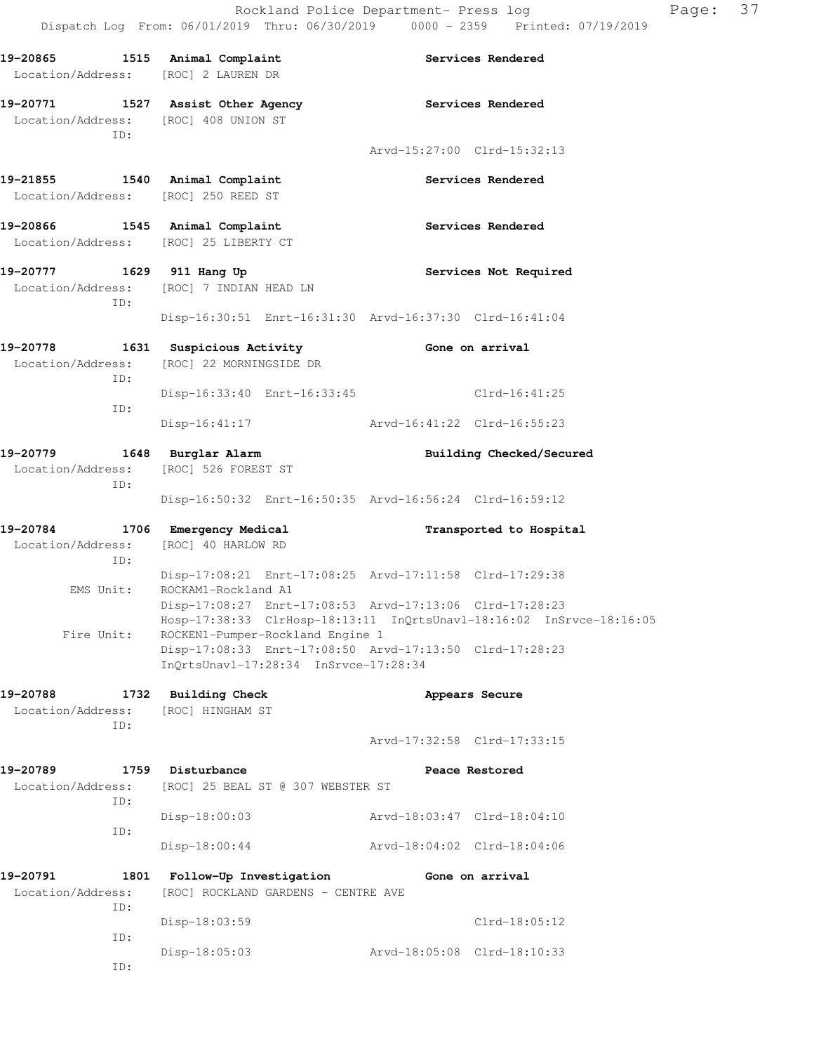| 19-20865<br>Location/Address: [ROC] 2 LAUREN DR                         | 1515 Animal Complaint                                                                                                                                               | Services Rendered           |                 |
|-------------------------------------------------------------------------|---------------------------------------------------------------------------------------------------------------------------------------------------------------------|-----------------------------|-----------------|
| Location/Address:                                                       | 19-20771 1527 Assist Other Agency<br>[ROC] 408 UNION ST                                                                                                             | <b>Services Rendered</b>    |                 |
| ID:                                                                     |                                                                                                                                                                     | Arvd-15:27:00 Clrd-15:32:13 |                 |
| 19-21855 1540 Animal Complaint<br>Location/Address: [ROC] 250 REED ST   |                                                                                                                                                                     | Services Rendered           |                 |
| 19-20866 1545 Animal Complaint<br>Location/Address: [ROC] 25 LIBERTY CT |                                                                                                                                                                     | Services Rendered           |                 |
| 19-20777 1629 911 Hang Up<br>ID:                                        | Location/Address: [ROC] 7 INDIAN HEAD LN                                                                                                                            | Services Not Required       |                 |
|                                                                         | Disp-16:30:51 Enrt-16:31:30 Arvd-16:37:30 Clrd-16:41:04                                                                                                             |                             |                 |
| ID:                                                                     | 19-20778 1631 Suspicious Activity<br>Location/Address: [ROC] 22 MORNINGSIDE DR                                                                                      | Gone on arrival             |                 |
| ID:                                                                     | Disp-16:33:40 Enrt-16:33:45                                                                                                                                         |                             | Clrd-16:41:25   |
|                                                                         | Disp-16:41:17                                                                                                                                                       | Arvd-16:41:22 Clrd-16:55:23 |                 |
| 19-20779<br>ID:                                                         | 1648 Burglar Alarm<br>Location/Address: [ROC] 526 FOREST ST                                                                                                         | Building Checked/Secured    |                 |
|                                                                         | Disp-16:50:32 Enrt-16:50:35 Arvd-16:56:24 Clrd-16:59:12                                                                                                             |                             |                 |
| 19-20784<br>Location/Address:<br>ID:                                    | 1706 Emergency Medical<br>[ROC] 40 HARLOW RD                                                                                                                        | Transported to Hospital     |                 |
| EMS Unit:                                                               | Disp-17:08:21 Enrt-17:08:25 Arvd-17:11:58 Clrd-17:29:38<br>ROCKAM1-Rockland A1                                                                                      |                             |                 |
| Fire Unit:                                                              | Disp-17:08:27 Enrt-17:08:53 Arvd-17:13:06 Clrd-17:28:23<br>Hosp-17:38:33 ClrHosp-18:13:11 InQrtsUnavl-18:16:02 InSrvce-18:16:05<br>ROCKEN1-Pumper-Rockland Engine 1 |                             |                 |
|                                                                         | Disp-17:08:33 Enrt-17:08:50 Arvd-17:13:50 Clrd-17:28:23<br>InOrtsUnavl-17:28:34 InSrvce-17:28:34                                                                    |                             |                 |
| 19-20788<br>Location/Address:                                           | 1732 Building Check<br>[ROC] HINGHAM ST                                                                                                                             | Appears Secure              |                 |
| ID:                                                                     |                                                                                                                                                                     | Arvd-17:32:58 Clrd-17:33:15 |                 |
| 19-20789<br>Location/Address:                                           | 1759 Disturbance<br>[ROC] 25 BEAL ST @ 307 WEBSTER ST                                                                                                               | Peace Restored              |                 |
| ID:                                                                     | $Disp-18:00:03$                                                                                                                                                     | Arvd-18:03:47 Clrd-18:04:10 |                 |
| ID:                                                                     | $Disp-18:00:44$                                                                                                                                                     | Arvd-18:04:02 Clrd-18:04:06 |                 |
| 19-20791<br>1801<br>Location/Address:<br>ID:                            | Follow-Up Investigation<br>[ROC] ROCKLAND GARDENS - CENTRE AVE                                                                                                      | Gone on arrival             |                 |
|                                                                         | Disp-18:03:59                                                                                                                                                       |                             | $Clrd-18:05:12$ |
| ID:<br>ID:                                                              | Disp-18:05:03                                                                                                                                                       | Arvd-18:05:08 Clrd-18:10:33 |                 |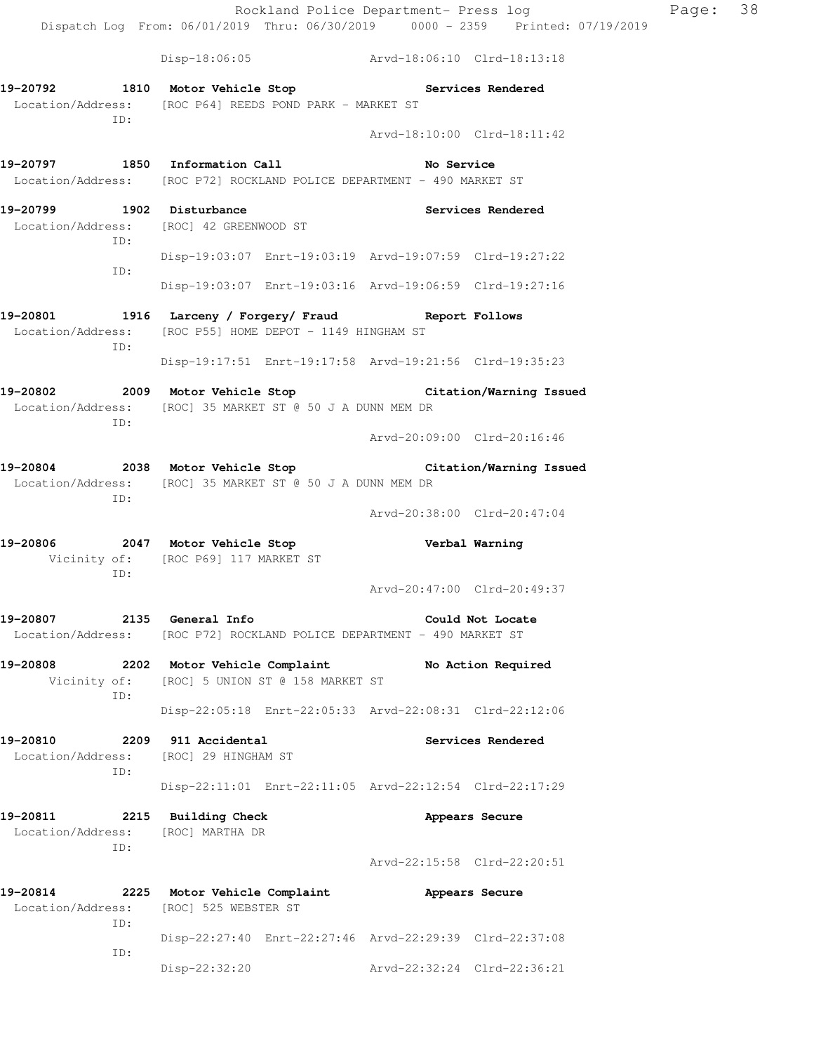Rockland Police Department- Press log Page: 38 Dispatch Log From: 06/01/2019 Thru: 06/30/2019 0000 - 2359 Printed: 07/19/2019 Disp-18:06:05 Arvd-18:06:10 Clrd-18:13:18 **19-20792 1810 Motor Vehicle Stop Services Rendered**  Location/Address: [ROC P64] REEDS POND PARK - MARKET ST ID: Arvd-18:10:00 Clrd-18:11:42 19-20797 1850 Information Call **No Service**  Location/Address: [ROC P72] ROCKLAND POLICE DEPARTMENT - 490 MARKET ST **19-20799 1902 Disturbance Services Rendered**  Location/Address: [ROC] 42 GREENWOOD ST ID: Disp-19:03:07 Enrt-19:03:19 Arvd-19:07:59 Clrd-19:27:22 ID: Disp-19:03:07 Enrt-19:03:16 Arvd-19:06:59 Clrd-19:27:16 **19-20801 1916 Larceny / Forgery/ Fraud Report Follows**  Location/Address: [ROC P55] HOME DEPOT - 1149 HINGHAM ST ID: Disp-19:17:51 Enrt-19:17:58 Arvd-19:21:56 Clrd-19:35:23 **19-20802 2009 Motor Vehicle Stop Citation/Warning Issued**  Location/Address: [ROC] 35 MARKET ST @ 50 J A DUNN MEM DR ID: Arvd-20:09:00 Clrd-20:16:46 **19-20804 2038 Motor Vehicle Stop Citation/Warning Issued**  Location/Address: [ROC] 35 MARKET ST @ 50 J A DUNN MEM DR ID: Arvd-20:38:00 Clrd-20:47:04 **19-20806 2047 Motor Vehicle Stop Verbal Warning**  Vicinity of: [ROC P69] 117 MARKET ST ID: Arvd-20:47:00 Clrd-20:49:37 **19-20807 2135 General Info Could Not Locate**  Location/Address: [ROC P72] ROCKLAND POLICE DEPARTMENT - 490 MARKET ST **19-20808 2202 Motor Vehicle Complaint No Action Required**  Vicinity of: [ROC] 5 UNION ST @ 158 MARKET ST ID: Disp-22:05:18 Enrt-22:05:33 Arvd-22:08:31 Clrd-22:12:06 **19-20810 2209 911 Accidental Services Rendered**  Location/Address: [ROC] 29 HINGHAM ST ID: Disp-22:11:01 Enrt-22:11:05 Arvd-22:12:54 Clrd-22:17:29 **19-20811 2215 Building Check Appears Secure**  Location/Address: [ROC] MARTHA DR ID: Arvd-22:15:58 Clrd-22:20:51 **19-20814 2225 Motor Vehicle Complaint Appears Secure**  Location/Address: [ROC] 525 WEBSTER ST ID: Disp-22:27:40 Enrt-22:27:46 Arvd-22:29:39 Clrd-22:37:08 ID:

Disp-22:32:20 Arvd-22:32:24 Clrd-22:36:21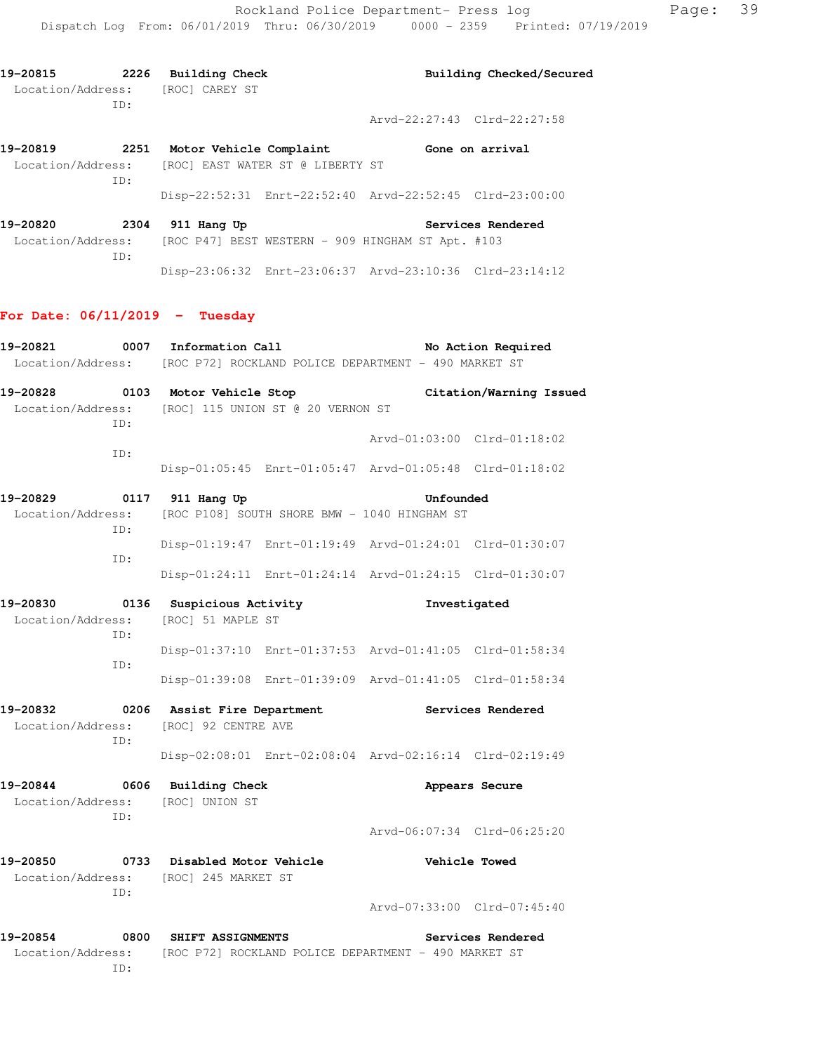| 19-20815          | 2226 | Building Check |  | Building Checked/Secured    |
|-------------------|------|----------------|--|-----------------------------|
| Location/Address: |      | [ROC] CAREY ST |  |                             |
|                   | TD:  |                |  | Arvd-22:27:43 Clrd-22:27:58 |
|                   |      |                |  |                             |

**19-20819 2251 Motor Vehicle Complaint Gone on arrival**  Location/Address: [ROC] EAST WATER ST @ LIBERTY ST ID: Disp-22:52:31 Enrt-22:52:40 Arvd-22:52:45 Clrd-23:00:00

**19-20820 2304 911 Hang Up Services Rendered**  Location/Address: [ROC P47] BEST WESTERN - 909 HINGHAM ST Apt. #103 ID: Disp-23:06:32 Enrt-23:06:37 Arvd-23:10:36 Clrd-23:14:12

### **For Date: 06/11/2019 - Tuesday**

| 19-20821                             |     | 0007 Information Call<br>No Action Required<br>Location/Address: [ROC P72] ROCKLAND POLICE DEPARTMENT - 490 MARKET ST |                             |                             |  |  |
|--------------------------------------|-----|-----------------------------------------------------------------------------------------------------------------------|-----------------------------|-----------------------------|--|--|
| ID:                                  |     | 19-20828 0103 Motor Vehicle Stop<br>Location/Address: [ROC] 115 UNION ST @ 20 VERNON ST                               |                             | Citation/Warning Issued     |  |  |
|                                      |     |                                                                                                                       |                             | Arvd-01:03:00 Clrd-01:18:02 |  |  |
|                                      | TD: | Disp-01:05:45 Enrt-01:05:47 Arvd-01:05:48 Clrd-01:18:02                                                               |                             |                             |  |  |
| 19-20829                             | TD: | 0117 911 Hang Up<br>Location/Address: [ROC P108] SOUTH SHORE BMW - 1040 HINGHAM ST                                    | Unfounded                   |                             |  |  |
|                                      |     | Disp-01:19:47 Enrt-01:19:49 Arvd-01:24:01 Clrd-01:30:07                                                               |                             |                             |  |  |
|                                      | TD: | Disp-01:24:11 Enrt-01:24:14 Arvd-01:24:15 Clrd-01:30:07                                                               |                             |                             |  |  |
| 19-20830<br>Location/Address:<br>ID: |     | 0136 Suspicious Activity<br>[ROC] 51 MAPLE ST                                                                         |                             | Investigated                |  |  |
|                                      |     | Disp-01:37:10 Enrt-01:37:53 Arvd-01:41:05 Clrd-01:58:34                                                               |                             |                             |  |  |
|                                      | TD: | Disp-01:39:08 Enrt-01:39:09 Arvd-01:41:05 Clrd-01:58:34                                                               |                             |                             |  |  |
|                                      | ID: | 19-20832 0206 Assist Fire Department<br>Location/Address: [ROC] 92 CENTRE AVE                                         |                             | Services Rendered           |  |  |
|                                      |     | Disp-02:08:01 Enrt-02:08:04 Arvd-02:16:14 Clrd-02:19:49                                                               |                             |                             |  |  |
|                                      | ID: | 19-20844 0606 Building Check<br>Location/Address: [ROC] UNION ST                                                      |                             | Appears Secure              |  |  |
|                                      |     |                                                                                                                       |                             | Arvd-06:07:34 Clrd-06:25:20 |  |  |
|                                      | ID: | 19-20850 0733 Disabled Motor Vehicle<br>Location/Address: [ROC] 245 MARKET ST                                         |                             | <b>Vehicle Towed</b>        |  |  |
|                                      |     |                                                                                                                       | Arvd-07:33:00 Clrd-07:45:40 |                             |  |  |
| 19-20854                             | TD: | 0800 SHIFT ASSIGNMENTS<br>Location/Address: [ROC P72] ROCKLAND POLICE DEPARTMENT - 490 MARKET ST                      |                             | Services Rendered           |  |  |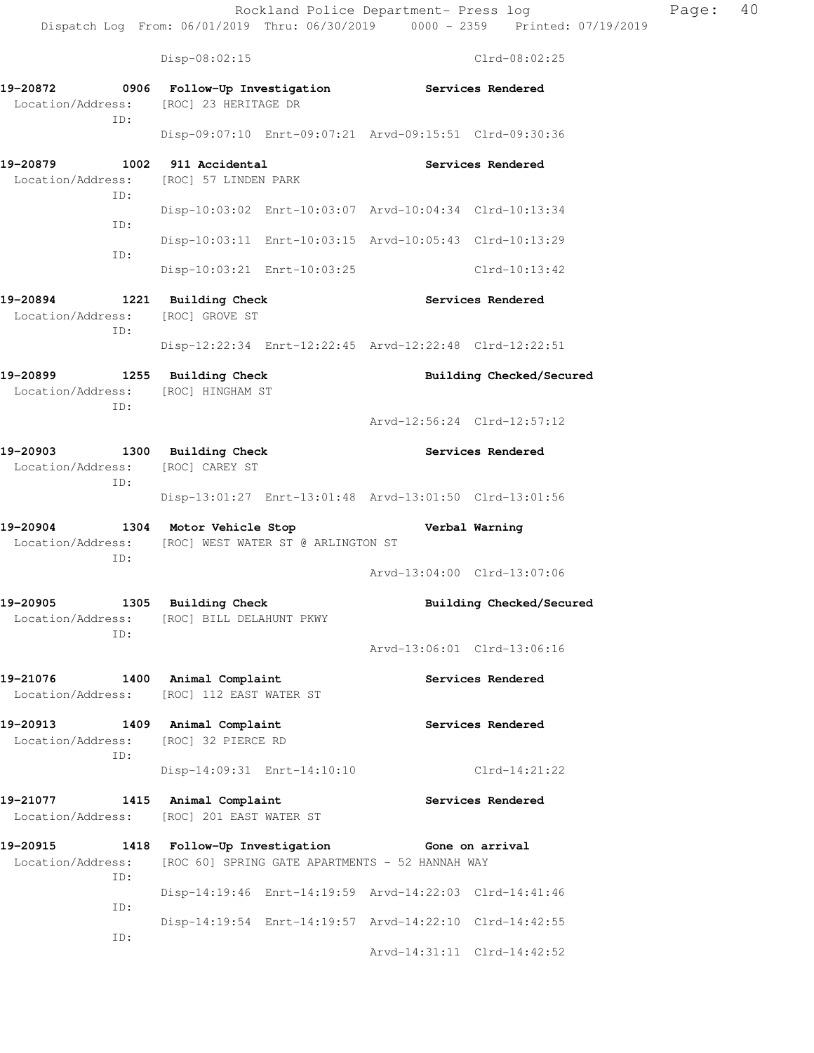| Page: | 40 |
|-------|----|
|-------|----|

Disp-08:02:15 Clrd-08:02:25 **19-20872 0906 Follow-Up Investigation Services Rendered**  Location/Address: [ROC] 23 HERITAGE DR ID: Disp-09:07:10 Enrt-09:07:21 Arvd-09:15:51 Clrd-09:30:36 **19-20879 1002 911 Accidental Services Rendered**  Location/Address: [ROC] 57 LINDEN PARK ID: Disp-10:03:02 Enrt-10:03:07 Arvd-10:04:34 Clrd-10:13:34 ID: Disp-10:03:11 Enrt-10:03:15 Arvd-10:05:43 Clrd-10:13:29 ID: Disp-10:03:21 Enrt-10:03:25 Clrd-10:13:42 **19-20894 1221 Building Check Services Rendered**  Location/Address: [ROC] GROVE ST ID: Disp-12:22:34 Enrt-12:22:45 Arvd-12:22:48 Clrd-12:22:51 19-20899 1255 Building Check **Building Checked/Secured**  Location/Address: [ROC] HINGHAM ST ID: Arvd-12:56:24 Clrd-12:57:12 **19-20903 1300 Building Check Services Rendered**  Location/Address: [ROC] CAREY ST ID: Disp-13:01:27 Enrt-13:01:48 Arvd-13:01:50 Clrd-13:01:56 **19-20904 1304 Motor Vehicle Stop Verbal Warning**  Location/Address: [ROC] WEST WATER ST @ ARLINGTON ST ID: Arvd-13:04:00 Clrd-13:07:06 **19-20905 1305 Building Check Building Checked/Secured**  Location/Address: [ROC] BILL DELAHUNT PKWY ID: Arvd-13:06:01 Clrd-13:06:16 **19-21076 1400 Animal Complaint Services Rendered**  Location/Address: [ROC] 112 EAST WATER ST **19-20913 1409 Animal Complaint Services Rendered**  Location/Address: [ROC] 32 PIERCE RD ID: Disp-14:09:31 Enrt-14:10:10 Clrd-14:21:22 **19-21077 1415 Animal Complaint Services Rendered**  Location/Address: [ROC] 201 EAST WATER ST **19-20915 1418 Follow-Up Investigation Gone on arrival**  Location/Address: [ROC 60] SPRING GATE APARTMENTS - 52 HANNAH WAY ID: Disp-14:19:46 Enrt-14:19:59 Arvd-14:22:03 Clrd-14:41:46 ID: Disp-14:19:54 Enrt-14:19:57 Arvd-14:22:10 Clrd-14:42:55 ID: Arvd-14:31:11 Clrd-14:42:52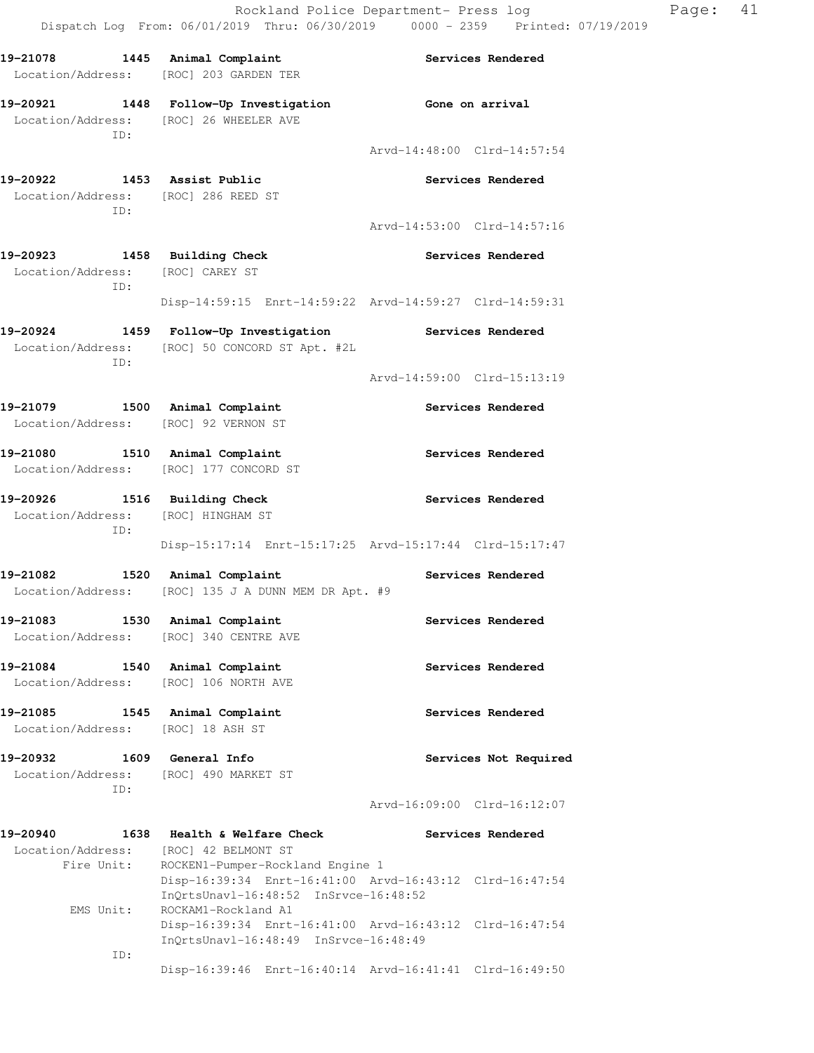| 19-21078 1445 Animal Complaint                                                       | Location/Address: [ROC] 203 GARDEN TER                                                                                     | <b>Services Rendered</b>                                                                                                                |
|--------------------------------------------------------------------------------------|----------------------------------------------------------------------------------------------------------------------------|-----------------------------------------------------------------------------------------------------------------------------------------|
|                                                                                      | 19-20921 1448 Follow-Up Investigation<br>Location/Address: [ROC] 26 WHEELER AVE                                            | Gone on arrival                                                                                                                         |
| ID:                                                                                  |                                                                                                                            | Arvd-14:48:00 Clrd-14:57:54                                                                                                             |
| 19-20922 1453 Assist Public<br>Location/Address: [ROC] 286 REED ST                   |                                                                                                                            | <b>Services Rendered</b>                                                                                                                |
| ID:                                                                                  |                                                                                                                            | Arvd-14:53:00 Clrd-14:57:16                                                                                                             |
| 19-20923 1458 Building Check<br>Location/Address: [ROC] CAREY ST                     |                                                                                                                            | <b>Services Rendered</b>                                                                                                                |
| ID:                                                                                  | Disp-14:59:15 Enrt-14:59:22 Arvd-14:59:27 Clrd-14:59:31                                                                    |                                                                                                                                         |
| ID:                                                                                  | 19-20924 1459 Follow-Up Investigation Services Rendered<br>Location/Address: [ROC] 50 CONCORD ST Apt. #2L                  |                                                                                                                                         |
|                                                                                      |                                                                                                                            | Arvd-14:59:00 Clrd-15:13:19                                                                                                             |
| 19-21079 1500 Animal Complaint<br>Location/Address: [ROC] 92 VERNON ST               |                                                                                                                            | Services Rendered                                                                                                                       |
| 19-21080 1510 Animal Complaint<br>Location/Address: [ROC] 177 CONCORD ST             |                                                                                                                            | Services Rendered                                                                                                                       |
| 19-20926 1516 Building Check<br>Location/Address: [ROC] HINGHAM ST<br>ID:            |                                                                                                                            | <b>Services Rendered</b>                                                                                                                |
|                                                                                      | Disp-15:17:14 Enrt-15:17:25 Arvd-15:17:44 Clrd-15:17:47                                                                    |                                                                                                                                         |
| 19-21082                                                                             | 1520 Animal Complaint<br>Location/Address: [ROC] 135 J A DUNN MEM DR Apt. #9                                               | <b>Services Rendered</b>                                                                                                                |
| 19-21083 1530 Animal Complaint                                                       | Location/Address: [ROC] 340 CENTRE AVE                                                                                     | <b>Services Rendered</b>                                                                                                                |
| 19-21084<br>Location/Address: [ROC] 106 NORTH AVE                                    | 1540 Animal Complaint                                                                                                      | Services Rendered                                                                                                                       |
| 19-21085<br>Location/Address: [ROC] 18 ASH ST                                        | 1545 Animal Complaint                                                                                                      | Services Rendered                                                                                                                       |
| 19-20932<br>Location/Address: [ROC] 490 MARKET ST<br>ID:                             | 1609 General Info                                                                                                          | Services Not Required                                                                                                                   |
|                                                                                      |                                                                                                                            | Arvd-16:09:00 Clrd-16:12:07                                                                                                             |
| 19-20940<br>1638<br>Location/Address: [ROC] 42 BELMONT ST<br>Fire Unit:<br>EMS Unit: | Health & Welfare Check<br>ROCKEN1-Pumper-Rockland Engine 1<br>InQrtsUnavl-16:48:52 InSrvce-16:48:52<br>ROCKAM1-Rockland A1 | Services Rendered<br>Disp-16:39:34 Enrt-16:41:00 Arvd-16:43:12 Clrd-16:47:54<br>Disp-16:39:34 Enrt-16:41:00 Arvd-16:43:12 Clrd-16:47:54 |
| ID:                                                                                  | InQrtsUnavl-16:48:49 InSrvce-16:48:49                                                                                      |                                                                                                                                         |
|                                                                                      |                                                                                                                            |                                                                                                                                         |

Disp-16:39:46 Enrt-16:40:14 Arvd-16:41:41 Clrd-16:49:50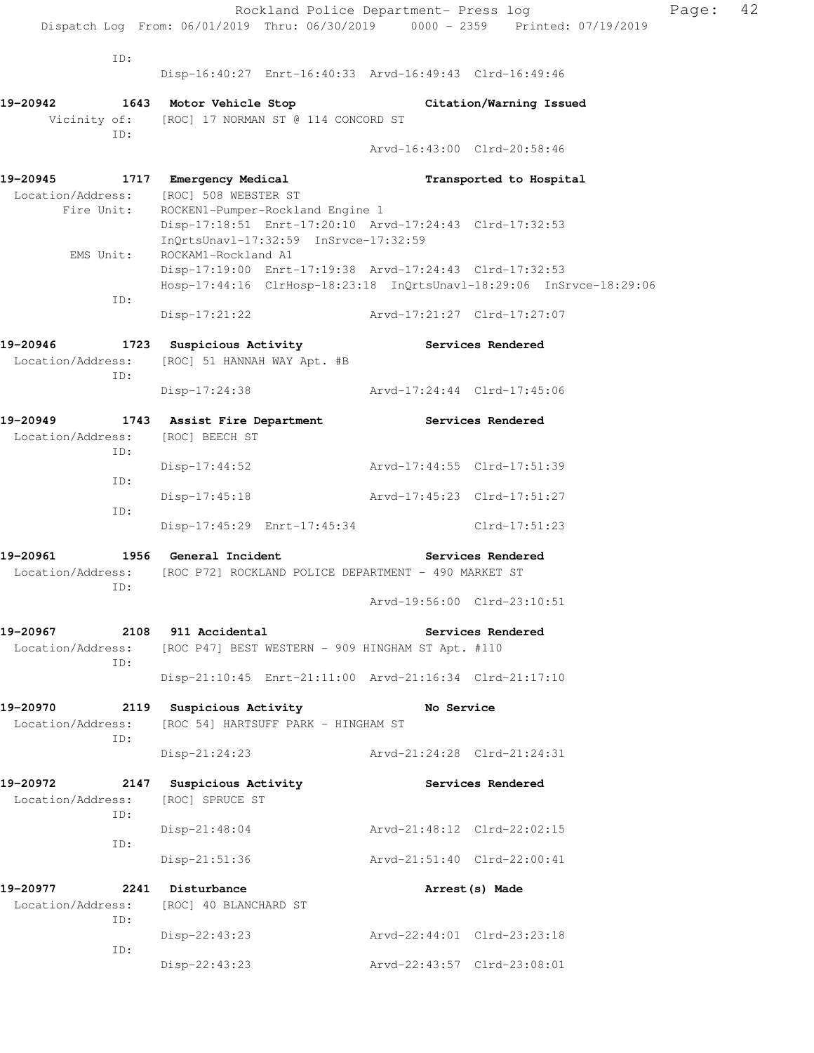|                                                     | Rockland Police Department- Press log                                                                          |                             |                             |
|-----------------------------------------------------|----------------------------------------------------------------------------------------------------------------|-----------------------------|-----------------------------|
|                                                     | Dispatch Log From: 06/01/2019 Thru: 06/30/2019 0000 - 2359 Printed: 07/19/2019                                 |                             |                             |
| ID:                                                 |                                                                                                                |                             |                             |
|                                                     | Disp-16:40:27 Enrt-16:40:33 Arvd-16:49:43 Clrd-16:49:46                                                        |                             |                             |
|                                                     | 19-20942 1643 Motor Vehicle Stop                                                                               |                             | Citation/Warning Issued     |
| ID:                                                 | Vicinity of: [ROC] 17 NORMAN ST @ 114 CONCORD ST                                                               |                             |                             |
|                                                     |                                                                                                                |                             | Arvd-16:43:00 Clrd-20:58:46 |
| 19-20945 1717 Emergency Medical                     |                                                                                                                |                             | Transported to Hospital     |
|                                                     | Location/Address: [ROC] 508 WEBSTER ST<br>Fire Unit: ROCKEN1-Pumper-Rockla<br>ROCKEN1-Pumper-Rockland Engine 1 |                             |                             |
|                                                     | Disp-17:18:51 Enrt-17:20:10 Arvd-17:24:43 Clrd-17:32:53<br>InQrtsUnavl-17:32:59 InSrvce-17:32:59               |                             |                             |
| EMS Unit:                                           | ROCKAM1-Rockland A1<br>Disp-17:19:00 Enrt-17:19:38 Arvd-17:24:43 Clrd-17:32:53                                 |                             |                             |
|                                                     | Hosp-17:44:16 ClrHosp-18:23:18 InQrtsUnavl-18:29:06 InSrvce-18:29:06                                           |                             |                             |
| ID:                                                 | Disp-17:21:22                                                                                                  | Arvd-17:21:27 Clrd-17:27:07 |                             |
|                                                     | 19-20946 1723 Suspicious Activity                                                                              |                             | <b>Services Rendered</b>    |
| ID:                                                 | Location/Address: [ROC] 51 HANNAH WAY Apt. #B                                                                  |                             |                             |
|                                                     | Disp-17:24:38                                                                                                  | Arvd-17:24:44 Clrd-17:45:06 |                             |
|                                                     | 19-20949 1743 Assist Fire Department                                                                           | <b>Services Rendered</b>    |                             |
| Location/Address:                                   | [ROC] BEECH ST                                                                                                 |                             |                             |
| ID:                                                 | Disp-17:44:52                                                                                                  | Arvd-17:44:55 Clrd-17:51:39 |                             |
| ID:                                                 | $Disp-17:45:18$                                                                                                | Arvd-17:45:23 Clrd-17:51:27 |                             |
| ID:                                                 |                                                                                                                |                             |                             |
|                                                     | Disp-17:45:29 Enrt-17:45:34 Clrd-17:51:23                                                                      |                             |                             |
| 19-20961 1956 General Incident<br>Location/Address: | [ROC P72] ROCKLAND POLICE DEPARTMENT - 490 MARKET ST                                                           |                             | <b>Services Rendered</b>    |
| ID:                                                 |                                                                                                                |                             |                             |
|                                                     |                                                                                                                | Arvd-19:56:00 Clrd-23:10:51 |                             |
| 19-20967 2108 911 Accidental                        |                                                                                                                |                             | Services Rendered           |
| ID:                                                 | Location/Address: [ROC P47] BEST WESTERN - 909 HINGHAM ST Apt. #110                                            |                             |                             |
|                                                     | Disp-21:10:45 Enrt-21:11:00 Arvd-21:16:34 Clrd-21:17:10                                                        |                             |                             |
|                                                     | 19-20970 2119 Suspicious Activity 50 No Service                                                                |                             |                             |
| Location/Address:<br>ID:                            | [ROC 54] HARTSUFF PARK - HINGHAM ST                                                                            |                             |                             |
|                                                     | $Disp-21:24:23$                                                                                                | Arvd-21:24:28 Clrd-21:24:31 |                             |
| 19-20972                                            | 2147 Suspicious Activity                                                                                       |                             | Services Rendered           |
| Location/Address: [ROC] SPRUCE ST<br>ID:            |                                                                                                                |                             |                             |
|                                                     | $Disp-21:48:04$                                                                                                | Arvd-21:48:12 Clrd-22:02:15 |                             |
| ID:                                                 | $Disp-21:51:36$                                                                                                | Arvd-21:51:40 Clrd-22:00:41 |                             |
| 19–20977                                            | 2241 Disturbance                                                                                               |                             | Arrest (s) Made             |
| Location/Address:                                   | [ROC] 40 BLANCHARD ST                                                                                          |                             |                             |
| ID:                                                 | Disp-22:43:23                                                                                                  | Arvd-22:44:01 Clrd-23:23:18 |                             |
| ID:                                                 | Disp-22:43:23                                                                                                  | Arvd-22:43:57 Clrd-23:08:01 |                             |
|                                                     |                                                                                                                |                             |                             |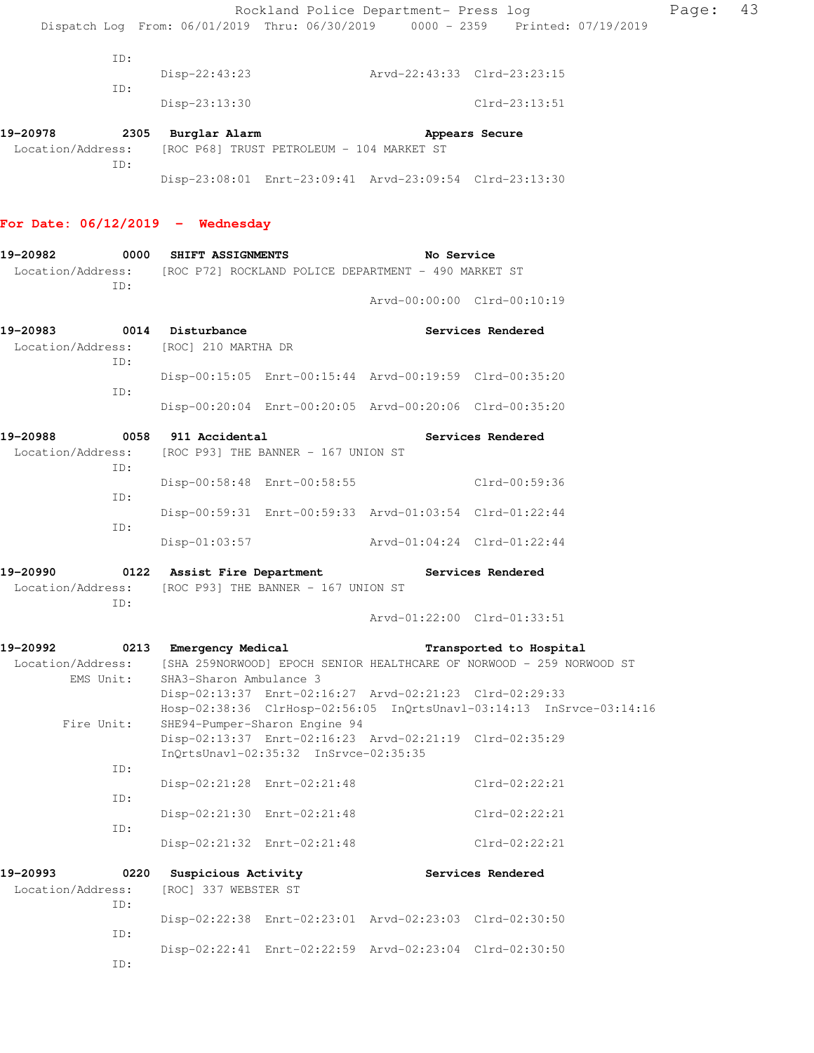|                           |                                                                                                                                                                                                                                                         |                                                                                                                                                                                                                                                                                                                                                          | Page:                                                                                                                                                                                                                                                                                                                                                                                                                                                                                                                                                                                                                                                                                                                                                                                                                                                                                                                                                                                                                                                                                                                    | 43                                                                   |
|---------------------------|---------------------------------------------------------------------------------------------------------------------------------------------------------------------------------------------------------------------------------------------------------|----------------------------------------------------------------------------------------------------------------------------------------------------------------------------------------------------------------------------------------------------------------------------------------------------------------------------------------------------------|--------------------------------------------------------------------------------------------------------------------------------------------------------------------------------------------------------------------------------------------------------------------------------------------------------------------------------------------------------------------------------------------------------------------------------------------------------------------------------------------------------------------------------------------------------------------------------------------------------------------------------------------------------------------------------------------------------------------------------------------------------------------------------------------------------------------------------------------------------------------------------------------------------------------------------------------------------------------------------------------------------------------------------------------------------------------------------------------------------------------------|----------------------------------------------------------------------|
|                           |                                                                                                                                                                                                                                                         |                                                                                                                                                                                                                                                                                                                                                          |                                                                                                                                                                                                                                                                                                                                                                                                                                                                                                                                                                                                                                                                                                                                                                                                                                                                                                                                                                                                                                                                                                                          |                                                                      |
|                           |                                                                                                                                                                                                                                                         |                                                                                                                                                                                                                                                                                                                                                          |                                                                                                                                                                                                                                                                                                                                                                                                                                                                                                                                                                                                                                                                                                                                                                                                                                                                                                                                                                                                                                                                                                                          |                                                                      |
|                           |                                                                                                                                                                                                                                                         |                                                                                                                                                                                                                                                                                                                                                          |                                                                                                                                                                                                                                                                                                                                                                                                                                                                                                                                                                                                                                                                                                                                                                                                                                                                                                                                                                                                                                                                                                                          |                                                                      |
| Disp-23:13:30             |                                                                                                                                                                                                                                                         | Clrd-23:13:51                                                                                                                                                                                                                                                                                                                                            |                                                                                                                                                                                                                                                                                                                                                                                                                                                                                                                                                                                                                                                                                                                                                                                                                                                                                                                                                                                                                                                                                                                          |                                                                      |
|                           |                                                                                                                                                                                                                                                         |                                                                                                                                                                                                                                                                                                                                                          |                                                                                                                                                                                                                                                                                                                                                                                                                                                                                                                                                                                                                                                                                                                                                                                                                                                                                                                                                                                                                                                                                                                          |                                                                      |
|                           |                                                                                                                                                                                                                                                         |                                                                                                                                                                                                                                                                                                                                                          |                                                                                                                                                                                                                                                                                                                                                                                                                                                                                                                                                                                                                                                                                                                                                                                                                                                                                                                                                                                                                                                                                                                          |                                                                      |
|                           |                                                                                                                                                                                                                                                         |                                                                                                                                                                                                                                                                                                                                                          |                                                                                                                                                                                                                                                                                                                                                                                                                                                                                                                                                                                                                                                                                                                                                                                                                                                                                                                                                                                                                                                                                                                          |                                                                      |
|                           |                                                                                                                                                                                                                                                         |                                                                                                                                                                                                                                                                                                                                                          |                                                                                                                                                                                                                                                                                                                                                                                                                                                                                                                                                                                                                                                                                                                                                                                                                                                                                                                                                                                                                                                                                                                          |                                                                      |
|                           |                                                                                                                                                                                                                                                         |                                                                                                                                                                                                                                                                                                                                                          |                                                                                                                                                                                                                                                                                                                                                                                                                                                                                                                                                                                                                                                                                                                                                                                                                                                                                                                                                                                                                                                                                                                          |                                                                      |
|                           |                                                                                                                                                                                                                                                         |                                                                                                                                                                                                                                                                                                                                                          |                                                                                                                                                                                                                                                                                                                                                                                                                                                                                                                                                                                                                                                                                                                                                                                                                                                                                                                                                                                                                                                                                                                          |                                                                      |
| 19-20983 0014 Disturbance |                                                                                                                                                                                                                                                         |                                                                                                                                                                                                                                                                                                                                                          |                                                                                                                                                                                                                                                                                                                                                                                                                                                                                                                                                                                                                                                                                                                                                                                                                                                                                                                                                                                                                                                                                                                          |                                                                      |
|                           |                                                                                                                                                                                                                                                         |                                                                                                                                                                                                                                                                                                                                                          |                                                                                                                                                                                                                                                                                                                                                                                                                                                                                                                                                                                                                                                                                                                                                                                                                                                                                                                                                                                                                                                                                                                          |                                                                      |
|                           |                                                                                                                                                                                                                                                         |                                                                                                                                                                                                                                                                                                                                                          |                                                                                                                                                                                                                                                                                                                                                                                                                                                                                                                                                                                                                                                                                                                                                                                                                                                                                                                                                                                                                                                                                                                          |                                                                      |
|                           |                                                                                                                                                                                                                                                         |                                                                                                                                                                                                                                                                                                                                                          |                                                                                                                                                                                                                                                                                                                                                                                                                                                                                                                                                                                                                                                                                                                                                                                                                                                                                                                                                                                                                                                                                                                          |                                                                      |
|                           |                                                                                                                                                                                                                                                         |                                                                                                                                                                                                                                                                                                                                                          |                                                                                                                                                                                                                                                                                                                                                                                                                                                                                                                                                                                                                                                                                                                                                                                                                                                                                                                                                                                                                                                                                                                          |                                                                      |
|                           |                                                                                                                                                                                                                                                         |                                                                                                                                                                                                                                                                                                                                                          |                                                                                                                                                                                                                                                                                                                                                                                                                                                                                                                                                                                                                                                                                                                                                                                                                                                                                                                                                                                                                                                                                                                          |                                                                      |
|                           |                                                                                                                                                                                                                                                         |                                                                                                                                                                                                                                                                                                                                                          |                                                                                                                                                                                                                                                                                                                                                                                                                                                                                                                                                                                                                                                                                                                                                                                                                                                                                                                                                                                                                                                                                                                          |                                                                      |
|                           |                                                                                                                                                                                                                                                         |                                                                                                                                                                                                                                                                                                                                                          |                                                                                                                                                                                                                                                                                                                                                                                                                                                                                                                                                                                                                                                                                                                                                                                                                                                                                                                                                                                                                                                                                                                          |                                                                      |
|                           |                                                                                                                                                                                                                                                         |                                                                                                                                                                                                                                                                                                                                                          |                                                                                                                                                                                                                                                                                                                                                                                                                                                                                                                                                                                                                                                                                                                                                                                                                                                                                                                                                                                                                                                                                                                          |                                                                      |
|                           |                                                                                                                                                                                                                                                         |                                                                                                                                                                                                                                                                                                                                                          |                                                                                                                                                                                                                                                                                                                                                                                                                                                                                                                                                                                                                                                                                                                                                                                                                                                                                                                                                                                                                                                                                                                          |                                                                      |
|                           |                                                                                                                                                                                                                                                         |                                                                                                                                                                                                                                                                                                                                                          |                                                                                                                                                                                                                                                                                                                                                                                                                                                                                                                                                                                                                                                                                                                                                                                                                                                                                                                                                                                                                                                                                                                          |                                                                      |
|                           |                                                                                                                                                                                                                                                         |                                                                                                                                                                                                                                                                                                                                                          |                                                                                                                                                                                                                                                                                                                                                                                                                                                                                                                                                                                                                                                                                                                                                                                                                                                                                                                                                                                                                                                                                                                          |                                                                      |
|                           |                                                                                                                                                                                                                                                         |                                                                                                                                                                                                                                                                                                                                                          |                                                                                                                                                                                                                                                                                                                                                                                                                                                                                                                                                                                                                                                                                                                                                                                                                                                                                                                                                                                                                                                                                                                          |                                                                      |
|                           |                                                                                                                                                                                                                                                         |                                                                                                                                                                                                                                                                                                                                                          |                                                                                                                                                                                                                                                                                                                                                                                                                                                                                                                                                                                                                                                                                                                                                                                                                                                                                                                                                                                                                                                                                                                          |                                                                      |
|                           |                                                                                                                                                                                                                                                         |                                                                                                                                                                                                                                                                                                                                                          |                                                                                                                                                                                                                                                                                                                                                                                                                                                                                                                                                                                                                                                                                                                                                                                                                                                                                                                                                                                                                                                                                                                          |                                                                      |
|                           |                                                                                                                                                                                                                                                         | $Clrd-02:22:21$                                                                                                                                                                                                                                                                                                                                          |                                                                                                                                                                                                                                                                                                                                                                                                                                                                                                                                                                                                                                                                                                                                                                                                                                                                                                                                                                                                                                                                                                                          |                                                                      |
|                           |                                                                                                                                                                                                                                                         | Clrd-02:22:21                                                                                                                                                                                                                                                                                                                                            |                                                                                                                                                                                                                                                                                                                                                                                                                                                                                                                                                                                                                                                                                                                                                                                                                                                                                                                                                                                                                                                                                                                          |                                                                      |
|                           |                                                                                                                                                                                                                                                         |                                                                                                                                                                                                                                                                                                                                                          |                                                                                                                                                                                                                                                                                                                                                                                                                                                                                                                                                                                                                                                                                                                                                                                                                                                                                                                                                                                                                                                                                                                          |                                                                      |
|                           |                                                                                                                                                                                                                                                         |                                                                                                                                                                                                                                                                                                                                                          |                                                                                                                                                                                                                                                                                                                                                                                                                                                                                                                                                                                                                                                                                                                                                                                                                                                                                                                                                                                                                                                                                                                          |                                                                      |
|                           |                                                                                                                                                                                                                                                         |                                                                                                                                                                                                                                                                                                                                                          |                                                                                                                                                                                                                                                                                                                                                                                                                                                                                                                                                                                                                                                                                                                                                                                                                                                                                                                                                                                                                                                                                                                          |                                                                      |
|                           |                                                                                                                                                                                                                                                         |                                                                                                                                                                                                                                                                                                                                                          |                                                                                                                                                                                                                                                                                                                                                                                                                                                                                                                                                                                                                                                                                                                                                                                                                                                                                                                                                                                                                                                                                                                          |                                                                      |
|                           |                                                                                                                                                                                                                                                         |                                                                                                                                                                                                                                                                                                                                                          |                                                                                                                                                                                                                                                                                                                                                                                                                                                                                                                                                                                                                                                                                                                                                                                                                                                                                                                                                                                                                                                                                                                          |                                                                      |
|                           | For Date: $06/12/2019$ - Wednesday<br>19-20982 0000 SHIFT ASSIGNMENTS<br>Location/Address: [ROC] 210 MARTHA DR<br>19-20988 0058 911 Accidental<br>0213 Emergency Medical<br>SHA3-Sharon Ambulance 3<br>0220 Suspicious Activity<br>[ROC] 337 WEBSTER ST | [ROC P68] TRUST PETROLEUM - 104 MARKET ST<br>[ROC P93] THE BANNER - 167 UNION ST<br>19-20990 0122 Assist Fire Department<br>Location/Address: [ROC P93] THE BANNER - 167 UNION ST<br>SHE94-Pumper-Sharon Engine 94<br>InQrtsUnavl-02:35:32 InSrvce-02:35:35<br>Disp-02:21:28 Enrt-02:21:48<br>Disp-02:21:30 Enrt-02:21:48<br>Disp-02:21:32 Enrt-02:21:48 | Rockland Police Department- Press log<br>Dispatch Log From: 06/01/2019 Thru: 06/30/2019   0000 - 2359   Printed: 07/19/2019<br>Disp-22:43:23 Arvd-22:43:33 Clrd-23:23:15<br>Disp-23:08:01 Enrt-23:09:41 Arvd-23:09:54 Clrd-23:13:30<br>No Service<br>Location/Address: [ROC P72] ROCKLAND POLICE DEPARTMENT - 490 MARKET ST<br>Arvd-00:00:00 Clrd-00:10:19<br>Services Rendered<br>Disp-00:15:05 Enrt-00:15:44 Arvd-00:19:59 Clrd-00:35:20<br>Disp-00:20:04 Enrt-00:20:05 Arvd-00:20:06 Clrd-00:35:20<br>Services Rendered<br>Disp-00:58:48 Enrt-00:58:55 Clrd-00:59:36<br>Disp-00:59:31 Enrt-00:59:33 Arvd-01:03:54 Clrd-01:22:44<br>Disp-01:03:57 Arvd-01:04:24 Clrd-01:22:44<br>Services Rendered<br>Arvd-01:22:00 Clrd-01:33:51<br>Transported to Hospital<br>[SHA 259NORWOOD] EPOCH SENIOR HEALTHCARE OF NORWOOD - 259 NORWOOD ST<br>Disp-02:13:37 Enrt-02:16:27 Arvd-02:21:23 Clrd-02:29:33<br>Disp-02:13:37 Enrt-02:16:23 Arvd-02:21:19 Clrd-02:35:29<br>Clrd-02:22:21<br>Services Rendered<br>Disp-02:22:38 Enrt-02:23:01 Arvd-02:23:03 Clrd-02:30:50<br>Disp-02:22:41 Enrt-02:22:59 Arvd-02:23:04 Clrd-02:30:50 | Hosp-02:38:36 ClrHosp-02:56:05 InQrtsUnavl-03:14:13 InSrvce-03:14:16 |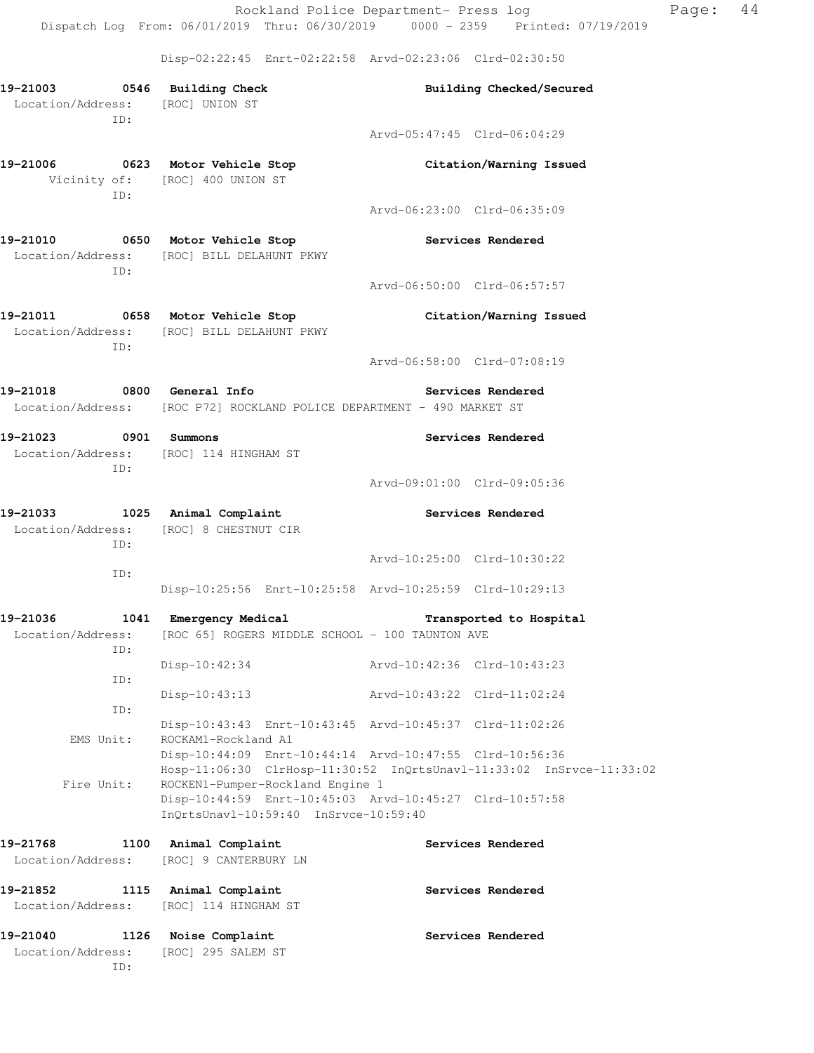Disp-02:22:45 Enrt-02:22:58 Arvd-02:23:06 Clrd-02:30:50

| 19-21003 0546 Building Check<br>Location/Address: [ROC] UNION ST |                                                                                             | Building Checked/Secured                                             |
|------------------------------------------------------------------|---------------------------------------------------------------------------------------------|----------------------------------------------------------------------|
| ID:                                                              |                                                                                             |                                                                      |
|                                                                  |                                                                                             | Arvd-05:47:45 Clrd-06:04:29                                          |
| 19-21006 0623 Motor Vehicle Stop                                 |                                                                                             | Citation/Warning Issued                                              |
|                                                                  | Vicinity of: [ROC] 400 UNION ST                                                             |                                                                      |
| ID:                                                              |                                                                                             |                                                                      |
|                                                                  |                                                                                             | Arvd-06:23:00 Clrd-06:35:09                                          |
| 19-21010 0650 Motor Vehicle Stop                                 |                                                                                             | <b>Services Rendered</b>                                             |
|                                                                  | Location/Address: [ROC] BILL DELAHUNT PKWY                                                  |                                                                      |
| ID:                                                              |                                                                                             |                                                                      |
|                                                                  |                                                                                             | Arvd-06:50:00 Clrd-06:57:57                                          |
|                                                                  | 19-21011 0658 Motor Vehicle Stop                                                            | Citation/Warning Issued                                              |
|                                                                  | Location/Address: [ROC] BILL DELAHUNT PKWY                                                  |                                                                      |
| ID:                                                              |                                                                                             |                                                                      |
|                                                                  |                                                                                             | Arvd-06:58:00 Clrd-07:08:19                                          |
|                                                                  | 19-21018 0800 General Info                                                                  | <b>Services Rendered</b>                                             |
|                                                                  | Location/Address: [ROC P72] ROCKLAND POLICE DEPARTMENT - 490 MARKET ST                      |                                                                      |
| 19-21023 0901 Summons                                            |                                                                                             | Services Rendered                                                    |
|                                                                  | Location/Address: [ROC] 114 HINGHAM ST                                                      |                                                                      |
| ID:                                                              |                                                                                             |                                                                      |
|                                                                  |                                                                                             | Arvd-09:01:00 Clrd-09:05:36                                          |
| 19-21033 1025 Animal Complaint                                   |                                                                                             | <b>Services Rendered</b>                                             |
|                                                                  | Location/Address: [ROC] 8 CHESTNUT CIR                                                      |                                                                      |
| ID:                                                              |                                                                                             |                                                                      |
| ID:                                                              |                                                                                             | Arvd-10:25:00 Clrd-10:30:22                                          |
|                                                                  | Disp-10:25:56 Enrt-10:25:58 Arvd-10:25:59 Clrd-10:29:13                                     |                                                                      |
| 19-21036                                                         | 1041 Emergency Medical                                                                      | Transported to Hospital                                              |
| Location/Address:                                                | [ROC 65] ROGERS MIDDLE SCHOOL - 100 TAUNTON AVE                                             |                                                                      |
| ID:                                                              |                                                                                             |                                                                      |
|                                                                  | $Disp-10:42:34$                                                                             | Arvd-10:42:36 Clrd-10:43:23                                          |
| ID:                                                              |                                                                                             | Arvd-10:43:22 Clrd-11:02:24                                          |
| ID:                                                              | $Disp-10:43:13$                                                                             |                                                                      |
|                                                                  | Disp-10:43:43 Enrt-10:43:45 Arvd-10:45:37 Clrd-11:02:26                                     |                                                                      |
| EMS Unit:                                                        | ROCKAM1-Rockland A1                                                                         |                                                                      |
|                                                                  | Disp-10:44:09 Enrt-10:44:14 Arvd-10:47:55 Clrd-10:56:36                                     |                                                                      |
|                                                                  |                                                                                             | Hosp-11:06:30 ClrHosp-11:30:52 InQrtsUnavl-11:33:02 InSrvce-11:33:02 |
| Fire Unit:                                                       | ROCKEN1-Pumper-Rockland Engine 1<br>Disp-10:44:59 Enrt-10:45:03 Arvd-10:45:27 Clrd-10:57:58 |                                                                      |
|                                                                  | InQrtsUnavl-10:59:40 InSrvce-10:59:40                                                       |                                                                      |
|                                                                  |                                                                                             |                                                                      |
| 19-21768<br>1100<br>Location/Address:                            | Animal Complaint<br>[ROC] 9 CANTERBURY LN                                                   | Services Rendered                                                    |
|                                                                  |                                                                                             |                                                                      |
| 19-21852                                                         | 1115 Animal Complaint                                                                       | Services Rendered                                                    |
| Location/Address:                                                | [ROC] 114 HINGHAM ST                                                                        |                                                                      |
| 19-21040<br>1126                                                 | Noise Complaint                                                                             | Services Rendered                                                    |
| Location/Address:                                                | [ROC] 295 SALEM ST                                                                          |                                                                      |
| ID:                                                              |                                                                                             |                                                                      |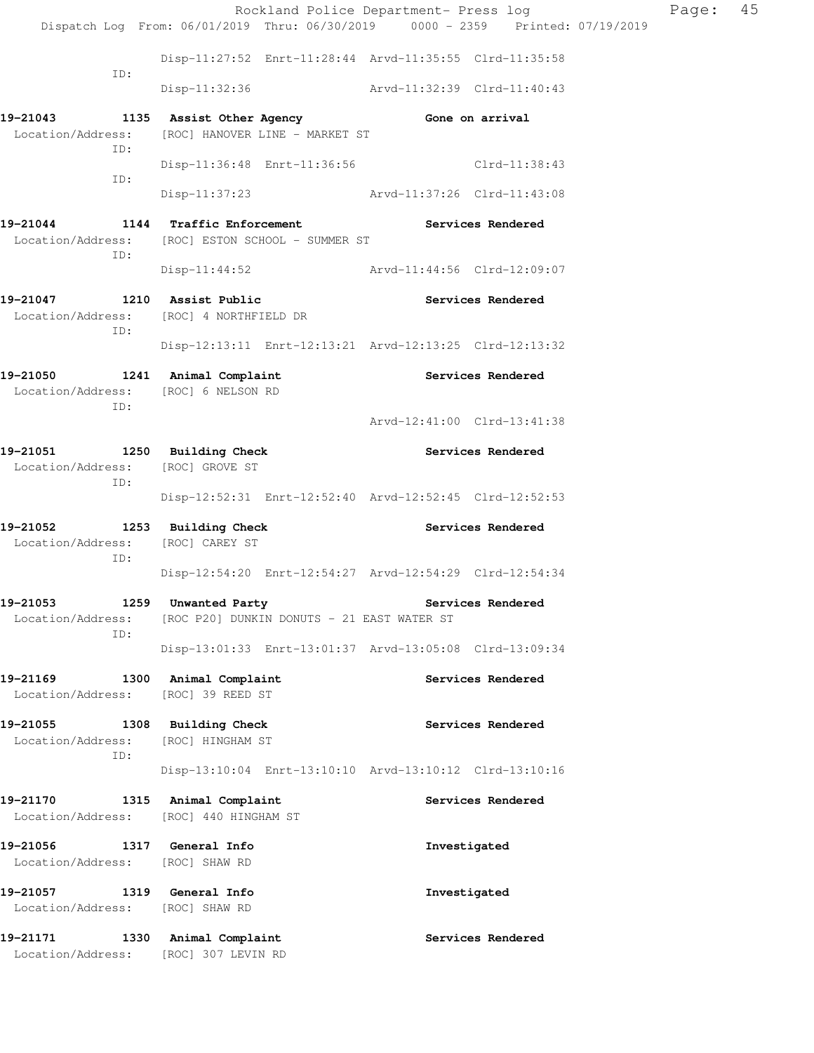|                                                                              |                                                                                       | Rockland Police Department- Press log                                          | Page: | 45 |
|------------------------------------------------------------------------------|---------------------------------------------------------------------------------------|--------------------------------------------------------------------------------|-------|----|
|                                                                              |                                                                                       | Dispatch Log From: 06/01/2019 Thru: 06/30/2019 0000 - 2359 Printed: 07/19/2019 |       |    |
| ID:                                                                          |                                                                                       | Disp-11:27:52 Enrt-11:28:44 Arvd-11:35:55 Clrd-11:35:58                        |       |    |
|                                                                              |                                                                                       | Disp-11:32:36 Arvd-11:32:39 Clrd-11:40:43                                      |       |    |
| Location/Address:<br>ID:                                                     | 19-21043 1135 Assist Other Agency 6one on arrival<br>[ROC] HANOVER LINE - MARKET ST   |                                                                                |       |    |
| ID:                                                                          |                                                                                       | Disp-11:36:48 Enrt-11:36:56 Clrd-11:38:43                                      |       |    |
|                                                                              |                                                                                       | Disp-11:37:23 Arvd-11:37:26 Clrd-11:43:08                                      |       |    |
| ID:                                                                          | 19-21044 1144 Traffic Enforcement<br>Location/Address: [ROC] ESTON SCHOOL - SUMMER ST | Services Rendered                                                              |       |    |
|                                                                              |                                                                                       | Disp-11:44:52 Arvd-11:44:56 Clrd-12:09:07                                      |       |    |
| 19-21047 1210 Assist Public<br>ID:                                           | Location/Address: [ROC] 4 NORTHFIELD DR                                               | Services Rendered                                                              |       |    |
|                                                                              |                                                                                       | Disp-12:13:11 Enrt-12:13:21 Arvd-12:13:25 Clrd-12:13:32                        |       |    |
| 19-21050 1241 Animal Complaint<br>Location/Address: [ROC] 6 NELSON RD<br>ID: |                                                                                       | Services Rendered                                                              |       |    |
|                                                                              |                                                                                       | Arvd-12:41:00 Clrd-13:41:38                                                    |       |    |
| 19-21051 1250 Building Check<br>Location/Address: [ROC] GROVE ST<br>ID:      |                                                                                       | Services Rendered                                                              |       |    |
|                                                                              |                                                                                       | Disp-12:52:31 Enrt-12:52:40 Arvd-12:52:45 Clrd-12:52:53                        |       |    |
| 19-21052 1253 Building Check<br>Location/Address: [ROC] CAREY ST<br>ID:      |                                                                                       | Services Rendered                                                              |       |    |
|                                                                              |                                                                                       | Disp-12:54:20 Enrt-12:54:27 Arvd-12:54:29 Clrd-12:54:34                        |       |    |
| 19–21053<br>Location/Address:<br>ID:                                         | 1259 Unwanted Party<br>[ROC P20] DUNKIN DONUTS - 21 EAST WATER ST                     | Services Rendered                                                              |       |    |
|                                                                              |                                                                                       | Disp-13:01:33 Enrt-13:01:37 Arvd-13:05:08 Clrd-13:09:34                        |       |    |
| 19-21169<br>Location/Address: [ROC] 39 REED ST                               | 1300 Animal Complaint                                                                 | Services Rendered                                                              |       |    |
| 19-21055 1308 Building Check<br>Location/Address:<br>ID:                     | [ROC] HINGHAM ST                                                                      | Services Rendered                                                              |       |    |
|                                                                              |                                                                                       | Disp-13:10:04 Enrt-13:10:10 Arvd-13:10:12 Clrd-13:10:16                        |       |    |
| 19-21170                                                                     | 1315 Animal Complaint<br>Location/Address: [ROC] 440 HINGHAM ST                       | Services Rendered                                                              |       |    |
| 19-21056<br>Location/Address: [ROC] SHAW RD                                  | 1317 General Info                                                                     | Investigated                                                                   |       |    |
| 19-21057<br>Location/Address: [ROC] SHAW RD                                  | 1319 General Info                                                                     | Investigated                                                                   |       |    |
| 19-21171<br>Location/Address:                                                | 1330 Animal Complaint<br>[ROC] 307 LEVIN RD                                           | Services Rendered                                                              |       |    |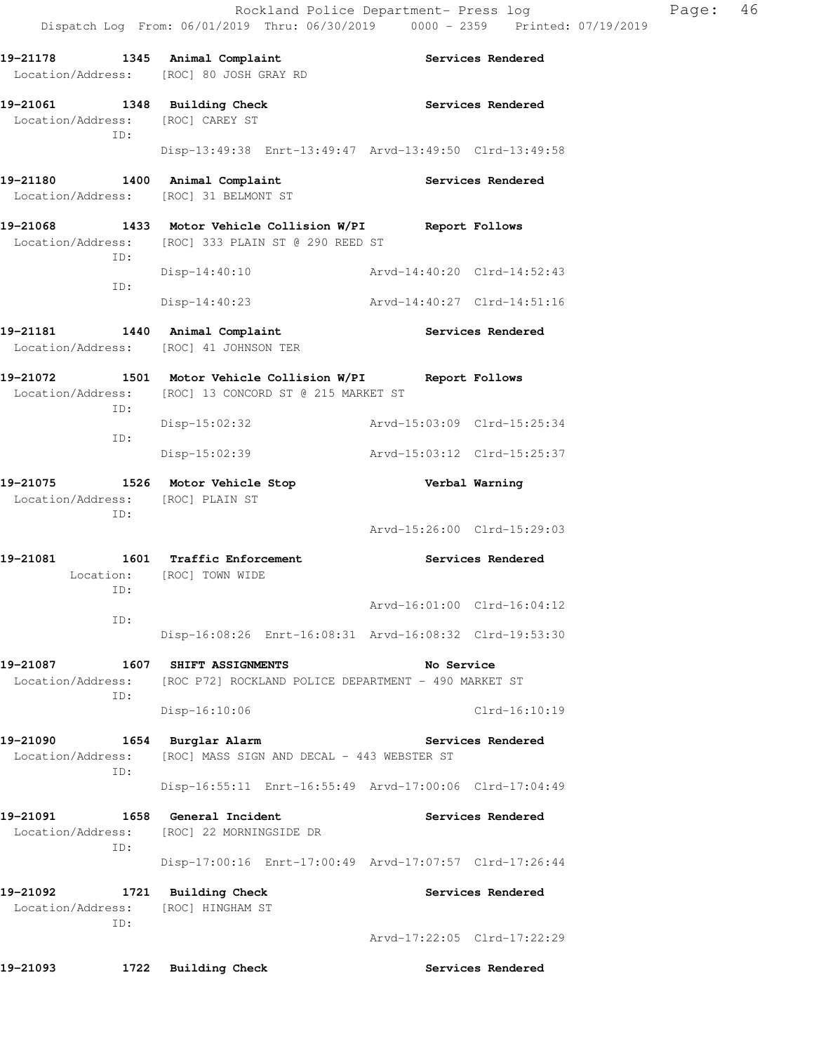|                               |     | 19-21178 1345 Animal Complaint<br>Location/Address: [ROC] 80 JOSH GRAY RD                                          | Services Rendered |                             |  |
|-------------------------------|-----|--------------------------------------------------------------------------------------------------------------------|-------------------|-----------------------------|--|
|                               | ID: | 19-21061 1348 Building Check<br>Location/Address: [ROC] CAREY ST                                                   |                   | Services Rendered           |  |
|                               |     | Disp-13:49:38 Enrt-13:49:47 Arvd-13:49:50 Clrd-13:49:58                                                            |                   |                             |  |
|                               |     | 19-21180 1400 Animal Complaint<br>Location/Address: [ROC] 31 BELMONT ST                                            |                   | Services Rendered           |  |
|                               | ID: | 19-21068 1433 Motor Vehicle Collision W/PI Report Follows<br>Location/Address: [ROC] 333 PLAIN ST @ 290 REED ST    |                   |                             |  |
|                               | ID: | $Disp-14:40:10$                                                                                                    |                   | Arvd-14:40:20 Clrd-14:52:43 |  |
|                               |     | $Disp-14:40:23$                                                                                                    |                   | Arvd-14:40:27 Clrd-14:51:16 |  |
|                               |     | 19-21181 1440 Animal Complaint<br>Location/Address: [ROC] 41 JOHNSON TER                                           |                   | Services Rendered           |  |
|                               | ID: | 19-21072 1501 Motor Vehicle Collision W/PI Report Follows<br>Location/Address: [ROC] 13 CONCORD ST @ 215 MARKET ST |                   |                             |  |
|                               | ID: | Disp-15:02:32                                                                                                      |                   | Arvd-15:03:09 Clrd-15:25:34 |  |
|                               |     | $Disp-15:02:39$                                                                                                    |                   | Arvd-15:03:12 Clrd-15:25:37 |  |
| 19-21075                      | ID: | 1526 Motor Vehicle Stop<br>Location/Address: [ROC] PLAIN ST                                                        |                   | Verbal Warning              |  |
|                               |     |                                                                                                                    |                   | Arvd-15:26:00 Clrd-15:29:03 |  |
| 19-21081                      |     | 1601 Traffic Enforcement<br>Location: [ROC] TOWN WIDE                                                              |                   | Services Rendered           |  |
|                               | ID: |                                                                                                                    |                   | Arvd-16:01:00 Clrd-16:04:12 |  |
|                               | ID: | Disp-16:08:26 Enrt-16:08:31 Arvd-16:08:32 Clrd-19:53:30                                                            |                   |                             |  |
| 19-21087                      |     | 1607 SHIFT ASSIGNMENTS<br>Location/Address: [ROC P72] ROCKLAND POLICE DEPARTMENT - 490 MARKET ST                   | No Service        |                             |  |
|                               | ID: | $Disp-16:10:06$                                                                                                    |                   | $Clrd-16:10:19$             |  |
| 19-21090                      | ID: | 1654 Burglar Alarm<br>Location/Address: [ROC] MASS SIGN AND DECAL - 443 WEBSTER ST                                 |                   | Services Rendered           |  |
|                               |     | Disp-16:55:11 Enrt-16:55:49 Arvd-17:00:06 Clrd-17:04:49                                                            |                   |                             |  |
| 19-21091                      | ID: | 1658 General Incident<br>Location/Address: [ROC] 22 MORNINGSIDE DR                                                 |                   | Services Rendered           |  |
|                               |     | Disp-17:00:16 Enrt-17:00:49 Arvd-17:07:57 Clrd-17:26:44                                                            |                   |                             |  |
| 19-21092<br>Location/Address: | ID: | 1721 Building Check<br>[ROC] HINGHAM ST                                                                            |                   | Services Rendered           |  |
|                               |     |                                                                                                                    |                   | Arvd-17:22:05 Clrd-17:22:29 |  |
| 19-21093                      |     | 1722 Building Check                                                                                                |                   | Services Rendered           |  |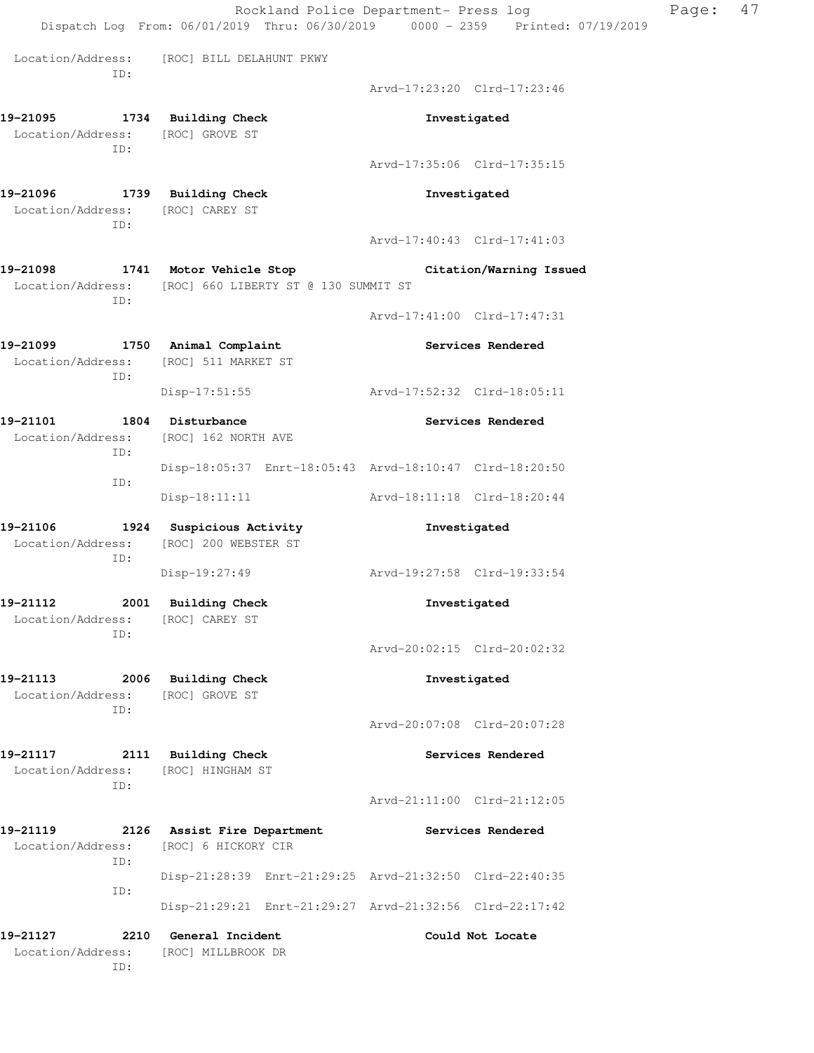Rockland Police Department- Press log Page: 47 Dispatch Log From: 06/01/2019 Thru: 06/30/2019 0000 - 2359 Printed: 07/19/2019 Location/Address: [ROC] BILL DELAHUNT PKWY ID: Arvd-17:23:20 Clrd-17:23:46 **19-21095 1734 Building Check Investigated**  Location/Address: [ROC] GROVE ST ID: Arvd-17:35:06 Clrd-17:35:15 **19-21096 1739 Building Check Investigated**  Location/Address: [ROC] CAREY ST ID: Arvd-17:40:43 Clrd-17:41:03 **19-21098 1741 Motor Vehicle Stop Citation/Warning Issued**  Location/Address: [ROC] 660 LIBERTY ST @ 130 SUMMIT ST ID: Arvd-17:41:00 Clrd-17:47:31 **19-21099 1750 Animal Complaint Services Rendered**  Location/Address: [ROC] 511 MARKET ST ID: Disp-17:51:55 Arvd-17:52:32 Clrd-18:05:11 **19-21101 1804 Disturbance Services Rendered**  Location/Address: [ROC] 162 NORTH AVE ID: Disp-18:05:37 Enrt-18:05:43 Arvd-18:10:47 Clrd-18:20:50 ID: Disp-18:11:11 Arvd-18:11:18 Clrd-18:20:44 **19-21106 1924 Suspicious Activity Investigated**  Location/Address: [ROC] 200 WEBSTER ST ID: Disp-19:27:49 Arvd-19:27:58 Clrd-19:33:54 **19-21112 2001 Building Check Investigated**  Location/Address: [ROC] CAREY ST ID: Arvd-20:02:15 Clrd-20:02:32 **19-21113 2006 Building Check Investigated**  Location/Address: [ROC] GROVE ST ID: Arvd-20:07:08 Clrd-20:07:28 **19-21117 2111 Building Check Services Rendered**  Location/Address: [ROC] HINGHAM ST ID: Arvd-21:11:00 Clrd-21:12:05 **19-21119 2126 Assist Fire Department Services Rendered**  Location/Address: [ROC] 6 HICKORY CIR ID: Disp-21:28:39 Enrt-21:29:25 Arvd-21:32:50 Clrd-22:40:35 ID: Disp-21:29:21 Enrt-21:29:27 Arvd-21:32:56 Clrd-22:17:42 **19-21127 2210 General Incident Could Not Locate**  Location/Address: [ROC] MILLBROOK DR ID: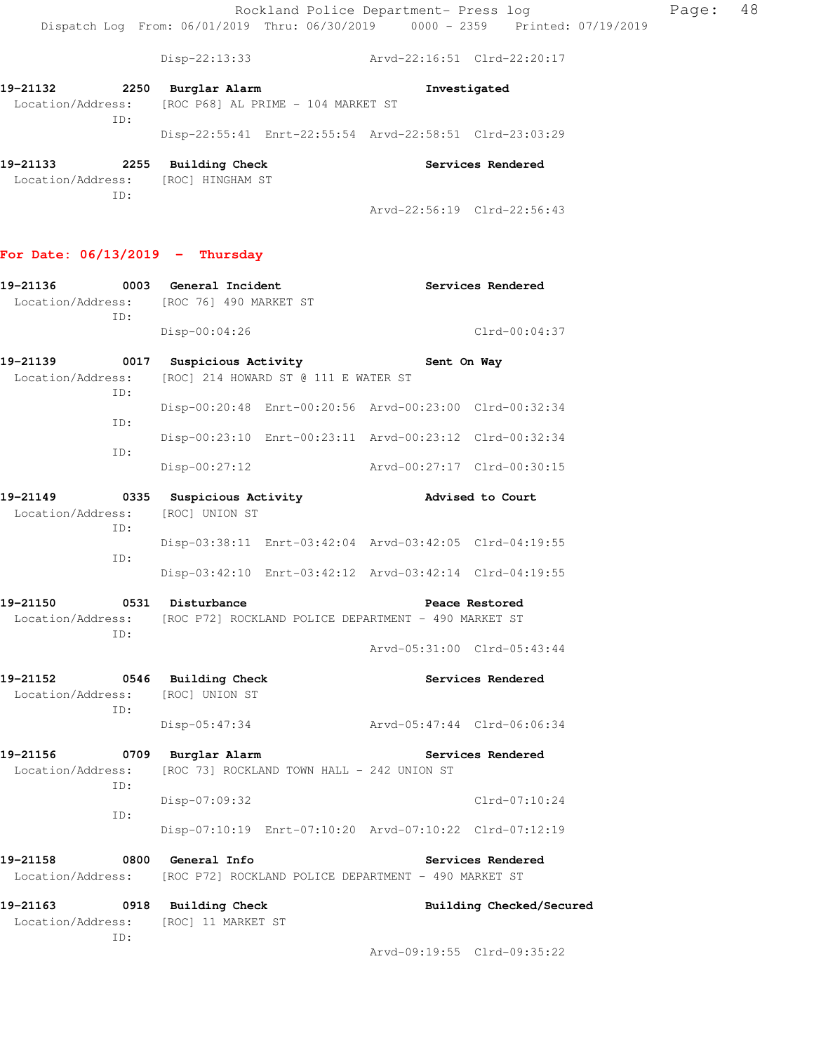Rockland Police Department- Press log Fage: 48 Dispatch Log From: 06/01/2019 Thru: 06/30/2019 0000 - 2359 Printed: 07/19/2019

Disp-22:13:33 Arvd-22:16:51 Clrd-22:20:17

| 19–21132          | 2250 | Burglar Alarm |                                    | Investigated                                            |  |
|-------------------|------|---------------|------------------------------------|---------------------------------------------------------|--|
| Location/Address: |      |               | [ROC P68] AL PRIME - 104 MARKET ST |                                                         |  |
|                   | TD:  |               |                                    |                                                         |  |
|                   |      |               |                                    | Disp-22:55:41 Enrt-22:55:54 Arvd-22:58:51 Clrd-23:03:29 |  |
|                   |      |               |                                    |                                                         |  |

**19-21133 2255 Building Check Services Rendered**  Location/Address: [ROC] HINGHAM ST ID: Arvd-22:56:19 Clrd-22:56:43

#### **For Date: 06/13/2019 - Thursday**

| 19-21136<br>Location/Address: [ROC 76] 490 MARKET ST                                      |  | 0003 General Incident                      |                                                         |                             | Services Rendered           |
|-------------------------------------------------------------------------------------------|--|--------------------------------------------|---------------------------------------------------------|-----------------------------|-----------------------------|
| ID:                                                                                       |  | $Disp-00:04:26$                            |                                                         |                             | $Clrd-00:04:37$             |
| 19-21139<br>Location/Address: [ROC] 214 HOWARD ST @ 111 E WATER ST<br>ID:                 |  | 0017 Suspicious Activity                   |                                                         | Sent On Way                 |                             |
| ID:                                                                                       |  |                                            | Disp-00:20:48 Enrt-00:20:56 Arvd-00:23:00 Clrd-00:32:34 |                             |                             |
| ID:                                                                                       |  |                                            | Disp-00:23:10 Enrt-00:23:11 Arvd-00:23:12 Clrd-00:32:34 |                             |                             |
|                                                                                           |  | $Disp-00:27:12$                            |                                                         | Arvd-00:27:17 Clrd-00:30:15 |                             |
| 19-21149<br>Location/Address:<br>ID:                                                      |  | 0335 Suspicious Activity<br>[ROC] UNION ST |                                                         |                             | Advised to Court            |
| ID:                                                                                       |  |                                            | Disp-03:38:11 Enrt-03:42:04 Arvd-03:42:05 Clrd-04:19:55 |                             |                             |
|                                                                                           |  |                                            | Disp-03:42:10 Enrt-03:42:12 Arvd-03:42:14 Clrd-04:19:55 |                             |                             |
| 19-21150<br>Location/Address: [ROC P72] ROCKLAND POLICE DEPARTMENT - 490 MARKET ST<br>ID: |  | 0531 Disturbance                           |                                                         |                             | Peace Restored              |
|                                                                                           |  |                                            |                                                         | Arvd-05:31:00 Clrd-05:43:44 |                             |
| 19-21152 0546 Building Check<br>Location/Address: [ROC] UNION ST<br>ID:                   |  |                                            |                                                         |                             | Services Rendered           |
|                                                                                           |  | $Disp-05:47:34$                            |                                                         | Arvd-05:47:44 Clrd-06:06:34 |                             |
| 19-21156<br>Location/Address:<br>ID:                                                      |  | 0709 Burglar Alarm                         | [ROC 73] ROCKLAND TOWN HALL - 242 UNION ST              |                             | Services Rendered           |
| ID:                                                                                       |  | Disp-07:09:32                              |                                                         |                             | $Clrd-07:10:24$             |
|                                                                                           |  |                                            | Disp-07:10:19 Enrt-07:10:20 Arvd-07:10:22 Clrd-07:12:19 |                             |                             |
| 19-21158<br>Location/Address:                                                             |  | 0800 General Info                          | [ROC P72] ROCKLAND POLICE DEPARTMENT - 490 MARKET ST    |                             | Services Rendered           |
| 19-21163<br>Location/Address:<br>TD:                                                      |  | 0918 Building Check<br>[ROC] 11 MARKET ST  |                                                         |                             | Building Checked/Secured    |
|                                                                                           |  |                                            |                                                         |                             | Arvd-09:19:55 Clrd-09:35:22 |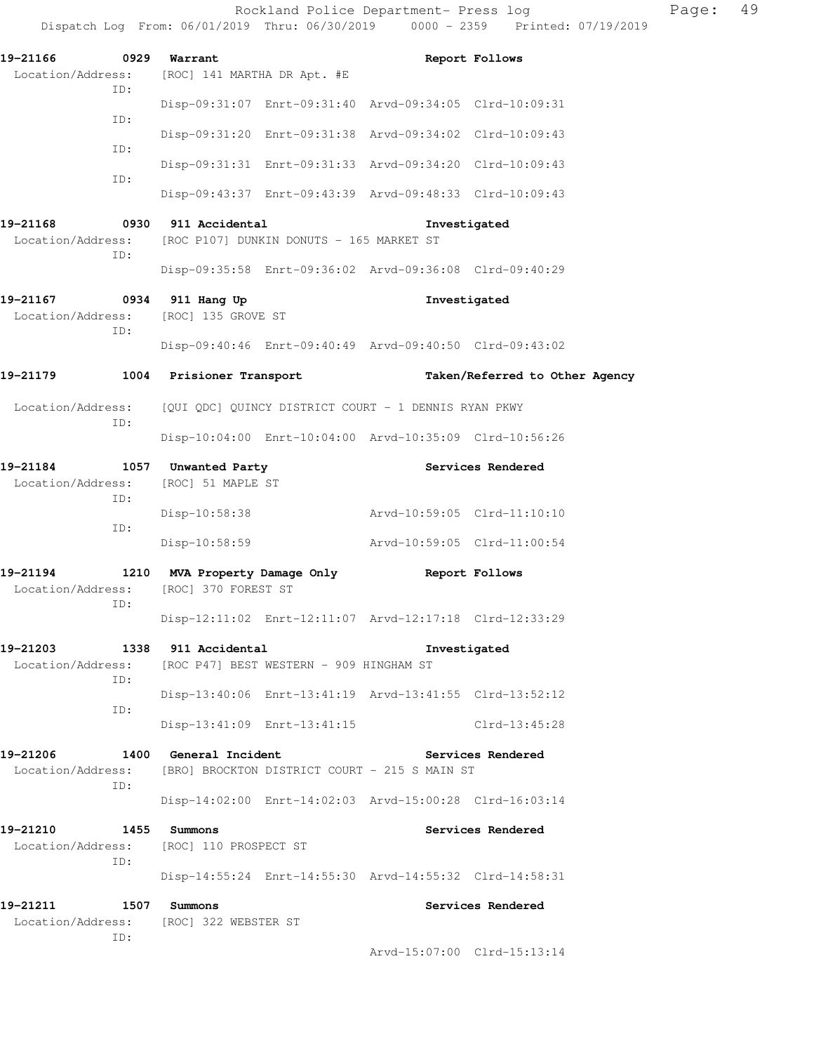|                                                            |                               |                                         | Rockland Police Department- Press log                   | Dispatch Log From: 06/01/2019 Thru: 06/30/2019 0000 - 2359 Printed: 07/19/2019 | Page: | 49 |
|------------------------------------------------------------|-------------------------------|-----------------------------------------|---------------------------------------------------------|--------------------------------------------------------------------------------|-------|----|
| 19-21166                                                   | 0929 Warrant                  |                                         |                                                         | Report Follows                                                                 |       |    |
| Location/Address:<br>ID:                                   | [ROC] 141 MARTHA DR Apt. #E   |                                         |                                                         |                                                                                |       |    |
|                                                            |                               |                                         | Disp-09:31:07 Enrt-09:31:40 Arvd-09:34:05 Clrd-10:09:31 |                                                                                |       |    |
| ID:<br>ID:                                                 |                               |                                         | Disp-09:31:20 Enrt-09:31:38 Arvd-09:34:02 Clrd-10:09:43 |                                                                                |       |    |
|                                                            |                               |                                         | Disp-09:31:31 Enrt-09:31:33 Arvd-09:34:20 Clrd-10:09:43 |                                                                                |       |    |
| ID:                                                        |                               |                                         | Disp-09:43:37 Enrt-09:43:39 Arvd-09:48:33 Clrd-10:09:43 |                                                                                |       |    |
| 19-21168                                                   | 0930 911 Accidental           |                                         | Investigated                                            |                                                                                |       |    |
| Location/Address: [ROC P107] DUNKIN DONUTS - 165 MARKET ST |                               |                                         |                                                         |                                                                                |       |    |
| ID:                                                        |                               |                                         | Disp-09:35:58 Enrt-09:36:02 Arvd-09:36:08 Clrd-09:40:29 |                                                                                |       |    |
| 19–21167                                                   | 0934 911 Hang Up              |                                         | Investigated                                            |                                                                                |       |    |
| Location/Address:                                          | [ROC] 135 GROVE ST            |                                         |                                                         |                                                                                |       |    |
| ID:                                                        |                               |                                         | Disp-09:40:46 Enrt-09:40:49 Arvd-09:40:50 Clrd-09:43:02 |                                                                                |       |    |
| 19-21179                                                   | 1004 Prisioner Transport      |                                         |                                                         | Taken/Referred to Other Agency                                                 |       |    |
| Location/Address:<br>ID:                                   |                               |                                         | [QUI QDC] QUINCY DISTRICT COURT - 1 DENNIS RYAN PKWY    |                                                                                |       |    |
|                                                            |                               |                                         | Disp-10:04:00 Enrt-10:04:00 Arvd-10:35:09 Clrd-10:56:26 |                                                                                |       |    |
| 19-21184                                                   | 1057 Unwanted Party           |                                         |                                                         | Services Rendered                                                              |       |    |
| Location/Address:                                          | [ROC] 51 MAPLE ST             |                                         |                                                         |                                                                                |       |    |
| ID:                                                        | Disp-10:58:38                 |                                         | Arvd-10:59:05 Clrd-11:10:10                             |                                                                                |       |    |
| ID:                                                        |                               | $Disp-10:58:59$                         | Arvd-10:59:05 Clrd-11:00:54                             |                                                                                |       |    |
| 19-21194                                                   | 1210 MVA Property Damage Only |                                         |                                                         | Report Follows                                                                 |       |    |
| Location/Address:                                          | [ROC] 370 FOREST ST           |                                         |                                                         |                                                                                |       |    |
| ID:                                                        |                               |                                         | Disp-12:11:02 Enrt-12:11:07 Arvd-12:17:18 Clrd-12:33:29 |                                                                                |       |    |
| 19-21203                                                   | 1338 911 Accidental           |                                         | Investigated                                            |                                                                                |       |    |
| Location/Address:                                          |                               | [ROC P47] BEST WESTERN - 909 HINGHAM ST |                                                         |                                                                                |       |    |
| ID:<br>ID:                                                 |                               |                                         | Disp-13:40:06 Enrt-13:41:19 Arvd-13:41:55 Clrd-13:52:12 |                                                                                |       |    |
|                                                            |                               | Disp-13:41:09 Enrt-13:41:15             |                                                         | $Clrd-13:45:28$                                                                |       |    |
| 19–21206                                                   | 1400 General Incident         |                                         |                                                         | Services Rendered                                                              |       |    |
| Location/Address:<br>ID:                                   |                               |                                         | [BRO] BROCKTON DISTRICT COURT - 215 S MAIN ST           |                                                                                |       |    |
|                                                            |                               |                                         | Disp-14:02:00 Enrt-14:02:03 Arvd-15:00:28 Clrd-16:03:14 |                                                                                |       |    |
| 19-21210                                                   | 1455 Summons                  |                                         |                                                         | Services Rendered                                                              |       |    |
| Location/Address:<br>ID:                                   | [ROC] 110 PROSPECT ST         |                                         |                                                         |                                                                                |       |    |
|                                                            |                               |                                         | Disp-14:55:24 Enrt-14:55:30 Arvd-14:55:32 Clrd-14:58:31 |                                                                                |       |    |
| 19–21211<br>1507                                           | Summons                       |                                         |                                                         | Services Rendered                                                              |       |    |
| Location/Address:<br>ID:                                   | [ROC] 322 WEBSTER ST          |                                         |                                                         |                                                                                |       |    |

Arvd-15:07:00 Clrd-15:13:14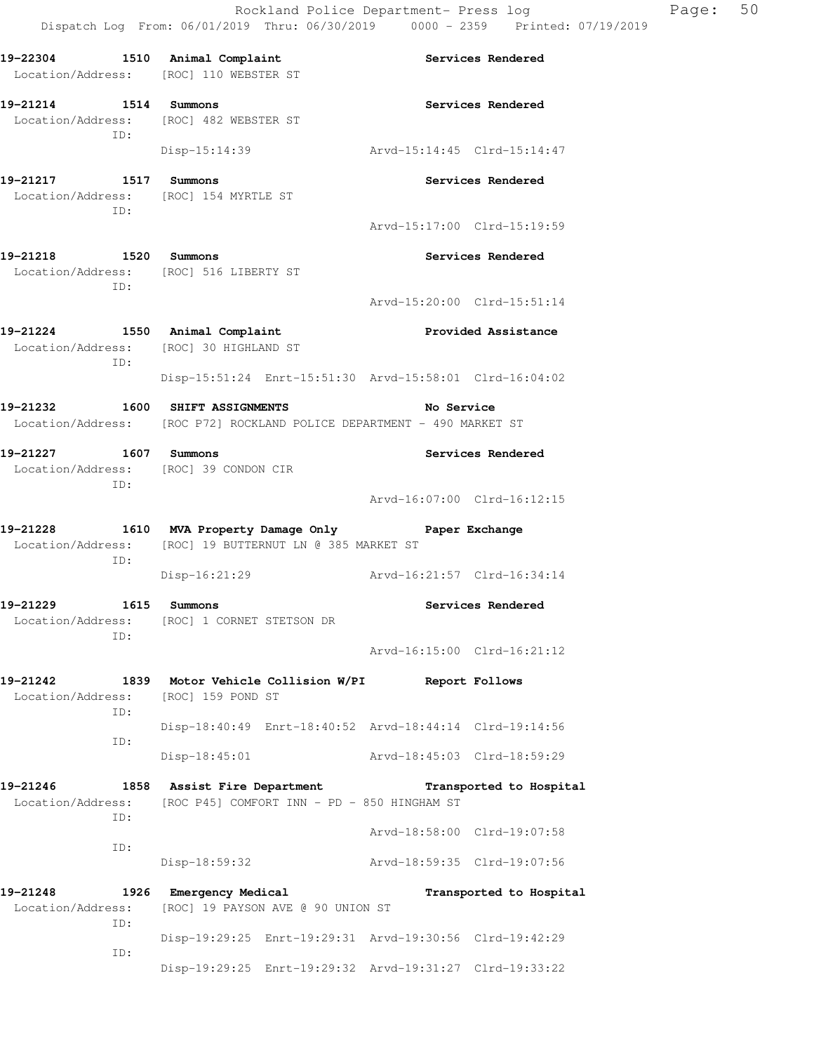| 19-22304 1510 Animal Complaint<br>Location/Address: [ROC] 110 WEBSTER ST                                                |                                                                            |                             | Services Rendered           |
|-------------------------------------------------------------------------------------------------------------------------|----------------------------------------------------------------------------|-----------------------------|-----------------------------|
| 19-21214 1514 Summons<br>Location/Address: [ROC] 482 WEBSTER ST                                                         |                                                                            |                             | Services Rendered           |
| ID:                                                                                                                     | Disp-15:14:39                                                              | Arvd-15:14:45 Clrd-15:14:47 |                             |
| 19-21217 1517 Summons<br>Location/Address: [ROC] 154 MYRTLE ST<br>TD:                                                   |                                                                            |                             | Services Rendered           |
|                                                                                                                         |                                                                            | Arvd-15:17:00 Clrd-15:19:59 |                             |
| 19-21218 1520 Summons<br>Location/Address: [ROC] 516 LIBERTY ST<br>ID:                                                  |                                                                            |                             | Services Rendered           |
|                                                                                                                         |                                                                            | Arvd-15:20:00 Clrd-15:51:14 |                             |
| 19-21224 1550 Animal Complaint<br>Location/Address: [ROC] 30 HIGHLAND ST<br>TD:                                         |                                                                            |                             | Provided Assistance         |
|                                                                                                                         | Disp-15:51:24 Enrt-15:51:30 Arvd-15:58:01 Clrd-16:04:02                    |                             |                             |
| 19-21232 1600 SHIFT ASSIGNMENTS<br>Location/Address: [ROC P72] ROCKLAND POLICE DEPARTMENT - 490 MARKET ST               |                                                                            | <b>No Service</b>           |                             |
| 19-21227 1607 Summons<br>Location/Address: [ROC] 39 CONDON CIR                                                          |                                                                            |                             | Services Rendered           |
| ID:                                                                                                                     |                                                                            | Arvd-16:07:00 Clrd-16:12:15 |                             |
| 19-21228 1610 MVA Property Damage Only Paper Exchange<br>Location/Address: [ROC] 19 BUTTERNUT LN @ 385 MARKET ST<br>ID: |                                                                            |                             |                             |
|                                                                                                                         | Disp-16:21:29                                                              | Arvd-16:21:57 Clrd-16:34:14 |                             |
| 19-21229 1615 Summons<br>Location/Address: [ROC] 1 CORNET STETSON DR<br>ID:                                             |                                                                            |                             | Services Rendered           |
|                                                                                                                         |                                                                            | Arvd-16:15:00 Clrd-16:21:12 |                             |
| 19-21242<br>Location/Address: [ROC] 159 POND ST<br>ID:                                                                  | 1839 Motor Vehicle Collision W/PI                                          | Report Follows              |                             |
| ID:                                                                                                                     | Disp-18:40:49 Enrt-18:40:52 Arvd-18:44:14 Clrd-19:14:56                    |                             |                             |
|                                                                                                                         | $Disp-18:45:01$                                                            | Arvd-18:45:03 Clrd-18:59:29 |                             |
| 19-21246<br>Location/Address:<br>ID:                                                                                    | 1858 Assist Fire Department<br>[ROC P45] COMFORT INN - PD - 850 HINGHAM ST |                             | Transported to Hospital     |
|                                                                                                                         |                                                                            |                             | Arvd-18:58:00 Clrd-19:07:58 |
| ID:                                                                                                                     | Disp-18:59:32                                                              | Arvd-18:59:35 Clrd-19:07:56 |                             |
| 19-21248<br>Location/Address:                                                                                           | 1926 Emergency Medical<br>[ROC] 19 PAYSON AVE @ 90 UNION ST                |                             | Transported to Hospital     |
| ID:                                                                                                                     | Disp-19:29:25 Enrt-19:29:31 Arvd-19:30:56 Clrd-19:42:29                    |                             |                             |
| ID:                                                                                                                     | Disp-19:29:25 Enrt-19:29:32 Arvd-19:31:27 Clrd-19:33:22                    |                             |                             |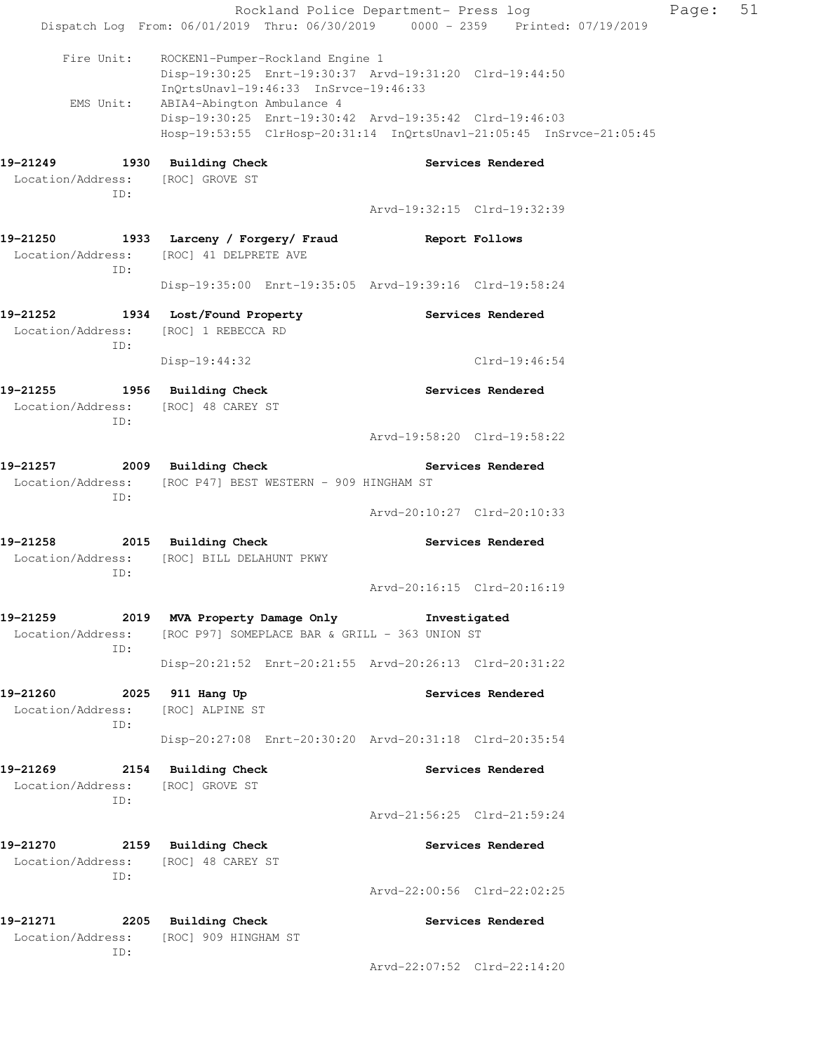|                                                                            |                                                                                                                                                                              |                             | Rockland Police Department- Press log | Page: | 51 |
|----------------------------------------------------------------------------|------------------------------------------------------------------------------------------------------------------------------------------------------------------------------|-----------------------------|---------------------------------------|-------|----|
|                                                                            | Dispatch Log From: 06/01/2019 Thru: 06/30/2019 0000 - 2359 Printed: 07/19/2019                                                                                               |                             |                                       |       |    |
| Fire Unit:                                                                 | ROCKEN1-Pumper-Rockland Engine 1<br>Disp-19:30:25 Enrt-19:30:37 Arvd-19:31:20 Clrd-19:44:50<br>InOrtsUnav1-19:46:33 InSrvce-19:46:33<br>EMS Unit: ABIA4-Abington Ambulance 4 |                             |                                       |       |    |
|                                                                            | Disp-19:30:25 Enrt-19:30:42 Arvd-19:35:42 Clrd-19:46:03<br>Hosp-19:53:55 ClrHosp-20:31:14 InQrtsUnavl-21:05:45 InSrvce-21:05:45                                              |                             |                                       |       |    |
| 19-21249 1930 Building Check<br>Location/Address: [ROC] GROVE ST<br>ID:    |                                                                                                                                                                              |                             | Services Rendered                     |       |    |
|                                                                            |                                                                                                                                                                              | Arvd-19:32:15 Clrd-19:32:39 |                                       |       |    |
| ID:                                                                        | 19-21250 1933 Larceny / Forgery/ Fraud<br>Location/Address: [ROC] 41 DELPRETE AVE                                                                                            |                             | Report Follows                        |       |    |
|                                                                            | Disp-19:35:00 Enrt-19:35:05 Arvd-19:39:16 Clrd-19:58:24                                                                                                                      |                             |                                       |       |    |
| Location/Address: [ROC] 1 REBECCA RD<br>ID:                                | 19-21252 1934 Lost/Found Property The Services Rendered                                                                                                                      |                             |                                       |       |    |
|                                                                            | Disp-19:44:32                                                                                                                                                                |                             | $Clrd-19:46:54$                       |       |    |
| 19-21255 1956 Building Check<br>Location/Address: [ROC] 48 CAREY ST<br>ID: |                                                                                                                                                                              |                             | Services Rendered                     |       |    |
|                                                                            |                                                                                                                                                                              | Arvd-19:58:20 Clrd-19:58:22 |                                       |       |    |
| ID:                                                                        | 19-21257 2009 Building Check Services Rendered<br>Location/Address: [ROC P47] BEST WESTERN - 909 HINGHAM ST                                                                  |                             |                                       |       |    |
|                                                                            |                                                                                                                                                                              | Arvd-20:10:27 Clrd-20:10:33 |                                       |       |    |
| ID:                                                                        | 19-21258 2015 Building Check<br>Location/Address: [ROC] BILL DELAHUNT PKWY                                                                                                   |                             | Services Rendered                     |       |    |
|                                                                            |                                                                                                                                                                              | Arvd-20:16:15 Clrd-20:16:19 |                                       |       |    |
| 19-21259<br>ID:                                                            | 2019 MVA Property Damage Only Shrvestigated<br>Location/Address: [ROC P97] SOMEPLACE BAR & GRILL - 363 UNION ST                                                              |                             |                                       |       |    |
|                                                                            | Disp-20:21:52 Enrt-20:21:55 Arvd-20:26:13 Clrd-20:31:22                                                                                                                      |                             |                                       |       |    |
| 19-21260 2025 911 Hang Up<br>Location/Address: [ROC] ALPINE ST<br>ID:      |                                                                                                                                                                              |                             | Services Rendered                     |       |    |
|                                                                            | Disp-20:27:08 Enrt-20:30:20 Arvd-20:31:18 Clrd-20:35:54                                                                                                                      |                             |                                       |       |    |
| 19-21269 2154 Building Check<br>Location/Address:<br>ID:                   | [ROC] GROVE ST                                                                                                                                                               |                             | Services Rendered                     |       |    |
|                                                                            |                                                                                                                                                                              | Arvd-21:56:25 Clrd-21:59:24 |                                       |       |    |
| 19-21270 2159 Building Check<br>Location/Address: [ROC] 48 CAREY ST<br>ID: |                                                                                                                                                                              |                             | Services Rendered                     |       |    |
|                                                                            |                                                                                                                                                                              | Arvd-22:00:56 Clrd-22:02:25 |                                       |       |    |
| 19-21271 2205 Building Check<br>ID:                                        | Location/Address: [ROC] 909 HINGHAM ST                                                                                                                                       |                             | Services Rendered                     |       |    |
|                                                                            |                                                                                                                                                                              | Arvd-22:07:52 Clrd-22:14:20 |                                       |       |    |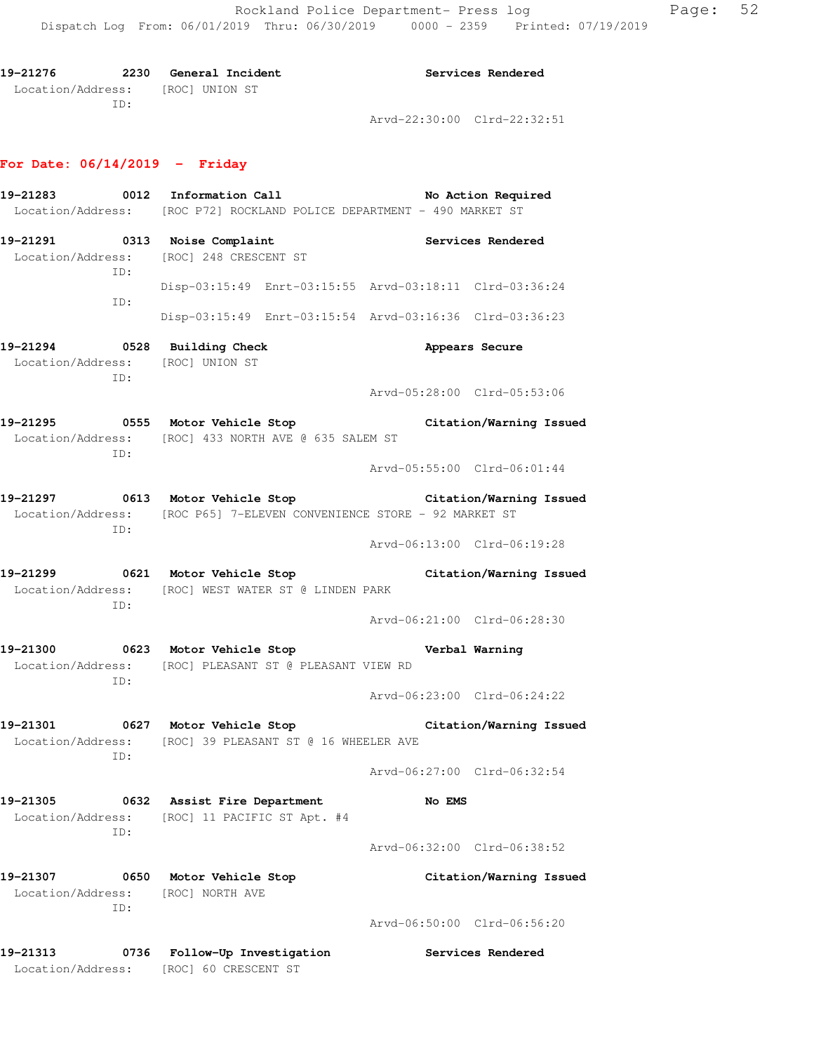| 19-21276 | 2230 | General Incident                 |                             | Services Rendered |
|----------|------|----------------------------------|-----------------------------|-------------------|
|          |      | Location/Address: [ROC] UNION ST |                             |                   |
|          | TD:  |                                  |                             |                   |
|          |      |                                  | Arvd-22:30:00 Clrd-22:32:51 |                   |

# **For Date: 06/14/2019 - Friday**

|                               |      | 19-21283 0012 Information Call                                                                            | No Action Required                                                                                                 |
|-------------------------------|------|-----------------------------------------------------------------------------------------------------------|--------------------------------------------------------------------------------------------------------------------|
|                               |      | Location/Address: [ROC P72] ROCKLAND POLICE DEPARTMENT - 490 MARKET ST                                    |                                                                                                                    |
|                               | ID:  | $19-21291$ 0313 Noise Complaint<br>Location/Address: [ROC] 248 CRESCENT ST                                | Services Rendered                                                                                                  |
|                               | ID:  |                                                                                                           | Disp-03:15:49 Enrt-03:15:55 Arvd-03:18:11 Clrd-03:36:24<br>Disp-03:15:49 Enrt-03:15:54 Arvd-03:16:36 Clrd-03:36:23 |
|                               | ID:  | 19-21294 0528 Building Check<br>Location/Address: [ROC] UNION ST                                          | Appears Secure                                                                                                     |
|                               |      | 19-21295 0555 Motor Vehicle Stop                                                                          | Arvd-05:28:00 Clrd-05:53:06<br>Citation/Warning Issued                                                             |
|                               | ID:  | Location/Address: [ROC] 433 NORTH AVE @ 635 SALEM ST                                                      | Arvd-05:55:00 Clrd-06:01:44                                                                                        |
|                               | ID:  | 19-21297 0613 Motor Vehicle Stop<br>Location/Address: [ROC P65] 7-ELEVEN CONVENIENCE STORE - 92 MARKET ST | Citation/Warning Issued                                                                                            |
|                               |      |                                                                                                           | Arvd-06:13:00 Clrd-06:19:28                                                                                        |
|                               | ID:  | Location/Address: [ROC] WEST WATER ST @ LINDEN PARK                                                       | 19-21299 		 0621 Motor Vehicle Stop 		 Citation/Warning Issued                                                     |
|                               |      |                                                                                                           | Arvd-06:21:00 Clrd-06:28:30                                                                                        |
|                               | ID:  | 19-21300 0623 Motor Vehicle Stop Nerbal Warning<br>Location/Address: [ROC] PLEASANT ST @ PLEASANT VIEW RD |                                                                                                                    |
|                               |      |                                                                                                           | Arvd-06:23:00 Clrd-06:24:22                                                                                        |
|                               | ID:  | Location/Address: [ROC] 39 PLEASANT ST @ 16 WHEELER AVE                                                   | 19-21301 0627 Motor Vehicle Stop Citation/Warning Issued                                                           |
|                               |      |                                                                                                           | Arvd-06:27:00 Clrd-06:32:54                                                                                        |
| 19–21305                      | ID:  | 0632 Assist Fire Department<br>Location/Address: [ROC] 11 PACIFIC ST Apt. #4                              | No EMS                                                                                                             |
|                               |      |                                                                                                           | Arvd-06:32:00 Clrd-06:38:52                                                                                        |
| 19–21307                      | ID:  | 0650 Motor Vehicle Stop<br>Location/Address: [ROC] NORTH AVE                                              | Citation/Warning Issued                                                                                            |
|                               |      |                                                                                                           | Arvd-06:50:00 Clrd-06:56:20                                                                                        |
| 19–21313<br>Location/Address: | 0736 | Follow-Up Investigation<br>[ROC] 60 CRESCENT ST                                                           | Services Rendered                                                                                                  |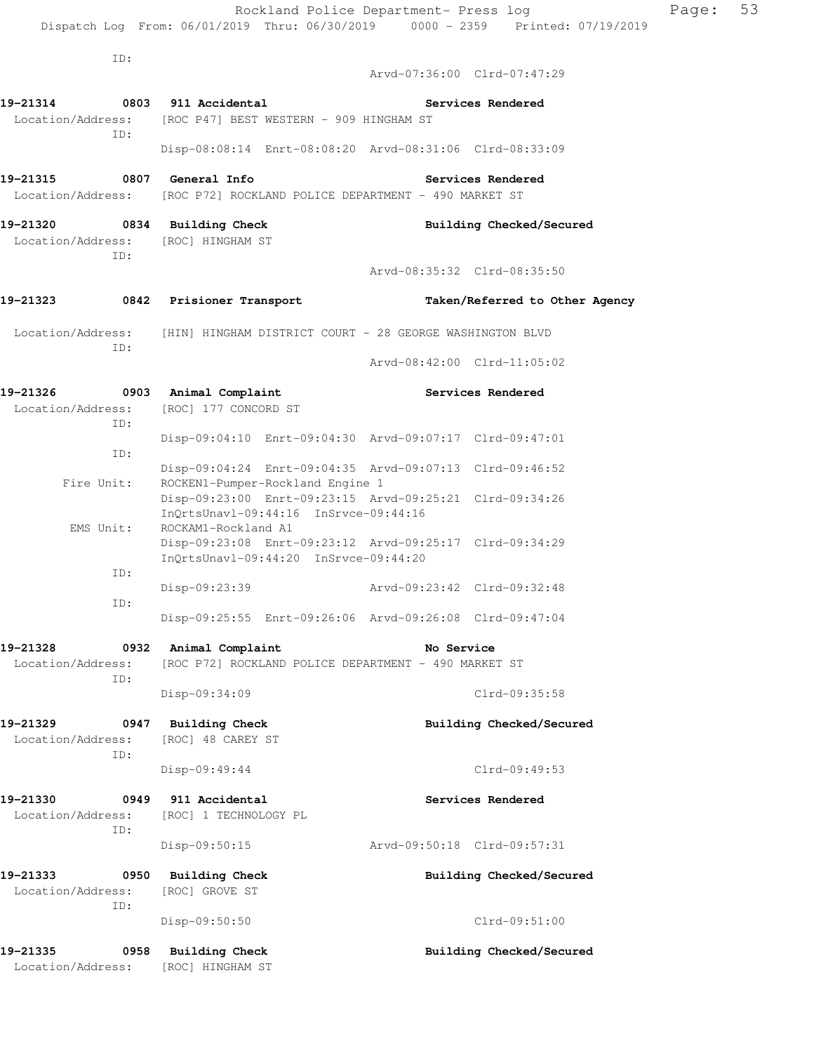ID: Arvd-07:36:00 Clrd-07:47:29 **19-21314 0803 911 Accidental Services Rendered**  Location/Address: [ROC P47] BEST WESTERN - 909 HINGHAM ST ID: Disp-08:08:14 Enrt-08:08:20 Arvd-08:31:06 Clrd-08:33:09 **19-21315 0807 General Info Services Rendered**  Location/Address: [ROC P72] ROCKLAND POLICE DEPARTMENT - 490 MARKET ST **19-21320 0834 Building Check Building Checked/Secured**  Location/Address: [ROC] HINGHAM ST ID: Arvd-08:35:32 Clrd-08:35:50 **19-21323 0842 Prisioner Transport Taken/Referred to Other Agency**  Location/Address: [HIN] HINGHAM DISTRICT COURT - 28 GEORGE WASHINGTON BLVD ID: Arvd-08:42:00 Clrd-11:05:02 19-21326 **0903** Animal Complaint **19-21326** Services Rendered Location/Address: [ROC] 177 CONCORD ST ID: Disp-09:04:10 Enrt-09:04:30 Arvd-09:07:17 Clrd-09:47:01 ID: Disp-09:04:24 Enrt-09:04:35 Arvd-09:07:13 Clrd-09:46:52 Fire Unit: ROCKEN1-Pumper-Rockland Engine 1 Disp-09:23:00 Enrt-09:23:15 Arvd-09:25:21 Clrd-09:34:26 InQrtsUnavl-09:44:16 InSrvce-09:44:16 EMS Unit: ROCKAM1-Rockland A1 Disp-09:23:08 Enrt-09:23:12 Arvd-09:25:17 Clrd-09:34:29 InQrtsUnavl-09:44:20 InSrvce-09:44:20 ID: Disp-09:23:39 Arvd-09:23:42 Clrd-09:32:48 ID: Disp-09:25:55 Enrt-09:26:06 Arvd-09:26:08 Clrd-09:47:04 **19-21328 0932 Animal Complaint No Service**  Location/Address: [ROC P72] ROCKLAND POLICE DEPARTMENT - 490 MARKET ST ID: Disp-09:34:09 Clrd-09:35:58 **19-21329 0947 Building Check Building Checked/Secured**  Location/Address: [ROC] 48 CAREY ST ID: Disp-09:49:44 Clrd-09:49:53 **19-21330 0949 911 Accidental Services Rendered**  Location/Address: [ROC] 1 TECHNOLOGY PL ID: Disp-09:50:15 Arvd-09:50:18 Clrd-09:57:31 **19-21333 0950 Building Check Building Checked/Secured**  Location/Address: [ROC] GROVE ST ID: Disp-09:50:50 Clrd-09:51:00

**19-21335 0958 Building Check Building Checked/Secured**  Location/Address: [ROC] HINGHAM ST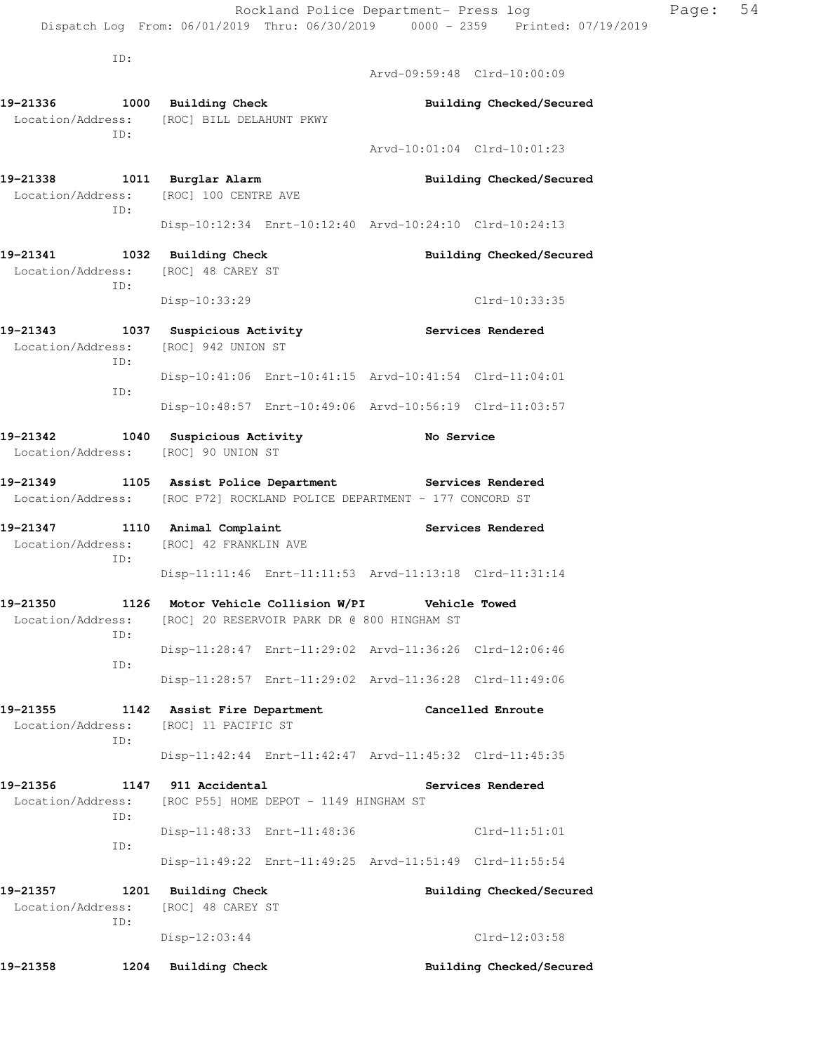**19-21336 1000 Building Check Building Checked/Secured** 

ID:

Location/Address: [ROC] BILL DELAHUNT PKWY

Arvd-09:59:48 Clrd-10:00:09

| ID:                                                                                  |                                                    |                                                         |                          |                             |
|--------------------------------------------------------------------------------------|----------------------------------------------------|---------------------------------------------------------|--------------------------|-----------------------------|
|                                                                                      |                                                    |                                                         |                          | Arvd-10:01:04 Clrd-10:01:23 |
| 19-21338 1011 Burglar Alarm<br>Location/Address: [ROC] 100 CENTRE AVE                |                                                    |                                                         |                          | Building Checked/Secured    |
| ID:                                                                                  |                                                    | Disp-10:12:34 Enrt-10:12:40 Arvd-10:24:10 Clrd-10:24:13 |                          |                             |
| 19-21341 1032 Building Check                                                         |                                                    |                                                         |                          | Building Checked/Secured    |
| Location/Address: [ROC] 48 CAREY ST<br>ID:                                           |                                                    |                                                         |                          |                             |
|                                                                                      | Disp-10:33:29                                      |                                                         |                          | Clrd-10:33:35               |
| 19-21343<br>Location/Address:<br>ID:                                                 | 1037 Suspicious Activity<br>[ROC] 942 UNION ST     |                                                         |                          | <b>Services Rendered</b>    |
| ID:                                                                                  |                                                    | Disp-10:41:06 Enrt-10:41:15 Arvd-10:41:54 Clrd-11:04:01 |                          |                             |
|                                                                                      |                                                    | Disp-10:48:57 Enrt-10:49:06 Arvd-10:56:19 Clrd-11:03:57 |                          |                             |
| 19-21342 1040 Suspicious Activity<br>Location/Address: [ROC] 90 UNION ST             |                                                    |                                                         | No Service               |                             |
| 19-21349 1105 Assist Police Department Services Rendered                             |                                                    |                                                         |                          |                             |
| Location/Address: [ROC P72] ROCKLAND POLICE DEPARTMENT - 177 CONCORD ST              |                                                    |                                                         |                          |                             |
| 19-21347 1110 Animal Complaint<br>Location/Address:<br>ID:                           | [ROC] 42 FRANKLIN AVE                              |                                                         | <b>Services Rendered</b> |                             |
|                                                                                      |                                                    | Disp-11:11:46 Enrt-11:11:53 Arvd-11:13:18 Clrd-11:31:14 |                          |                             |
| 19-21350 1126 Motor Vehicle Collision W/PI Vehicle Towed<br>Location/Address:<br>ID: |                                                    | [ROC] 20 RESERVOIR PARK DR @ 800 HINGHAM ST             |                          |                             |
| ID:                                                                                  |                                                    | Disp-11:28:47 Enrt-11:29:02 Arvd-11:36:26 Clrd-12:06:46 |                          |                             |
|                                                                                      |                                                    | Disp-11:28:57 Enrt-11:29:02 Arvd-11:36:28 Clrd-11:49:06 |                          |                             |
| 19-21355<br>Location/Address:<br>ID:                                                 | 1142 Assist Fire Department<br>[ROC] 11 PACIFIC ST |                                                         | Cancelled Enroute        |                             |
|                                                                                      |                                                    | Disp-11:42:44 Enrt-11:42:47 Arvd-11:45:32 Clrd-11:45:35 |                          |                             |
| 1147<br>19–21356                                                                     | 911 Accidental                                     |                                                         |                          | Services Rendered           |
| Location/Address:<br>ID:                                                             |                                                    | [ROC P55] HOME DEPOT - 1149 HINGHAM ST                  |                          |                             |
| ID:                                                                                  |                                                    | Disp-11:48:33 Enrt-11:48:36                             |                          | $Clrd-11:51:01$             |
|                                                                                      |                                                    | Disp-11:49:22 Enrt-11:49:25 Arvd-11:51:49 Clrd-11:55:54 |                          |                             |
| 19–21357<br>1201                                                                     | <b>Building Check</b>                              |                                                         |                          | Building Checked/Secured    |
| Location/Address:<br>ID:                                                             | [ROC] 48 CAREY ST                                  |                                                         |                          |                             |
|                                                                                      | Disp-12:03:44                                      |                                                         |                          | Clrd-12:03:58               |
| 19-21358<br>1204                                                                     | <b>Building Check</b>                              |                                                         |                          | Building Checked/Secured    |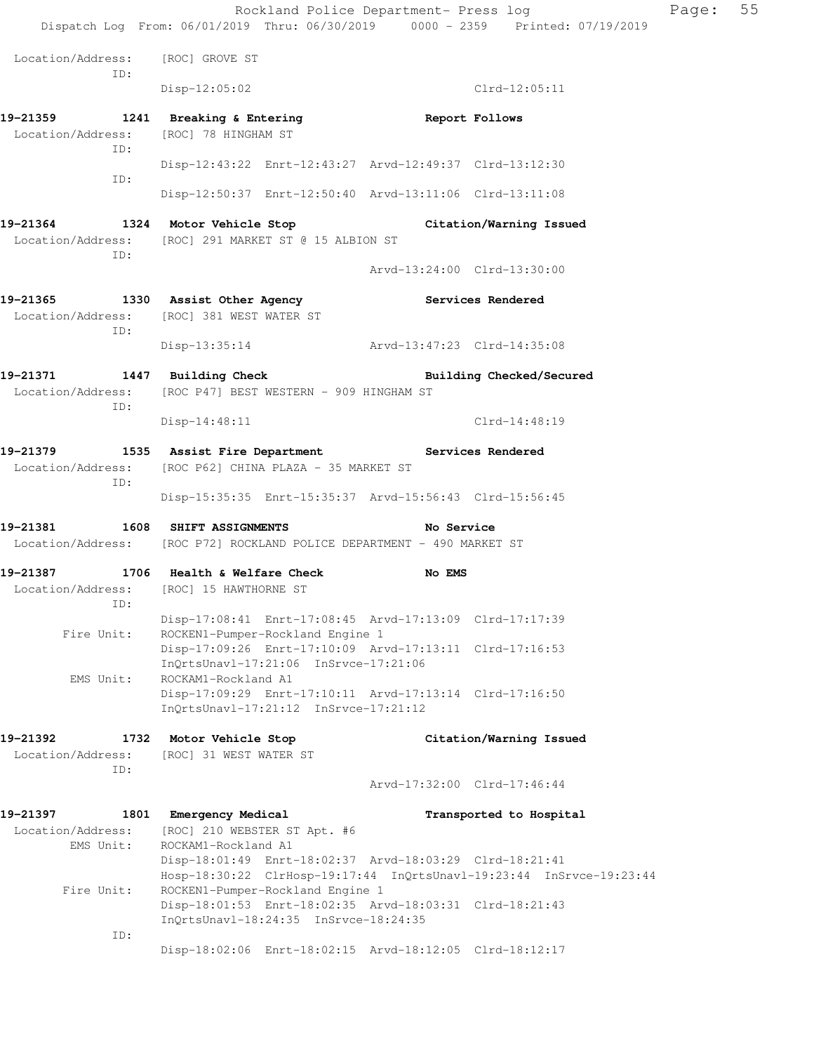Rockland Police Department- Press log Fage: 55 Dispatch Log From: 06/01/2019 Thru: 06/30/2019 0000 - 2359 Printed: 07/19/2019 Location/Address: [ROC] GROVE ST ID: Disp-12:05:02 Clrd-12:05:11 **19-21359 1241 Breaking & Entering Report Follows**  Location/Address: [ROC] 78 HINGHAM ST ID: Disp-12:43:22 Enrt-12:43:27 Arvd-12:49:37 Clrd-13:12:30 ID: Disp-12:50:37 Enrt-12:50:40 Arvd-13:11:06 Clrd-13:11:08 **19-21364 1324 Motor Vehicle Stop Citation/Warning Issued**  Location/Address: [ROC] 291 MARKET ST @ 15 ALBION ST ID: Arvd-13:24:00 Clrd-13:30:00 **19-21365 1330 Assist Other Agency Services Rendered**  Location/Address: [ROC] 381 WEST WATER ST ID: Disp-13:35:14 Arvd-13:47:23 Clrd-14:35:08 19-21371 1447 Building Check **Building Checked/Secured**  Location/Address: [ROC P47] BEST WESTERN - 909 HINGHAM ST ID: Disp-14:48:11 Clrd-14:48:19 **19-21379 1535 Assist Fire Department Services Rendered**  Location/Address: [ROC P62] CHINA PLAZA - 35 MARKET ST ID: Disp-15:35:35 Enrt-15:35:37 Arvd-15:56:43 Clrd-15:56:45 **19-21381 1608 SHIFT ASSIGNMENTS No Service**  Location/Address: [ROC P72] ROCKLAND POLICE DEPARTMENT - 490 MARKET ST **19-21387 1706 Health & Welfare Check No EMS**  Location/Address: [ROC] 15 HAWTHORNE ST ID: Disp-17:08:41 Enrt-17:08:45 Arvd-17:13:09 Clrd-17:17:39 Fire Unit: ROCKEN1-Pumper-Rockland Engine 1 Disp-17:09:26 Enrt-17:10:09 Arvd-17:13:11 Clrd-17:16:53 InQrtsUnavl-17:21:06 InSrvce-17:21:06 EMS Unit: ROCKAM1-Rockland A1 Disp-17:09:29 Enrt-17:10:11 Arvd-17:13:14 Clrd-17:16:50 InQrtsUnavl-17:21:12 InSrvce-17:21:12 **19-21392 1732 Motor Vehicle Stop Citation/Warning Issued**  Location/Address: [ROC] 31 WEST WATER ST ID: Arvd-17:32:00 Clrd-17:46:44 **19-21397 1801 Emergency Medical Transported to Hospital**  Location/Address: [ROC] 210 WEBSTER ST Apt. #6 EMS Unit: ROCKAM1-Rockland A1 Disp-18:01:49 Enrt-18:02:37 Arvd-18:03:29 Clrd-18:21:41 Hosp-18:30:22 ClrHosp-19:17:44 InQrtsUnavl-19:23:44 InSrvce-19:23:44 Fire Unit: ROCKEN1-Pumper-Rockland Engine 1 Disp-18:01:53 Enrt-18:02:35 Arvd-18:03:31 Clrd-18:21:43 InQrtsUnavl-18:24:35 InSrvce-18:24:35 ID: Disp-18:02:06 Enrt-18:02:15 Arvd-18:12:05 Clrd-18:12:17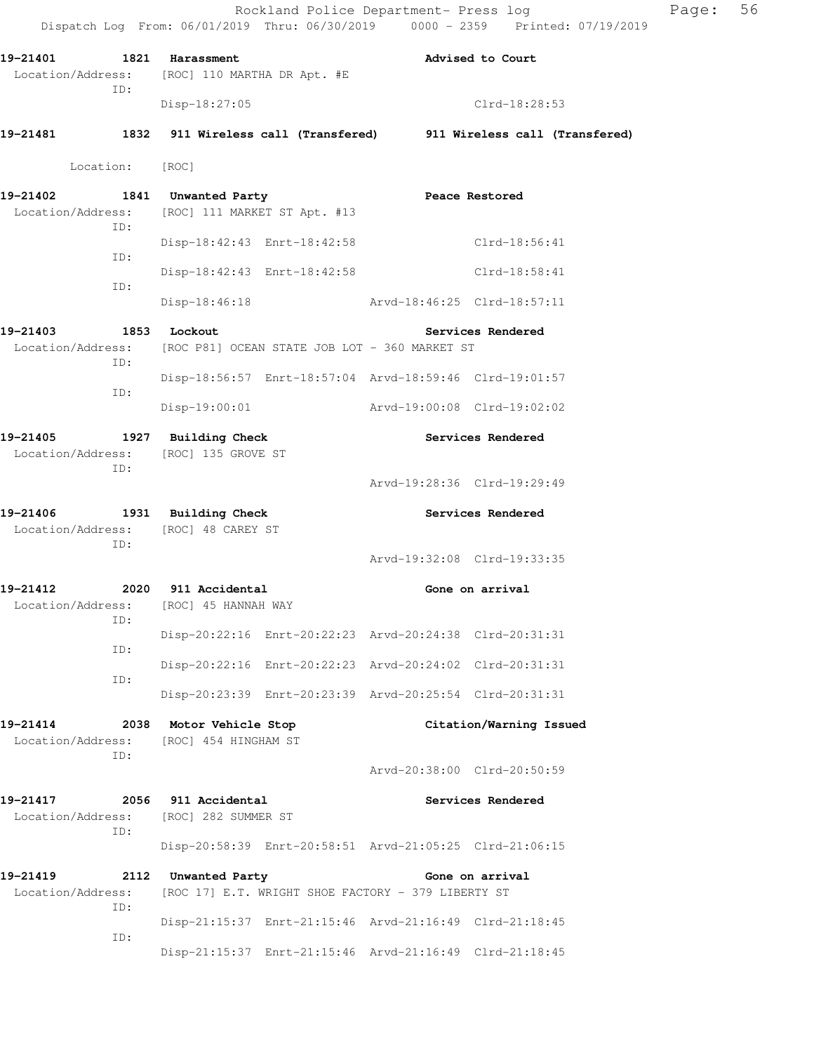Dispatch Log From: 06/01/2019 Thru: 06/30/2019 0000 - 2359 Printed: 07/19/2019 19-21401 1821 Harassment **Advised to Court** Advised to Court Location/Address: [ROC] 110 MARTHA DR Apt. #E ID: Disp-18:27:05 Clrd-18:28:53 **19-21481 1832 911 Wireless call (Transfered) 911 Wireless call (Transfered)**  Location: [ROC] **19-21402 1841 Unwanted Party Peace Restored**  Location/Address: [ROC] 111 MARKET ST Apt. #13 ID: Disp-18:42:43 Enrt-18:42:58 Clrd-18:56:41 ID: Disp-18:42:43 Enrt-18:42:58 Clrd-18:58:41 ID: Disp-18:46:18 Arvd-18:46:25 Clrd-18:57:11 19-21403 1853 Lockout **Services Rendered**  Location/Address: [ROC P81] OCEAN STATE JOB LOT - 360 MARKET ST ID: Disp-18:56:57 Enrt-18:57:04 Arvd-18:59:46 Clrd-19:01:57 ID: Disp-19:00:01 Arvd-19:00:08 Clrd-19:02:02 **19-21405 1927 Building Check Services Rendered**  Location/Address: [ROC] 135 GROVE ST ID: Arvd-19:28:36 Clrd-19:29:49 **19-21406 1931 Building Check Services Rendered**  Location/Address: [ROC] 48 CAREY ST ID: Arvd-19:32:08 Clrd-19:33:35 **19-21412 2020 911 Accidental Gone on arrival**  Location/Address: [ROC] 45 HANNAH WAY ID: Disp-20:22:16 Enrt-20:22:23 Arvd-20:24:38 Clrd-20:31:31 ID: Disp-20:22:16 Enrt-20:22:23 Arvd-20:24:02 Clrd-20:31:31 ID: Disp-20:23:39 Enrt-20:23:39 Arvd-20:25:54 Clrd-20:31:31 **19-21414 2038 Motor Vehicle Stop Citation/Warning Issued**  Location/Address: [ROC] 454 HINGHAM ST ID: Arvd-20:38:00 Clrd-20:50:59 **19-21417 2056 911 Accidental Services Rendered**  Location/Address: [ROC] 282 SUMMER ST ID: Disp-20:58:39 Enrt-20:58:51 Arvd-21:05:25 Clrd-21:06:15 **19-21419 2112 Unwanted Party Gone on arrival**  Location/Address: [ROC 17] E.T. WRIGHT SHOE FACTORY - 379 LIBERTY ST ID: Disp-21:15:37 Enrt-21:15:46 Arvd-21:16:49 Clrd-21:18:45 ID:

Disp-21:15:37 Enrt-21:15:46 Arvd-21:16:49 Clrd-21:18:45

Rockland Police Department- Press log Fage: 56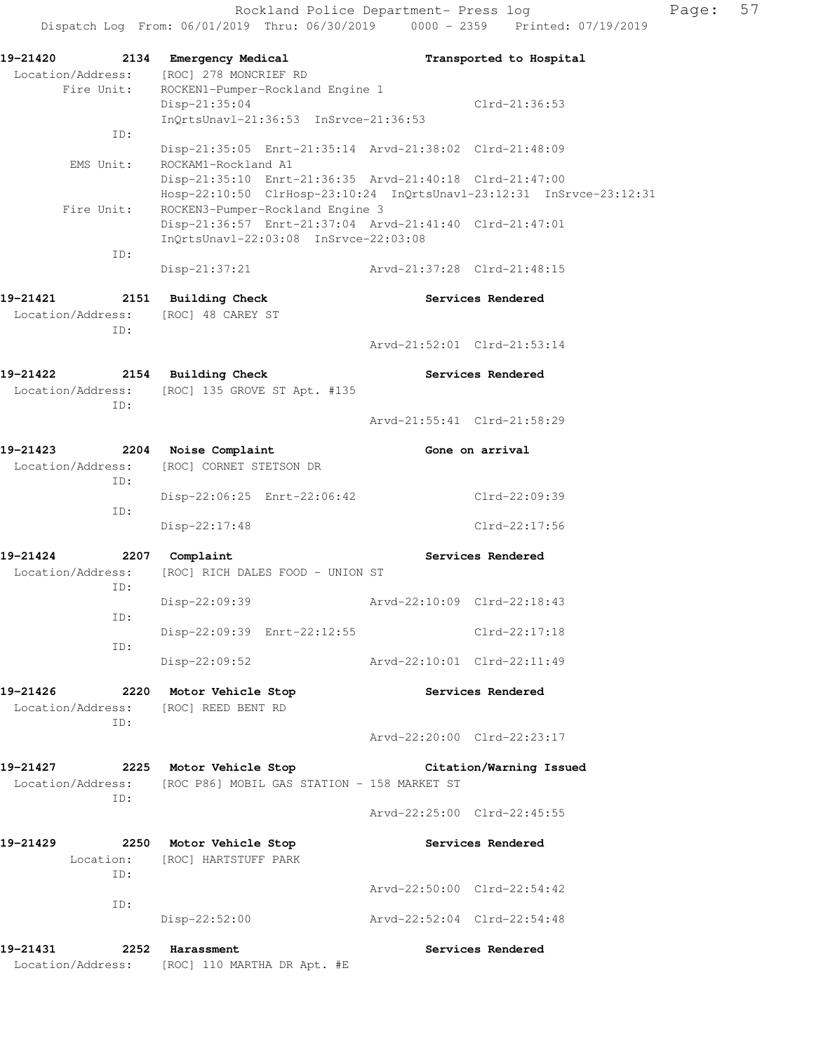| 19-21420                            | 2134 Emergency Medical                                                                            |                             | Transported to Hospital     |
|-------------------------------------|---------------------------------------------------------------------------------------------------|-----------------------------|-----------------------------|
| Location/Address:                   | [ROC] 278 MONCRIEF RD                                                                             |                             |                             |
| Fire Unit:                          | ROCKEN1-Pumper-Rockland Engine 1                                                                  |                             |                             |
|                                     | Disp-21:35:04                                                                                     |                             | $Clrd-21:36:53$             |
|                                     | InOrtsUnav1-21:36:53 InSrvce-21:36:53                                                             |                             |                             |
| ID:                                 | Disp-21:35:05 Enrt-21:35:14 Arvd-21:38:02 Clrd-21:48:09                                           |                             |                             |
| EMS Unit:                           | ROCKAM1-Rockland A1                                                                               |                             |                             |
|                                     | Disp-21:35:10 Enrt-21:36:35 Arvd-21:40:18 Clrd-21:47:00                                           |                             |                             |
|                                     | Hosp-22:10:50 ClrHosp-23:10:24 InQrtsUnavl-23:12:31 InSrvce-23:12:31                              |                             |                             |
| Fire Unit:                          | ROCKEN3-Pumper-Rockland Engine 3                                                                  |                             |                             |
|                                     | Disp-21:36:57 Enrt-21:37:04 Arvd-21:41:40 Clrd-21:47:01                                           |                             |                             |
| ID:                                 | InQrtsUnavl-22:03:08 InSrvce-22:03:08                                                             |                             |                             |
|                                     | Disp-21:37:21                                                                                     |                             |                             |
|                                     |                                                                                                   |                             |                             |
| 19-21421                            | 2151 Building Check                                                                               |                             | Services Rendered           |
| Location/Address: [ROC] 48 CAREY ST |                                                                                                   |                             |                             |
| ID:                                 |                                                                                                   |                             | Arvd-21:52:01 Clrd-21:53:14 |
|                                     |                                                                                                   |                             |                             |
| 19-21422                            | 2154 Building Check                                                                               |                             | Services Rendered           |
|                                     | Location/Address: [ROC] 135 GROVE ST Apt. #135                                                    |                             |                             |
| ID:                                 |                                                                                                   |                             |                             |
|                                     |                                                                                                   |                             | Arvd-21:55:41 Clrd-21:58:29 |
| 19-21423                            | 2204 Noise Complaint                                                                              |                             | Gone on arrival             |
| Location/Address:                   | [ROC] CORNET STETSON DR                                                                           |                             |                             |
| ID:                                 |                                                                                                   |                             |                             |
|                                     | Disp-22:06:25 Enrt-22:06:42                                                                       |                             | Clrd-22:09:39               |
| ID:                                 | Disp-22:17:48                                                                                     |                             | Clrd-22:17:56               |
|                                     |                                                                                                   |                             |                             |
| 19-21424                            | 2207 Complaint                                                                                    |                             | Services Rendered           |
| Location/Address:                   | [ROC] RICH DALES FOOD - UNION ST                                                                  |                             |                             |
| ID:                                 |                                                                                                   |                             | Arvd-22:10:09 Clrd-22:18:43 |
| ID:                                 | Disp-22:09:39                                                                                     |                             |                             |
|                                     | Disp-22:09:39 Enrt-22:12:55                                                                       |                             | $Clrd-22:17:18$             |
| ID:                                 |                                                                                                   |                             |                             |
|                                     | Disp-22:09:52                                                                                     | Arvd-22:10:01 Clrd-22:11:49 |                             |
|                                     | 19-21426 2220 Motor Vehicle Stop                                                                  |                             | Services Rendered           |
|                                     | Location/Address: [ROC] REED BENT RD                                                              |                             |                             |
| ID:                                 |                                                                                                   |                             |                             |
|                                     |                                                                                                   |                             | Arvd-22:20:00 Clrd-22:23:17 |
|                                     |                                                                                                   |                             |                             |
|                                     | 19-21427 2225 Motor Vehicle Stop<br>Location/Address: [ROC P86] MOBIL GAS STATION - 158 MARKET ST |                             | Citation/Warning Issued     |
| ID:                                 |                                                                                                   |                             |                             |
|                                     |                                                                                                   |                             | Arvd-22:25:00 Clrd-22:45:55 |
|                                     |                                                                                                   |                             |                             |
| 19-21429                            | 2250 Motor Vehicle Stop                                                                           |                             | Services Rendered           |
| ID:                                 | Location: [ROC] HARTSTUFF PARK                                                                    |                             |                             |
|                                     |                                                                                                   | Arvd-22:50:00 Clrd-22:54:42 |                             |
| ID:                                 |                                                                                                   |                             |                             |
|                                     | $Disp-22:52:00$                                                                                   | Arvd-22:52:04 Clrd-22:54:48 |                             |
| 19-21431                            | 2252 Harassment                                                                                   |                             | Services Rendered           |
|                                     | Location/Address: [ROC] 110 MARTHA DR Apt. #E                                                     |                             |                             |
|                                     |                                                                                                   |                             |                             |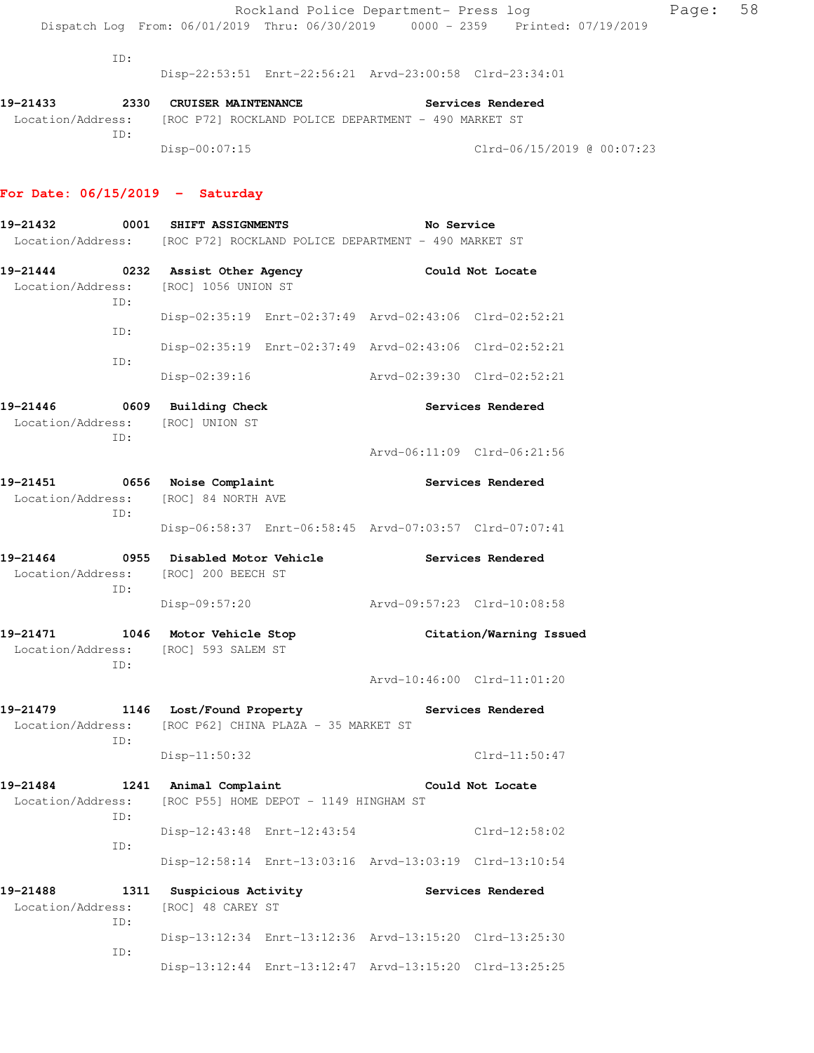ID:

Disp-22:53:51 Enrt-22:56:21 Arvd-23:00:58 Clrd-23:34:01

| 19–21433          | 2330 |               | <b>CRUISER MAINTENANCE</b> |                                                      |  | Services Rendered |                            |  |
|-------------------|------|---------------|----------------------------|------------------------------------------------------|--|-------------------|----------------------------|--|
| Location/Address: |      |               |                            | [ROC P72] ROCKLAND POLICE DEPARTMENT - 490 MARKET ST |  |                   |                            |  |
|                   | TD:  |               |                            |                                                      |  |                   |                            |  |
|                   |      | Disp-00:07:15 |                            |                                                      |  |                   | Clrd-06/15/2019 @ 00:07:23 |  |

#### **For Date: 06/15/2019 - Saturday**

**19-21432 0001 SHIFT ASSIGNMENTS No Service**  Location/Address: [ROC P72] ROCKLAND POLICE DEPARTMENT - 490 MARKET ST **19-21444 0232 Assist Other Agency Could Not Locate**  Location/Address: [ROC] 1056 UNION ST ID: Disp-02:35:19 Enrt-02:37:49 Arvd-02:43:06 Clrd-02:52:21 ID: Disp-02:35:19 Enrt-02:37:49 Arvd-02:43:06 Clrd-02:52:21 ID: Disp-02:39:16 Arvd-02:39:30 Clrd-02:52:21 **19-21446 0609 Building Check Services Rendered**  Location/Address: [ROC] UNION ST ID: Arvd-06:11:09 Clrd-06:21:56 **19-21451 0656 Noise Complaint Services Rendered**  Location/Address: [ROC] 84 NORTH AVE ID: Disp-06:58:37 Enrt-06:58:45 Arvd-07:03:57 Clrd-07:07:41 **19-21464 0955 Disabled Motor Vehicle Services Rendered**  Location/Address: [ROC] 200 BEECH ST ID: Disp-09:57:20 Arvd-09:57:23 Clrd-10:08:58 **19-21471 1046 Motor Vehicle Stop Citation/Warning Issued**  Location/Address: [ROC] 593 SALEM ST ID: Arvd-10:46:00 Clrd-11:01:20 **19-21479 1146 Lost/Found Property Services Rendered**  Location/Address: [ROC P62] CHINA PLAZA - 35 MARKET ST ID: Disp-11:50:32 Clrd-11:50:47 **19-21484 1241 Animal Complaint Could Not Locate**  Location/Address: [ROC P55] HOME DEPOT - 1149 HINGHAM ST ID: Disp-12:43:48 Enrt-12:43:54 Clrd-12:58:02 ID: Disp-12:58:14 Enrt-13:03:16 Arvd-13:03:19 Clrd-13:10:54 **19-21488 1311 Suspicious Activity Services Rendered**  Location/Address: [ROC] 48 CAREY ST ID: Disp-13:12:34 Enrt-13:12:36 Arvd-13:15:20 Clrd-13:25:30 ID: Disp-13:12:44 Enrt-13:12:47 Arvd-13:15:20 Clrd-13:25:25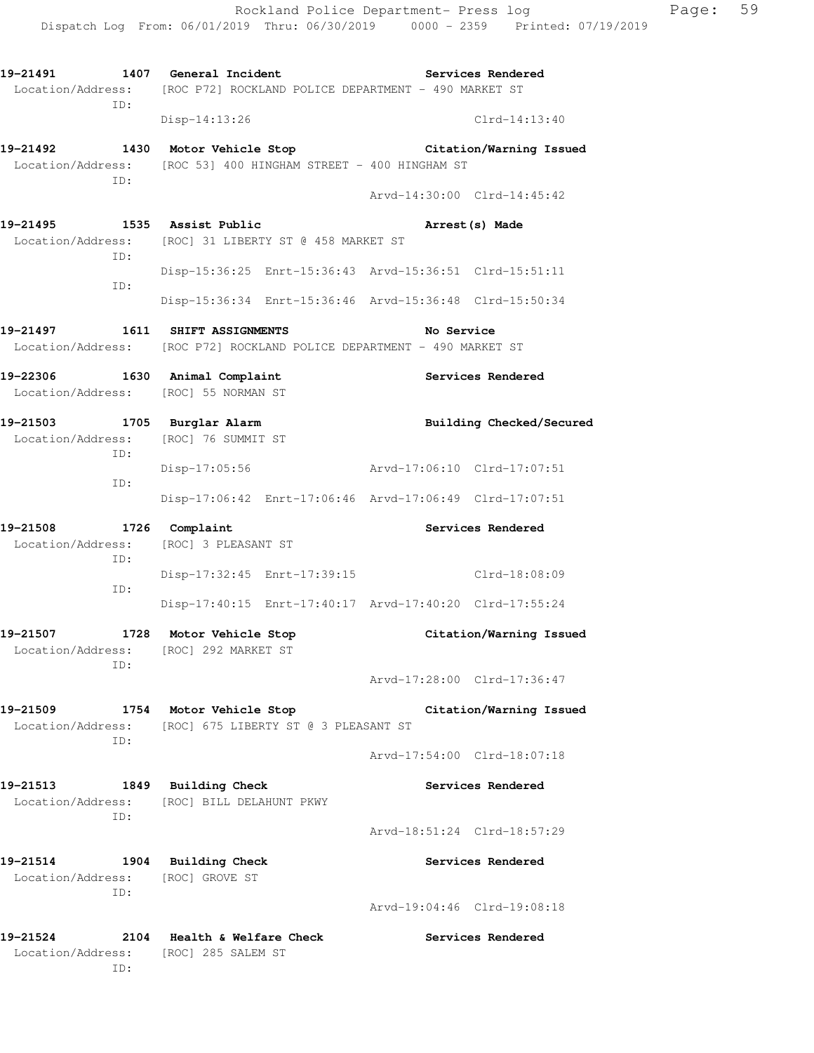**19-21491 1407 General Incident Services Rendered**  Location/Address: [ROC P72] ROCKLAND POLICE DEPARTMENT - 490 MARKET ST ID: Disp-14:13:26 Clrd-14:13:40 **19-21492 1430 Motor Vehicle Stop Citation/Warning Issued**  Location/Address: [ROC 53] 400 HINGHAM STREET - 400 HINGHAM ST ID: Arvd-14:30:00 Clrd-14:45:42 **19-21495 1535 Assist Public Arrest(s) Made**  Location/Address: [ROC] 31 LIBERTY ST @ 458 MARKET ST ID: Disp-15:36:25 Enrt-15:36:43 Arvd-15:36:51 Clrd-15:51:11 ID: Disp-15:36:34 Enrt-15:36:46 Arvd-15:36:48 Clrd-15:50:34 **19-21497 1611 SHIFT ASSIGNMENTS No Service**  Location/Address: [ROC P72] ROCKLAND POLICE DEPARTMENT - 490 MARKET ST **19-22306 1630 Animal Complaint Services Rendered**  Location/Address: [ROC] 55 NORMAN ST **19-21503 1705 Burglar Alarm Building Checked/Secured**  Location/Address: [ROC] 76 SUMMIT ST ID: Disp-17:05:56 Arvd-17:06:10 Clrd-17:07:51 ID: Disp-17:06:42 Enrt-17:06:46 Arvd-17:06:49 Clrd-17:07:51 19-21508 1726 Complaint **19-21508** Services Rendered Location/Address: [ROC] 3 PLEASANT ST ID: Disp-17:32:45 Enrt-17:39:15 Clrd-18:08:09 ID: Disp-17:40:15 Enrt-17:40:17 Arvd-17:40:20 Clrd-17:55:24 **19-21507 1728 Motor Vehicle Stop Citation/Warning Issued**  Location/Address: [ROC] 292 MARKET ST ID: Arvd-17:28:00 Clrd-17:36:47 **19-21509 1754 Motor Vehicle Stop Citation/Warning Issued**  Location/Address: [ROC] 675 LIBERTY ST @ 3 PLEASANT ST ID: Arvd-17:54:00 Clrd-18:07:18 **19-21513 1849 Building Check Services Rendered**  Location/Address: [ROC] BILL DELAHUNT PKWY ID: Arvd-18:51:24 Clrd-18:57:29 **19-21514 1904 Building Check Services Rendered**  Location/Address: [ROC] GROVE ST ID: Arvd-19:04:46 Clrd-19:08:18 **19-21524 2104 Health & Welfare Check Services Rendered**  Location/Address: [ROC] 285 SALEM ST ID: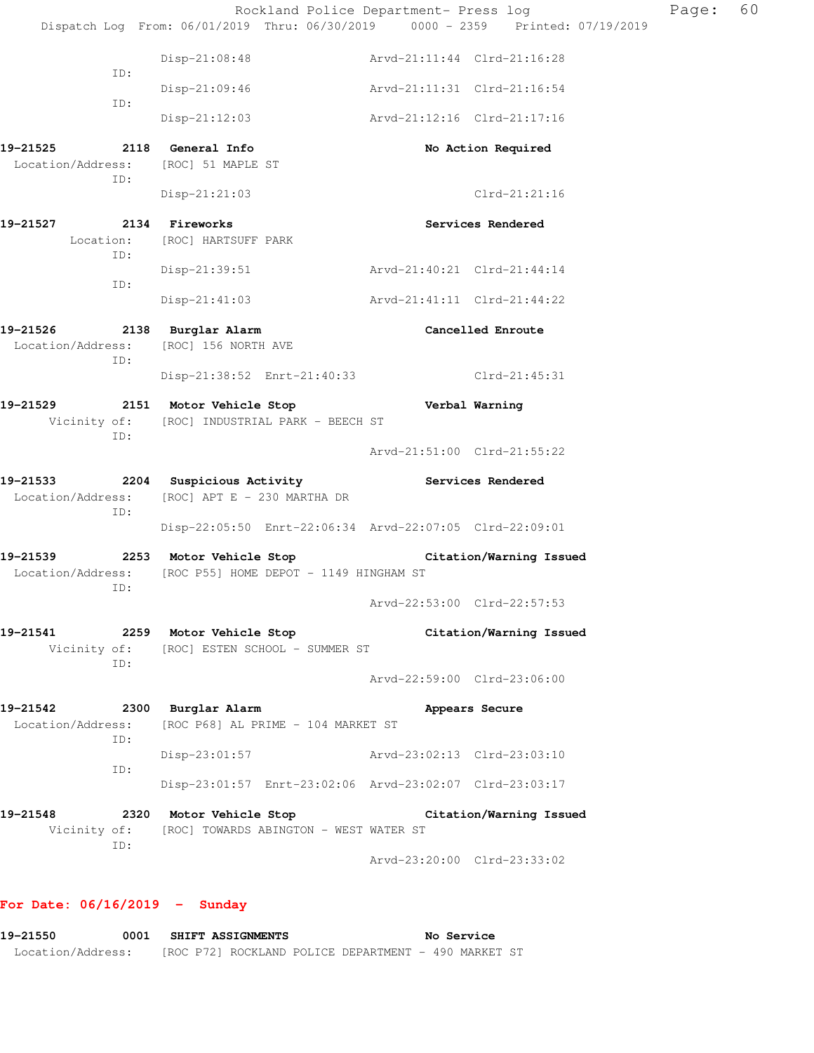|                               |     | Rockland Police Department- Press log                                                                                |                             |                         | Page: | 60 |
|-------------------------------|-----|----------------------------------------------------------------------------------------------------------------------|-----------------------------|-------------------------|-------|----|
|                               |     | Dispatch Log From: 06/01/2019 Thru: 06/30/2019 0000 - 2359 Printed: 07/19/2019                                       |                             |                         |       |    |
|                               | ID: | $Disp-21:08:48$                                                                                                      | Arvd-21:11:44 Clrd-21:16:28 |                         |       |    |
|                               | ID: | $Disp-21:09:46$                                                                                                      | Arvd-21:11:31 Clrd-21:16:54 |                         |       |    |
|                               |     | $Disp-21:12:03$                                                                                                      | Arvd-21:12:16 Clrd-21:17:16 |                         |       |    |
|                               | ID: | Location/Address: [ROC] 51 MAPLE ST                                                                                  |                             | No Action Required      |       |    |
|                               |     | Disp-21:21:03                                                                                                        |                             | Clrd-21:21:16           |       |    |
| 19-21527                      |     | 2134 Fireworks<br>Location: [ROC] HARTSUFF PARK                                                                      |                             | Services Rendered       |       |    |
|                               | ID: | Disp-21:39:51                                                                                                        | Arvd-21:40:21 Clrd-21:44:14 |                         |       |    |
|                               | ID: | $Disp-21:41:03$                                                                                                      | Arvd-21:41:11 Clrd-21:44:22 |                         |       |    |
| 19-21526                      | ID: | 2138 Burglar Alarm<br>Location/Address: [ROC] 156 NORTH AVE                                                          |                             | Cancelled Enroute       |       |    |
|                               |     | Disp-21:38:52 Enrt-21:40:33 Clrd-21:45:31                                                                            |                             |                         |       |    |
|                               | ID: | 19-21529 2151 Motor Vehicle Stop<br>Vicinity of: [ROC] INDUSTRIAL PARK - BEECH ST                                    | Verbal Warning              |                         |       |    |
|                               |     |                                                                                                                      | Arvd-21:51:00 Clrd-21:55:22 |                         |       |    |
|                               | ID: | 19-21533 2204 Suspicious Activity Contract Services Rendered<br>Location/Address: [ROC] APT E - 230 MARTHA DR        |                             |                         |       |    |
|                               |     | Disp-22:05:50 Enrt-22:06:34 Arvd-22:07:05 Clrd-22:09:01                                                              |                             |                         |       |    |
|                               | ID: | 19-21539 2253 Motor Vehicle Stop Citation/Warning Issued<br>Location/Address: [ROC P55] HOME DEPOT - 1149 HINGHAM ST |                             |                         |       |    |
|                               |     |                                                                                                                      | Arvd-22:53:00 Clrd-22:57:53 |                         |       |    |
| 19-21541                      | ID: | 2259 Motor Vehicle Stop<br>Vicinity of: [ROC] ESTEN SCHOOL - SUMMER ST                                               |                             | Citation/Warning Issued |       |    |
|                               |     |                                                                                                                      | Arvd-22:59:00 Clrd-23:06:00 |                         |       |    |
| 19-21542<br>Location/Address: | ID: | 2300 Burglar Alarm<br>[ROC P68] AL PRIME - 104 MARKET ST                                                             |                             | Appears Secure          |       |    |
|                               | ID: | Disp-23:01:57 Arvd-23:02:13 Clrd-23:03:10                                                                            |                             |                         |       |    |
|                               |     | Disp-23:01:57 Enrt-23:02:06 Arvd-23:02:07 Clrd-23:03:17                                                              |                             |                         |       |    |
| 19–21548                      |     | 2320 Motor Vehicle Stop                                                                                              |                             | Citation/Warning Issued |       |    |
| Vicinity of:                  | ID: | [ROC] TOWARDS ABINGTON - WEST WATER ST                                                                               |                             |                         |       |    |
|                               |     |                                                                                                                      | Arvd-23:20:00 Clrd-23:33:02 |                         |       |    |

# **For Date: 06/16/2019 - Sunday**

**19-21550 0001 SHIFT ASSIGNMENTS No Service**  Location/Address: [ROC P72] ROCKLAND POLICE DEPARTMENT - 490 MARKET ST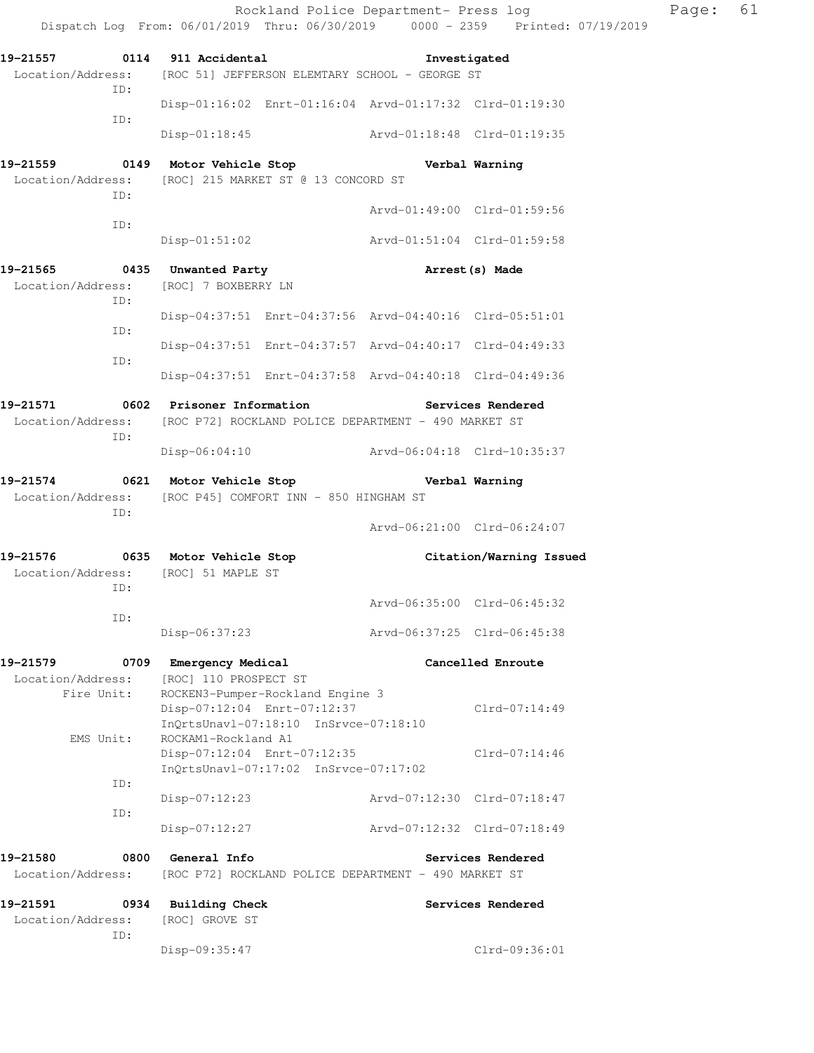|                                                                                                                    |                                                                                                          | Rockland Police Department- Press log | Dispatch Log From: 06/01/2019 Thru: 06/30/2019 0000 - 2359 Printed: 07/19/2019 | Page: | 61 |
|--------------------------------------------------------------------------------------------------------------------|----------------------------------------------------------------------------------------------------------|---------------------------------------|--------------------------------------------------------------------------------|-------|----|
| 19-21557 0114 911 Accidental                                                                                       |                                                                                                          |                                       |                                                                                |       |    |
| Location/Address: [ROC 51] JEFFERSON ELEMTARY SCHOOL - GEORGE ST<br>ID:                                            |                                                                                                          |                                       | Investigated                                                                   |       |    |
| ID:                                                                                                                | Disp-01:16:02 Enrt-01:16:04 Arvd-01:17:32 Clrd-01:19:30                                                  |                                       |                                                                                |       |    |
|                                                                                                                    | Disp-01:18:45 Arvd-01:18:48 Clrd-01:19:35                                                                |                                       |                                                                                |       |    |
| 19-21559 0149 Motor Vehicle Stop Nerbal Warning<br>Location/Address:<br>ID:                                        | [ROC] 215 MARKET ST @ 13 CONCORD ST                                                                      |                                       |                                                                                |       |    |
| ID:                                                                                                                |                                                                                                          |                                       | Arvd-01:49:00 Clrd-01:59:56                                                    |       |    |
|                                                                                                                    | Disp-01:51:02                                                                                            | Arvd-01:51:04 Clrd-01:59:58           |                                                                                |       |    |
| 19-21565 0435 Unwanted Party<br>Location/Address:<br>ID:                                                           | [ROC] 7 BOXBERRY LN                                                                                      |                                       | Arrest (s) Made                                                                |       |    |
| ID:                                                                                                                | Disp-04:37:51 Enrt-04:37:56 Arvd-04:40:16 Clrd-05:51:01                                                  |                                       |                                                                                |       |    |
| ID:                                                                                                                | Disp-04:37:51 Enrt-04:37:57 Arvd-04:40:17 Clrd-04:49:33                                                  |                                       |                                                                                |       |    |
|                                                                                                                    | Disp-04:37:51 Enrt-04:37:58 Arvd-04:40:18 Clrd-04:49:36                                                  |                                       |                                                                                |       |    |
| 19-21571 0602 Prisoner Information                                                                                 |                                                                                                          |                                       | Services Rendered                                                              |       |    |
| Location/Address:<br>ID:                                                                                           | [ROC P72] ROCKLAND POLICE DEPARTMENT - 490 MARKET ST                                                     |                                       |                                                                                |       |    |
|                                                                                                                    | Disp-06:04:10 Arvd-06:04:18 Clrd-10:35:37                                                                |                                       |                                                                                |       |    |
| 19-21574 0621 Motor Vehicle Stop Nerbal Warning<br>Location/Address: [ROC P45] COMFORT INN - 850 HINGHAM ST<br>ID: |                                                                                                          |                                       |                                                                                |       |    |
|                                                                                                                    |                                                                                                          |                                       | Arvd-06:21:00 Clrd-06:24:07                                                    |       |    |
| 19-21576 0635 Motor Vehicle Stop<br>Location/Address: [ROC] 51 MAPLE ST<br>ID:                                     |                                                                                                          |                                       | Citation/Warning Issued                                                        |       |    |
| ID:                                                                                                                |                                                                                                          |                                       | Arvd-06:35:00 Clrd-06:45:32                                                    |       |    |
|                                                                                                                    | $Disp-06:37:23$                                                                                          |                                       | Arvd-06:37:25 Clrd-06:45:38                                                    |       |    |
| 19-21579<br>0709<br>Location/Address:                                                                              | Emergency Medical<br>[ROC] 110 PROSPECT ST                                                               |                                       | Cancelled Enroute                                                              |       |    |
| Fire Unit:                                                                                                         | ROCKEN3-Pumper-Rockland Engine 3<br>Disp-07:12:04 Enrt-07:12:37<br>InQrtsUnavl-07:18:10 InSrvce-07:18:10 |                                       | $Clrd-07:14:49$                                                                |       |    |
| EMS Unit:                                                                                                          | ROCKAM1-Rockland A1<br>Disp-07:12:04 Enrt-07:12:35<br>InQrtsUnavl-07:17:02 InSrvce-07:17:02              |                                       | $Clrd-07:14:46$                                                                |       |    |
| ID:                                                                                                                | $Disp-07:12:23$                                                                                          |                                       | Arvd-07:12:30 Clrd-07:18:47                                                    |       |    |
| ID:                                                                                                                | $Disp-07:12:27$                                                                                          |                                       | Arvd-07:12:32 Clrd-07:18:49                                                    |       |    |
| 19-21580<br>0800                                                                                                   | General Info                                                                                             |                                       | Services Rendered                                                              |       |    |
| Location/Address:                                                                                                  | [ROC P72] ROCKLAND POLICE DEPARTMENT - 490 MARKET ST                                                     |                                       |                                                                                |       |    |
| 19-21591<br>0934<br>Location/Address:<br>ID:                                                                       | <b>Building Check</b><br>[ROC] GROVE ST                                                                  |                                       | Services Rendered                                                              |       |    |
|                                                                                                                    | Disp-09:35:47                                                                                            |                                       | Clrd-09:36:01                                                                  |       |    |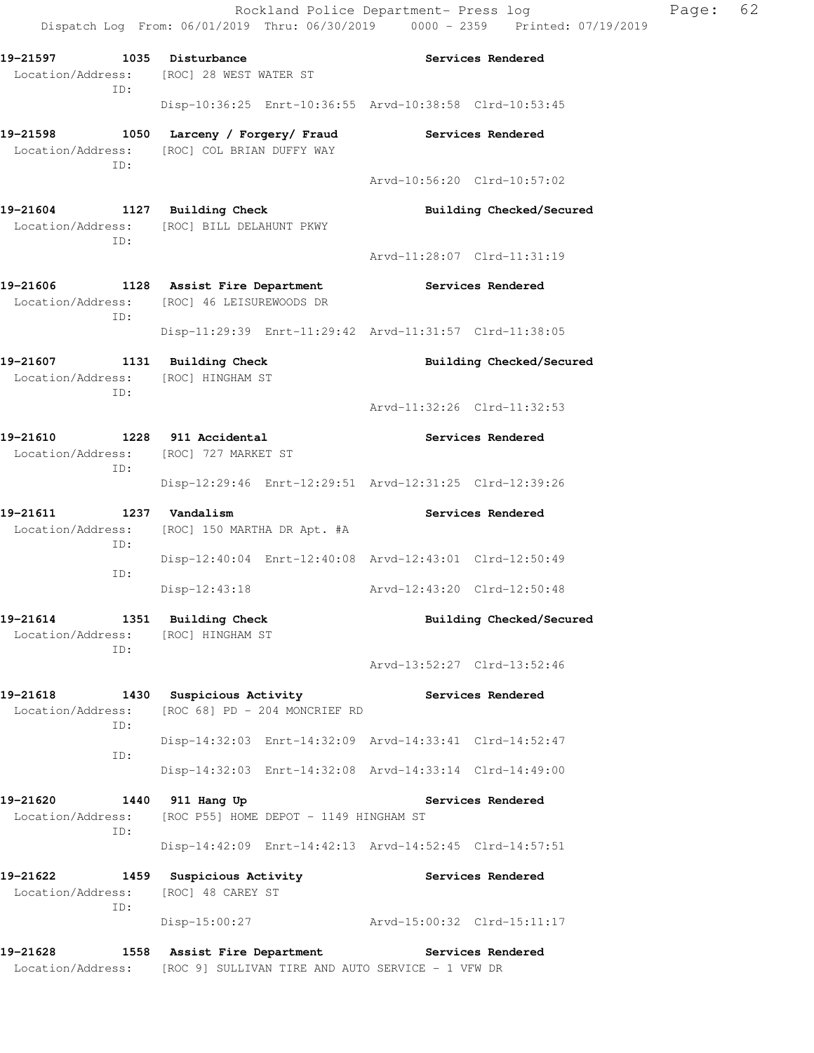Dispatch Log From: 06/01/2019 Thru: 06/30/2019 0000 - 2359 Printed: 07/19/2019 **19-21597 1035 Disturbance Services Rendered**  Location/Address: [ROC] 28 WEST WATER ST ID: Disp-10:36:25 Enrt-10:36:55 Arvd-10:38:58 Clrd-10:53:45 **19-21598 1050 Larceny / Forgery/ Fraud Services Rendered**  Location/Address: [ROC] COL BRIAN DUFFY WAY ID: Arvd-10:56:20 Clrd-10:57:02 **19-21604 1127 Building Check Building Checked/Secured**  Location/Address: [ROC] BILL DELAHUNT PKWY ID: Arvd-11:28:07 Clrd-11:31:19 **19-21606 1128 Assist Fire Department Services Rendered**  Location/Address: [ROC] 46 LEISUREWOODS DR ID: Disp-11:29:39 Enrt-11:29:42 Arvd-11:31:57 Clrd-11:38:05 **19-21607 1131 Building Check Building Checked/Secured**  Location/Address: [ROC] HINGHAM ST ID: Arvd-11:32:26 Clrd-11:32:53 **19-21610 1228 911 Accidental Services Rendered**  Location/Address: [ROC] 727 MARKET ST ID: Disp-12:29:46 Enrt-12:29:51 Arvd-12:31:25 Clrd-12:39:26 19-21611 1237 Vandalism **Services Rendered**  Location/Address: [ROC] 150 MARTHA DR Apt. #A ID: Disp-12:40:04 Enrt-12:40:08 Arvd-12:43:01 Clrd-12:50:49 ID: Disp-12:43:18 Arvd-12:43:20 Clrd-12:50:48 **19-21614 1351 Building Check Building Checked/Secured**  Location/Address: [ROC] HINGHAM ST ID: Arvd-13:52:27 Clrd-13:52:46 19-21618 1430 Suspicious Activity **19-21618** Services Rendered Location/Address: [ROC 68] PD - 204 MONCRIEF RD ID: Disp-14:32:03 Enrt-14:32:09 Arvd-14:33:41 Clrd-14:52:47 ID: Disp-14:32:03 Enrt-14:32:08 Arvd-14:33:14 Clrd-14:49:00 **19-21620 1440 911 Hang Up Services Rendered**  Location/Address: [ROC P55] HOME DEPOT - 1149 HINGHAM ST ID: Disp-14:42:09 Enrt-14:42:13 Arvd-14:52:45 Clrd-14:57:51 **19-21622 1459 Suspicious Activity Services Rendered**  Location/Address: [ROC] 48 CAREY ST ID: Disp-15:00:27 Arvd-15:00:32 Clrd-15:11:17 **19-21628 1558 Assist Fire Department Services Rendered** 

Location/Address: [ROC 9] SULLIVAN TIRE AND AUTO SERVICE - 1 VFW DR

Rockland Police Department- Press log Rage: 62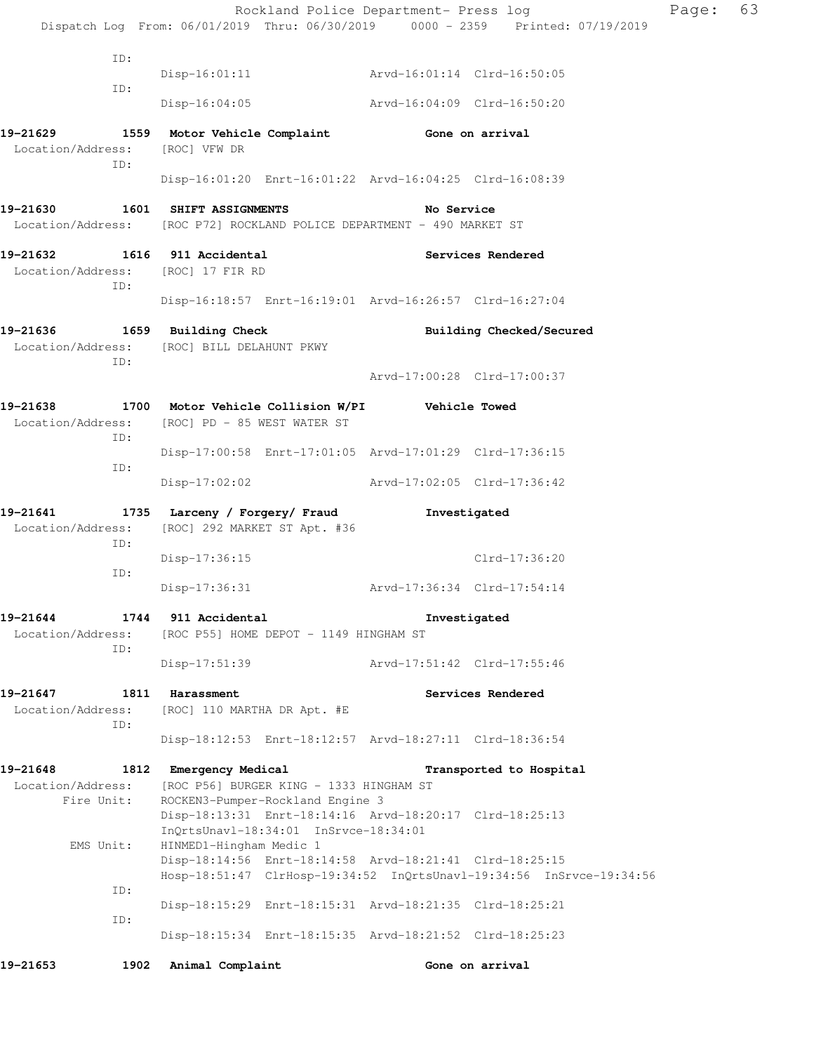| 19–21653                                                               | 1902 | Animal Complaint                 |                                                                             |                                                                                                              | Gone on arrival                                                                |       |    |
|------------------------------------------------------------------------|------|----------------------------------|-----------------------------------------------------------------------------|--------------------------------------------------------------------------------------------------------------|--------------------------------------------------------------------------------|-------|----|
|                                                                        |      |                                  |                                                                             | Disp-18:15:34 Enrt-18:15:35 Arvd-18:21:52 Clrd-18:25:23                                                      |                                                                                |       |    |
| ID:                                                                    |      |                                  |                                                                             | Disp-18:15:29 Enrt-18:15:31 Arvd-18:21:35 Clrd-18:25:21                                                      |                                                                                |       |    |
| ID:                                                                    |      |                                  |                                                                             |                                                                                                              | Hosp-18:51:47 ClrHosp-19:34:52 InQrtsUnavl-19:34:56 InSrvce-19:34:56           |       |    |
| EMS Unit:                                                              |      | HINMED1-Hingham Medic 1          | InQrtsUnavl-18:34:01 InSrvce-18:34:01                                       | Disp-18:14:56 Enrt-18:14:58 Arvd-18:21:41 Clrd-18:25:15                                                      |                                                                                |       |    |
| Location/Address:<br>Fire Unit:                                        |      |                                  | [ROC P56] BURGER KING - 1333 HINGHAM ST<br>ROCKEN3-Pumper-Rockland Engine 3 | Disp-18:13:31 Enrt-18:14:16 Arvd-18:20:17 Clrd-18:25:13                                                      |                                                                                |       |    |
| 19-21648                                                               |      | 1812 Emergency Medical           |                                                                             |                                                                                                              | Transported to Hospital                                                        |       |    |
| Location/Address:<br>ID:                                               |      | [ROC] 110 MARTHA DR Apt. #E      |                                                                             | Disp-18:12:53 Enrt-18:12:57 Arvd-18:27:11 Clrd-18:36:54                                                      |                                                                                |       |    |
| 19-21647                                                               |      | 1811 Harassment                  |                                                                             |                                                                                                              | Services Rendered                                                              |       |    |
| ID:                                                                    |      | Disp-17:51:39                    |                                                                             | Arvd-17:51:42 Clrd-17:55:46                                                                                  |                                                                                |       |    |
| Location/Address:                                                      |      |                                  | [ROC P55] HOME DEPOT - 1149 HINGHAM ST                                      |                                                                                                              |                                                                                |       |    |
| 19-21644                                                               |      | 1744 911 Accidental              |                                                                             |                                                                                                              | Investigated                                                                   |       |    |
| ID:                                                                    |      | Disp-17:36:15<br>$Disp-17:36:31$ |                                                                             | Arvd-17:36:34 Clrd-17:54:14                                                                                  | Clrd-17:36:20                                                                  |       |    |
| Location/Address:<br>ID:                                               |      | [ROC] 292 MARKET ST Apt. #36     |                                                                             |                                                                                                              |                                                                                |       |    |
| 19-21641                                                               |      |                                  | 1735 Larceny / Forgery/ Fraud                                               | Investigated                                                                                                 |                                                                                |       |    |
| ID:                                                                    |      |                                  |                                                                             | Disp-17:02:02 Arvd-17:02:05 Clrd-17:36:42                                                                    |                                                                                |       |    |
| 19-21638<br>Location/Address: [ROC] PD - 85 WEST WATER ST<br>ID:       |      |                                  |                                                                             | 1700 Motor Vehicle Collision W/PI   Vehicle Towed<br>Disp-17:00:58 Enrt-17:01:05 Arvd-17:01:29 Clrd-17:36:15 |                                                                                |       |    |
|                                                                        |      |                                  |                                                                             |                                                                                                              |                                                                                |       |    |
| Location/Address:<br>ID:                                               |      | [ROC] BILL DELAHUNT PKWY         |                                                                             |                                                                                                              | Arvd-17:00:28 Clrd-17:00:37                                                    |       |    |
|                                                                        |      | 1659 Building Check              |                                                                             |                                                                                                              | Building Checked/Secured                                                       |       |    |
| ID:                                                                    |      |                                  |                                                                             | Disp-16:18:57 Enrt-16:19:01 Arvd-16:26:57 Clrd-16:27:04                                                      |                                                                                |       |    |
| 19-21632<br>Location/Address: [ROC] 17 FIR RD                          |      | 1616 911 Accidental              |                                                                             |                                                                                                              | Services Rendered                                                              |       |    |
| Location/Address: [ROC P72] ROCKLAND POLICE DEPARTMENT - 490 MARKET ST |      |                                  |                                                                             |                                                                                                              |                                                                                |       |    |
| 19-21630                                                               |      | 1601 SHIFT ASSIGNMENTS           |                                                                             | No Service                                                                                                   |                                                                                |       |    |
| 19-21629<br>Location/Address:<br>ID:                                   |      | [ROC] VFW DR                     |                                                                             | 1559 Motor Vehicle Complaint 6one on arrival<br>Disp-16:01:20 Enrt-16:01:22 Arvd-16:04:25 Clrd-16:08:39      |                                                                                |       |    |
|                                                                        |      | $Disp-16:04:05$                  |                                                                             | Arvd-16:04:09 Clrd-16:50:20                                                                                  |                                                                                |       |    |
| ID:                                                                    |      |                                  |                                                                             | Disp-16:01:11 Arvd-16:01:14 Clrd-16:50:05                                                                    |                                                                                |       |    |
| ID:                                                                    |      |                                  |                                                                             |                                                                                                              |                                                                                |       |    |
|                                                                        |      |                                  |                                                                             |                                                                                                              | Dispatch Log From: 06/01/2019 Thru: 06/30/2019 0000 - 2359 Printed: 07/19/2019 |       |    |
|                                                                        |      |                                  |                                                                             | Rockland Police Department- Press log                                                                        |                                                                                | Page: | 63 |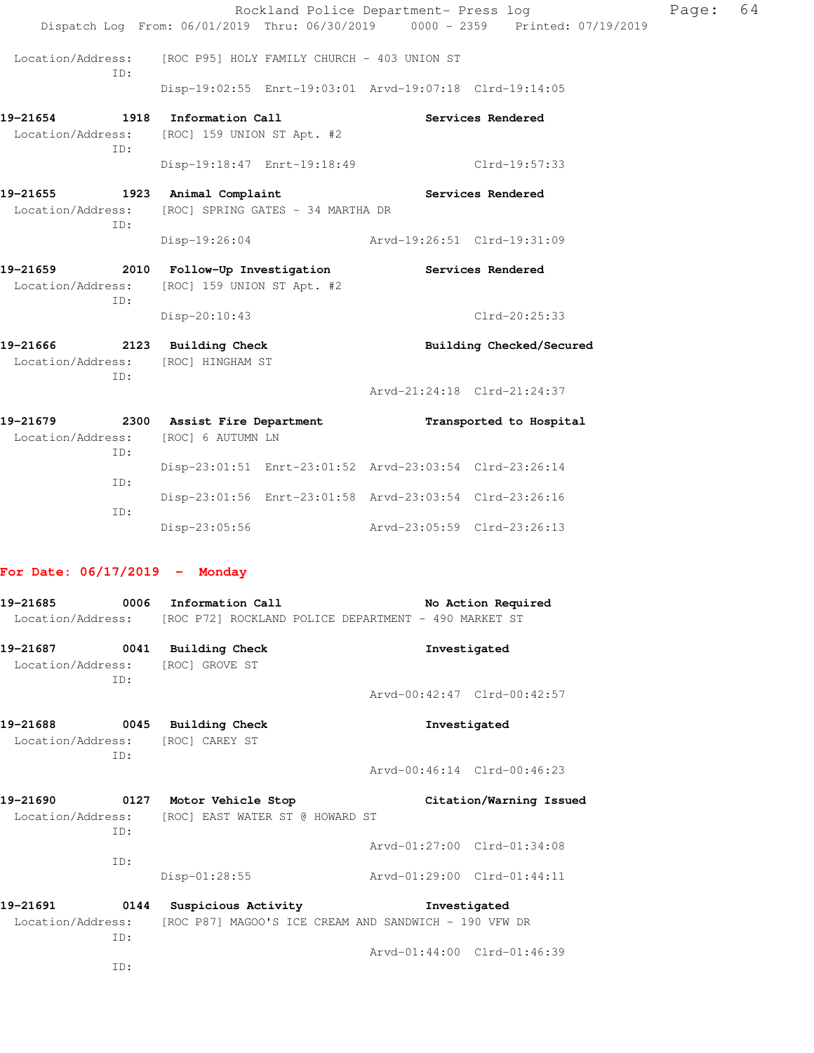|                                                                           |                                                                                                         | Rockland Police Department- Press log                                                                                                                                                                                                                                                                                                                                                | Page: | 64 |
|---------------------------------------------------------------------------|---------------------------------------------------------------------------------------------------------|--------------------------------------------------------------------------------------------------------------------------------------------------------------------------------------------------------------------------------------------------------------------------------------------------------------------------------------------------------------------------------------|-------|----|
|                                                                           |                                                                                                         | Dispatch Log From: 06/01/2019 Thru: 06/30/2019 0000 - 2359 Printed: 07/19/2019                                                                                                                                                                                                                                                                                                       |       |    |
| ID:                                                                       | Location/Address: [ROC P95] HOLY FAMILY CHURCH - 403 UNION ST                                           |                                                                                                                                                                                                                                                                                                                                                                                      |       |    |
|                                                                           |                                                                                                         | Disp-19:02:55 Enrt-19:03:01 Arvd-19:07:18 Clrd-19:14:05                                                                                                                                                                                                                                                                                                                              |       |    |
| 19-21654 1918 Information Call<br>TD:                                     | Location/Address: [ROC] 159 UNION ST Apt. #2                                                            | Services Rendered                                                                                                                                                                                                                                                                                                                                                                    |       |    |
|                                                                           |                                                                                                         | Disp-19:18:47 Enrt-19:18:49 Clrd-19:57:33                                                                                                                                                                                                                                                                                                                                            |       |    |
| 19-21655 1923 Animal Complaint<br>ID:                                     | Location/Address: [ROC] SPRING GATES - 34 MARTHA DR                                                     | Services Rendered                                                                                                                                                                                                                                                                                                                                                                    |       |    |
|                                                                           |                                                                                                         | Disp-19:26:04 Arvd-19:26:51 Clrd-19:31:09                                                                                                                                                                                                                                                                                                                                            |       |    |
| ID:                                                                       | 19-21659 2010 Follow-Up Investigation Services Rendered<br>Location/Address: [ROC] 159 UNION ST Apt. #2 |                                                                                                                                                                                                                                                                                                                                                                                      |       |    |
|                                                                           | Disp-20:10:43                                                                                           | Clrd-20:25:33                                                                                                                                                                                                                                                                                                                                                                        |       |    |
| 19-21666 2123 Building Check<br>Location/Address: [ROC] HINGHAM ST<br>ID: |                                                                                                         | Building Checked/Secured                                                                                                                                                                                                                                                                                                                                                             |       |    |
|                                                                           |                                                                                                         | Arvd-21:24:18 Clrd-21:24:37                                                                                                                                                                                                                                                                                                                                                          |       |    |
| Location/Address: [ROC] 6 AUTUMN LN<br>ID:                                | 19-21679 2300 Assist Fire Department                                                                    | Transported to Hospital                                                                                                                                                                                                                                                                                                                                                              |       |    |
|                                                                           |                                                                                                         | $\overline{a}$ $\overline{a}$ $\overline{a}$ $\overline{a}$ $\overline{a}$ $\overline{a}$ $\overline{a}$ $\overline{a}$ $\overline{a}$ $\overline{a}$ $\overline{a}$ $\overline{a}$ $\overline{a}$ $\overline{a}$ $\overline{a}$ $\overline{a}$ $\overline{a}$ $\overline{a}$ $\overline{a}$ $\overline{a}$ $\overline{a}$ $\overline{a}$ $\overline{a}$ $\overline{a}$ $\overline{$ |       |    |

|     |               | Disp-23:01:51 Enrt-23:01:52 Arvd-23:03:54 Clrd-23:26:14 |                             |
|-----|---------------|---------------------------------------------------------|-----------------------------|
| TD: |               |                                                         |                             |
|     |               | Disp-23:01:56 Enrt-23:01:58 Arvd-23:03:54 Clrd-23:26:16 |                             |
| TD: |               |                                                         |                             |
|     | Disp-23:05:56 |                                                         | Arvd-23:05:59 Clrd-23:26:13 |

# **For Date: 06/17/2019 - Monday**

| 19-21685 | 0006 | Information Call<br>Location/Address: [ROC P72] ROCKLAND POLICE DEPARTMENT - 490 MARKET ST          |                                             | No Action Required      |
|----------|------|-----------------------------------------------------------------------------------------------------|---------------------------------------------|-------------------------|
|          | TD:  | 19-21687 0041 Building Check<br>Location/Address: [ROC] GROVE ST                                    | Investigated<br>Arvd-00:42:47 Clrd-00:42:57 |                         |
| 19-21688 | ID:  | 0045 Building Check<br>Location/Address: [ROC] CAREY ST                                             | Investigated                                |                         |
|          |      |                                                                                                     | Arvd-00:46:14 Clrd-00:46:23                 |                         |
|          | TD:  | 19-21690 0127 Motor Vehicle Stop<br>Location/Address: [ROC] EAST WATER ST @ HOWARD ST               | Arvd-01:27:00 Clrd-01:34:08                 | Citation/Warning Issued |
|          | TD:  | Disp-01:28:55                                                                                       | Arvd-01:29:00 Clrd-01:44:11                 |                         |
| 19-21691 | TD:  | 0144 Suspicious Activity<br>Location/Address: [ROC P87] MAGOO'S ICE CREAM AND SANDWICH - 190 VFW DR |                                             | Investigated            |
|          | TD:  |                                                                                                     | Aryd-01:44:00 Clrd-01:46:39                 |                         |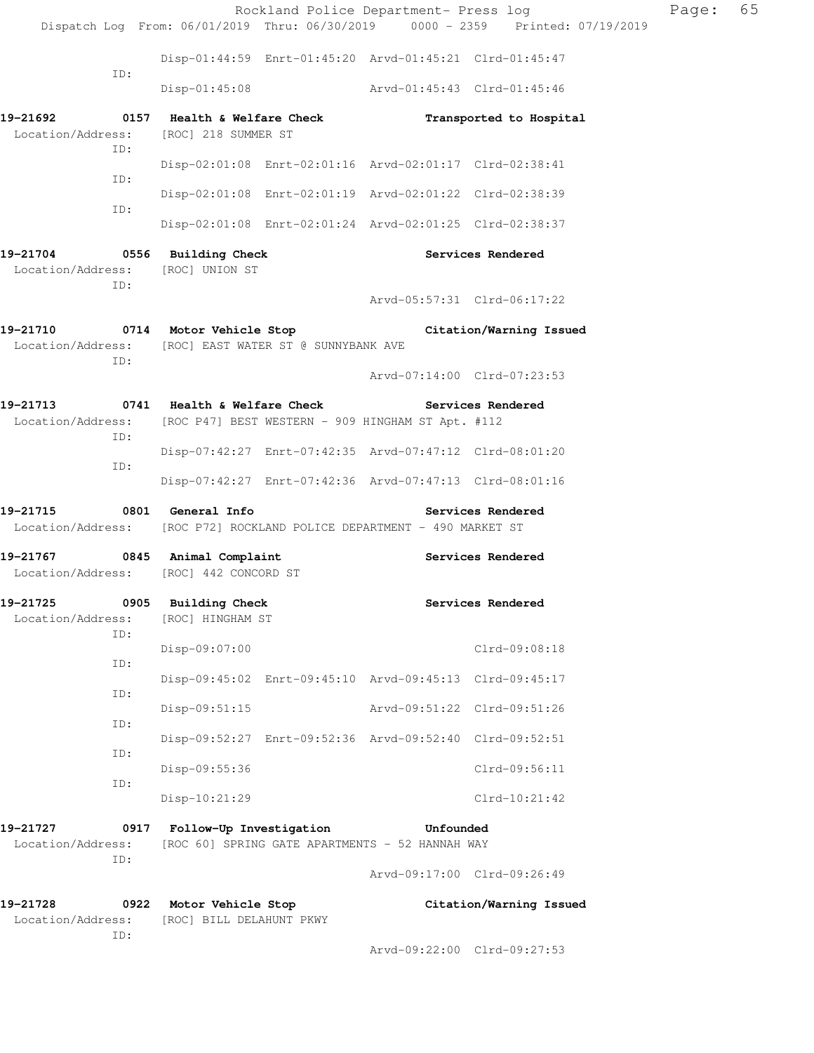|                                                                         |                                                                                                             | Rockland Police Department- Press log |                         | Page: | 65 |
|-------------------------------------------------------------------------|-------------------------------------------------------------------------------------------------------------|---------------------------------------|-------------------------|-------|----|
|                                                                         | Dispatch Log From: 06/01/2019 Thru: 06/30/2019 0000 - 2359 Printed: 07/19/2019                              |                                       |                         |       |    |
| ID:                                                                     | Disp-01:44:59 Enrt-01:45:20 Arvd-01:45:21 Clrd-01:45:47                                                     |                                       |                         |       |    |
|                                                                         | Disp-01:45:08    Arvd-01:45:43    Clrd-01:45:46                                                             |                                       |                         |       |    |
| Location/Address:<br>ID:                                                | $19-21692$ 0157 Health & Welfare Check<br>[ROC] 218 SUMMER ST                                               | Transported to Hospital               |                         |       |    |
| ID:                                                                     | Disp-02:01:08 Enrt-02:01:16 Arvd-02:01:17 Clrd-02:38:41                                                     |                                       |                         |       |    |
| ID:                                                                     | Disp-02:01:08 Enrt-02:01:19 Arvd-02:01:22 Clrd-02:38:39                                                     |                                       |                         |       |    |
|                                                                         | Disp-02:01:08 Enrt-02:01:24 Arvd-02:01:25 Clrd-02:38:37                                                     |                                       |                         |       |    |
| 19-21704 0556 Building Check<br>Location/Address: [ROC] UNION ST<br>ID: |                                                                                                             | Services Rendered                     |                         |       |    |
|                                                                         |                                                                                                             | Arvd-05:57:31 Clrd-06:17:22           |                         |       |    |
| ID:                                                                     | 19-21710 0714 Motor Vehicle Stop<br>Location/Address: [ROC] EAST WATER ST @ SUNNYBANK AVE                   |                                       | Citation/Warning Issued |       |    |
|                                                                         |                                                                                                             | Arvd-07:14:00 Clrd-07:23:53           |                         |       |    |
| ID:                                                                     | 19-21713 0741 Health & Welfare Check<br>Location/Address: [ROC P47] BEST WESTERN - 909 HINGHAM ST Apt. #112 | Services Rendered                     |                         |       |    |
| ID:                                                                     | Disp-07:42:27 Enrt-07:42:35 Arvd-07:47:12 Clrd-08:01:20                                                     |                                       |                         |       |    |
|                                                                         | Disp-07:42:27 Enrt-07:42:36 Arvd-07:47:13 Clrd-08:01:16                                                     |                                       |                         |       |    |
| 19-21715 0801 General Info                                              | Location/Address: [ROC P72] ROCKLAND POLICE DEPARTMENT - 490 MARKET ST                                      | <b>Services Rendered</b>              |                         |       |    |
| 19-21767 0845 Animal Complaint                                          | Location/Address: [ROC] 442 CONCORD ST                                                                      | Services Rendered                     |                         |       |    |
| 19-21725<br>0905<br>Location/Address:<br>ID:                            | <b>Building Check</b><br>[ROC] HINGHAM ST                                                                   | Services Rendered                     |                         |       |    |
| ID:                                                                     | Disp-09:07:00                                                                                               |                                       | Clrd-09:08:18           |       |    |
| ID:                                                                     | Disp-09:45:02 Enrt-09:45:10 Arvd-09:45:13 Clrd-09:45:17                                                     |                                       |                         |       |    |
| ID:                                                                     | $Disp-09:51:15$                                                                                             | Arvd-09:51:22 Clrd-09:51:26           |                         |       |    |
| ID:                                                                     | Disp-09:52:27 Enrt-09:52:36 Arvd-09:52:40 Clrd-09:52:51                                                     |                                       |                         |       |    |
| ID:                                                                     | Disp-09:55:36                                                                                               |                                       | Clrd-09:56:11           |       |    |
|                                                                         | Disp-10:21:29                                                                                               |                                       | $Clrd-10:21:42$         |       |    |
| 19–21727<br>0917<br>Location/Address:<br>ID:                            | Follow-Up Investigation<br>[ROC 60] SPRING GATE APARTMENTS - 52 HANNAH WAY                                  | Unfounded                             |                         |       |    |
|                                                                         |                                                                                                             | Arvd-09:17:00 Clrd-09:26:49           |                         |       |    |
| 19-21728<br>Location/Address:<br>ID:                                    | 0922 Motor Vehicle Stop<br>[ROC] BILL DELAHUNT PKWY                                                         |                                       | Citation/Warning Issued |       |    |
|                                                                         |                                                                                                             | Arvd-09:22:00 Clrd-09:27:53           |                         |       |    |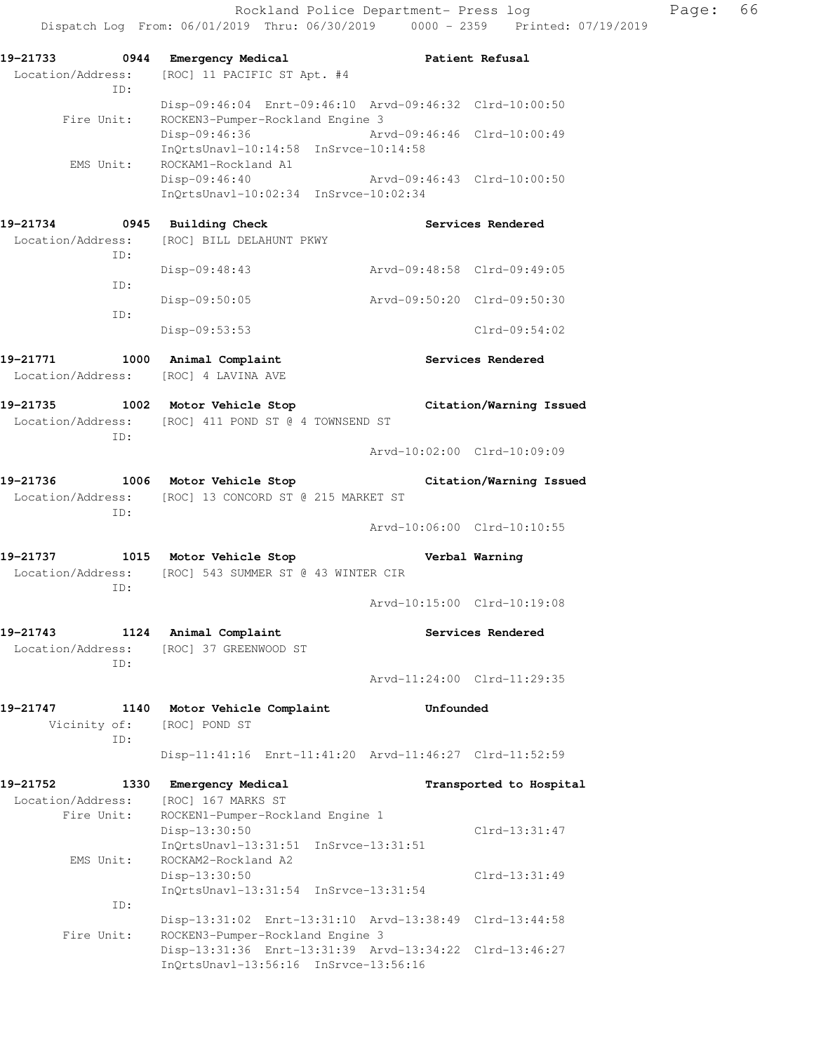Dispatch Log From: 06/01/2019 Thru: 06/30/2019 0000 - 2359 Printed: 07/19/2019 **19-21733 0944 Emergency Medical Patient Refusal**  Location/Address: [ROC] 11 PACIFIC ST Apt. #4 ID: Disp-09:46:04 Enrt-09:46:10 Arvd-09:46:32 Clrd-10:00:50 Fire Unit: ROCKEN3-Pumper-Rockland Engine 3 Disp-09:46:36 Arvd-09:46:46 Clrd-10:00:49 InQrtsUnavl-10:14:58 InSrvce-10:14:58 EMS Unit: ROCKAM1-Rockland A1 Disp-09:46:40 Arvd-09:46:43 Clrd-10:00:50 InQrtsUnavl-10:02:34 InSrvce-10:02:34 **19-21734 0945 Building Check Services Rendered**  Location/Address: [ROC] BILL DELAHUNT PKWY ID: Disp-09:48:43 Arvd-09:48:58 Clrd-09:49:05 ID: Disp-09:50:05 Arvd-09:50:20 Clrd-09:50:30 ID: Disp-09:53:53 Clrd-09:54:02 **19-21771 1000 Animal Complaint Services Rendered**  Location/Address: [ROC] 4 LAVINA AVE **19-21735 1002 Motor Vehicle Stop Citation/Warning Issued**  Location/Address: [ROC] 411 POND ST @ 4 TOWNSEND ST ID: Arvd-10:02:00 Clrd-10:09:09 **19-21736 1006 Motor Vehicle Stop Citation/Warning Issued**  Location/Address: [ROC] 13 CONCORD ST @ 215 MARKET ST ID: Arvd-10:06:00 Clrd-10:10:55 **19-21737 1015 Motor Vehicle Stop Verbal Warning**  Location/Address: [ROC] 543 SUMMER ST @ 43 WINTER CIR ID: Arvd-10:15:00 Clrd-10:19:08 **19-21743 1124 Animal Complaint Services Rendered**  Location/Address: [ROC] 37 GREENWOOD ST ID: Arvd-11:24:00 Clrd-11:29:35 **19-21747 1140 Motor Vehicle Complaint Unfounded**  Vicinity of: [ROC] POND ST ID: Disp-11:41:16 Enrt-11:41:20 Arvd-11:46:27 Clrd-11:52:59 **19-21752 1330 Emergency Medical Transported to Hospital**  Location/Address: [ROC] 167 MARKS ST Fire Unit: ROCKEN1-Pumper-Rockland Engine 1 Disp-13:30:50 Clrd-13:31:47 InQrtsUnavl-13:31:51 InSrvce-13:31:51 EMS Unit: ROCKAM2-Rockland A2 Disp-13:30:50 Clrd-13:31:49 InQrtsUnavl-13:31:54 InSrvce-13:31:54 ID: Disp-13:31:02 Enrt-13:31:10 Arvd-13:38:49 Clrd-13:44:58 Fire Unit: ROCKEN3-Pumper-Rockland Engine 3 Disp-13:31:36 Enrt-13:31:39 Arvd-13:34:22 Clrd-13:46:27 InQrtsUnavl-13:56:16 InSrvce-13:56:16

Rockland Police Department- Press log Fage: 66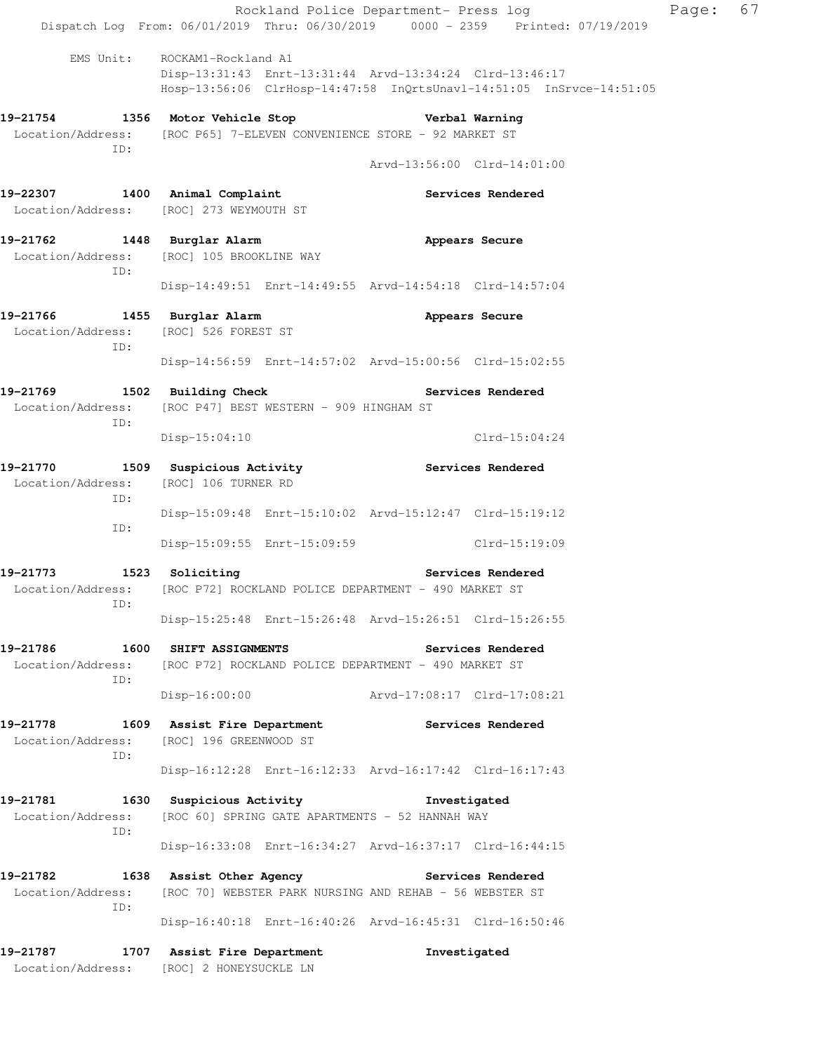|                                                                                                                          |                                                                             |                                                         |                             | Rockland Police Department- Press log<br>Dispatch Log From: 06/01/2019 Thru: 06/30/2019 0000 - 2359 Printed: 07/19/2019 | Page: | 67 |
|--------------------------------------------------------------------------------------------------------------------------|-----------------------------------------------------------------------------|---------------------------------------------------------|-----------------------------|-------------------------------------------------------------------------------------------------------------------------|-------|----|
|                                                                                                                          | EMS Unit: ROCKAM1-Rockland A1                                               | Disp-13:31:43 Enrt-13:31:44 Arvd-13:34:24 Clrd-13:46:17 |                             | Hosp-13:56:06 ClrHosp-14:47:58 InQrtsUnavl-14:51:05 InSrvce-14:51:05                                                    |       |    |
| 19-21754 1356 Motor Vehicle Stop Nerbal Warning<br>Location/Address: [ROC P65] 7-ELEVEN CONVENIENCE STORE - 92 MARKET ST |                                                                             |                                                         |                             |                                                                                                                         |       |    |
| ID:                                                                                                                      |                                                                             |                                                         | Arvd-13:56:00 Clrd-14:01:00 |                                                                                                                         |       |    |
| 19-22307 1400 Animal Complaint<br>Location/Address: [ROC] 273 WEYMOUTH ST                                                |                                                                             |                                                         |                             | Services Rendered                                                                                                       |       |    |
| 19-21762 1448 Burglar Alarm<br>Location/Address: [ROC] 105 BROOKLINE WAY<br>ID:                                          |                                                                             |                                                         |                             | Appears Secure                                                                                                          |       |    |
|                                                                                                                          |                                                                             | Disp-14:49:51 Enrt-14:49:55 Arvd-14:54:18 Clrd-14:57:04 |                             |                                                                                                                         |       |    |
| 19-21766 1455 Burglar Alarm<br>Location/Address: [ROC] 526 FOREST ST<br>ID:                                              |                                                                             |                                                         |                             | Appears Secure                                                                                                          |       |    |
|                                                                                                                          |                                                                             | Disp-14:56:59 Enrt-14:57:02 Arvd-15:00:56 Clrd-15:02:55 |                             |                                                                                                                         |       |    |
| 19–21769<br>Location/Address: [ROC P47] BEST WESTERN - 909 HINGHAM ST<br>ID:                                             | 1502 Building Check                                                         |                                                         |                             | Services Rendered                                                                                                       |       |    |
|                                                                                                                          | $Disp-15:04:10$                                                             |                                                         |                             | $Clrd-15:04:24$                                                                                                         |       |    |
| 19-21770<br>Location/Address: [ROC] 106 TURNER RD<br>ID:                                                                 | 1509 Suspicious Activity <b>Services</b> Rendered                           |                                                         |                             |                                                                                                                         |       |    |
| ID:                                                                                                                      |                                                                             | Disp-15:09:48 Enrt-15:10:02 Arvd-15:12:47 Clrd-15:19:12 |                             |                                                                                                                         |       |    |
|                                                                                                                          |                                                                             | Disp-15:09:55 Enrt-15:09:59 Clrd-15:19:09               |                             |                                                                                                                         |       |    |
| 19-21773<br>Location/Address: [ROC P72] ROCKLAND POLICE DEPARTMENT - 490 MARKET ST<br>ID:                                | 1523 Soliciting                                                             | <b>Services Rendered</b>                                |                             |                                                                                                                         |       |    |
|                                                                                                                          |                                                                             | Disp-15:25:48 Enrt-15:26:48 Arvd-15:26:51 Clrd-15:26:55 |                             |                                                                                                                         |       |    |
| 19-21786<br>Location/Address: [ROC P72] ROCKLAND POLICE DEPARTMENT - 490 MARKET ST<br>ID:                                | 1600 SHIFT ASSIGNMENTS                                                      |                                                         |                             | Services Rendered                                                                                                       |       |    |
|                                                                                                                          |                                                                             | $Disp-16:00:00$                                         | Arvd-17:08:17 Clrd-17:08:21 |                                                                                                                         |       |    |
| 19–21778<br>Location/Address: [ROC] 196 GREENWOOD ST<br>ID:                                                              | 1609 Assist Fire Department                                                 |                                                         | <b>Services Rendered</b>    |                                                                                                                         |       |    |
|                                                                                                                          |                                                                             | Disp-16:12:28 Enrt-16:12:33 Arvd-16:17:42 Clrd-16:17:43 |                             |                                                                                                                         |       |    |
| 19-21781<br>Location/Address:<br>ID:                                                                                     | 1630 Suspicious Activity<br>[ROC 60] SPRING GATE APARTMENTS - 52 HANNAH WAY |                                                         | Investigated                |                                                                                                                         |       |    |
|                                                                                                                          |                                                                             | Disp-16:33:08 Enrt-16:34:27 Arvd-16:37:17 Clrd-16:44:15 |                             |                                                                                                                         |       |    |
| 19–21782<br>Location/Address: [ROC 70] WEBSTER PARK NURSING AND REHAB - 56 WEBSTER ST<br>ID:                             | 1638 Assist Other Agency                                                    |                                                         | <b>Services Rendered</b>    |                                                                                                                         |       |    |
|                                                                                                                          |                                                                             | Disp-16:40:18 Enrt-16:40:26 Arvd-16:45:31 Clrd-16:50:46 |                             |                                                                                                                         |       |    |
| 19–21787<br>Location/Address: [ROC] 2 HONEYSUCKLE LN                                                                     | 1707 Assist Fire Department                                                 |                                                         |                             | Investigated                                                                                                            |       |    |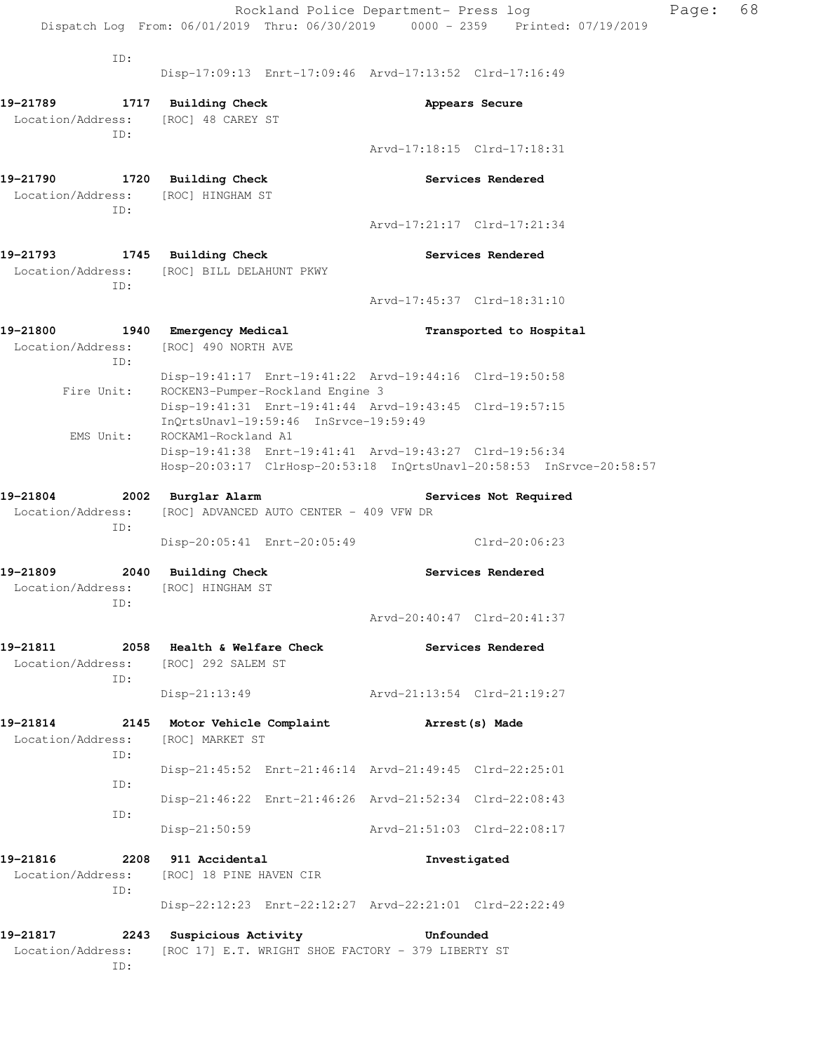Rockland Police Department- Press log Fage: 68 Dispatch Log From: 06/01/2019 Thru: 06/30/2019 0000 - 2359 Printed: 07/19/2019 ID: Disp-17:09:13 Enrt-17:09:46 Arvd-17:13:52 Clrd-17:16:49 **19-21789 1717 Building Check Appears Secure**  Location/Address: [ROC] 48 CAREY ST ID: Arvd-17:18:15 Clrd-17:18:31 **19-21790 1720 Building Check Services Rendered**  Location/Address: [ROC] HINGHAM ST ID: Arvd-17:21:17 Clrd-17:21:34 **19-21793 1745 Building Check Services Rendered**  Location/Address: [ROC] BILL DELAHUNT PKWY ID: Arvd-17:45:37 Clrd-18:31:10 **19-21800 1940 Emergency Medical Transported to Hospital**  Location/Address: [ROC] 490 NORTH AVE ID: Disp-19:41:17 Enrt-19:41:22 Arvd-19:44:16 Clrd-19:50:58 Fire Unit: ROCKEN3-Pumper-Rockland Engine 3 Disp-19:41:31 Enrt-19:41:44 Arvd-19:43:45 Clrd-19:57:15 InQrtsUnavl-19:59:46 InSrvce-19:59:49 EMS Unit: ROCKAM1-Rockland A1 Disp-19:41:38 Enrt-19:41:41 Arvd-19:43:27 Clrd-19:56:34 Hosp-20:03:17 ClrHosp-20:53:18 InQrtsUnavl-20:58:53 InSrvce-20:58:57 **19-21804 2002 Burglar Alarm Services Not Required**  Location/Address: [ROC] ADVANCED AUTO CENTER - 409 VFW DR ID: Disp-20:05:41 Enrt-20:05:49 Clrd-20:06:23 **19-21809 2040 Building Check Services Rendered**  Location/Address: [ROC] HINGHAM ST ID: Arvd-20:40:47 Clrd-20:41:37 **19-21811 2058 Health & Welfare Check Services Rendered**  Location/Address: [ROC] 292 SALEM ST ID: Disp-21:13:49 Arvd-21:13:54 Clrd-21:19:27 **19-21814 2145 Motor Vehicle Complaint Arrest(s) Made**  Location/Address: [ROC] MARKET ST ID: Disp-21:45:52 Enrt-21:46:14 Arvd-21:49:45 Clrd-22:25:01 ID: Disp-21:46:22 Enrt-21:46:26 Arvd-21:52:34 Clrd-22:08:43 ID: Disp-21:50:59 Arvd-21:51:03 Clrd-22:08:17 **19-21816 2208 911 Accidental Investigated**  Location/Address: [ROC] 18 PINE HAVEN CIR ID: Disp-22:12:23 Enrt-22:12:27 Arvd-22:21:01 Clrd-22:22:49 **19-21817 2243 Suspicious Activity Unfounded**  Location/Address: [ROC 17] E.T. WRIGHT SHOE FACTORY - 379 LIBERTY ST

ID: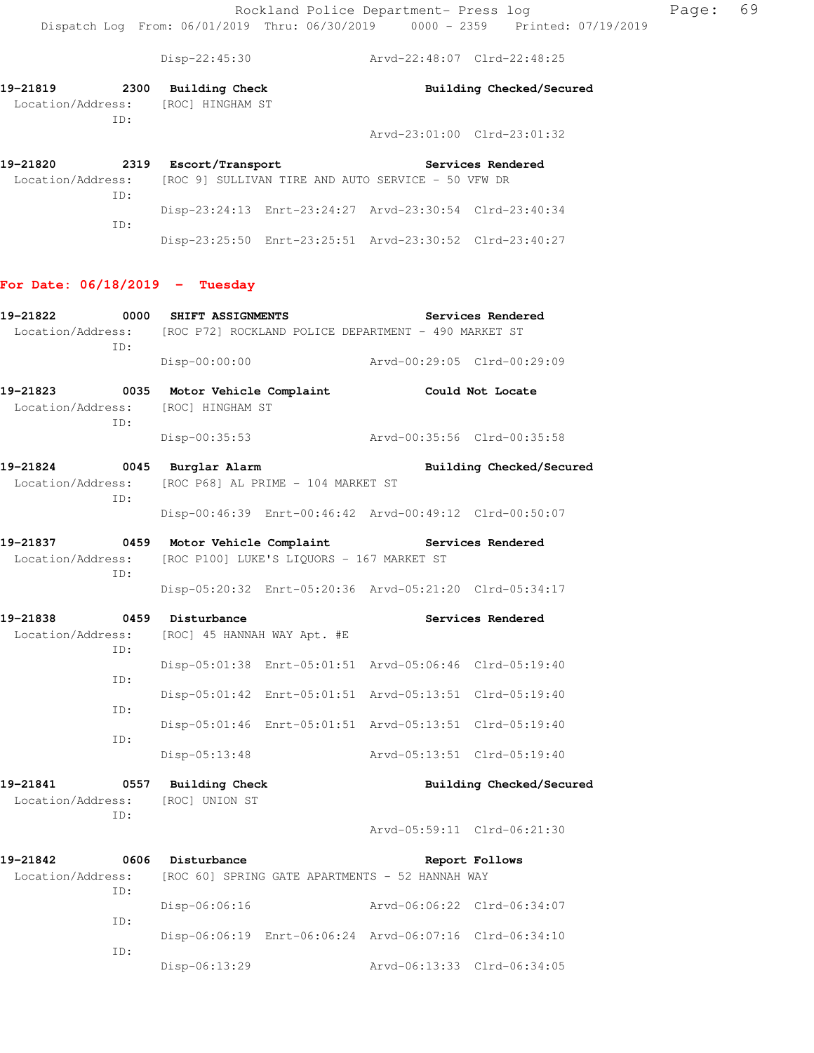Disp-22:45:30 Arvd-22:48:07 Clrd-22:48:25

| 19-21819          | 2300 | Building Check   | Building Checked/Secured        |
|-------------------|------|------------------|---------------------------------|
| Location/Address: |      | [ROC] HINGHAM ST |                                 |
|                   | TD:  |                  |                                 |
|                   |      |                  | $Arvd-23:01:00$ $C1rd-23:01:32$ |
|                   |      |                  |                                 |
| 19-21820          | 2319 | Escort/Transport | Services Rendered               |

| Location/Address: |  | [ROC 9] SULLIVAN TIRE AND AUTO SERVICE - 50 VFW DR      |  |
|-------------------|--|---------------------------------------------------------|--|
| TD:               |  |                                                         |  |
|                   |  | Disp-23:24:13 Enrt-23:24:27 Arvd-23:30:54 Clrd-23:40:34 |  |
| TD:               |  |                                                         |  |
|                   |  | Disp-23:25:50 Enrt-23:25:51 Arvd-23:30:52 Clrd-23:40:27 |  |

## **For Date: 06/18/2019 - Tuesday**

| 19-21822                                                                      | 0000<br><b>SHIFT ASSIGNMENTS</b> |                                                         |                             | Services Rendered           |  |
|-------------------------------------------------------------------------------|----------------------------------|---------------------------------------------------------|-----------------------------|-----------------------------|--|
| Location/Address: [ROC P72] ROCKLAND POLICE DEPARTMENT - 490 MARKET ST<br>ID: |                                  |                                                         |                             |                             |  |
|                                                                               | Disp-00:00:00                    |                                                         | Arvd-00:29:05 Clrd-00:29:09 |                             |  |
| 19-21823                                                                      | 0035 Motor Vehicle Complaint     |                                                         |                             | Could Not Locate            |  |
| Location/Address:<br>ID:                                                      | [ROC] HINGHAM ST                 |                                                         |                             |                             |  |
|                                                                               | Disp-00:35:53                    |                                                         | Arvd-00:35:56 Clrd-00:35:58 |                             |  |
| 19-21824                                                                      | 0045 Burglar Alarm               |                                                         |                             | Building Checked/Secured    |  |
| Location/Address:<br>TD:                                                      |                                  | [ROC P68] AL PRIME - 104 MARKET ST                      |                             |                             |  |
|                                                                               |                                  | Disp-00:46:39 Enrt-00:46:42 Arvd-00:49:12 Clrd-00:50:07 |                             |                             |  |
| 19-21837                                                                      | 0459 Motor Vehicle Complaint     |                                                         | Services Rendered           |                             |  |
| Location/Address:                                                             |                                  | [ROC P100] LUKE'S LIQUORS - 167 MARKET ST               |                             |                             |  |
| TD:                                                                           |                                  | Disp-05:20:32 Enrt-05:20:36 Arvd-05:21:20 Clrd-05:34:17 |                             |                             |  |
| 19-21838                                                                      | 0459 Disturbance                 |                                                         |                             | Services Rendered           |  |
| Location/Address:<br>ID:                                                      |                                  | [ROC] 45 HANNAH WAY Apt. #E                             |                             |                             |  |
| TD:                                                                           |                                  | Disp-05:01:38 Enrt-05:01:51 Arvd-05:06:46 Clrd-05:19:40 |                             |                             |  |
| ID:                                                                           |                                  | Disp-05:01:42 Enrt-05:01:51 Arvd-05:13:51 Clrd-05:19:40 |                             |                             |  |
|                                                                               |                                  | Disp-05:01:46 Enrt-05:01:51 Arvd-05:13:51 Clrd-05:19:40 |                             |                             |  |
| TD:                                                                           | $Disp-05:13:48$                  |                                                         | Arvd-05:13:51 Clrd-05:19:40 |                             |  |
| 19-21841                                                                      | 0557 Building Check              |                                                         |                             | Building Checked/Secured    |  |
| Location/Address:<br>ID:                                                      | [ROC] UNION ST                   |                                                         |                             |                             |  |
|                                                                               |                                  |                                                         | Arvd-05:59:11 Clrd-06:21:30 |                             |  |
| 19-21842                                                                      | 0606 Disturbance                 |                                                         |                             | Report Follows              |  |
| Location/Address: [ROC 60] SPRING GATE APARTMENTS - 52 HANNAH WAY<br>ID:      |                                  |                                                         |                             |                             |  |
|                                                                               | Disp-06:06:16                    |                                                         |                             | Arvd-06:06:22 Clrd-06:34:07 |  |
| TD:                                                                           |                                  | Disp-06:06:19 Enrt-06:06:24 Arvd-06:07:16 Clrd-06:34:10 |                             |                             |  |
| ID:                                                                           | Disp-06:13:29                    |                                                         |                             | Arvd-06:13:33 Clrd-06:34:05 |  |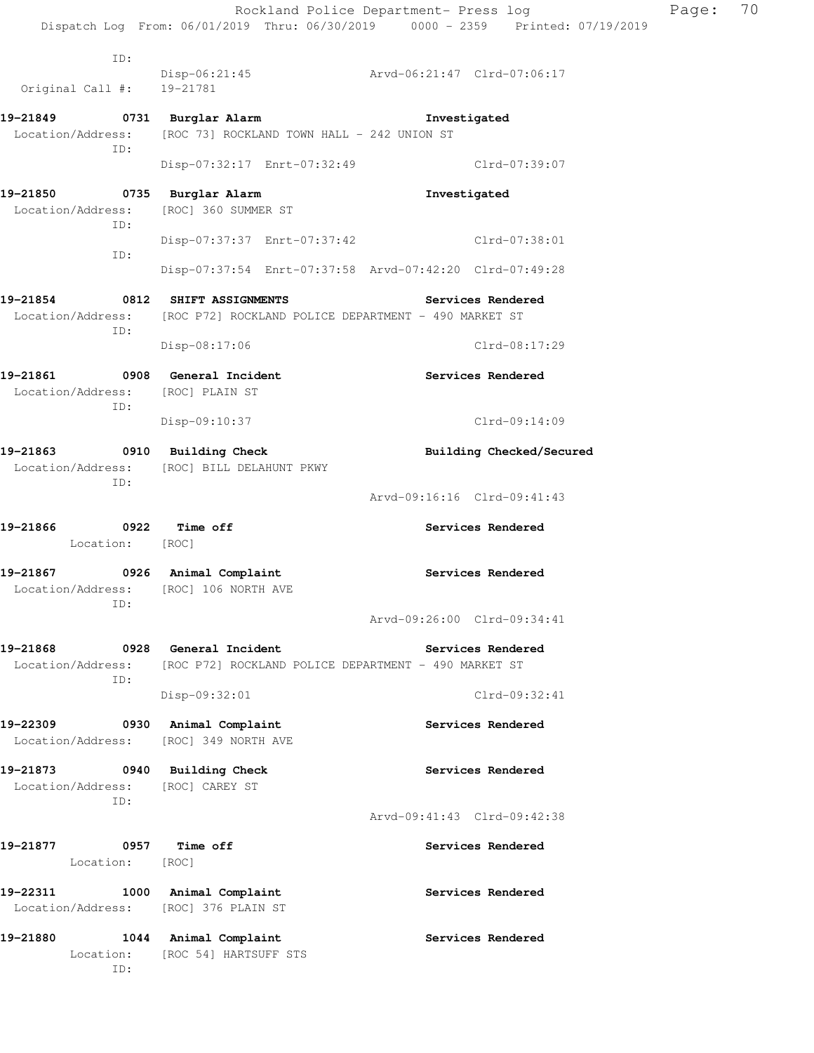|                                                                             |                                                                                                 | Rockland Police Department- Press log<br>Dispatch Log From: 06/01/2019 Thru: 06/30/2019 0000 - 2359 Printed: 07/19/2019 | Page: | 70 |
|-----------------------------------------------------------------------------|-------------------------------------------------------------------------------------------------|-------------------------------------------------------------------------------------------------------------------------|-------|----|
| ID:<br>Original Call #: 19-21781                                            |                                                                                                 | Disp-06:21:45 Arvd-06:21:47 Clrd-07:06:17                                                                               |       |    |
| 19-21849 0731 Burglar Alarm                                                 |                                                                                                 | Investigated                                                                                                            |       |    |
| ID:                                                                         | Location/Address: [ROC 73] ROCKLAND TOWN HALL - 242 UNION ST                                    |                                                                                                                         |       |    |
|                                                                             |                                                                                                 | Disp-07:32:17 Enrt-07:32:49 Clrd-07:39:07                                                                               |       |    |
| 19-21850 0735 Burglar Alarm<br>Location/Address: [ROC] 360 SUMMER ST<br>ID: |                                                                                                 | Investigated                                                                                                            |       |    |
| ID:                                                                         |                                                                                                 | Disp-07:37:37 Enrt-07:37:42 Clrd-07:38:01                                                                               |       |    |
|                                                                             |                                                                                                 | Disp-07:37:54 Enrt-07:37:58 Arvd-07:42:20 Clrd-07:49:28                                                                 |       |    |
| 19-21854 0812 SHIFT ASSIGNMENTS<br>ID:                                      | Location/Address: [ROC P72] ROCKLAND POLICE DEPARTMENT - 490 MARKET ST                          | <b>Services Rendered</b>                                                                                                |       |    |
|                                                                             | Disp-08:17:06                                                                                   | Clrd-08:17:29                                                                                                           |       |    |
| 19-21861 0908 General Incident<br>Location/Address: [ROC] PLAIN ST<br>ID:   |                                                                                                 | Services Rendered                                                                                                       |       |    |
|                                                                             | Disp-09:10:37                                                                                   | Clrd-09:14:09                                                                                                           |       |    |
| 19-21863<br>ID:                                                             | 0910 Building Check<br>Location/Address: [ROC] BILL DELAHUNT PKWY                               | Building Checked/Secured                                                                                                |       |    |
|                                                                             |                                                                                                 | Arvd-09:16:16 Clrd-09:41:43                                                                                             |       |    |
| 19-21866 0922 Time off<br>Location: [ROC]                                   |                                                                                                 | Services Rendered                                                                                                       |       |    |
| 19-21867 0926 Animal Complaint<br>Location/Address:<br>ID:                  | [ROC] 106 NORTH AVE                                                                             | Services Rendered                                                                                                       |       |    |
|                                                                             |                                                                                                 | Arvd-09:26:00 Clrd-09:34:41                                                                                             |       |    |
| 19-21868<br>ID:                                                             | 0928 General Incident<br>Location/Address: [ROC P72] ROCKLAND POLICE DEPARTMENT - 490 MARKET ST | Services Rendered                                                                                                       |       |    |
|                                                                             | Disp-09:32:01                                                                                   | Clrd-09:32:41                                                                                                           |       |    |
| 19-22309 0930 Animal Complaint<br>Location/Address: [ROC] 349 NORTH AVE     |                                                                                                 | Services Rendered                                                                                                       |       |    |
| 19-21873 0940 Building Check<br>Location/Address: [ROC] CAREY ST<br>ID:     |                                                                                                 | Services Rendered                                                                                                       |       |    |
|                                                                             |                                                                                                 | Arvd-09:41:43 Clrd-09:42:38                                                                                             |       |    |
| 0957 Time off<br>19-21877<br>Location: [ROC]                                |                                                                                                 | Services Rendered                                                                                                       |       |    |
| 19-22311<br>Location/Address: [ROC] 376 PLAIN ST                            | 1000 Animal Complaint                                                                           | Services Rendered                                                                                                       |       |    |
| 19-21880<br>ID:                                                             | 1044 Animal Complaint<br>Location: [ROC 54] HARTSUFF STS                                        | Services Rendered                                                                                                       |       |    |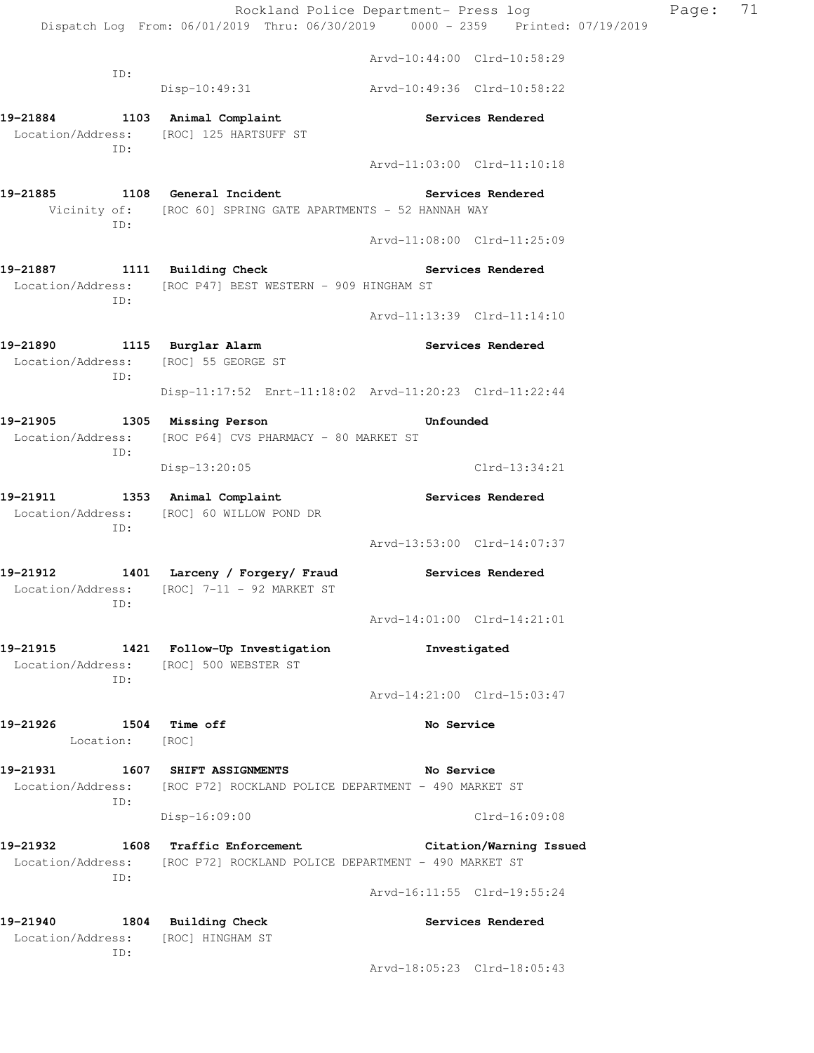Rockland Police Department- Press log Page: 71 Dispatch Log From: 06/01/2019 Thru: 06/30/2019 0000 - 2359 Printed: 07/19/2019 Arvd-10:44:00 Clrd-10:58:29 ID: Disp-10:49:31 Arvd-10:49:36 Clrd-10:58:22 **19-21884 1103 Animal Complaint Services Rendered**  Location/Address: [ROC] 125 HARTSUFF ST ID: Arvd-11:03:00 Clrd-11:10:18 **19-21885 1108 General Incident Services Rendered**  Vicinity of: [ROC 60] SPRING GATE APARTMENTS - 52 HANNAH WAY ID: Arvd-11:08:00 Clrd-11:25:09 **19-21887 1111 Building Check Services Rendered**  Location/Address: [ROC P47] BEST WESTERN - 909 HINGHAM ST ID: Arvd-11:13:39 Clrd-11:14:10 **19-21890 1115 Burglar Alarm Services Rendered**  Location/Address: [ROC] 55 GEORGE ST ID: Disp-11:17:52 Enrt-11:18:02 Arvd-11:20:23 Clrd-11:22:44 **19-21905 1305 Missing Person Unfounded**  Location/Address: [ROC P64] CVS PHARMACY - 80 MARKET ST ID: Disp-13:20:05 Clrd-13:34:21 **19-21911 1353 Animal Complaint Services Rendered**  Location/Address: [ROC] 60 WILLOW POND DR ID: Arvd-13:53:00 Clrd-14:07:37 **19-21912 1401 Larceny / Forgery/ Fraud Services Rendered**  Location/Address: [ROC] 7-11 - 92 MARKET ST ID: Arvd-14:01:00 Clrd-14:21:01 **19-21915 1421 Follow-Up Investigation Investigated**  Location/Address: [ROC] 500 WEBSTER ST ID: Arvd-14:21:00 Clrd-15:03:47 **19-21926 1504 Time off No Service**  Location: [ROC] **19-21931 1607 SHIFT ASSIGNMENTS No Service**  Location/Address: [ROC P72] ROCKLAND POLICE DEPARTMENT - 490 MARKET ST ID: Disp-16:09:00 Clrd-16:09:08 **19-21932 1608 Traffic Enforcement Citation/Warning Issued**  Location/Address: [ROC P72] ROCKLAND POLICE DEPARTMENT - 490 MARKET ST ID: Arvd-16:11:55 Clrd-19:55:24 **19-21940 1804 Building Check Services Rendered**  Location/Address: [ROC] HINGHAM ST ID:

Arvd-18:05:23 Clrd-18:05:43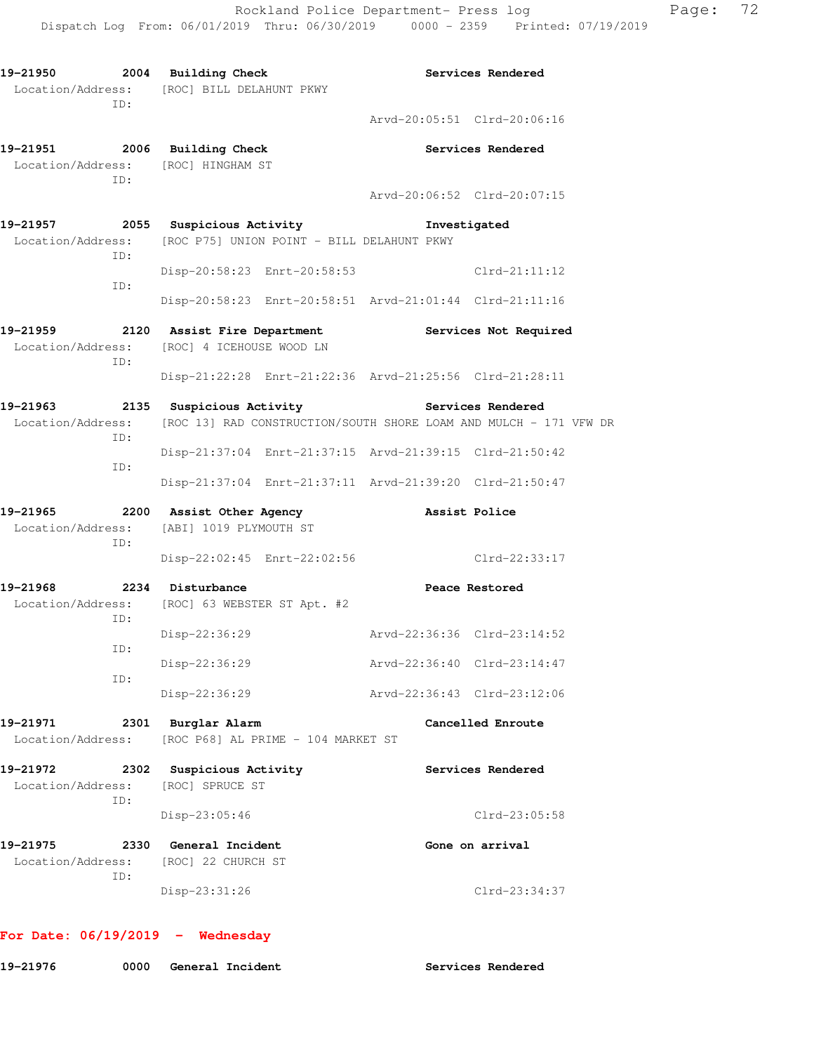**19-21950 2004 Building Check Services Rendered**  Location/Address: [ROC] BILL DELAHUNT PKWY ID: Arvd-20:05:51 Clrd-20:06:16 **19-21951 2006 Building Check Services Rendered**  Location/Address: [ROC] HINGHAM ST ID: Arvd-20:06:52 Clrd-20:07:15 **19-21957 2055 Suspicious Activity Investigated**  Location/Address: [ROC P75] UNION POINT - BILL DELAHUNT PKWY ID: Disp-20:58:23 Enrt-20:58:53 Clrd-21:11:12 ID: Disp-20:58:23 Enrt-20:58:51 Arvd-21:01:44 Clrd-21:11:16 **19-21959 2120 Assist Fire Department Services Not Required**  Location/Address: [ROC] 4 ICEHOUSE WOOD LN ID: Disp-21:22:28 Enrt-21:22:36 Arvd-21:25:56 Clrd-21:28:11 19-21963 **2135** Suspicious Activity **19-21963** Services Rendered Location/Address: [ROC 13] RAD CONSTRUCTION/SOUTH SHORE LOAM AND MULCH - 171 VFW DR ID: Disp-21:37:04 Enrt-21:37:15 Arvd-21:39:15 Clrd-21:50:42 ID: Disp-21:37:04 Enrt-21:37:11 Arvd-21:39:20 Clrd-21:50:47 **19-21965 2200 Assist Other Agency Assist Police**  Location/Address: [ABI] 1019 PLYMOUTH ST ID: Disp-22:02:45 Enrt-22:02:56 Clrd-22:33:17 **19-21968 2234 Disturbance Peace Restored**  Location/Address: [ROC] 63 WEBSTER ST Apt. #2 ID: Disp-22:36:29 Arvd-22:36:36 Clrd-23:14:52 ID: Disp-22:36:29 Arvd-22:36:40 Clrd-23:14:47 ID: Disp-22:36:29 Arvd-22:36:43 Clrd-23:12:06 **19-21971 2301 Burglar Alarm Cancelled Enroute**  Location/Address: [ROC P68] AL PRIME - 104 MARKET ST **19-21972 2302 Suspicious Activity Services Rendered**  Location/Address: [ROC] SPRUCE ST ID: Disp-23:05:46 Clrd-23:05:58 **19-21975 2330 General Incident Gone on arrival**  Location/Address: [ROC] 22 CHURCH ST ID: Disp-23:31:26 Clrd-23:34:37

#### **For Date: 06/19/2019 - Wednesday**

| 19-21976 | General Incident | <b>Services Rendered</b> |
|----------|------------------|--------------------------|
|----------|------------------|--------------------------|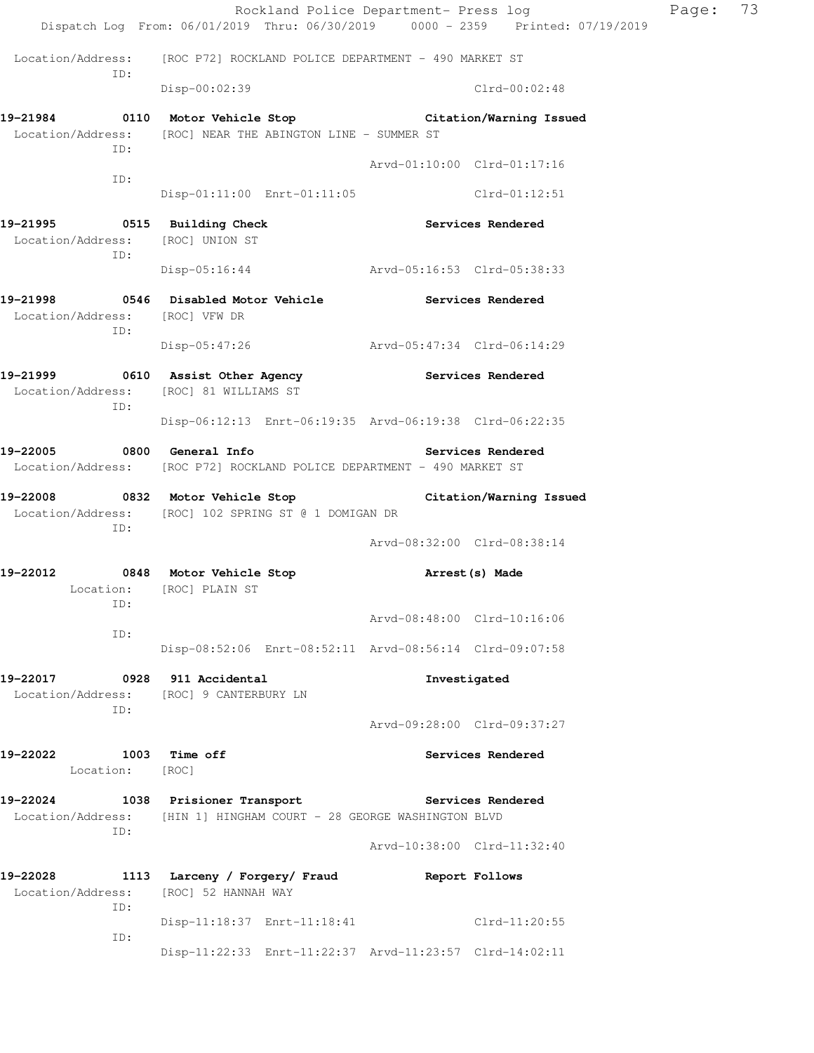|                                                                         |                                                                                                                        |                             | Rockland Police Department- Press log | Page: | 73 |
|-------------------------------------------------------------------------|------------------------------------------------------------------------------------------------------------------------|-----------------------------|---------------------------------------|-------|----|
|                                                                         | Dispatch Log From: 06/01/2019 Thru: 06/30/2019 0000 - 2359 Printed: 07/19/2019                                         |                             |                                       |       |    |
| ID:                                                                     | Location/Address: [ROC P72] ROCKLAND POLICE DEPARTMENT - 490 MARKET ST                                                 |                             |                                       |       |    |
|                                                                         | Disp-00:02:39                                                                                                          |                             | $Clrd-00:02:48$                       |       |    |
| ID:                                                                     | 19-21984 0110 Motor Vehicle Stop Citation/Warning Issued<br>Location/Address: [ROC] NEAR THE ABINGTON LINE - SUMMER ST | Arvd-01:10:00 Clrd-01:17:16 |                                       |       |    |
| ID:                                                                     |                                                                                                                        |                             |                                       |       |    |
|                                                                         | Disp-01:11:00 Enrt-01:11:05 Clrd-01:12:51                                                                              |                             |                                       |       |    |
| 19-21995 0515 Building Check<br>Location/Address: [ROC] UNION ST<br>ID: |                                                                                                                        | <b>Services Rendered</b>    |                                       |       |    |
|                                                                         | Disp-05:16:44 Arvd-05:16:53 Clrd-05:38:33                                                                              |                             |                                       |       |    |
| Location/Address: [ROC] VFW DR<br>ID:                                   | 19-21998 0546 Disabled Motor Vehicle Services Rendered                                                                 |                             |                                       |       |    |
|                                                                         | Disp-05:47:26 Arvd-05:47:34 Clrd-06:14:29                                                                              |                             |                                       |       |    |
| ID:                                                                     | 19-21999 0610 Assist Other Agency<br>Location/Address: [ROC] 81 WILLIAMS ST                                            |                             | <b>Services Rendered</b>              |       |    |
|                                                                         | Disp-06:12:13 Enrt-06:19:35 Arvd-06:19:38 Clrd-06:22:35                                                                |                             |                                       |       |    |
| 19-22005 0800 General Info                                              | Location/Address: [ROC P72] ROCKLAND POLICE DEPARTMENT - 490 MARKET ST                                                 |                             | <b>Services Rendered</b>              |       |    |
| ID:                                                                     | 19-22008 0832 Motor Vehicle Stop Citation/Warning Issued<br>Location/Address: [ROC] 102 SPRING ST @ 1 DOMIGAN DR       |                             |                                       |       |    |
|                                                                         |                                                                                                                        | Arvd-08:32:00 Clrd-08:38:14 |                                       |       |    |
| ID:                                                                     | 19-22012 0848 Motor Vehicle Stop<br>Location: [ROC] PLAIN ST                                                           |                             | Arrest (s) Made                       |       |    |
| ID:                                                                     |                                                                                                                        | Arvd-08:48:00 Clrd-10:16:06 |                                       |       |    |
|                                                                         | Disp-08:52:06 Enrt-08:52:11 Arvd-08:56:14 Clrd-09:07:58                                                                |                             |                                       |       |    |
| 19-22017 0928 911 Accidental<br>ID:                                     | Location/Address: [ROC] 9 CANTERBURY LN                                                                                |                             | Investigated                          |       |    |
|                                                                         |                                                                                                                        | Arvd-09:28:00 Clrd-09:37:27 |                                       |       |    |
| 19-22022<br>1003 Time off<br>Location: [ROC]                            |                                                                                                                        |                             | Services Rendered                     |       |    |
| 19-22024<br>Location/Address:<br>ID:                                    | 1038 Prisioner Transport<br>[HIN 1] HINGHAM COURT - 28 GEORGE WASHINGTON BLVD                                          | <b>Services Rendered</b>    |                                       |       |    |
|                                                                         |                                                                                                                        | Arvd-10:38:00 Clrd-11:32:40 |                                       |       |    |
| 19-22028<br>Location/Address:<br>ID:                                    | 1113 Larceny / Forgery/ Fraud<br>[ROC] 52 HANNAH WAY                                                                   | Report Follows              |                                       |       |    |
| ID:                                                                     | Disp-11:18:37 Enrt-11:18:41 Clrd-11:20:55                                                                              |                             |                                       |       |    |
|                                                                         | Disp-11:22:33 Enrt-11:22:37 Arvd-11:23:57 Clrd-14:02:11                                                                |                             |                                       |       |    |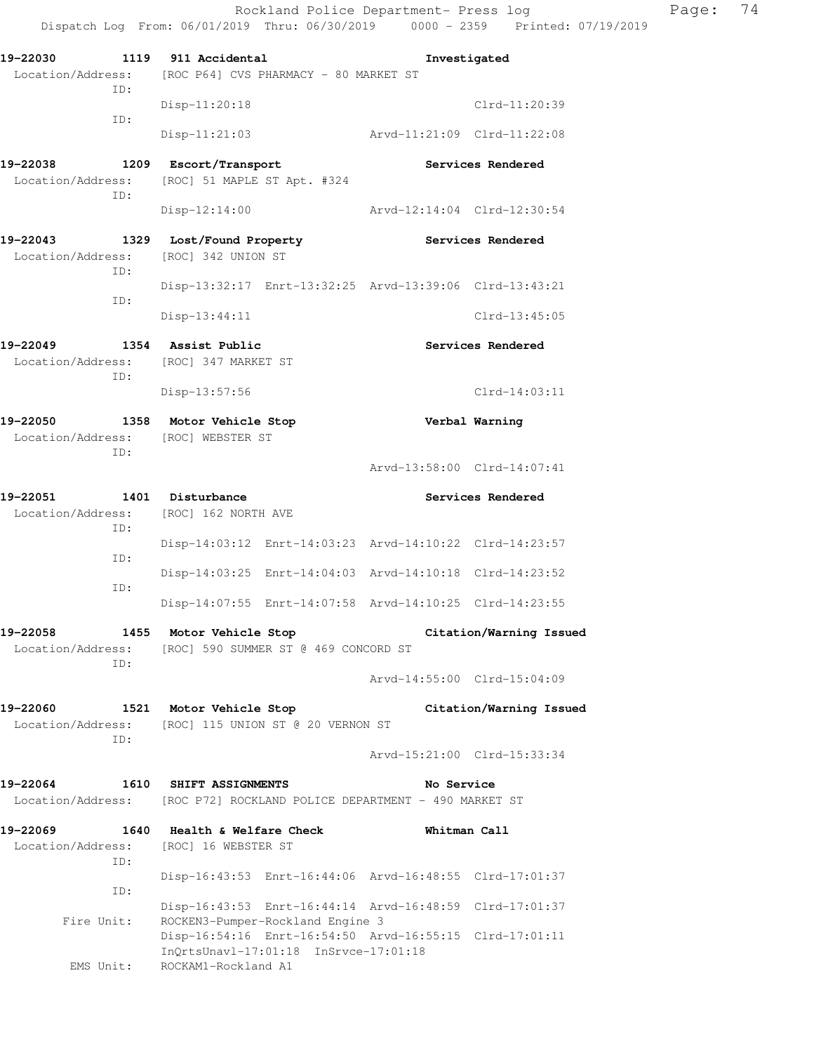**19-22030 1119 911 Accidental Investigated**  Location/Address: [ROC P64] CVS PHARMACY - 80 MARKET ST ID: Disp-11:20:18 Clrd-11:20:39 ID: Disp-11:21:03 Arvd-11:21:09 Clrd-11:22:08 **19-22038 1209 Escort/Transport Services Rendered**  Location/Address: [ROC] 51 MAPLE ST Apt. #324 ID: Disp-12:14:00 Arvd-12:14:04 Clrd-12:30:54 **19-22043 1329 Lost/Found Property Services Rendered**  Location/Address: [ROC] 342 UNION ST ID: Disp-13:32:17 Enrt-13:32:25 Arvd-13:39:06 Clrd-13:43:21 ID: Disp-13:44:11 Clrd-13:45:05 **19-22049 1354 Assist Public Services Rendered**  Location/Address: [ROC] 347 MARKET ST ID: Disp-13:57:56 Clrd-14:03:11 **19-22050 1358 Motor Vehicle Stop Verbal Warning**  Location/Address: [ROC] WEBSTER ST ID: Arvd-13:58:00 Clrd-14:07:41 19-22051 1401 Disturbance **19** Services Rendered Location/Address: [ROC] 162 NORTH AVE ID: Disp-14:03:12 Enrt-14:03:23 Arvd-14:10:22 Clrd-14:23:57 ID: Disp-14:03:25 Enrt-14:04:03 Arvd-14:10:18 Clrd-14:23:52 ID: Disp-14:07:55 Enrt-14:07:58 Arvd-14:10:25 Clrd-14:23:55 **19-22058 1455 Motor Vehicle Stop Citation/Warning Issued**  Location/Address: [ROC] 590 SUMMER ST @ 469 CONCORD ST ID: Arvd-14:55:00 Clrd-15:04:09 **19-22060 1521 Motor Vehicle Stop Citation/Warning Issued**  Location/Address: [ROC] 115 UNION ST @ 20 VERNON ST ID: Arvd-15:21:00 Clrd-15:33:34 **19-22064 1610 SHIFT ASSIGNMENTS No Service**  Location/Address: [ROC P72] ROCKLAND POLICE DEPARTMENT - 490 MARKET ST **19-22069 1640 Health & Welfare Check Whitman Call**  Location/Address: [ROC] 16 WEBSTER ST ID: Disp-16:43:53 Enrt-16:44:06 Arvd-16:48:55 Clrd-17:01:37 ID: Disp-16:43:53 Enrt-16:44:14 Arvd-16:48:59 Clrd-17:01:37 Fire Unit: ROCKEN3-Pumper-Rockland Engine 3 Disp-16:54:16 Enrt-16:54:50 Arvd-16:55:15 Clrd-17:01:11 InQrtsUnavl-17:01:18 InSrvce-17:01:18 EMS Unit: ROCKAM1-Rockland A1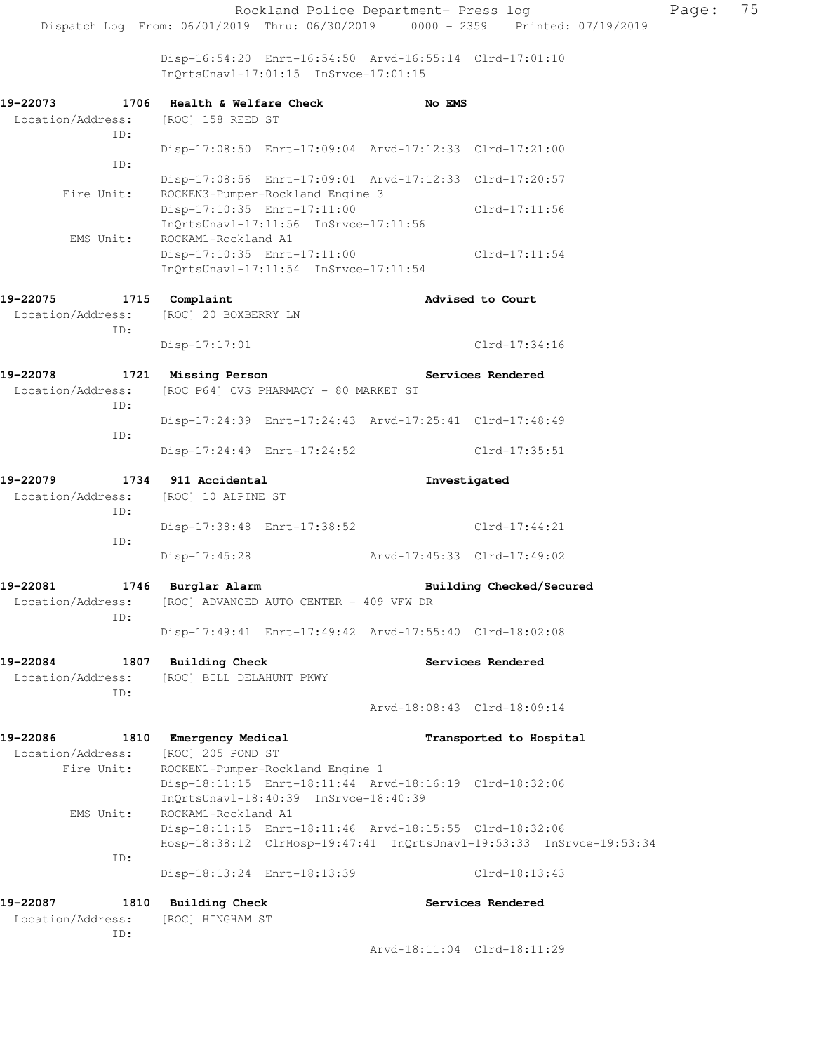Disp-16:54:20 Enrt-16:54:50 Arvd-16:55:14 Clrd-17:01:10 InQrtsUnavl-17:01:15 InSrvce-17:01:15

| 19-22073                                                       | 1706 Health & Welfare Check                                                                      | No EMS                      |                                                                      |
|----------------------------------------------------------------|--------------------------------------------------------------------------------------------------|-----------------------------|----------------------------------------------------------------------|
| Location/Address:<br>ID:                                       | [ROC] 158 REED ST                                                                                |                             |                                                                      |
| ID:                                                            | Disp-17:08:50 Enrt-17:09:04 Arvd-17:12:33 Clrd-17:21:00                                          |                             |                                                                      |
| Fire Unit:                                                     | Disp-17:08:56 Enrt-17:09:01 Arvd-17:12:33 Clrd-17:20:57<br>ROCKEN3-Pumper-Rockland Engine 3      |                             |                                                                      |
|                                                                | Disp-17:10:35 Enrt-17:11:00<br>$InQrtsUnav1-17:11:56$ $InSrvce-17:11:56$                         |                             | Clrd-17:11:56                                                        |
| EMS Unit:                                                      | ROCKAM1-Rockland A1<br>Disp-17:10:35 Enrt-17:11:00<br>$InQrtsUnav1-17:11:54$ $InSrvce-17:11:54$  |                             | $Clrd-17:11:54$                                                      |
| 19-22075                                                       | 1715 Complaint                                                                                   |                             | Advised to Court                                                     |
| Location/Address:<br>ID:                                       | [ROC] 20 BOXBERRY LN                                                                             |                             |                                                                      |
|                                                                | $Disp-17:17:01$                                                                                  |                             | $Clrd-17:34:16$                                                      |
| 19-22078                                                       | 1721 Missing Person                                                                              |                             | Services Rendered                                                    |
| Location/Address:<br>ID:                                       | [ROC P64] CVS PHARMACY - 80 MARKET ST                                                            |                             |                                                                      |
| ID:                                                            | Disp-17:24:39 Enrt-17:24:43 Arvd-17:25:41 Clrd-17:48:49                                          |                             |                                                                      |
|                                                                | Disp-17:24:49 Enrt-17:24:52                                                                      |                             | Clrd-17:35:51                                                        |
| 19-22079<br>Location/Address: [ROC] 10 ALPINE ST<br>ID:<br>ID: | 1734 911 Accidental                                                                              |                             | Investigated                                                         |
|                                                                | Disp-17:38:48 Enrt-17:38:52                                                                      |                             | Clrd-17:44:21                                                        |
|                                                                | Disp-17:45:28                                                                                    | Arvd-17:45:33 Clrd-17:49:02 |                                                                      |
| 19-22081<br>Location/Address:<br>ID:                           | 1746 Burglar Alarm<br>[ROC] ADVANCED AUTO CENTER - 409 VFW DR                                    |                             | Building Checked/Secured                                             |
|                                                                | Disp-17:49:41 Enrt-17:49:42 Arvd-17:55:40 Clrd-18:02:08                                          |                             |                                                                      |
| 19-22084<br>Location/Address:<br>ID:                           | 1807 Building Check<br>[ROC] BILL DELAHUNT PKWY                                                  |                             | Services Rendered                                                    |
|                                                                |                                                                                                  |                             | Arvd-18:08:43 Clrd-18:09:14                                          |
| 19-22086<br>Location/Address:<br>Fire Unit:                    | 1810 Emergency Medical<br>[ROC] 205 POND ST<br>ROCKEN1-Pumper-Rockland Engine 1                  |                             | Transported to Hospital                                              |
|                                                                | Disp-18:11:15 Enrt-18:11:44 Arvd-18:16:19 Clrd-18:32:06<br>InQrtsUnavl-18:40:39 InSrvce-18:40:39 |                             |                                                                      |
| EMS Unit:                                                      | ROCKAM1-Rockland A1<br>Disp-18:11:15 Enrt-18:11:46 Arvd-18:15:55 Clrd-18:32:06                   |                             | Hosp-18:38:12 ClrHosp-19:47:41 InQrtsUnavl-19:53:33 InSrvce-19:53:34 |
| ID:                                                            | Disp-18:13:24 Enrt-18:13:39                                                                      |                             | $Clrd-18:13:43$                                                      |
| 19-22087<br>1810                                               | <b>Building Check</b>                                                                            |                             | Services Rendered                                                    |
| Location/Address:<br>ID:                                       | [ROC] HINGHAM ST                                                                                 |                             |                                                                      |
|                                                                |                                                                                                  |                             | Arvd-18:11:04 Clrd-18:11:29                                          |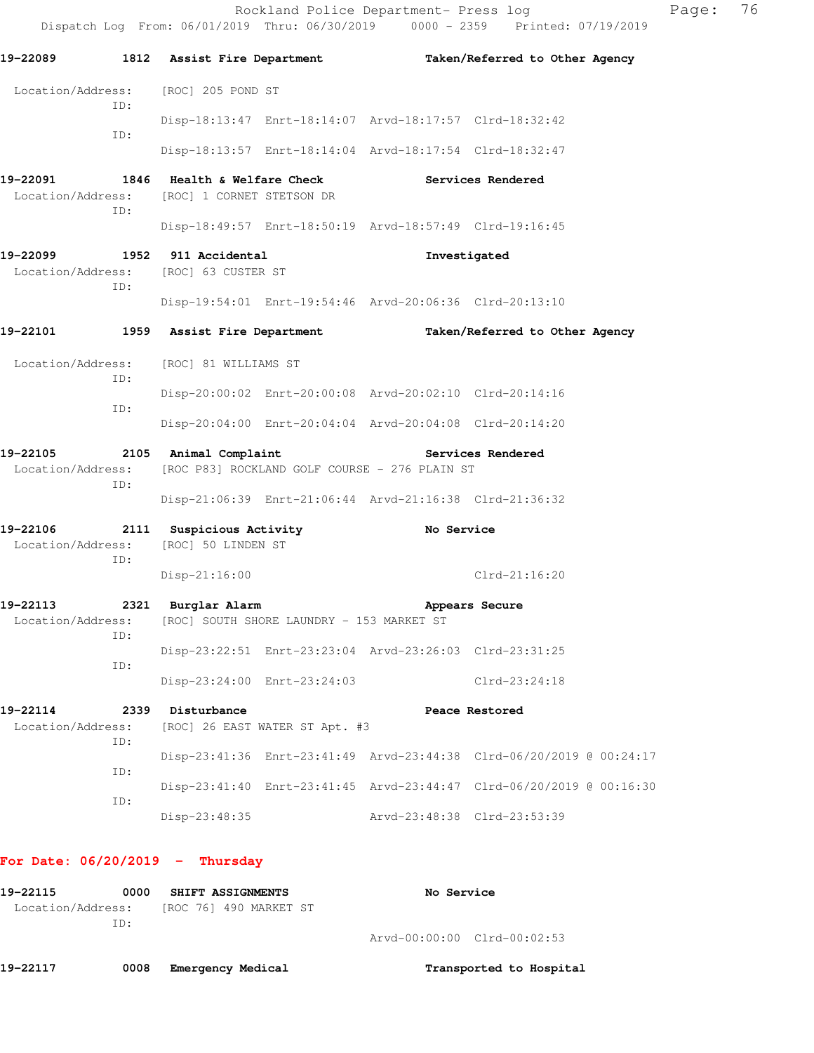Rockland Police Department- Press log Page: 76 Dispatch Log From: 06/01/2019 Thru: 06/30/2019 0000 - 2359 Printed: 07/19/2019 **19-22089 1812 Assist Fire Department Taken/Referred to Other Agency**  Location/Address: [ROC] 205 POND ST ID: Disp-18:13:47 Enrt-18:14:07 Arvd-18:17:57 Clrd-18:32:42 ID: Disp-18:13:57 Enrt-18:14:04 Arvd-18:17:54 Clrd-18:32:47 **19-22091 1846 Health & Welfare Check Services Rendered**  Location/Address: [ROC] 1 CORNET STETSON DR ID: Disp-18:49:57 Enrt-18:50:19 Arvd-18:57:49 Clrd-19:16:45 **19-22099 1952 911 Accidental Investigated**  Location/Address: [ROC] 63 CUSTER ST ID: Disp-19:54:01 Enrt-19:54:46 Arvd-20:06:36 Clrd-20:13:10 **19-22101 1959 Assist Fire Department Taken/Referred to Other Agency**  Location/Address: [ROC] 81 WILLIAMS ST ID: Disp-20:00:02 Enrt-20:00:08 Arvd-20:02:10 Clrd-20:14:16 ID: Disp-20:04:00 Enrt-20:04:04 Arvd-20:04:08 Clrd-20:14:20 **19-22105 2105 Animal Complaint Services Rendered**  Location/Address: [ROC P83] ROCKLAND GOLF COURSE - 276 PLAIN ST ID: Disp-21:06:39 Enrt-21:06:44 Arvd-21:16:38 Clrd-21:36:32 **19-22106 2111 Suspicious Activity No Service**  Location/Address: [ROC] 50 LINDEN ST ID: Disp-21:16:00 Clrd-21:16:20 **19-22113 2321 Burglar Alarm Appears Secure**  Location/Address: [ROC] SOUTH SHORE LAUNDRY - 153 MARKET ST ID: Disp-23:22:51 Enrt-23:23:04 Arvd-23:26:03 Clrd-23:31:25 ID: Disp-23:24:00 Enrt-23:24:03 Clrd-23:24:18 **19-22114 2339 Disturbance Peace Restored**  Location/Address: [ROC] 26 EAST WATER ST Apt. #3 ID: Disp-23:41:36 Enrt-23:41:49 Arvd-23:44:38 Clrd-06/20/2019 @ 00:24:17 ID: Disp-23:41:40 Enrt-23:41:45 Arvd-23:44:47 Clrd-06/20/2019 @ 00:16:30 ID:

#### **For Date: 06/20/2019 - Thursday**

| 19–22115          | 0000 | <b>SHIFT ASSIGNMENTS</b> |  | <b>No Service</b> |                             |
|-------------------|------|--------------------------|--|-------------------|-----------------------------|
| Location/Address: |      | [ROC 76] 490 MARKET ST   |  |                   |                             |
|                   | TD:  |                          |  |                   |                             |
|                   |      |                          |  |                   | Arvd-00:00:00 Clrd-00:02:53 |
|                   |      |                          |  |                   |                             |

Disp-23:48:35 Arvd-23:48:38 Clrd-23:53:39

**19-22117 0008 Emergency Medical Transported to Hospital**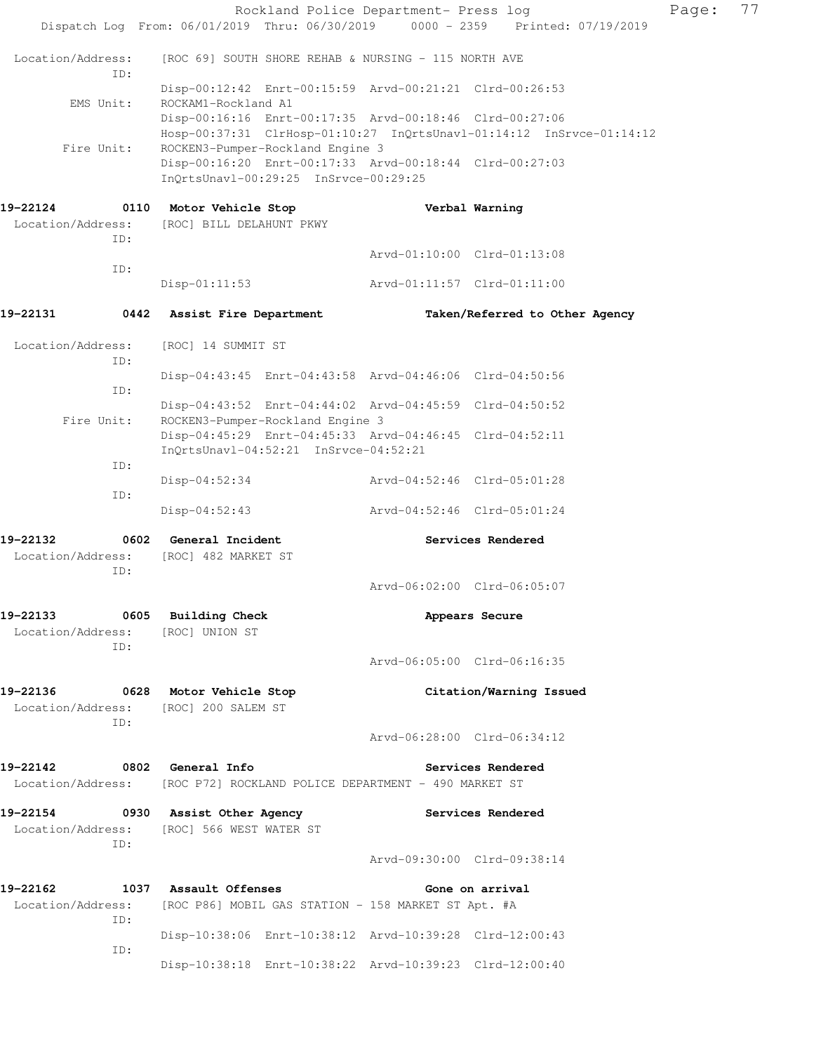|                                                                  | Rockland Police Department- Press log<br>Dispatch Log From: 06/01/2019 Thru: 06/30/2019 0000 - 2359 Printed: 07/19/2019         |                             |                                | Page: | 77 |
|------------------------------------------------------------------|---------------------------------------------------------------------------------------------------------------------------------|-----------------------------|--------------------------------|-------|----|
|                                                                  |                                                                                                                                 |                             |                                |       |    |
| Location/Address:<br>TD:                                         | [ROC 69] SOUTH SHORE REHAB & NURSING - 115 NORTH AVE                                                                            |                             |                                |       |    |
| EMS Unit:                                                        | Disp-00:12:42 Enrt-00:15:59 Arvd-00:21:21 Clrd-00:26:53<br>ROCKAM1-Rockland A1                                                  |                             |                                |       |    |
|                                                                  | Disp-00:16:16 Enrt-00:17:35 Arvd-00:18:46 Clrd-00:27:06<br>Hosp-00:37:31 ClrHosp-01:10:27 InQrtsUnavl-01:14:12 InSrvce-01:14:12 |                             |                                |       |    |
| Fire Unit:                                                       | ROCKEN3-Pumper-Rockland Engine 3<br>Disp-00:16:20 Enrt-00:17:33 Arvd-00:18:44 Clrd-00:27:03                                     |                             |                                |       |    |
|                                                                  | InQrtsUnavl-00:29:25 InSrvce-00:29:25                                                                                           |                             |                                |       |    |
| 19-22124                                                         | 0110 Motor Vehicle Stop                                                                                                         |                             | Verbal Warning                 |       |    |
| Location/Address:<br>ID:                                         | [ROC] BILL DELAHUNT PKWY                                                                                                        |                             |                                |       |    |
| ID:                                                              |                                                                                                                                 |                             | Arvd-01:10:00 Clrd-01:13:08    |       |    |
|                                                                  | $Disp-01:11:53$                                                                                                                 | Arvd-01:11:57 Clrd-01:11:00 |                                |       |    |
| 19–22131                                                         | 0442 Assist Fire Department                                                                                                     |                             | Taken/Referred to Other Agency |       |    |
| Location/Address:<br>ID:                                         | [ROC] 14 SUMMIT ST                                                                                                              |                             |                                |       |    |
| ID:                                                              | Disp-04:43:45 Enrt-04:43:58 Arvd-04:46:06 Clrd-04:50:56                                                                         |                             |                                |       |    |
| Fire Unit:                                                       | Disp-04:43:52 Enrt-04:44:02 Arvd-04:45:59 Clrd-04:50:52<br>ROCKEN3-Pumper-Rockland Engine 3                                     |                             |                                |       |    |
|                                                                  | Disp-04:45:29 Enrt-04:45:33 Arvd-04:46:45 Clrd-04:52:11<br>InQrtsUnavl-04:52:21 InSrvce-04:52:21                                |                             |                                |       |    |
| ID:                                                              |                                                                                                                                 |                             |                                |       |    |
| ID:                                                              | $Disp-04:52:34$                                                                                                                 | Arvd-04:52:46 Clrd-05:01:28 |                                |       |    |
|                                                                  | Disp-04:52:43                                                                                                                   | Arvd-04:52:46 Clrd-05:01:24 |                                |       |    |
| 19–22132                                                         | 0602 General Incident                                                                                                           |                             | Services Rendered              |       |    |
| Location/Address:<br>ID:                                         | [ROC] 482 MARKET ST                                                                                                             |                             |                                |       |    |
|                                                                  |                                                                                                                                 |                             | Arvd-06:02:00 Clrd-06:05:07    |       |    |
| 19-22133 0605 Building Check<br>Location/Address: [ROC] UNION ST |                                                                                                                                 |                             | Appears Secure                 |       |    |
| ID:                                                              |                                                                                                                                 | Arvd-06:05:00 Clrd-06:16:35 |                                |       |    |
| 19–22136<br>Location/Address: [ROC] 200 SALEM ST                 | 0628 Motor Vehicle Stop                                                                                                         |                             | Citation/Warning Issued        |       |    |
| ID:                                                              |                                                                                                                                 | Arvd-06:28:00 Clrd-06:34:12 |                                |       |    |
| 19-22142                                                         | 0802 General Info<br>Location/Address: [ROC P72] ROCKLAND POLICE DEPARTMENT - 490 MARKET ST                                     |                             | Services Rendered              |       |    |
| 19–22154                                                         | 0930 Assist Other Agency                                                                                                        |                             | Services Rendered              |       |    |
| ID:                                                              | Location/Address: [ROC] 566 WEST WATER ST                                                                                       |                             |                                |       |    |
|                                                                  |                                                                                                                                 | Arvd-09:30:00 Clrd-09:38:14 |                                |       |    |
| 19–22162                                                         | 1037 Assault Offenses                                                                                                           |                             | Gone on arrival                |       |    |
| ID:                                                              | Location/Address: [ROC P86] MOBIL GAS STATION - 158 MARKET ST Apt. #A                                                           |                             |                                |       |    |
| ID:                                                              | Disp-10:38:06 Enrt-10:38:12 Arvd-10:39:28 Clrd-12:00:43                                                                         |                             |                                |       |    |
|                                                                  | Disp-10:38:18 Enrt-10:38:22 Arvd-10:39:23 Clrd-12:00:40                                                                         |                             |                                |       |    |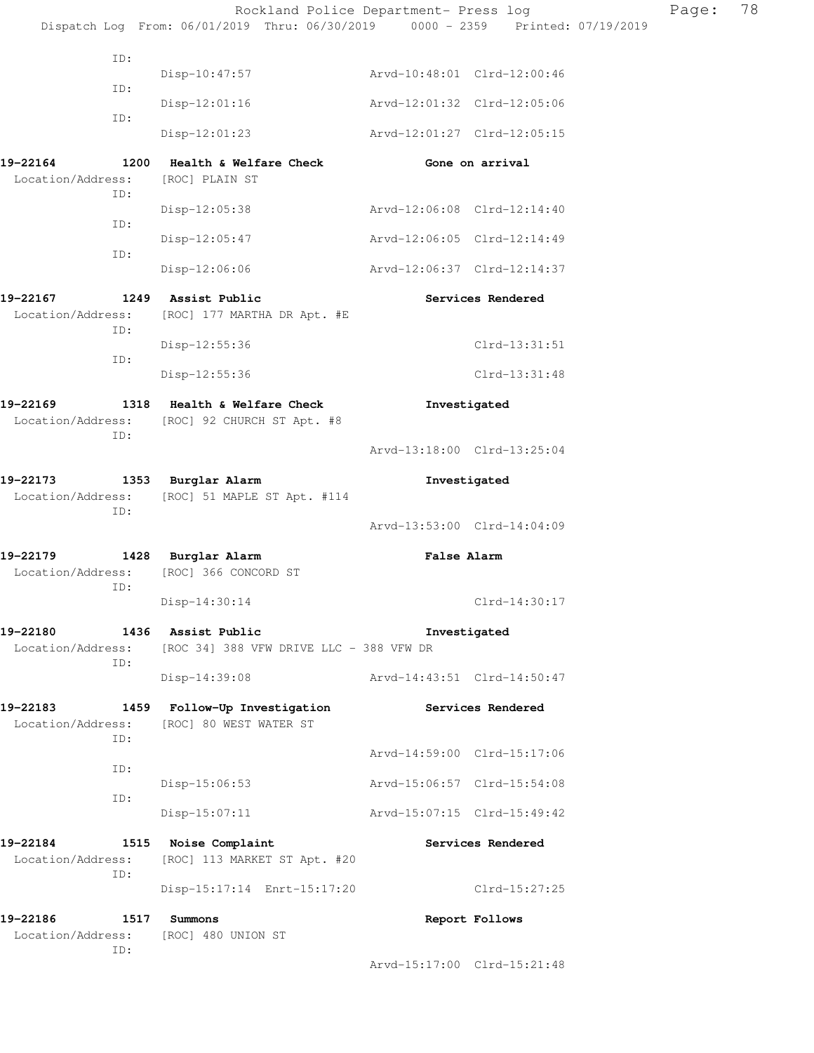|                                                                 | Rockland Police Department- Press log                                          |                             |                   | Page: | 78 |
|-----------------------------------------------------------------|--------------------------------------------------------------------------------|-----------------------------|-------------------|-------|----|
|                                                                 | Dispatch Log From: 06/01/2019 Thru: 06/30/2019 0000 - 2359 Printed: 07/19/2019 |                             |                   |       |    |
| ID:                                                             | Disp-10:47:57                                                                  | Arvd-10:48:01 Clrd-12:00:46 |                   |       |    |
| ID:                                                             | $Disp-12:01:16$                                                                | Arvd-12:01:32 Clrd-12:05:06 |                   |       |    |
| ID:                                                             | $Disp-12:01:23$                                                                | Arvd-12:01:27 Clrd-12:05:15 |                   |       |    |
| 19-22164<br>1200<br>Location/Address:                           | <b>Health &amp; Welfare Check</b><br>[ROC] PLAIN ST                            |                             | Gone on arrival   |       |    |
| ID:                                                             | Disp-12:05:38                                                                  | Arvd-12:06:08 Clrd-12:14:40 |                   |       |    |
| ID:                                                             | Disp-12:05:47                                                                  | Arvd-12:06:05 Clrd-12:14:49 |                   |       |    |
| ID:                                                             | $Disp-12:06:06$                                                                | Arvd-12:06:37 Clrd-12:14:37 |                   |       |    |
| 19-22167<br>Location/Address:<br>ID:                            | 1249 Assist Public<br>[ROC] 177 MARTHA DR Apt. #E                              |                             | Services Rendered |       |    |
| ID:                                                             | Disp-12:55:36                                                                  |                             | Clrd-13:31:51     |       |    |
|                                                                 | Disp-12:55:36                                                                  |                             | Clrd-13:31:48     |       |    |
| 19-22169<br>Location/Address:<br>ID:                            | 1318 Health & Welfare Check<br>[ROC] 92 CHURCH ST Apt. #8                      | Investigated                |                   |       |    |
|                                                                 |                                                                                | Arvd-13:18:00 Clrd-13:25:04 |                   |       |    |
| 19-22173<br>ID:                                                 | 1353 Burglar Alarm<br>Location/Address: [ROC] 51 MAPLE ST Apt. #114            | Investigated                |                   |       |    |
|                                                                 |                                                                                | Arvd-13:53:00 Clrd-14:04:09 |                   |       |    |
| 19-22179<br>Location/Address:<br>ID:                            | 1428 Burglar Alarm<br>[ROC] 366 CONCORD ST                                     | <b>False Alarm</b>          |                   |       |    |
|                                                                 | Disp-14:30:14                                                                  |                             | Clrd-14:30:17     |       |    |
| 19-22180<br>Location/Address:<br>ID:                            | 1436 Assist Public<br>[ROC 34] 388 VFW DRIVE LLC - 388 VFW DR                  |                             | Investigated      |       |    |
|                                                                 | Disp-14:39:08                                                                  | Arvd-14:43:51 Clrd-14:50:47 |                   |       |    |
| 19-22183<br>Location/Address:<br>ID:                            | 1459 Follow-Up Investigation<br>[ROC] 80 WEST WATER ST                         |                             | Services Rendered |       |    |
| ID:                                                             |                                                                                | Arvd-14:59:00 Clrd-15:17:06 |                   |       |    |
| ID:                                                             | Disp-15:06:53                                                                  | Arvd-15:06:57 Clrd-15:54:08 |                   |       |    |
|                                                                 | $Disp-15:07:11$                                                                | Arvd-15:07:15 Clrd-15:49:42 |                   |       |    |
| 19-22184<br>Location/Address:<br>ID:                            | 1515 Noise Complaint<br>[ROC] 113 MARKET ST Apt. #20                           |                             | Services Rendered |       |    |
|                                                                 | Disp-15:17:14 Enrt-15:17:20                                                    |                             | Clrd-15:27:25     |       |    |
| 19-22186<br>1517<br>Location/Address: [ROC] 480 UNION ST<br>ID: | Summons                                                                        |                             | Report Follows    |       |    |
|                                                                 |                                                                                | Arvd-15:17:00 Clrd-15:21:48 |                   |       |    |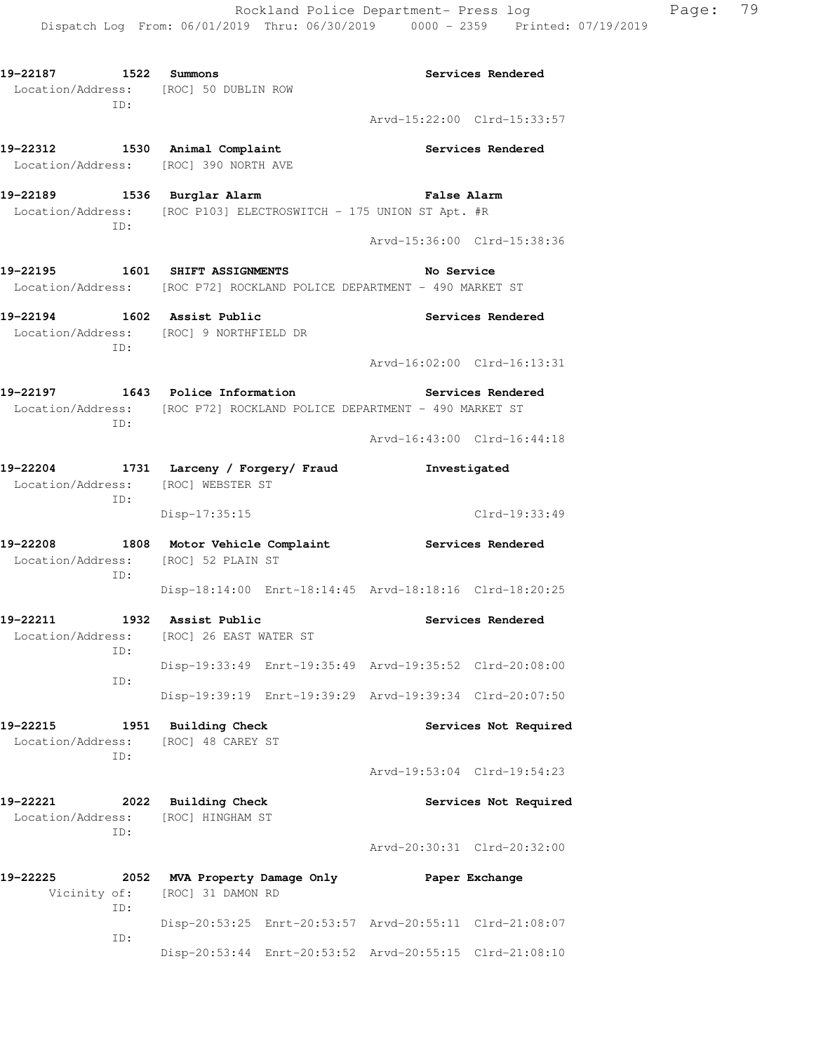**19-22187 1522 Summons Services Rendered**  Location/Address: [ROC] 50 DUBLIN ROW ID: Arvd-15:22:00 Clrd-15:33:57 **19-22312 1530 Animal Complaint Services Rendered**  Location/Address: [ROC] 390 NORTH AVE **19-22189 1536 Burglar Alarm False Alarm**  Location/Address: [ROC P103] ELECTROSWITCH - 175 UNION ST Apt. #R ID: Arvd-15:36:00 Clrd-15:38:36 **19-22195 1601 SHIFT ASSIGNMENTS No Service**  Location/Address: [ROC P72] ROCKLAND POLICE DEPARTMENT - 490 MARKET ST **19-22194 1602 Assist Public Services Rendered**  Location/Address: [ROC] 9 NORTHFIELD DR ID: Arvd-16:02:00 Clrd-16:13:31 **19-22197 1643 Police Information Services Rendered**  Location/Address: [ROC P72] ROCKLAND POLICE DEPARTMENT - 490 MARKET ST ID: Arvd-16:43:00 Clrd-16:44:18 **19-22204 1731 Larceny / Forgery/ Fraud Investigated**  Location/Address: [ROC] WEBSTER ST ID: Disp-17:35:15 Clrd-19:33:49 **19-22208 1808 Motor Vehicle Complaint Services Rendered**  Location/Address: [ROC] 52 PLAIN ST ID: Disp-18:14:00 Enrt-18:14:45 Arvd-18:18:16 Clrd-18:20:25 **19-22211 1932 Assist Public Services Rendered**  Location/Address: [ROC] 26 EAST WATER ST ID: Disp-19:33:49 Enrt-19:35:49 Arvd-19:35:52 Clrd-20:08:00 ID: Disp-19:39:19 Enrt-19:39:29 Arvd-19:39:34 Clrd-20:07:50 19-22215 1951 Building Check **1988 Services Not Required**  Location/Address: [ROC] 48 CAREY ST ID: Arvd-19:53:04 Clrd-19:54:23 **19-22221 2022 Building Check Services Not Required**  Location/Address: [ROC] HINGHAM ST ID: Arvd-20:30:31 Clrd-20:32:00 **19-22225 2052 MVA Property Damage Only Paper Exchange**  Vicinity of: [ROC] 31 DAMON RD ID: Disp-20:53:25 Enrt-20:53:57 Arvd-20:55:11 Clrd-21:08:07 ID: Disp-20:53:44 Enrt-20:53:52 Arvd-20:55:15 Clrd-21:08:10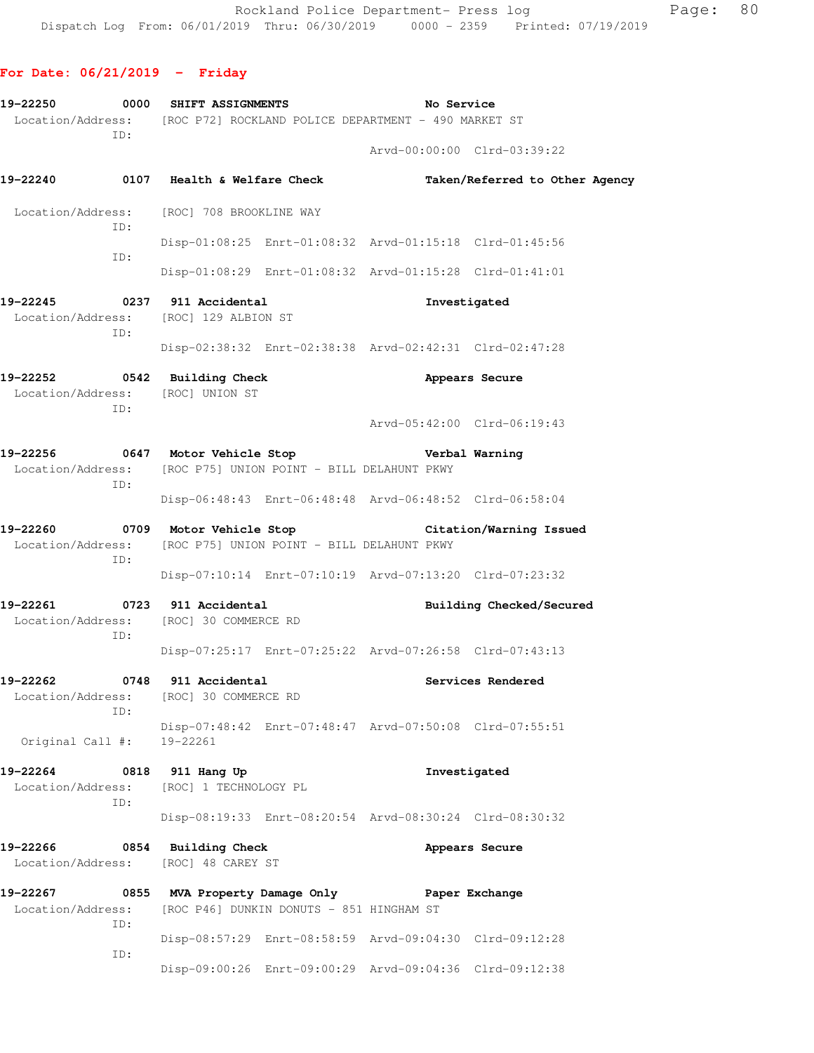### **For Date: 06/21/2019 - Friday**

| 19-22250<br>ID:                                                         | 0000 SHIFT ASSIGNMENTS<br>Location/Address: [ROC P72] ROCKLAND POLICE DEPARTMENT - 490 MARKET ST | No Service                                              |
|-------------------------------------------------------------------------|--------------------------------------------------------------------------------------------------|---------------------------------------------------------|
|                                                                         |                                                                                                  | Arvd-00:00:00 Clrd-03:39:22                             |
|                                                                         |                                                                                                  | Taken/Referred to Other Agency                          |
|                                                                         | Location/Address: [ROC] 708 BROOKLINE WAY                                                        |                                                         |
| ID:<br>ID:                                                              |                                                                                                  | Disp-01:08:25 Enrt-01:08:32 Arvd-01:15:18 Clrd-01:45:56 |
|                                                                         |                                                                                                  | Disp-01:08:29 Enrt-01:08:32 Arvd-01:15:28 Clrd-01:41:01 |
| 19-22245 0237 911 Accidental<br>ID:                                     | Location/Address: [ROC] 129 ALBION ST                                                            | Investigated                                            |
|                                                                         |                                                                                                  | Disp-02:38:32 Enrt-02:38:38 Arvd-02:42:31 Clrd-02:47:28 |
| 19-22252 0542 Building Check<br>Location/Address: [ROC] UNION ST<br>ID: |                                                                                                  | Appears Secure                                          |
|                                                                         |                                                                                                  | Arvd-05:42:00 Clrd-06:19:43                             |
| ID:                                                                     | 19-22256 0647 Motor Vehicle Stop<br>Location/Address: [ROC P75] UNION POINT - BILL DELAHUNT PKWY | Verbal Warning                                          |
|                                                                         |                                                                                                  | Disp-06:48:43 Enrt-06:48:48 Arvd-06:48:52 Clrd-06:58:04 |
| 19-22260<br>ID:                                                         | 0709 Motor Vehicle Stop<br>Location/Address: [ROC P75] UNION POINT - BILL DELAHUNT PKWY          | Citation/Warning Issued                                 |
|                                                                         |                                                                                                  | Disp-07:10:14 Enrt-07:10:19 Arvd-07:13:20 Clrd-07:23:32 |
| 19-22261 0723 911 Accidental<br>ID:                                     | Location/Address: [ROC] 30 COMMERCE RD                                                           | Building Checked/Secured                                |
|                                                                         |                                                                                                  | Disp-07:25:17 Enrt-07:25:22 Arvd-07:26:58 Clrd-07:43:13 |
| 19-22262<br>0748<br>Location/Address:<br>TD:                            | 911 Accidental<br>[ROC] 30 COMMERCE RD                                                           | Services Rendered                                       |
| Original Call #:                                                        | 19-22261                                                                                         | Disp-07:48:42 Enrt-07:48:47 Arvd-07:50:08 Clrd-07:55:51 |
| 19-22264<br>Location/Address:<br>ID:                                    | 0818 911 Hang Up<br>[ROC] 1 TECHNOLOGY PL                                                        | Investigated                                            |
|                                                                         |                                                                                                  | Disp-08:19:33 Enrt-08:20:54 Arvd-08:30:24 Clrd-08:30:32 |
| 19-22266                                                                | 0854 Building Check<br>Location/Address: [ROC] 48 CAREY ST                                       | Appears Secure                                          |
| 19-22267<br>Location/Address:<br>ID:                                    | 0855 MVA Property Damage Only<br>[ROC P46] DUNKIN DONUTS - 851 HINGHAM ST                        | Paper Exchange                                          |
| ID:                                                                     |                                                                                                  | Disp-08:57:29 Enrt-08:58:59 Arvd-09:04:30 Clrd-09:12:28 |
|                                                                         |                                                                                                  | Disp-09:00:26 Enrt-09:00:29 Arvd-09:04:36 Clrd-09:12:38 |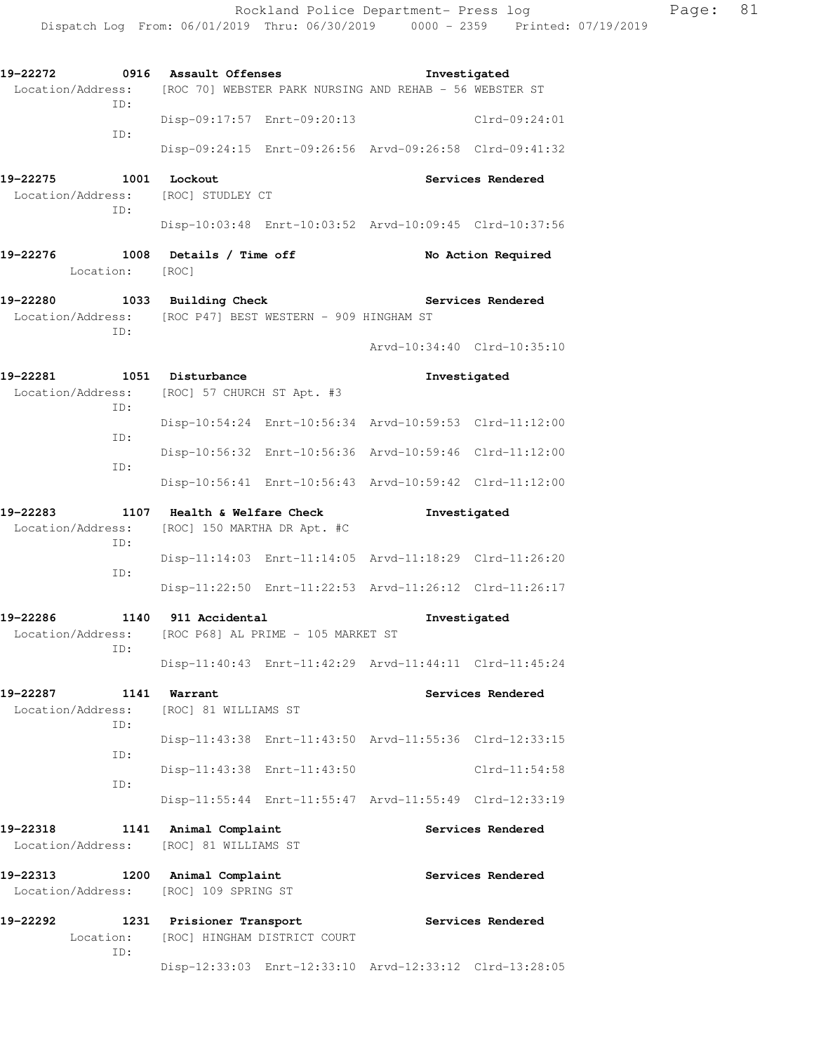| 19-22272<br>Location/Address: [ROC 70] WEBSTER PARK NURSING AND REHAB - 56 WEBSTER ST<br>ID:     | 0916 Assault Offenses                                      | Investigated                                            |                    |
|--------------------------------------------------------------------------------------------------|------------------------------------------------------------|---------------------------------------------------------|--------------------|
|                                                                                                  | Disp-09:17:57 Enrt-09:20:13                                |                                                         | Clrd-09:24:01      |
| ID:                                                                                              |                                                            | Disp-09:24:15 Enrt-09:26:56 Arvd-09:26:58 Clrd-09:41:32 |                    |
| 19–22275<br>Location/Address:<br>ID:                                                             | <b>1001 Lockout</b><br>[ROC] STUDLEY CT                    |                                                         | Services Rendered  |
|                                                                                                  |                                                            | Disp-10:03:48 Enrt-10:03:52 Arvd-10:09:45 Clrd-10:37:56 |                    |
| 19-22276<br>Location: [ROC]                                                                      | 1008 Details / Time off                                    |                                                         | No Action Required |
| 19-22280 1033 Building Check<br>Location/Address: [ROC P47] BEST WESTERN - 909 HINGHAM ST<br>ID: |                                                            | Services Rendered                                       |                    |
|                                                                                                  |                                                            | Arvd-10:34:40 Clrd-10:35:10                             |                    |
| 19-22281 1051 Disturbance<br>Location/Address: [ROC] 57 CHURCH ST Apt. #3<br>ID:                 |                                                            | Investigated                                            |                    |
| ID:                                                                                              |                                                            | Disp-10:54:24 Enrt-10:56:34 Arvd-10:59:53 Clrd-11:12:00 |                    |
| ID:                                                                                              |                                                            | Disp-10:56:32 Enrt-10:56:36 Arvd-10:59:46 Clrd-11:12:00 |                    |
|                                                                                                  |                                                            | Disp-10:56:41 Enrt-10:56:43 Arvd-10:59:42 Clrd-11:12:00 |                    |
| 19-22283<br>Location/Address:<br>ID:                                                             | 1107 Health & Welfare Check<br>[ROC] 150 MARTHA DR Apt. #C | Investigated                                            |                    |
| ID:                                                                                              |                                                            | Disp-11:14:03 Enrt-11:14:05 Arvd-11:18:29 Clrd-11:26:20 |                    |
|                                                                                                  |                                                            | Disp-11:22:50 Enrt-11:22:53 Arvd-11:26:12 Clrd-11:26:17 |                    |
| 19-22286 1140<br>Location/Address:<br>ID:                                                        | 911 Accidental<br>[ROC P68] AL PRIME - 105 MARKET ST       | Investigated                                            |                    |
|                                                                                                  |                                                            | Disp-11:40:43 Enrt-11:42:29 Arvd-11:44:11 Clrd-11:45:24 |                    |
| 1141<br>19–22287<br>Location/Address:<br>ID:                                                     | Warrant<br>[ROC] 81 WILLIAMS ST                            |                                                         | Services Rendered  |
| ID:                                                                                              |                                                            | Disp-11:43:38 Enrt-11:43:50 Arvd-11:55:36 Clrd-12:33:15 |                    |
| ID:                                                                                              | Disp-11:43:38 Enrt-11:43:50                                |                                                         | $Clrd-11:54:58$    |
|                                                                                                  |                                                            | Disp-11:55:44 Enrt-11:55:47 Arvd-11:55:49 Clrd-12:33:19 |                    |
| 19-22318<br>1141<br>Location/Address:                                                            | Animal Complaint<br>[ROC] 81 WILLIAMS ST                   |                                                         | Services Rendered  |
| 19-22313<br>1200<br>Location/Address:                                                            | Animal Complaint<br>[ROC] 109 SPRING ST                    |                                                         | Services Rendered  |
| 19-22292<br>1231<br>Location:<br>ID:                                                             | Prisioner Transport<br>[ROC] HINGHAM DISTRICT COURT        |                                                         | Services Rendered  |
|                                                                                                  |                                                            | Disp-12:33:03 Enrt-12:33:10 Arvd-12:33:12 Clrd-13:28:05 |                    |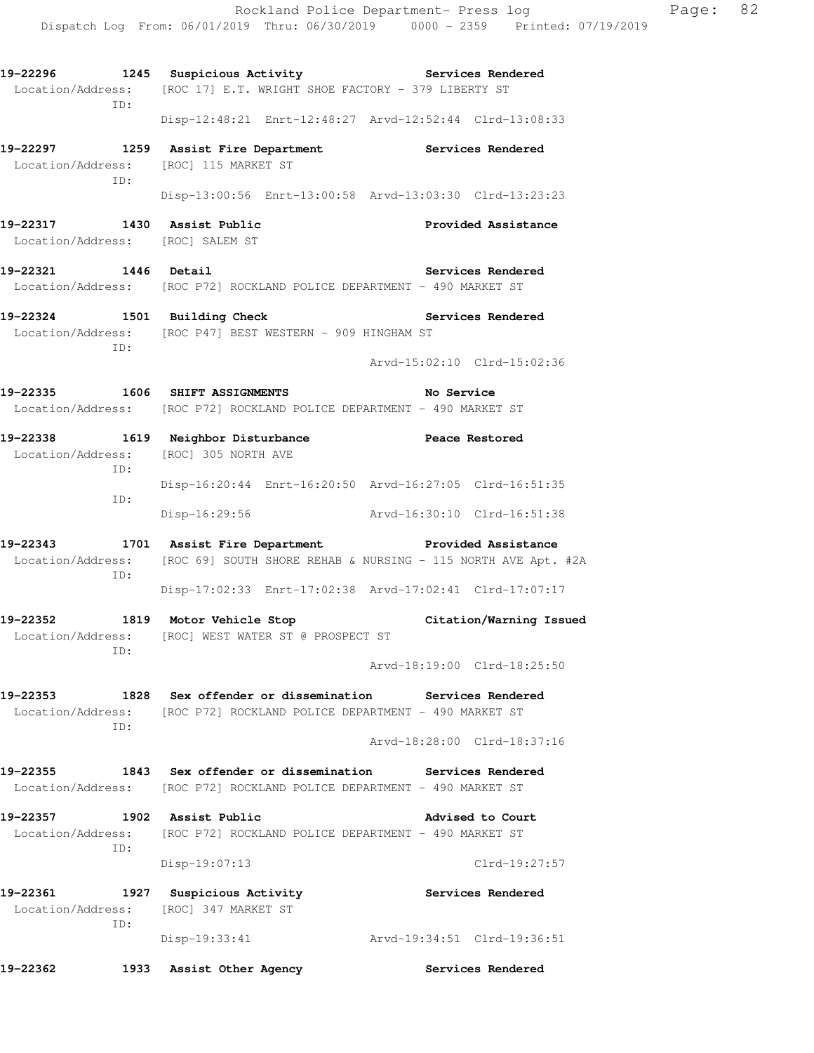**19-22296 1245 Suspicious Activity Services Rendered**  Location/Address: [ROC 17] E.T. WRIGHT SHOE FACTORY - 379 LIBERTY ST ID: Disp-12:48:21 Enrt-12:48:27 Arvd-12:52:44 Clrd-13:08:33 **19-22297 1259 Assist Fire Department Services Rendered**  Location/Address: [ROC] 115 MARKET ST ID: Disp-13:00:56 Enrt-13:00:58 Arvd-13:03:30 Clrd-13:23:23 **19-22317 1430 Assist Public Provided Assistance**  Location/Address: [ROC] SALEM ST **19-22321 1446 Detail Services Rendered**  Location/Address: [ROC P72] ROCKLAND POLICE DEPARTMENT - 490 MARKET ST **19-22324 1501 Building Check Services Rendered**  Location/Address: [ROC P47] BEST WESTERN - 909 HINGHAM ST ID: Arvd-15:02:10 Clrd-15:02:36 **19-22335 1606 SHIFT ASSIGNMENTS No Service**  Location/Address: [ROC P72] ROCKLAND POLICE DEPARTMENT - 490 MARKET ST **19-22338 1619 Neighbor Disturbance Peace Restored**  Location/Address: [ROC] 305 NORTH AVE ID: Disp-16:20:44 Enrt-16:20:50 Arvd-16:27:05 Clrd-16:51:35 ID: Disp-16:29:56 Arvd-16:30:10 Clrd-16:51:38 **19-22343 1701 Assist Fire Department Provided Assistance**  Location/Address: [ROC 69] SOUTH SHORE REHAB & NURSING - 115 NORTH AVE Apt. #2A ID: Disp-17:02:33 Enrt-17:02:38 Arvd-17:02:41 Clrd-17:07:17 **19-22352 1819 Motor Vehicle Stop Citation/Warning Issued**  Location/Address: [ROC] WEST WATER ST @ PROSPECT ST ID: Arvd-18:19:00 Clrd-18:25:50 **19-22353 1828 Sex offender or dissemination Services Rendered**  Location/Address: [ROC P72] ROCKLAND POLICE DEPARTMENT - 490 MARKET ST ID: Arvd-18:28:00 Clrd-18:37:16 **19-22355 1843 Sex offender or dissemination Services Rendered**  Location/Address: [ROC P72] ROCKLAND POLICE DEPARTMENT - 490 MARKET ST **19-22357 1902 Assist Public Advised to Court**  Location/Address: [ROC P72] ROCKLAND POLICE DEPARTMENT - 490 MARKET ST ID: Disp-19:07:13 Clrd-19:27:57 **19-22361 1927 Suspicious Activity Services Rendered**  Location/Address: [ROC] 347 MARKET ST ID: Disp-19:33:41 Arvd-19:34:51 Clrd-19:36:51 **19-22362 1933 Assist Other Agency Services Rendered**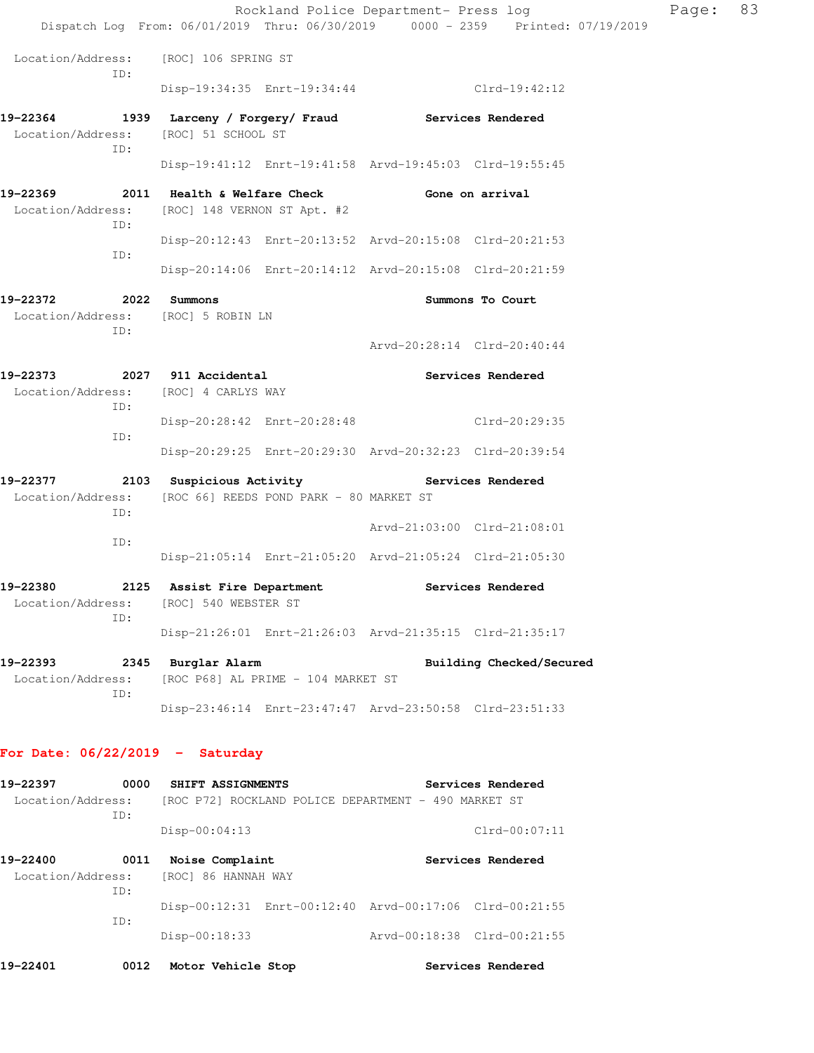|                                                                             |                                                                                                | Rockland Police Department- Press log                   | Dispatch Log From: 06/01/2019 Thru: 06/30/2019 0000 - 2359 Printed: 07/19/2019 | Page: | 83 |
|-----------------------------------------------------------------------------|------------------------------------------------------------------------------------------------|---------------------------------------------------------|--------------------------------------------------------------------------------|-------|----|
|                                                                             |                                                                                                |                                                         |                                                                                |       |    |
| Location/Address:<br>ID:                                                    | [ROC] 106 SPRING ST                                                                            |                                                         |                                                                                |       |    |
|                                                                             |                                                                                                | Disp-19:34:35 Enrt-19:34:44 Clrd-19:42:12               |                                                                                |       |    |
| 19-22364<br>Location/Address:<br>ID:                                        | 1939 Larceny / Forgery/ Fraud Services Rendered<br>[ROC] 51 SCHOOL ST                          |                                                         |                                                                                |       |    |
|                                                                             |                                                                                                | Disp-19:41:12 Enrt-19:41:58 Arvd-19:45:03 Clrd-19:55:45 |                                                                                |       |    |
| 19-22369<br>Location/Address:<br>ID:                                        | 2011 Health & Welfare Check The Gone on arrival<br>[ROC] 148 VERNON ST Apt. #2                 |                                                         |                                                                                |       |    |
|                                                                             |                                                                                                | Disp-20:12:43 Enrt-20:13:52 Arvd-20:15:08 Clrd-20:21:53 |                                                                                |       |    |
| ID:                                                                         |                                                                                                | Disp-20:14:06 Enrt-20:14:12 Arvd-20:15:08 Clrd-20:21:59 |                                                                                |       |    |
| 19-22372 2022 Summons<br>Location/Address: [ROC] 5 ROBIN LN<br>ID:          |                                                                                                |                                                         | Summons To Court                                                               |       |    |
|                                                                             |                                                                                                |                                                         | Arvd-20:28:14 Clrd-20:40:44                                                    |       |    |
| 19-22373 2027 911 Accidental<br>Location/Address: [ROC] 4 CARLYS WAY<br>ID: |                                                                                                |                                                         | Services Rendered                                                              |       |    |
|                                                                             |                                                                                                | Disp-20:28:42 Enrt-20:28:48 Clrd-20:29:35               |                                                                                |       |    |
| ID:                                                                         |                                                                                                | Disp-20:29:25 Enrt-20:29:30 Arvd-20:32:23 Clrd-20:39:54 |                                                                                |       |    |
| 19-22377<br>Location/Address:                                               | 2103 Suspicious Activity Contract Services Rendered<br>[ROC 66] REEDS POND PARK - 80 MARKET ST |                                                         |                                                                                |       |    |
| ID:                                                                         |                                                                                                |                                                         | Arvd-21:03:00 Clrd-21:08:01                                                    |       |    |
| ID:                                                                         |                                                                                                | Disp-21:05:14 Enrt-21:05:20 Arvd-21:05:24 Clrd-21:05:30 |                                                                                |       |    |
| 19-22380<br>Location/Address:                                               | 2125 Assist Fire Department<br>[ROC] 540 WEBSTER ST                                            |                                                         | Services Rendered                                                              |       |    |
| ID:                                                                         |                                                                                                | Disp-21:26:01 Enrt-21:26:03 Arvd-21:35:15 Clrd-21:35:17 |                                                                                |       |    |
| 19-22393<br>Location/Address:<br>ID:                                        | 2345 Burglar Alarm                                                                             | [ROC P68] AL PRIME - 104 MARKET ST                      | Building Checked/Secured                                                       |       |    |
|                                                                             |                                                                                                | Disp-23:46:14 Enrt-23:47:47 Arvd-23:50:58 Clrd-23:51:33 |                                                                                |       |    |
| For Date: $06/22/2019$ - Saturday                                           |                                                                                                |                                                         |                                                                                |       |    |
| 19-22397<br>Location/Address:                                               | 0000 SHIFT ASSIGNMENTS                                                                         | [ROC P72] ROCKLAND POLICE DEPARTMENT - 490 MARKET ST    | Services Rendered                                                              |       |    |
| ID:                                                                         | Disp-00:04:13                                                                                  |                                                         | Clrd-00:07:11                                                                  |       |    |
|                                                                             |                                                                                                |                                                         |                                                                                |       |    |

| 19-22400 | 0011 | Noise Complaint                       |                                                         |                             | Services Rendered |
|----------|------|---------------------------------------|---------------------------------------------------------|-----------------------------|-------------------|
|          |      | Location/Address: [ROC] 86 HANNAH WAY |                                                         |                             |                   |
|          | TD:  |                                       |                                                         |                             |                   |
|          |      |                                       | Disp-00:12:31 Enrt-00:12:40 Arvd-00:17:06 Clrd-00:21:55 |                             |                   |
|          | TD:  |                                       |                                                         |                             |                   |
|          |      | $Disp-00:18:33$                       |                                                         | Arvd-00:18:38 Clrd-00:21:55 |                   |
|          |      |                                       |                                                         |                             |                   |

**19-22401 0012 Motor Vehicle Stop Services Rendered**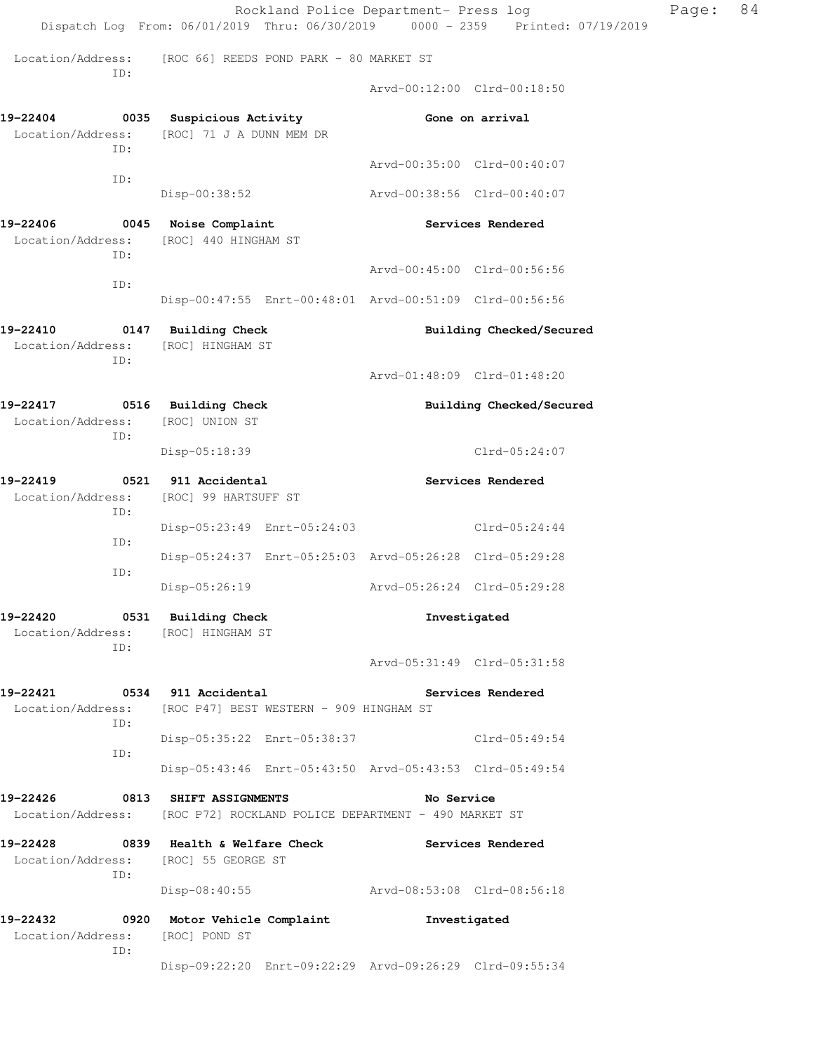|                                                                           | Rockland Police Department- Press log<br>Dispatch Log From: 06/01/2019 Thru: 06/30/2019 0000 - 2359 Printed: 07/19/2019 |                             |                          | Page: | 84 |
|---------------------------------------------------------------------------|-------------------------------------------------------------------------------------------------------------------------|-----------------------------|--------------------------|-------|----|
| Location/Address:<br>ID:                                                  | [ROC 66] REEDS POND PARK - 80 MARKET ST                                                                                 |                             |                          |       |    |
|                                                                           |                                                                                                                         | Arvd-00:12:00 Clrd-00:18:50 |                          |       |    |
| 19-22404<br>Location/Address:<br>ID:                                      | 0035 Suspicious Activity<br>[ROC] 71 J A DUNN MEM DR                                                                    | Gone on arrival             |                          |       |    |
| ID:                                                                       |                                                                                                                         | Arvd-00:35:00 Clrd-00:40:07 |                          |       |    |
|                                                                           | Disp-00:38:52                                                                                                           | Arvd-00:38:56 Clrd-00:40:07 |                          |       |    |
| 19-22406<br>Location/Address:<br>ID:                                      | 0045 Noise Complaint<br>[ROC] 440 HINGHAM ST                                                                            |                             | Services Rendered        |       |    |
| ID:                                                                       |                                                                                                                         | Arvd-00:45:00 Clrd-00:56:56 |                          |       |    |
|                                                                           | Disp-00:47:55 Enrt-00:48:01 Arvd-00:51:09 Clrd-00:56:56                                                                 |                             |                          |       |    |
| 19-22410<br>Location/Address:<br>ID:                                      | 0147 Building Check<br>[ROC] HINGHAM ST                                                                                 |                             | Building Checked/Secured |       |    |
|                                                                           |                                                                                                                         | Arvd-01:48:09 Clrd-01:48:20 |                          |       |    |
| 19-22417<br>Location/Address:<br>ID:                                      | 0516 Building Check<br>[ROC] UNION ST                                                                                   |                             | Building Checked/Secured |       |    |
|                                                                           | Disp-05:18:39                                                                                                           |                             | Clrd-05:24:07            |       |    |
| 19-22419<br>Location/Address:<br>ID:                                      | 0521 911 Accidental<br>[ROC] 99 HARTSUFF ST                                                                             |                             | Services Rendered        |       |    |
| ID:                                                                       | Disp-05:23:49 Enrt-05:24:03                                                                                             |                             | Clrd-05:24:44            |       |    |
| ID:                                                                       | Disp-05:24:37 Enrt-05:25:03 Arvd-05:26:28 Clrd-05:29:28                                                                 |                             |                          |       |    |
|                                                                           | $Disp-05:26:19$                                                                                                         | Arvd-05:26:24 Clrd-05:29:28 |                          |       |    |
| 19-22420 0531 Building Check<br>Location/Address: [ROC] HINGHAM ST<br>ID: |                                                                                                                         | Investigated                |                          |       |    |
|                                                                           |                                                                                                                         | Arvd-05:31:49 Clrd-05:31:58 |                          |       |    |
| 19-22421 0534 911 Accidental                                              | Location/Address: [ROC P47] BEST WESTERN - 909 HINGHAM ST                                                               |                             | Services Rendered        |       |    |
| ID:                                                                       |                                                                                                                         |                             |                          |       |    |
| ID:                                                                       | Disp-05:35:22 Enrt-05:38:37 Clrd-05:49:54                                                                               |                             |                          |       |    |
|                                                                           | Disp-05:43:46 Enrt-05:43:50 Arvd-05:43:53 Clrd-05:49:54                                                                 |                             |                          |       |    |
| 19-22426                                                                  | 0813 SHIFT ASSIGNMENTS<br>Location/Address: [ROC P72] ROCKLAND POLICE DEPARTMENT - 490 MARKET ST                        | No Service                  |                          |       |    |
| Location/Address: [ROC] 55 GEORGE ST<br>ID:                               |                                                                                                                         | <b>Services Rendered</b>    |                          |       |    |
|                                                                           | Disp-08:40:55 Arvd-08:53:08 Clrd-08:56:18                                                                               |                             |                          |       |    |
| 19-22432<br>Location/Address: [ROC] POND ST<br>ID:                        | 0920 Motor Vehicle Complaint                                                                                            | Investigated                |                          |       |    |
|                                                                           | Disp-09:22:20 Enrt-09:22:29 Arvd-09:26:29 Clrd-09:55:34                                                                 |                             |                          |       |    |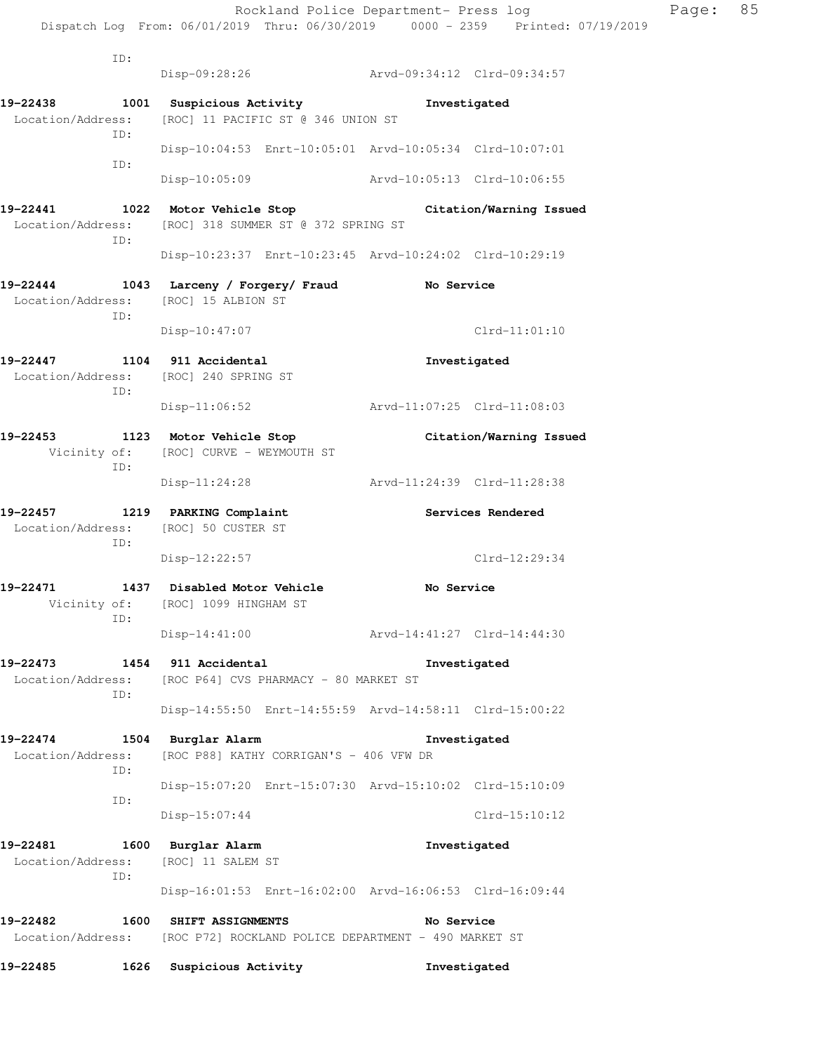Rockland Police Department- Press log Page: 85 Dispatch Log From: 06/01/2019 Thru: 06/30/2019 0000 - 2359 Printed: 07/19/2019 ID: Disp-09:28:26 Arvd-09:34:12 Clrd-09:34:57 **19-22438 1001 Suspicious Activity Investigated**  Location/Address: [ROC] 11 PACIFIC ST @ 346 UNION ST ID: Disp-10:04:53 Enrt-10:05:01 Arvd-10:05:34 Clrd-10:07:01 ID: Disp-10:05:09 Arvd-10:05:13 Clrd-10:06:55 **19-22441 1022 Motor Vehicle Stop Citation/Warning Issued**  Location/Address: [ROC] 318 SUMMER ST @ 372 SPRING ST ID: Disp-10:23:37 Enrt-10:23:45 Arvd-10:24:02 Clrd-10:29:19 **19-22444 1043 Larceny / Forgery/ Fraud No Service**  Location/Address: [ROC] 15 ALBION ST ID: Disp-10:47:07 Clrd-11:01:10 **19-22447 1104 911 Accidental Investigated**  Location/Address: [ROC] 240 SPRING ST ID: Disp-11:06:52 Arvd-11:07:25 Clrd-11:08:03 **19-22453 1123 Motor Vehicle Stop Citation/Warning Issued**  Vicinity of: [ROC] CURVE - WEYMOUTH ST ID: Disp-11:24:28 Arvd-11:24:39 Clrd-11:28:38 **19-22457 1219 PARKING Complaint Services Rendered**  Location/Address: [ROC] 50 CUSTER ST ID: Disp-12:22:57 Clrd-12:29:34 **19-22471 1437 Disabled Motor Vehicle No Service**  Vicinity of: [ROC] 1099 HINGHAM ST ID: Disp-14:41:00 Arvd-14:41:27 Clrd-14:44:30 **19-22473 1454 911 Accidental Investigated**  Location/Address: [ROC P64] CVS PHARMACY - 80 MARKET ST ID: Disp-14:55:50 Enrt-14:55:59 Arvd-14:58:11 Clrd-15:00:22 **19-22474 1504 Burglar Alarm Investigated**  Location/Address: [ROC P88] KATHY CORRIGAN'S - 406 VFW DR ID: Disp-15:07:20 Enrt-15:07:30 Arvd-15:10:02 Clrd-15:10:09 ID: Disp-15:07:44 Clrd-15:10:12 **19-22481 1600 Burglar Alarm Investigated**  Location/Address: [ROC] 11 SALEM ST ID: Disp-16:01:53 Enrt-16:02:00 Arvd-16:06:53 Clrd-16:09:44 **19-22482 1600 SHIFT ASSIGNMENTS No Service**  Location/Address: [ROC P72] ROCKLAND POLICE DEPARTMENT - 490 MARKET ST

**19-22485 1626 Suspicious Activity Investigated**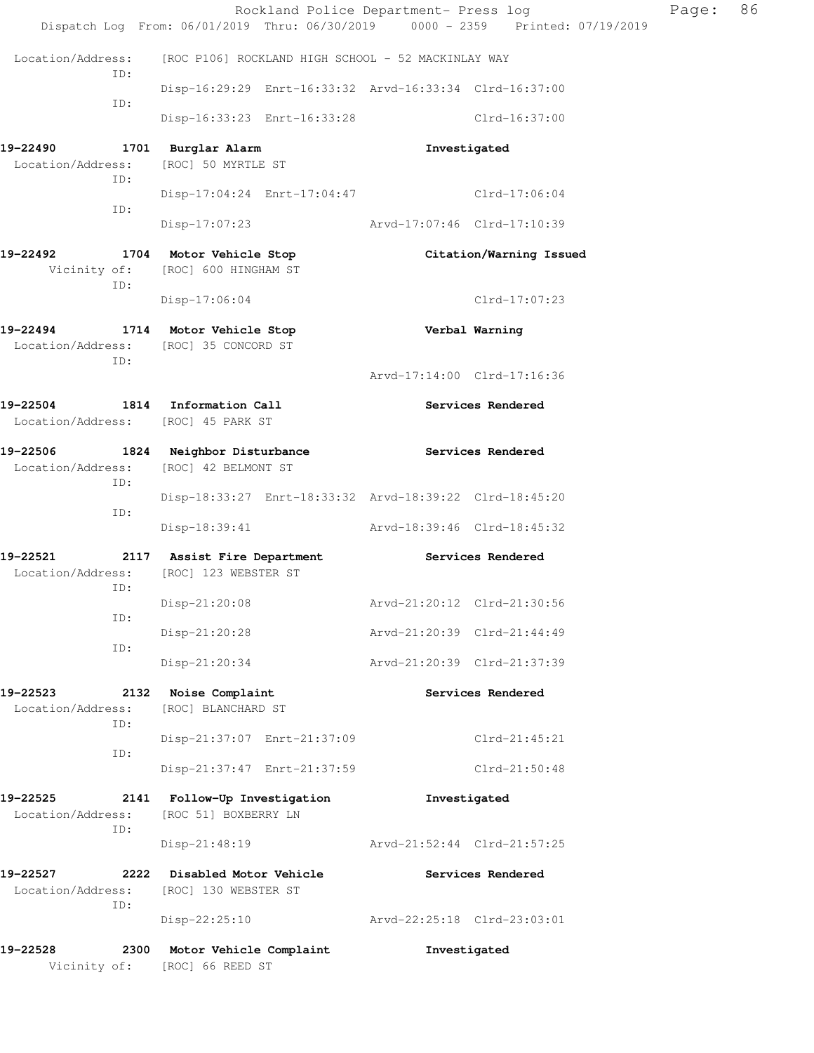|                                              |             |                                                                                                  |  |                             | Rockland Police Department- Press log | Page: | 86 |
|----------------------------------------------|-------------|--------------------------------------------------------------------------------------------------|--|-----------------------------|---------------------------------------|-------|----|
|                                              |             | Dispatch Log From: 06/01/2019 Thru: 06/30/2019 0000 - 2359 Printed: 07/19/2019                   |  |                             |                                       |       |    |
|                                              | ID:         | Location/Address: [ROC P106] ROCKLAND HIGH SCHOOL - 52 MACKINLAY WAY                             |  |                             |                                       |       |    |
|                                              | ID:         | Disp-16:29:29 Enrt-16:33:32 Arvd-16:33:34 Clrd-16:37:00                                          |  |                             |                                       |       |    |
|                                              |             | Disp-16:33:23 Enrt-16:33:28 Clrd-16:37:00                                                        |  |                             |                                       |       |    |
| 19-22490                                     |             | 1701 Burglar Alarm                                                                               |  | Investigated                |                                       |       |    |
|                                              | ID:         | Location/Address: [ROC] 50 MYRTLE ST                                                             |  |                             |                                       |       |    |
|                                              | ID:         | Disp-17:04:24 Enrt-17:04:47 Clrd-17:06:04                                                        |  |                             |                                       |       |    |
|                                              |             | Disp-17:07:23 Arvd-17:07:46 Clrd-17:10:39                                                        |  |                             |                                       |       |    |
|                                              | ID:         | 19-22492 1704 Motor Vehicle Stop<br>Vicinity of: [ROC] 600 HINGHAM ST                            |  |                             | Citation/Warning Issued               |       |    |
|                                              |             | $Disp-17:06:04$                                                                                  |  |                             | Clrd-17:07:23                         |       |    |
|                                              | ID:         | 19-22494 1714 Motor Vehicle Stop Nerbal Warning<br>Location/Address: [ROC] 35 CONCORD ST         |  |                             |                                       |       |    |
|                                              |             |                                                                                                  |  | Arvd-17:14:00 Clrd-17:16:36 |                                       |       |    |
|                                              |             | 19-22504 1814 Information Call<br>Location/Address: [ROC] 45 PARK ST                             |  |                             | Services Rendered                     |       |    |
| Location/Address: [ROC] 42 BELMONT ST<br>ID: |             | 19-22506 1824 Neighbor Disturbance                                                               |  | Services Rendered           |                                       |       |    |
|                                              | ID:         | Disp-18:33:27 Enrt-18:33:32 Arvd-18:39:22 Clrd-18:45:20                                          |  |                             |                                       |       |    |
|                                              |             | Disp-18:39:41 Arvd-18:39:46 Clrd-18:45:32                                                        |  |                             |                                       |       |    |
|                                              |             | 19-22521 2117 Assist Fire Department Services Rendered<br>Location/Address: [ROC] 123 WEBSTER ST |  |                             |                                       |       |    |
|                                              | ID:         |                                                                                                  |  | Arvd-21:20:12 Clrd-21:30:56 |                                       |       |    |
|                                              | ID:         | Disp-21:20:08<br>Disp-21:20:28                                                                   |  | Arvd-21:20:39 Clrd-21:44:49 |                                       |       |    |
|                                              | ID:         | Disp-21:20:34                                                                                    |  | Arvd-21:20:39 Clrd-21:37:39 |                                       |       |    |
| 19-22523                                     |             | 2132 Noise Complaint                                                                             |  |                             | Services Rendered                     |       |    |
| Location/Address:                            |             | [ROC] BLANCHARD ST                                                                               |  |                             |                                       |       |    |
|                                              | ID:<br>ID:  | Disp-21:37:07 Enrt-21:37:09                                                                      |  |                             | $Clrd-21:45:21$                       |       |    |
|                                              |             | Disp-21:37:47 Enrt-21:37:59                                                                      |  |                             | $Clrd-21:50:48$                       |       |    |
| 19-22525                                     |             | 2141 Follow-Up Investigation                                                                     |  | Investigated                |                                       |       |    |
| Location/Address:                            | ID:         | [ROC 51] BOXBERRY LN                                                                             |  |                             |                                       |       |    |
|                                              |             | $Disp-21:48:19$                                                                                  |  | Arvd-21:52:44 Clrd-21:57:25 |                                       |       |    |
| 19-22527<br>Location/Address:                | 2222<br>ID: | Disabled Motor Vehicle<br>[ROC] 130 WEBSTER ST                                                   |  |                             | Services Rendered                     |       |    |
|                                              |             | $Disp-22:25:10$                                                                                  |  | Arvd-22:25:18 Clrd-23:03:01 |                                       |       |    |
| 19-22528                                     | 2300        | Motor Vehicle Complaint<br>Vicinity of: [ROC] 66 REED ST                                         |  | Investigated                |                                       |       |    |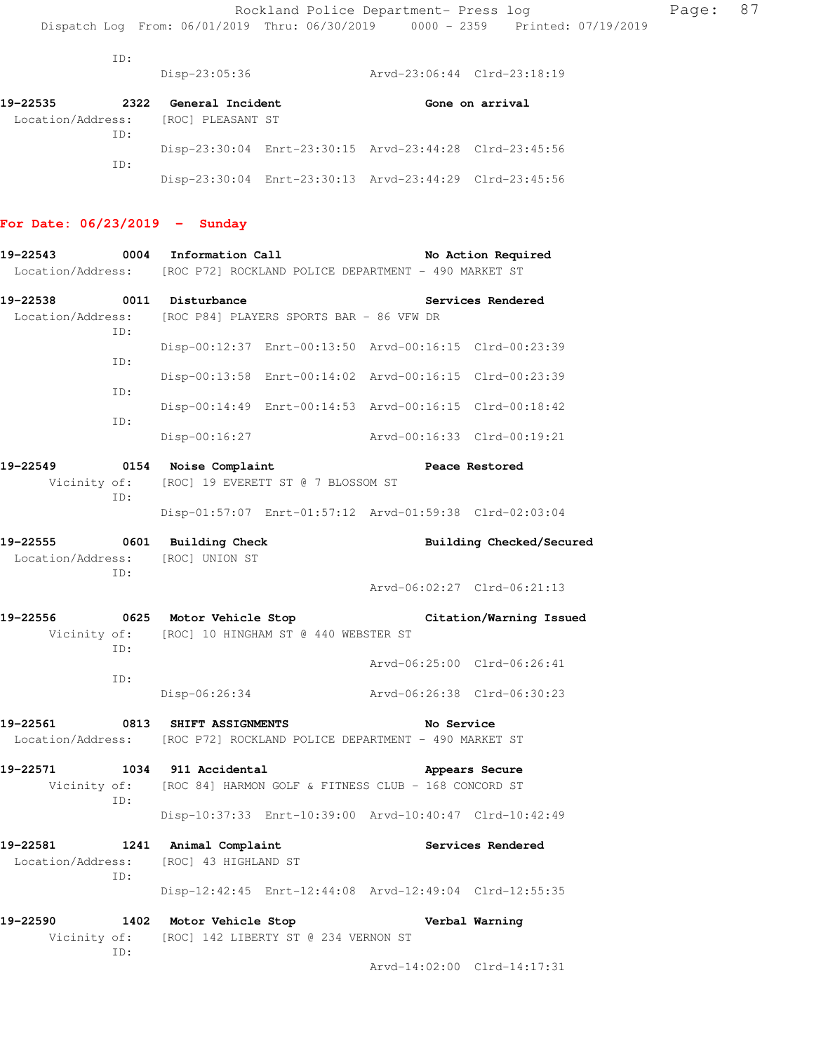ID:

Disp-23:05:36 Arvd-23:06:44 Clrd-23:18:19

| 19-22535 | 2322 | General Incident                    |                                                         | Gone on arrival |
|----------|------|-------------------------------------|---------------------------------------------------------|-----------------|
|          |      | Location/Address: [ROC] PLEASANT ST |                                                         |                 |
|          | TD:  |                                     |                                                         |                 |
|          |      |                                     | Disp-23:30:04 Enrt-23:30:15 Arvd-23:44:28 Clrd-23:45:56 |                 |
|          | TD:  |                                     |                                                         |                 |
|          |      |                                     | Disp-23:30:04 Enrt-23:30:13 Arvd-23:44:29 Clrd-23:45:56 |                 |

### **For Date: 06/23/2019 - Sunday**

| 19-22543          |     | 0004 Information Call                  |                                                                        |                             | No Action Required          |  |
|-------------------|-----|----------------------------------------|------------------------------------------------------------------------|-----------------------------|-----------------------------|--|
|                   |     |                                        | Location/Address: [ROC P72] ROCKLAND POLICE DEPARTMENT - 490 MARKET ST |                             |                             |  |
| 19-22538          |     | 0011 Disturbance                       |                                                                        |                             | Services Rendered           |  |
| Location/Address: | ID: |                                        | [ROC P84] PLAYERS SPORTS BAR - 86 VFW DR                               |                             |                             |  |
|                   | ID: |                                        | Disp-00:12:37 Enrt-00:13:50 Arvd-00:16:15 Clrd-00:23:39                |                             |                             |  |
|                   | ID: |                                        | Disp-00:13:58 Enrt-00:14:02 Arvd-00:16:15 Clrd-00:23:39                |                             |                             |  |
|                   | ID: |                                        | Disp-00:14:49 Enrt-00:14:53 Arvd-00:16:15 Clrd-00:18:42                |                             |                             |  |
|                   |     | Disp-00:16:27                          |                                                                        | Arvd-00:16:33 Clrd-00:19:21 |                             |  |
| 19-22549          |     | 0154 Noise Complaint                   |                                                                        |                             | Peace Restored              |  |
|                   | ID: |                                        | Vicinity of: [ROC] 19 EVERETT ST @ 7 BLOSSOM ST                        |                             |                             |  |
|                   |     |                                        | Disp-01:57:07 Enrt-01:57:12 Arvd-01:59:38 Clrd-02:03:04                |                             |                             |  |
| 19-22555          |     | 0601 Building Check                    |                                                                        |                             | Building Checked/Secured    |  |
|                   |     | Location/Address: [ROC] UNION ST       |                                                                        |                             |                             |  |
|                   | ID: |                                        |                                                                        |                             | Arvd-06:02:27 Clrd-06:21:13 |  |
| 19-22556          |     |                                        | 0625 Motor Vehicle Stop                                                |                             | Citation/Warning Issued     |  |
|                   | ID: |                                        | Vicinity of: [ROC] 10 HINGHAM ST @ 440 WEBSTER ST                      |                             |                             |  |
|                   |     |                                        |                                                                        |                             | Arvd-06:25:00 Clrd-06:26:41 |  |
|                   | ID: | Disp-06:26:34                          |                                                                        | Arvd-06:26:38 Clrd-06:30:23 |                             |  |
| 19-22561          |     | 0813 SHIFT ASSIGNMENTS                 |                                                                        | No Service                  |                             |  |
|                   |     |                                        | Location/Address: [ROC P72] ROCKLAND POLICE DEPARTMENT - 490 MARKET ST |                             |                             |  |
| 19-22571          |     | 1034 911 Accidental                    |                                                                        |                             | Appears Secure              |  |
|                   | ID: |                                        | Vicinity of: [ROC 84] HARMON GOLF & FITNESS CLUB - 168 CONCORD ST      |                             |                             |  |
|                   |     |                                        | Disp-10:37:33 Enrt-10:39:00 Arvd-10:40:47 Clrd-10:42:49                |                             |                             |  |
| 19-22581          |     | 1241 Animal Complaint                  |                                                                        |                             | Services Rendered           |  |
|                   | ID: | Location/Address: [ROC] 43 HIGHLAND ST |                                                                        |                             |                             |  |
|                   |     |                                        | Disp-12:42:45 Enrt-12:44:08 Arvd-12:49:04 Clrd-12:55:35                |                             |                             |  |
| 19-22590          |     | 1402 Motor Vehicle Stop                |                                                                        |                             | Verbal Warning              |  |
| Vicinity of:      | ID: |                                        | [ROC] 142 LIBERTY ST @ 234 VERNON ST                                   |                             |                             |  |
|                   |     |                                        |                                                                        |                             | Arvd-14:02:00 Clrd-14:17:31 |  |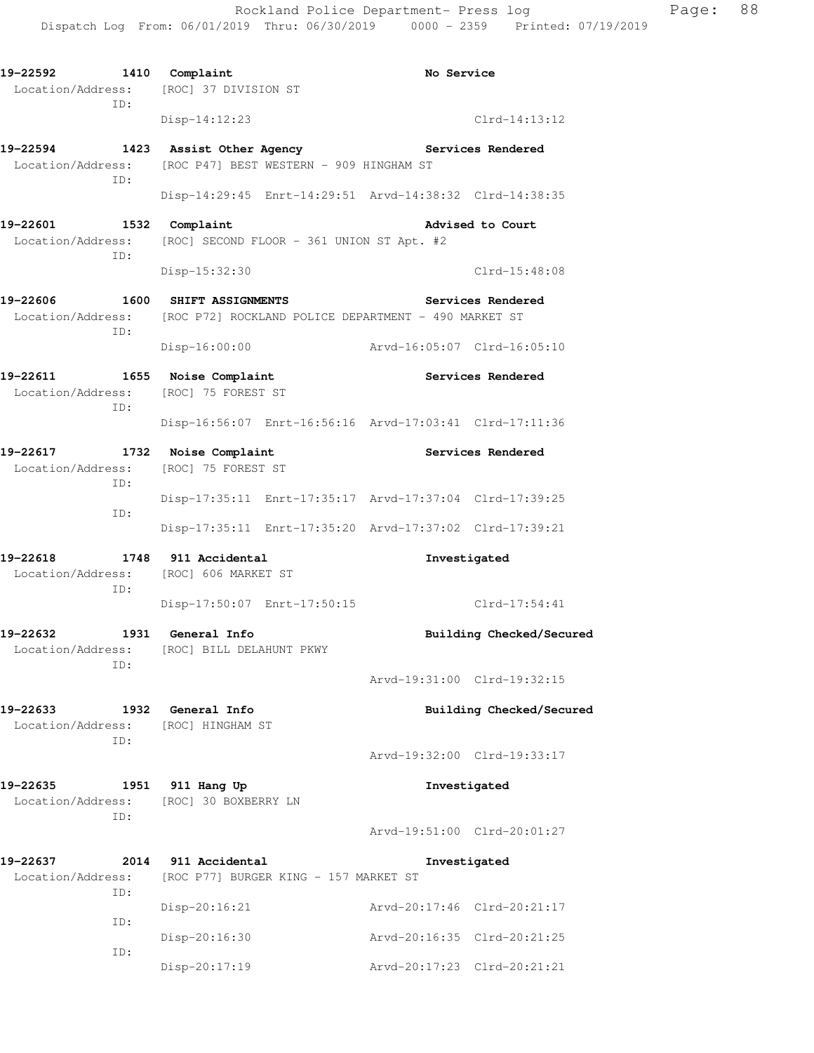19-22592 1410 Complaint **No Service**  Location/Address: [ROC] 37 DIVISION ST ID: Disp-14:12:23 Clrd-14:13:12 **19-22594 1423 Assist Other Agency Services Rendered**  Location/Address: [ROC P47] BEST WESTERN - 909 HINGHAM ST ID: Disp-14:29:45 Enrt-14:29:51 Arvd-14:38:32 Clrd-14:38:35 19-22601 1532 Complaint **19-22601** Advised to Court Location/Address: [ROC] SECOND FLOOR - 361 UNION ST Apt. #2 ID: Disp-15:32:30 Clrd-15:48:08 **19-22606 1600 SHIFT ASSIGNMENTS Services Rendered**  Location/Address: [ROC P72] ROCKLAND POLICE DEPARTMENT - 490 MARKET ST ID: Disp-16:00:00 Arvd-16:05:07 Clrd-16:05:10 **19-22611 1655 Noise Complaint Services Rendered**  Location/Address: [ROC] 75 FOREST ST ID: Disp-16:56:07 Enrt-16:56:16 Arvd-17:03:41 Clrd-17:11:36 **19-22617 1732 Noise Complaint Services Rendered**  Location/Address: [ROC] 75 FOREST ST ID: Disp-17:35:11 Enrt-17:35:17 Arvd-17:37:04 Clrd-17:39:25 ID: Disp-17:35:11 Enrt-17:35:20 Arvd-17:37:02 Clrd-17:39:21 **19-22618 1748 911 Accidental Investigated**  Location/Address: [ROC] 606 MARKET ST ID: Disp-17:50:07 Enrt-17:50:15 Clrd-17:54:41 **19-22632 1931 General Info Building Checked/Secured**  Location/Address: [ROC] BILL DELAHUNT PKWY ID: Arvd-19:31:00 Clrd-19:32:15 **19-22633 1932 General Info Building Checked/Secured**  Location/Address: [ROC] HINGHAM ST ID: Arvd-19:32:00 Clrd-19:33:17 **19-22635 1951 911 Hang Up Investigated**  Location/Address: [ROC] 30 BOXBERRY LN ID: Arvd-19:51:00 Clrd-20:01:27 **19-22637 2014 911 Accidental Investigated**  Location/Address: [ROC P77] BURGER KING - 157 MARKET ST ID: Disp-20:16:21 Arvd-20:17:46 Clrd-20:21:17 ID: Disp-20:16:30 Arvd-20:16:35 Clrd-20:21:25 ID: Disp-20:17:19 Arvd-20:17:23 Clrd-20:21:21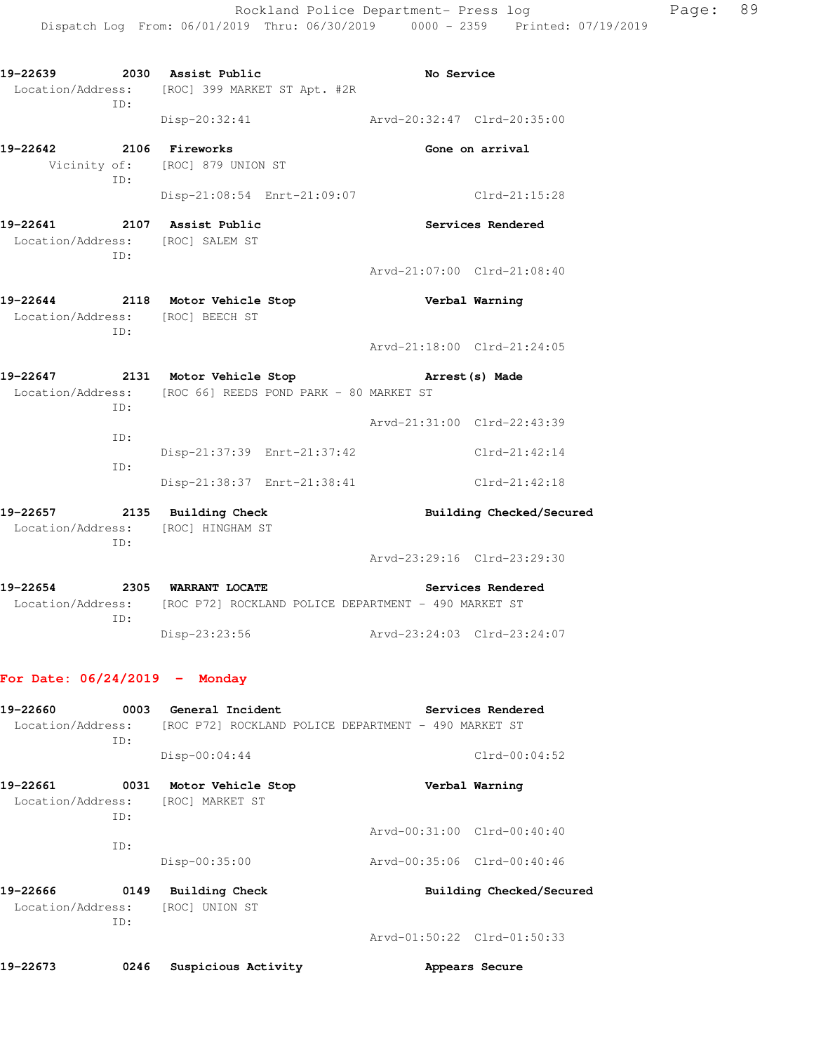**19-22639 2030 Assist Public No Service**  Location/Address: [ROC] 399 MARKET ST Apt. #2R ID: Disp-20:32:41 Arvd-20:32:47 Clrd-20:35:00 **19-22642 2106 Fireworks Gone on arrival**  Vicinity of: [ROC] 879 UNION ST ID: Disp-21:08:54 Enrt-21:09:07 Clrd-21:15:28 **19-22641 2107 Assist Public Services Rendered**  Location/Address: [ROC] SALEM ST ID: Arvd-21:07:00 Clrd-21:08:40 **19-22644 2118 Motor Vehicle Stop Verbal Warning**  Location/Address: [ROC] BEECH ST ID: Arvd-21:18:00 Clrd-21:24:05 **19-22647 2131 Motor Vehicle Stop Arrest(s) Made**  Location/Address: [ROC 66] REEDS POND PARK - 80 MARKET ST ID: Arvd-21:31:00 Clrd-22:43:39 ID: Disp-21:37:39 Enrt-21:37:42 Clrd-21:42:14 ID: Disp-21:38:37 Enrt-21:38:41 Clrd-21:42:18 **19-22657 2135 Building Check Building Checked/Secured**  Location/Address: [ROC] HINGHAM ST ID: Arvd-23:29:16 Clrd-23:29:30 **19-22654 2305 WARRANT LOCATE Services Rendered**  Location/Address: [ROC P72] ROCKLAND POLICE DEPARTMENT - 490 MARKET ST ID: Disp-23:23:56 Arvd-23:24:03 Clrd-23:24:07 **For Date: 06/24/2019 - Monday 19-22660 0003 General Incident Services Rendered** 

| Location/Address: |      |                       | [ROC P72] ROCKLAND POLICE DEPARTMENT - 490 MARKET ST |  |
|-------------------|------|-----------------------|------------------------------------------------------|--|
|                   | ID:  |                       |                                                      |  |
|                   |      | $Disp-00:04:44$       | $Clrd-00:04:52$                                      |  |
| 19-22661          | 0031 | Motor Vehicle Stop    | Verbal Warning                                       |  |
| Location/Address: |      | [ROC] MARKET ST       |                                                      |  |
|                   | ID:  |                       |                                                      |  |
|                   |      |                       | Arvd-00:31:00 Clrd-00:40:40                          |  |
|                   | TD:  |                       |                                                      |  |
|                   |      | Disp-00:35:00         | Arvd-00:35:06 Clrd-00:40:46                          |  |
| 19-22666          | 0149 | <b>Building Check</b> | Building Checked/Secured                             |  |
| Location/Address: |      | [ROC] UNION ST        |                                                      |  |
|                   | ID:  |                       |                                                      |  |
|                   |      |                       | Arvd-01:50:22 Clrd-01:50:33                          |  |
|                   |      |                       |                                                      |  |

**19-22673 0246 Suspicious Activity Appears Secure**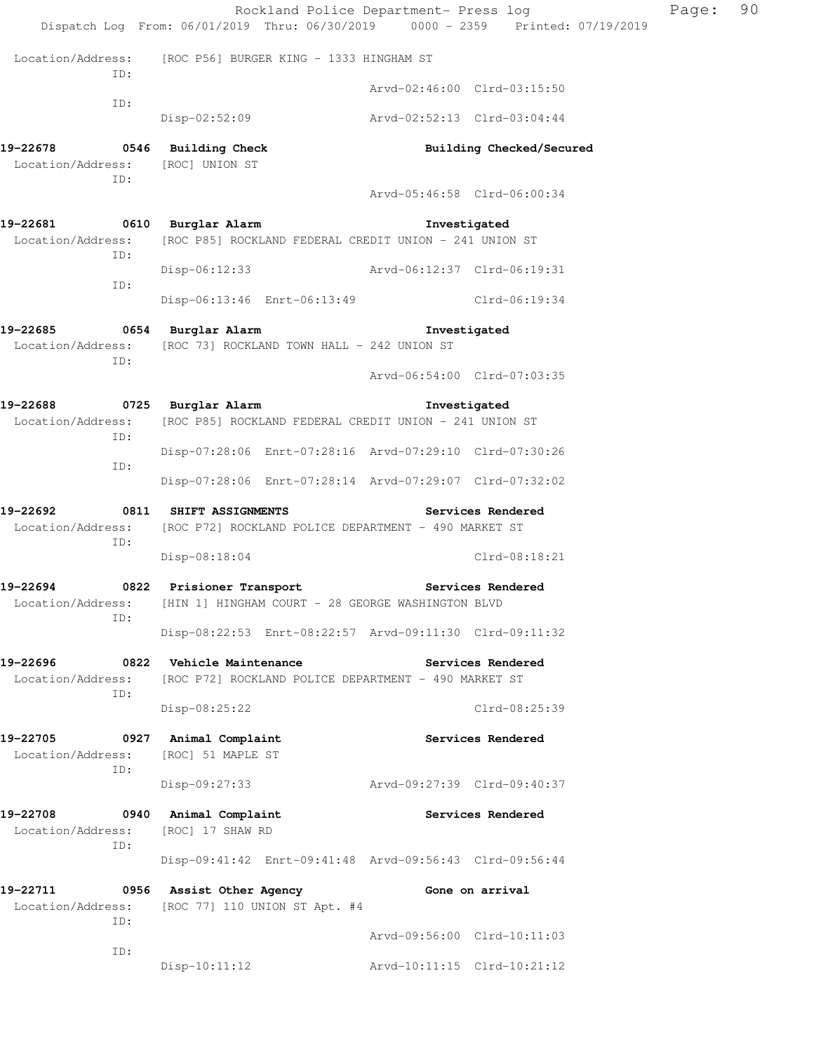|                                                                         | Rockland Police Department- Press log<br>Dispatch Log From: 06/01/2019 Thru: 06/30/2019 0000 - 2359 Printed: 07/19/2019 |                             |                             | Page: | 90 |
|-------------------------------------------------------------------------|-------------------------------------------------------------------------------------------------------------------------|-----------------------------|-----------------------------|-------|----|
| ID:                                                                     | Location/Address: [ROC P56] BURGER KING - 1333 HINGHAM ST                                                               |                             |                             |       |    |
|                                                                         |                                                                                                                         |                             | Arvd-02:46:00 Clrd-03:15:50 |       |    |
| ID:                                                                     | Disp-02:52:09                                                                                                           | Arvd-02:52:13 Clrd-03:04:44 |                             |       |    |
| 19-22678 0546 Building Check<br>Location/Address: [ROC] UNION ST<br>ID: |                                                                                                                         |                             | Building Checked/Secured    |       |    |
|                                                                         |                                                                                                                         |                             | Arvd-05:46:58 Clrd-06:00:34 |       |    |
| 19-22681 0610 Burglar Alarm<br>Location/Address:<br>ID:                 | [ROC P85] ROCKLAND FEDERAL CREDIT UNION - 241 UNION ST                                                                  |                             | Investigated                |       |    |
| ID:                                                                     | Disp-06:12:33                                                                                                           |                             |                             |       |    |
|                                                                         | Disp-06:13:46 Enrt-06:13:49 Clrd-06:19:34                                                                               |                             |                             |       |    |
| 19-22685<br>Location/Address:<br>ID:                                    | 0654 Burglar Alarm<br>[ROC 73] ROCKLAND TOWN HALL - 242 UNION ST                                                        |                             | Investigated                |       |    |
|                                                                         |                                                                                                                         |                             | Arvd-06:54:00 Clrd-07:03:35 |       |    |
| 19-22688 0725 Burglar Alarm                                             | Location/Address: [ROC P85] ROCKLAND FEDERAL CREDIT UNION - 241 UNION ST                                                |                             | Investigated                |       |    |
| ID:                                                                     | Disp-07:28:06 Enrt-07:28:16 Arvd-07:29:10 Clrd-07:30:26                                                                 |                             |                             |       |    |
| ID:                                                                     | Disp-07:28:06 Enrt-07:28:14 Arvd-07:29:07 Clrd-07:32:02                                                                 |                             |                             |       |    |
| 19-22692 0811 SHIFT ASSIGNMENTS<br>ID:                                  | Location/Address: [ROC P72] ROCKLAND POLICE DEPARTMENT - 490 MARKET ST                                                  |                             | Services Rendered           |       |    |
|                                                                         | Disp-08:18:04                                                                                                           |                             | $Clrd-08:18:21$             |       |    |
| 19-22694<br>Location/Address:<br>ID:                                    | 0822 Prisioner Transport Services Rendered<br>[HIN 1] HINGHAM COURT - 28 GEORGE WASHINGTON BLVD                         |                             |                             |       |    |
|                                                                         | Disp-08:22:53 Enrt-08:22:57 Arvd-09:11:30 Clrd-09:11:32                                                                 |                             |                             |       |    |
| 19-22696<br>Location/Address:<br>ID:                                    | 0822 Vehicle Maintenance<br>[ROC P72] ROCKLAND POLICE DEPARTMENT - 490 MARKET ST                                        |                             | Services Rendered           |       |    |
|                                                                         | Disp-08:25:22                                                                                                           |                             | Clrd-08:25:39               |       |    |
| 19-22705<br>Location/Address:<br>ID:                                    | 0927 Animal Complaint<br>[ROC] 51 MAPLE ST                                                                              |                             | Services Rendered           |       |    |
|                                                                         | Disp-09:27:33                                                                                                           | Arvd-09:27:39 Clrd-09:40:37 |                             |       |    |
| 19-22708<br>Location/Address:<br>ID:                                    | 0940 Animal Complaint<br>[ROC] 17 SHAW RD                                                                               |                             | Services Rendered           |       |    |
|                                                                         | Disp-09:41:42 Enrt-09:41:48 Arvd-09:56:43 Clrd-09:56:44                                                                 |                             |                             |       |    |
| 19-22711<br>Location/Address:<br>ID:                                    | 0956 Assist Other Agency<br>[ROC 77] 110 UNION ST Apt. #4                                                               |                             | Gone on arrival             |       |    |
| ID:                                                                     |                                                                                                                         |                             | Arvd-09:56:00 Clrd-10:11:03 |       |    |
|                                                                         | $Disp-10:11:12$                                                                                                         |                             | Arvd-10:11:15 Clrd-10:21:12 |       |    |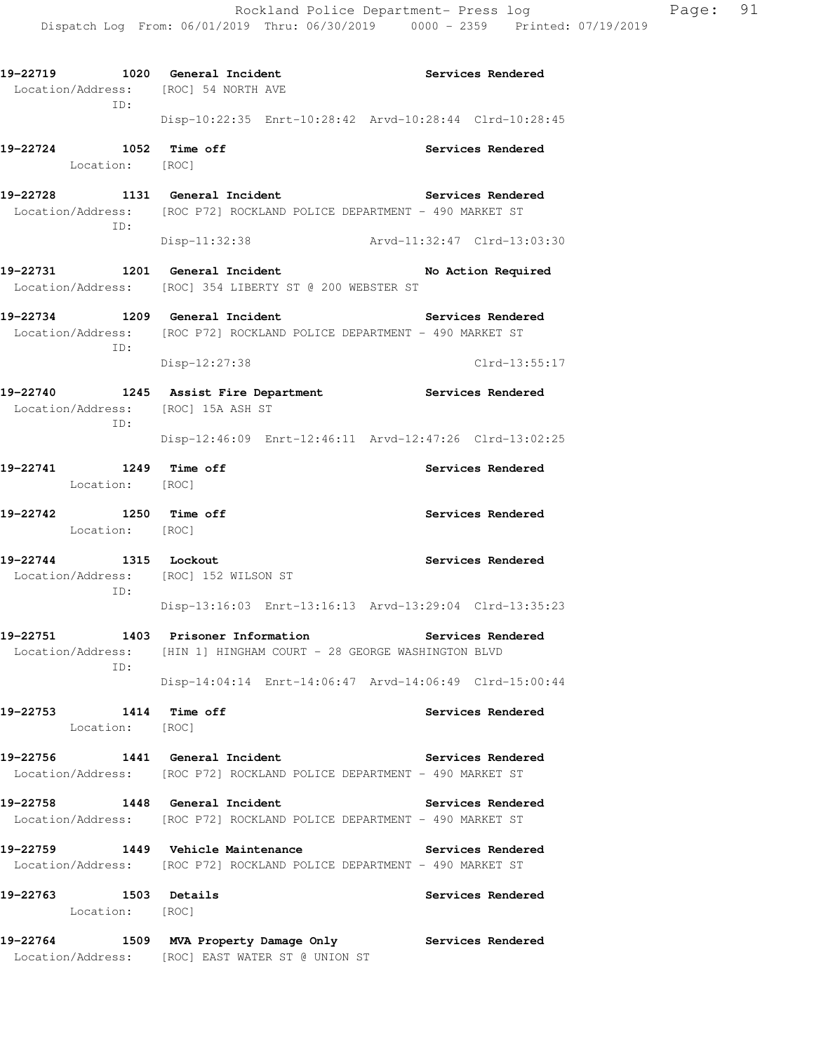**19-22719 1020 General Incident Services Rendered**  Location/Address: [ROC] 54 NORTH AVE ID: Disp-10:22:35 Enrt-10:28:42 Arvd-10:28:44 Clrd-10:28:45 **19-22724 1052 Time off Services Rendered**  Location: [ROC] 19-22728 1131 General Incident **19-22728** Services Rendered Location/Address: [ROC P72] ROCKLAND POLICE DEPARTMENT - 490 MARKET ST ID: Disp-11:32:38 Arvd-11:32:47 Clrd-13:03:30 **19-22731 1201 General Incident No Action Required**  Location/Address: [ROC] 354 LIBERTY ST @ 200 WEBSTER ST **19-22734 1209 General Incident Services Rendered**  Location/Address: [ROC P72] ROCKLAND POLICE DEPARTMENT - 490 MARKET ST ID: Disp-12:27:38 Clrd-13:55:17 **19-22740 1245 Assist Fire Department Services Rendered**  Location/Address: [ROC] 15A ASH ST ID: Disp-12:46:09 Enrt-12:46:11 Arvd-12:47:26 Clrd-13:02:25 **19-22741 1249 Time off Services Rendered**  Location: [ROC] **19-22742 1250 Time off Services Rendered**  Location: [ROC] **19-22744 1315 Lockout Services Rendered**  Location/Address: [ROC] 152 WILSON ST ID: Disp-13:16:03 Enrt-13:16:13 Arvd-13:29:04 Clrd-13:35:23 **19-22751 1403 Prisoner Information Services Rendered**  Location/Address: [HIN 1] HINGHAM COURT - 28 GEORGE WASHINGTON BLVD ID: Disp-14:04:14 Enrt-14:06:47 Arvd-14:06:49 Clrd-15:00:44 **19-22753 1414 Time off Services Rendered**  Location: [ROC] **19-22756 1441 General Incident Services Rendered**  Location/Address: [ROC P72] ROCKLAND POLICE DEPARTMENT - 490 MARKET ST **19-22758 1448 General Incident Services Rendered**  Location/Address: [ROC P72] ROCKLAND POLICE DEPARTMENT - 490 MARKET ST **19-22759 1449 Vehicle Maintenance Services Rendered**  Location/Address: [ROC P72] ROCKLAND POLICE DEPARTMENT - 490 MARKET ST **19-22763 1503 Details Services Rendered**  Location: [ROC] **19-22764 1509 MVA Property Damage Only Services Rendered**  Location/Address: [ROC] EAST WATER ST @ UNION ST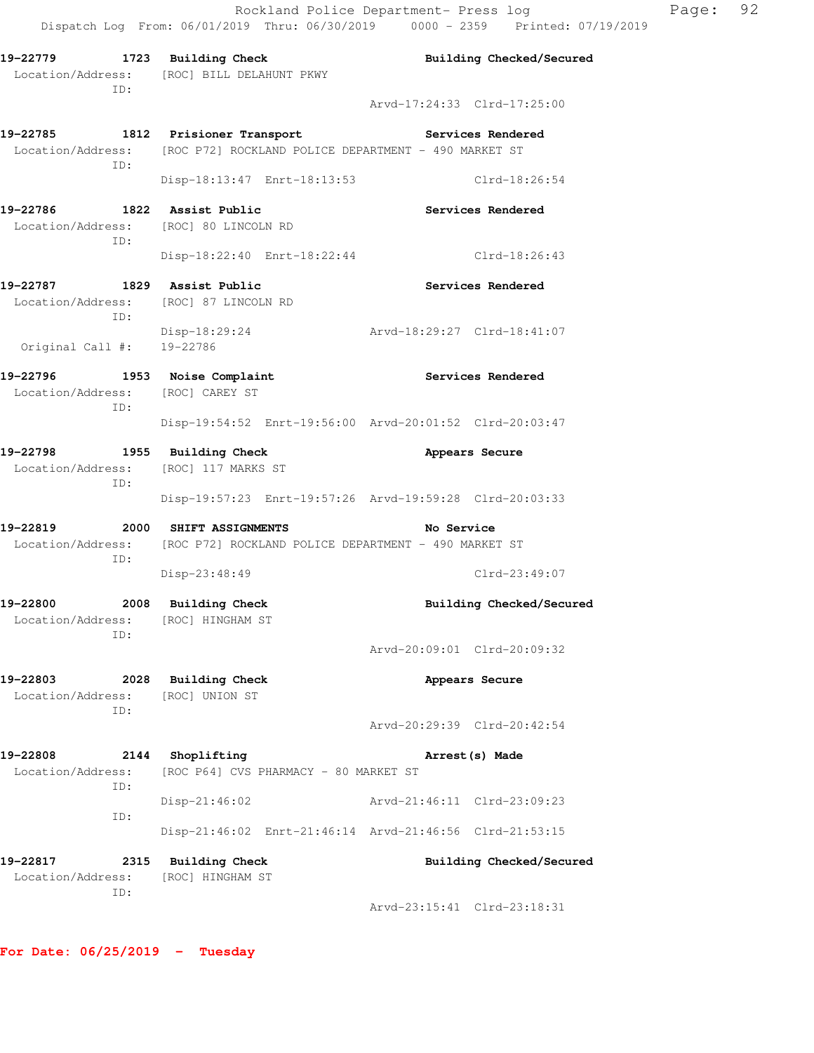| ID:                                                                         | 19-22779 1723 Building Check<br>Location/Address: [ROC] BILL DELAHUNT PKWY                                  | Building Checked/Secured                                |
|-----------------------------------------------------------------------------|-------------------------------------------------------------------------------------------------------------|---------------------------------------------------------|
|                                                                             |                                                                                                             | Arvd-17:24:33 Clrd-17:25:00                             |
| ID:                                                                         | 19-22785 1812 Prisioner Transport<br>Location/Address: [ROC P72] ROCKLAND POLICE DEPARTMENT - 490 MARKET ST | Services Rendered                                       |
|                                                                             | Disp-18:13:47 Enrt-18:13:53                                                                                 | Clrd-18:26:54                                           |
| 19-22786 1822 Assist Public<br>Location/Address: [ROC] 80 LINCOLN RD<br>ID: |                                                                                                             | Services Rendered                                       |
|                                                                             | Disp-18:22:40 Enrt-18:22:44                                                                                 | Clrd-18:26:43                                           |
| 19-22787 1829 Assist Public<br>Location/Address: [ROC] 87 LINCOLN RD<br>ID: |                                                                                                             | <b>Services Rendered</b>                                |
| Original Call #: 19-22786                                                   | Disp-18:29:24                                                                                               | Arvd-18:29:27 Clrd-18:41:07                             |
| 19-22796 1953 Noise Complaint<br>Location/Address: [ROC] CAREY ST<br>ID:    |                                                                                                             | <b>Services Rendered</b>                                |
|                                                                             |                                                                                                             | Disp-19:54:52 Enrt-19:56:00 Arvd-20:01:52 Clrd-20:03:47 |
| 19-22798 1955 Building Check<br>Location/Address: [ROC] 117 MARKS ST<br>ID: |                                                                                                             | Appears Secure                                          |
|                                                                             |                                                                                                             | Disp-19:57:23 Enrt-19:57:26 Arvd-19:59:28 Clrd-20:03:33 |
| 19-22819<br>ID:                                                             | 2000 SHIFT ASSIGNMENTS<br>Location/Address: [ROC P72] ROCKLAND POLICE DEPARTMENT - 490 MARKET ST            | No Service                                              |
|                                                                             | Disp-23:48:49                                                                                               | $Clrd-23:49:07$                                         |
| 19-22800 2008 Building Check<br>Location/Address: [ROC] HINGHAM ST<br>ID:   |                                                                                                             | Building Checked/Secured                                |
|                                                                             |                                                                                                             | Arvd-20:09:01 Clrd-20:09:32                             |
| 19-22803<br>Location/Address:                                               | 2028 Building Check<br>[ROC] UNION ST                                                                       | Appears Secure                                          |
| ID:                                                                         |                                                                                                             | Arvd-20:29:39 Clrd-20:42:54                             |
| 19-22808<br>Location/Address:                                               | 2144 Shoplifting<br>[ROC P64] CVS PHARMACY - 80 MARKET ST                                                   | Arrest (s) Made                                         |
| ID:                                                                         | Disp-21:46:02                                                                                               | Arvd-21:46:11 Clrd-23:09:23                             |
| ID:                                                                         |                                                                                                             | Disp-21:46:02 Enrt-21:46:14 Arvd-21:46:56 Clrd-21:53:15 |
| 19-22817<br>Location/Address:                                               | 2315 Building Check<br>[ROC] HINGHAM ST                                                                     | Building Checked/Secured                                |
| ID:                                                                         |                                                                                                             | Arvd-23:15:41 Clrd-23:18:31                             |
|                                                                             |                                                                                                             |                                                         |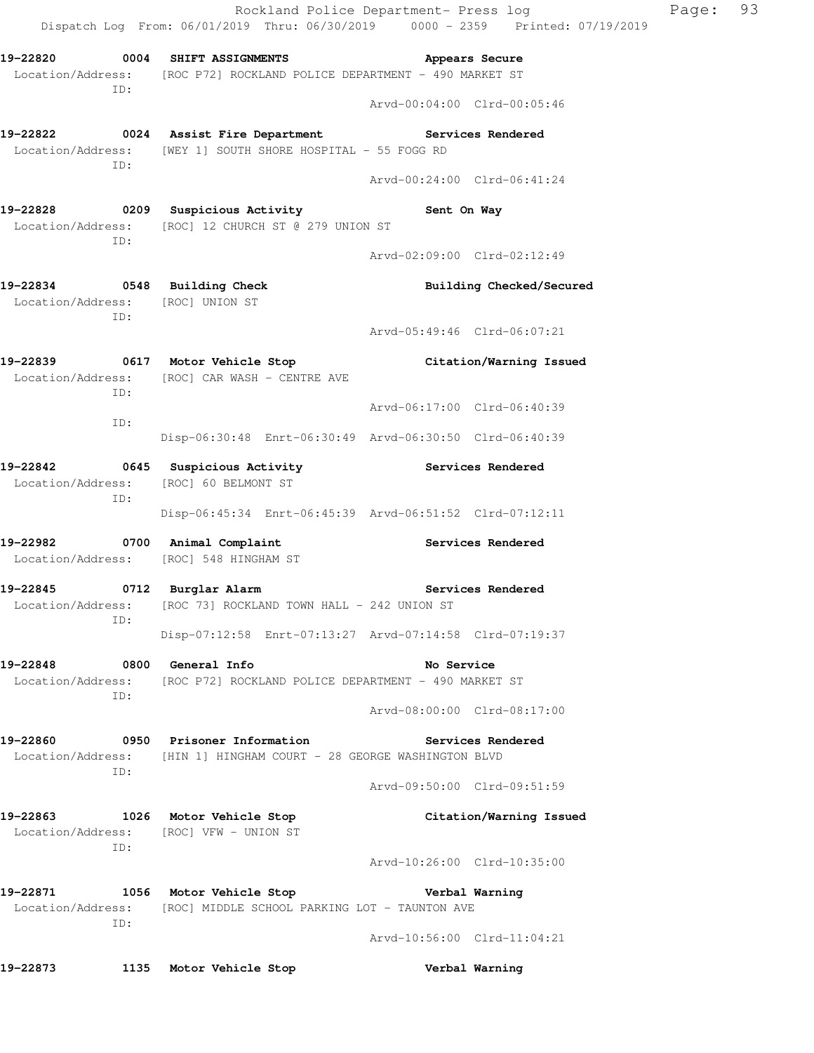|                                                                         | Rockland Police Department- Press log<br>Dispatch Log From: 06/01/2019 Thru: 06/30/2019 0000 - 2359 Printed: 07/19/2019 |                             |                          | Page: | 93 |
|-------------------------------------------------------------------------|-------------------------------------------------------------------------------------------------------------------------|-----------------------------|--------------------------|-------|----|
| 19-22820 0004 SHIFT ASSIGNMENTS                                         | Location/Address: [ROC P72] ROCKLAND POLICE DEPARTMENT - 490 MARKET ST                                                  | Appears Secure              |                          |       |    |
| ID:                                                                     |                                                                                                                         | Arvd-00:04:00 Clrd-00:05:46 |                          |       |    |
| ID:                                                                     | 19-22822 0024 Assist Fire Department Services Rendered<br>Location/Address: [WEY 1] SOUTH SHORE HOSPITAL - 55 FOGG RD   |                             |                          |       |    |
|                                                                         |                                                                                                                         | Arvd-00:24:00 Clrd-06:41:24 |                          |       |    |
| ID:                                                                     | 19-22828 		 0209 Suspicious Activity 		 Sent On Way<br>Location/Address: [ROC] 12 CHURCH ST @ 279 UNION ST              |                             |                          |       |    |
|                                                                         |                                                                                                                         | Arvd-02:09:00 Clrd-02:12:49 |                          |       |    |
| 19-22834 0548 Building Check<br>Location/Address: [ROC] UNION ST<br>ID: |                                                                                                                         |                             | Building Checked/Secured |       |    |
|                                                                         |                                                                                                                         | Arvd-05:49:46 Clrd-06:07:21 |                          |       |    |
| ID:                                                                     | 19-22839 0617 Motor Vehicle Stop Citation/Warning Issued<br>Location/Address: [ROC] CAR WASH - CENTRE AVE               |                             |                          |       |    |
| ID:                                                                     |                                                                                                                         | Arvd-06:17:00 Clrd-06:40:39 |                          |       |    |
|                                                                         | Disp-06:30:48 Enrt-06:30:49 Arvd-06:30:50 Clrd-06:40:39                                                                 |                             |                          |       |    |
| Location/Address: [ROC] 60 BELMONT ST<br>ID:                            | 19-22842 		 0645 Suspicious Activity 		 Services Rendered                                                               |                             |                          |       |    |
|                                                                         | Disp-06:45:34 Enrt-06:45:39 Arvd-06:51:52 Clrd-07:12:11                                                                 |                             |                          |       |    |
| Location/Address: [ROC] 548 HINGHAM ST                                  | 19-22982 0700 Animal Complaint                                                                                          |                             | Services Rendered        |       |    |
| 19-22845 0712 Burglar Alarm<br>TD:                                      | Location/Address: [ROC 73] ROCKLAND TOWN HALL - 242 UNION ST                                                            |                             | Services Rendered        |       |    |
|                                                                         | Disp-07:12:58 Enrt-07:13:27 Arvd-07:14:58 Clrd-07:19:37                                                                 |                             |                          |       |    |
| 19-22848<br>ID:                                                         | 0800 General Info<br>Location/Address: [ROC P72] ROCKLAND POLICE DEPARTMENT - 490 MARKET ST                             | No Service                  |                          |       |    |
|                                                                         |                                                                                                                         | Arvd-08:00:00 Clrd-08:17:00 |                          |       |    |
| 19-22860<br>ID:                                                         | 0950 Prisoner Information<br>Location/Address: [HIN 1] HINGHAM COURT - 28 GEORGE WASHINGTON BLVD                        |                             | Services Rendered        |       |    |
|                                                                         |                                                                                                                         | Arvd-09:50:00 Clrd-09:51:59 |                          |       |    |
| 19-22863<br>ID:                                                         | 1026 Motor Vehicle Stop<br>Location/Address: [ROC] VFW - UNION ST                                                       |                             | Citation/Warning Issued  |       |    |
|                                                                         |                                                                                                                         | Arvd-10:26:00 Clrd-10:35:00 |                          |       |    |
| 19-22871<br>ID:                                                         | 1056 Motor Vehicle Stop<br>Location/Address: [ROC] MIDDLE SCHOOL PARKING LOT - TAUNTON AVE                              |                             | Verbal Warning           |       |    |
|                                                                         |                                                                                                                         | Arvd-10:56:00 Clrd-11:04:21 |                          |       |    |
| 19–22873<br>1135                                                        | Motor Vehicle Stop                                                                                                      |                             | Verbal Warning           |       |    |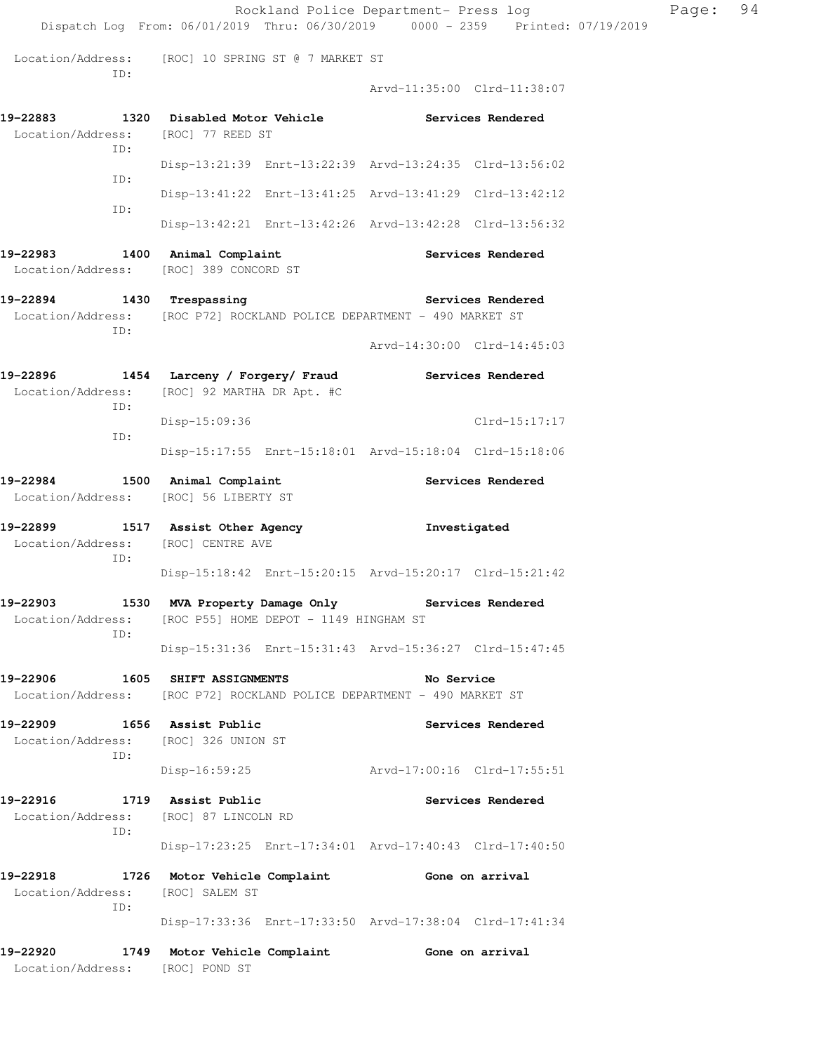|                                                  |                                                                                                             | Rockland Police Department- Press log                                          | Page: | 94 |
|--------------------------------------------------|-------------------------------------------------------------------------------------------------------------|--------------------------------------------------------------------------------|-------|----|
|                                                  |                                                                                                             | Dispatch Log From: 06/01/2019 Thru: 06/30/2019 0000 - 2359 Printed: 07/19/2019 |       |    |
| ID:                                              | Location/Address: [ROC] 10 SPRING ST @ 7 MARKET ST                                                          |                                                                                |       |    |
|                                                  |                                                                                                             | Arvd-11:35:00 Clrd-11:38:07                                                    |       |    |
| Location/Address: [ROC] 77 REED ST<br>TD:        | 19-22883 1320 Disabled Motor Vehicle Services Rendered                                                      |                                                                                |       |    |
|                                                  |                                                                                                             | Disp-13:21:39 Enrt-13:22:39 Arvd-13:24:35 Clrd-13:56:02                        |       |    |
| ID:                                              |                                                                                                             | Disp-13:41:22 Enrt-13:41:25 Arvd-13:41:29 Clrd-13:42:12                        |       |    |
| ID:                                              |                                                                                                             | Disp-13:42:21 Enrt-13:42:26 Arvd-13:42:28 Clrd-13:56:32                        |       |    |
| 19-22983 1400 Animal Complaint                   | Location/Address: [ROC] 389 CONCORD ST                                                                      | Services Rendered                                                              |       |    |
| 19-22894 1430 Trespassing                        | Location/Address: [ROC P72] ROCKLAND POLICE DEPARTMENT - 490 MARKET ST                                      | Services Rendered                                                              |       |    |
| ID:                                              |                                                                                                             | Arvd-14:30:00 Clrd-14:45:03                                                    |       |    |
|                                                  | 19-22896 1454 Larceny / Forgery/ Fraud<br>Location/Address: [ROC] 92 MARTHA DR Apt. #C                      | Services Rendered                                                              |       |    |
| ID:                                              | Disp-15:09:36                                                                                               | Clrd-15:17:17                                                                  |       |    |
| ID:                                              |                                                                                                             | Disp-15:17:55 Enrt-15:18:01 Arvd-15:18:04 Clrd-15:18:06                        |       |    |
| Location/Address: [ROC] 56 LIBERTY ST            | 19-22984 1500 Animal Complaint                                                                              | Services Rendered                                                              |       |    |
| Location/Address: [ROC] CENTRE AVE               | 19-22899 1517 Assist Other Agency                                                                           | Investigated                                                                   |       |    |
| ID:                                              |                                                                                                             | Disp-15:18:42 Enrt-15:20:15 Arvd-15:20:17 Clrd-15:21:42                        |       |    |
| 19-22903                                         | 1530 MVA Property Damage Only Services Rendered<br>Location/Address: [ROC P55] HOME DEPOT - 1149 HINGHAM ST |                                                                                |       |    |
| ID:                                              |                                                                                                             | Disp-15:31:36 Enrt-15:31:43 Arvd-15:36:27 Clrd-15:47:45                        |       |    |
| 19-22906                                         | 1605 SHIFT ASSIGNMENTS<br>Location/Address: [ROC P72] ROCKLAND POLICE DEPARTMENT - 490 MARKET ST            | No Service                                                                     |       |    |
| 19-22909<br>Location/Address: [ROC] 326 UNION ST | 1656 Assist Public                                                                                          | Services Rendered                                                              |       |    |
| ID:                                              | Disp-16:59:25                                                                                               | Arvd-17:00:16 Clrd-17:55:51                                                    |       |    |
| 19-22916<br>Location/Address:                    | 1719 Assist Public<br>[ROC] 87 LINCOLN RD                                                                   | Services Rendered                                                              |       |    |
| ID:                                              |                                                                                                             | Disp-17:23:25 Enrt-17:34:01 Arvd-17:40:43 Clrd-17:40:50                        |       |    |
| 19-22918<br>Location/Address: [ROC] SALEM ST     | 1726 Motor Vehicle Complaint                                                                                | Gone on arrival                                                                |       |    |
| ID:                                              |                                                                                                             | Disp-17:33:36 Enrt-17:33:50 Arvd-17:38:04 Clrd-17:41:34                        |       |    |
| 19-22920<br>Location/Address:                    | 1749 Motor Vehicle Complaint<br>[ROC] POND ST                                                               | Gone on arrival                                                                |       |    |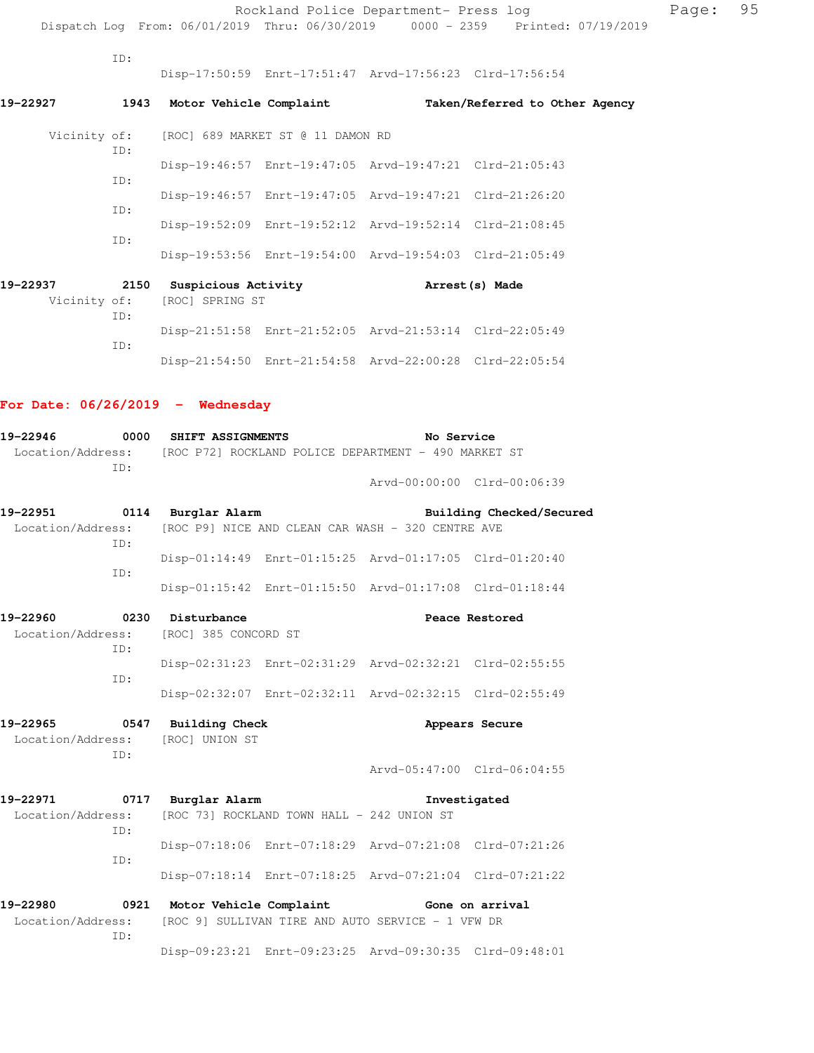|          |            |                              |                                                | Rockland Police Department- Press log                   |                                                                                |
|----------|------------|------------------------------|------------------------------------------------|---------------------------------------------------------|--------------------------------------------------------------------------------|
|          |            |                              |                                                |                                                         | Dispatch Log From: 06/01/2019 Thru: 06/30/2019 0000 - 2359 Printed: 07/19/2019 |
|          | TD:        |                              |                                                | Disp-17:50:59 Enrt-17:51:47 Arvd-17:56:23 Clrd-17:56:54 |                                                                                |
| 19–22927 |            | 1943 Motor Vehicle Complaint |                                                |                                                         | Taken/Referred to Other Agency                                                 |
|          | ID:        |                              | Vicinity of: [ROC] 689 MARKET ST @ 11 DAMON RD |                                                         |                                                                                |
|          |            |                              |                                                | Disp-19:46:57 Enrt-19:47:05 Arvd-19:47:21 Clrd-21:05:43 |                                                                                |
|          | TD:<br>TD: |                              |                                                | Disp-19:46:57 Enrt-19:47:05 Arvd-19:47:21 Clrd-21:26:20 |                                                                                |
|          | TD:        |                              |                                                | Disp-19:52:09 Enrt-19:52:12 Arvd-19:52:14 Clrd-21:08:45 |                                                                                |
|          |            |                              |                                                | Disp-19:53:56 Enrt-19:54:00 Arvd-19:54:03 Clrd-21:05:49 |                                                                                |
| 19–22937 |            | 2150 Suspicious Activity     |                                                |                                                         | Arrest(s) Made                                                                 |
|          | ID:        | Vicinity of: [ROC] SPRING ST |                                                |                                                         |                                                                                |
|          | ID:        |                              |                                                | Disp-21:51:58 Enrt-21:52:05 Arvd-21:53:14 Clrd-22:05:49 |                                                                                |

Disp-21:54:50 Enrt-21:54:58 Arvd-22:00:28 Clrd-22:05:54

## **For Date: 06/26/2019 - Wednesday**

| 19-22946                                                                      |     | 0000 SHIFT ASSIGNMENTS                 |                                                          | No Service                  |                          |
|-------------------------------------------------------------------------------|-----|----------------------------------------|----------------------------------------------------------|-----------------------------|--------------------------|
| Location/Address: [ROC P72] ROCKLAND POLICE DEPARTMENT - 490 MARKET ST<br>ID: |     |                                        |                                                          |                             |                          |
|                                                                               |     |                                        |                                                          | Arvd-00:00:00 Clrd-00:06:39 |                          |
|                                                                               |     | 19-22951 0114 Burglar Alarm            |                                                          |                             | Building Checked/Secured |
| Location/Address:                                                             | TD: |                                        | [ROC P9] NICE AND CLEAN CAR WASH - 320 CENTRE AVE        |                             |                          |
|                                                                               | ID: |                                        | Disp-01:14:49 Enrt-01:15:25 Arvd-01:17:05 Clrd-01:20:40  |                             |                          |
|                                                                               |     |                                        | Disp-01:15:42 Enrt-01:15:50 Arvd-01:17:08 Clrd-01:18:44  |                             |                          |
| 19-22960                                                                      |     | 0230 Disturbance                       |                                                          |                             | Peace Restored           |
|                                                                               | TD: | Location/Address: [ROC] 385 CONCORD ST |                                                          |                             |                          |
|                                                                               | TD: |                                        | Disp-02:31:23 Enrt-02:31:29 Arvd-02:32:21 Clrd-02:55:55  |                             |                          |
|                                                                               |     |                                        | Disp-02:32:07 Enrt-02:32:11 Arvd-02:32:15 Clrd-02:55:49  |                             |                          |
|                                                                               |     | 19-22965 0547 Building Check           |                                                          |                             | Appears Secure           |
|                                                                               | TD: | Location/Address: [ROC] UNION ST       |                                                          |                             |                          |
|                                                                               |     |                                        |                                                          | Arvd-05:47:00 Clrd-06:04:55 |                          |
| 19-22971                                                                      |     | 0717 Burglar Alarm                     |                                                          |                             | Investigated             |
| Location/Address:                                                             | ID: |                                        | [ROC 73] ROCKLAND TOWN HALL - 242 UNION ST               |                             |                          |
|                                                                               | ID: |                                        | Disp-07:18:06 Enrt-07:18:29 Arvd-07:21:08 Clrd-07:21:26  |                             |                          |
|                                                                               |     |                                        | Disp-07:18:14 Enrt-07:18:25 Arvd-07:21:04 Clrd-07:21:22  |                             |                          |
|                                                                               |     |                                        | 19-22980 0921 Motor Vehicle Complaint 60 Gone on arrival |                             |                          |
| Location/Address:                                                             | TD: |                                        | [ROC 9] SULLIVAN TIRE AND AUTO SERVICE - 1 VFW DR        |                             |                          |
|                                                                               |     |                                        | Disp-09:23:21 Enrt-09:23:25 Arvd-09:30:35 Clrd-09:48:01  |                             |                          |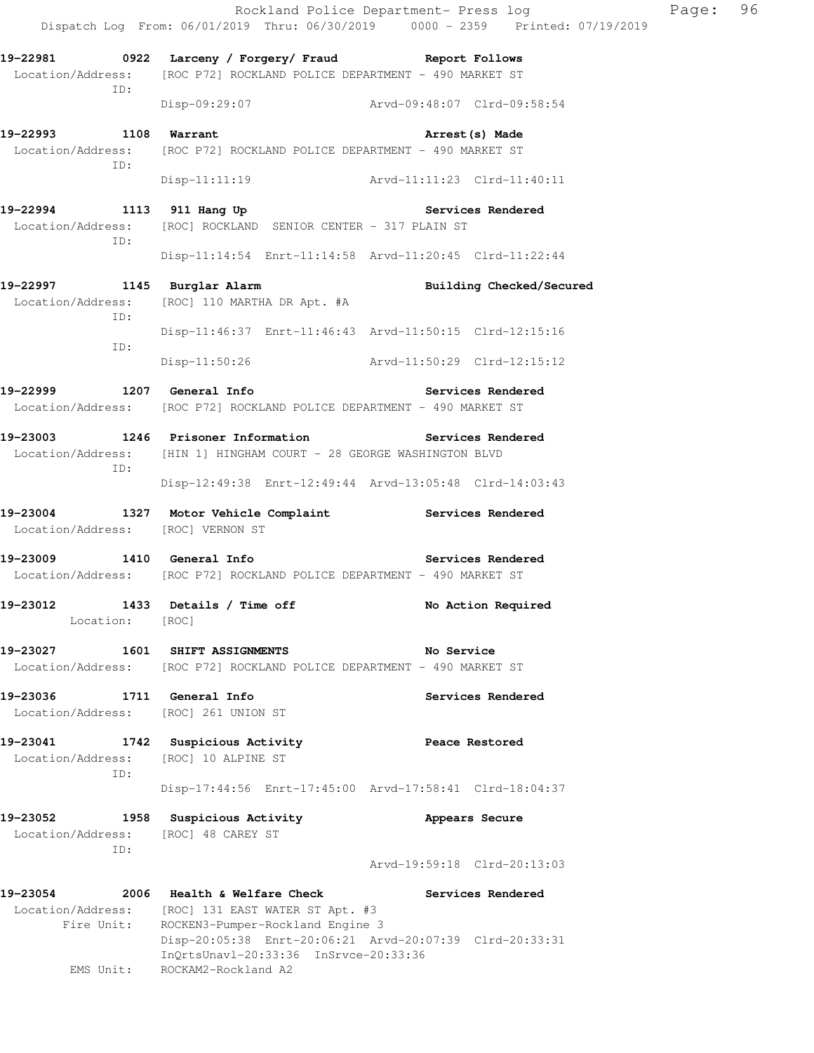|                                                                    |                                                                                                                                       | Rockland Police Department- Press log<br>Dispatch Log From: 06/01/2019 Thru: 06/30/2019 0000 - 2359 Printed: 07/19/2019 | Page: 96 |  |
|--------------------------------------------------------------------|---------------------------------------------------------------------------------------------------------------------------------------|-------------------------------------------------------------------------------------------------------------------------|----------|--|
| ID:                                                                | 19-22981 		 0922 Larceny / Forgery/ Fraud 		 Report Follows<br>Location/Address: [ROC P72] ROCKLAND POLICE DEPARTMENT - 490 MARKET ST |                                                                                                                         |          |  |
|                                                                    |                                                                                                                                       | Disp-09:29:07 Arvd-09:48:07 Clrd-09:58:54                                                                               |          |  |
| 19-22993 1108 Warrant<br>ID:                                       | Location/Address: [ROC P72] ROCKLAND POLICE DEPARTMENT - 490 MARKET ST                                                                | Arrest(s) Made                                                                                                          |          |  |
|                                                                    |                                                                                                                                       | Disp-11:11:19 Arvd-11:11:23 Clrd-11:40:11                                                                               |          |  |
| ID:                                                                | 19-22994 1113 911 Hang Up 11 Services Rendered<br>Location/Address: [ROC] ROCKLAND SENIOR CENTER - 317 PLAIN ST                       |                                                                                                                         |          |  |
|                                                                    |                                                                                                                                       | Disp-11:14:54 Enrt-11:14:58 Arvd-11:20:45 Clrd-11:22:44                                                                 |          |  |
| 19-22997 1145 Burglar Alarm<br>ID:                                 | Location/Address: [ROC] 110 MARTHA DR Apt. #A                                                                                         | Building Checked/Secured                                                                                                |          |  |
| ID:                                                                |                                                                                                                                       | Disp-11:46:37 Enrt-11:46:43 Arvd-11:50:15 Clrd-12:15:16                                                                 |          |  |
|                                                                    |                                                                                                                                       | Disp-11:50:26 Arvd-11:50:29 Clrd-12:15:12                                                                               |          |  |
|                                                                    | 19-22999 1207 General Info<br>Location/Address: [ROC P72] ROCKLAND POLICE DEPARTMENT - 490 MARKET ST                                  | Services Rendered                                                                                                       |          |  |
| ID:                                                                | 19-23003 1246 Prisoner Information Services Rendered<br>Location/Address: [HIN 1] HINGHAM COURT - 28 GEORGE WASHINGTON BLVD           |                                                                                                                         |          |  |
|                                                                    |                                                                                                                                       | Disp-12:49:38 Enrt-12:49:44 Arvd-13:05:48 Clrd-14:03:43                                                                 |          |  |
| Location/Address: [ROC] VERNON ST                                  | 19-23004 1327 Motor Vehicle Complaint Services Rendered                                                                               |                                                                                                                         |          |  |
|                                                                    | 19-23009 1410 General Info 2010 Services Rendered<br>Location/Address: [ROC P72] ROCKLAND POLICE DEPARTMENT - 490 MARKET ST           |                                                                                                                         |          |  |
| 19-23012<br>Location: [ROC]                                        | 1433 Details / Time off                                                                                                               | No Action Required                                                                                                      |          |  |
| 19-23027                                                           | 1601 SHIFT ASSIGNMENTS<br>Location/Address: [ROC P72] ROCKLAND POLICE DEPARTMENT - 490 MARKET ST                                      | No Service                                                                                                              |          |  |
| 19-23036 1711 General Info<br>Location/Address: [ROC] 261 UNION ST |                                                                                                                                       | Services Rendered                                                                                                       |          |  |
| Location/Address:<br>ID:                                           | 19-23041 1742 Suspicious Activity<br>[ROC] 10 ALPINE ST                                                                               | Peace Restored                                                                                                          |          |  |
|                                                                    |                                                                                                                                       | Disp-17:44:56 Enrt-17:45:00 Arvd-17:58:41 Clrd-18:04:37                                                                 |          |  |
| 19–23052<br>Location/Address:<br>ID:                               | 1958 Suspicious Activity<br>[ROC] 48 CAREY ST                                                                                         | Appears Secure                                                                                                          |          |  |
|                                                                    |                                                                                                                                       | Arvd-19:59:18 Clrd-20:13:03                                                                                             |          |  |
| 19-23054<br>Location/Address:<br>Fire Unit:                        | 2006 Health & Welfare Check<br>[ROC] 131 EAST WATER ST Apt. #3<br>ROCKEN3-Pumper-Rockland Engine 3                                    | Services Rendered<br>Disp-20:05:38 Enrt-20:06:21 Arvd-20:07:39 Clrd-20:33:31                                            |          |  |
| EMS Unit:                                                          | InQrtsUnavl-20:33:36 InSrvce-20:33:36<br>ROCKAM2-Rockland A2                                                                          |                                                                                                                         |          |  |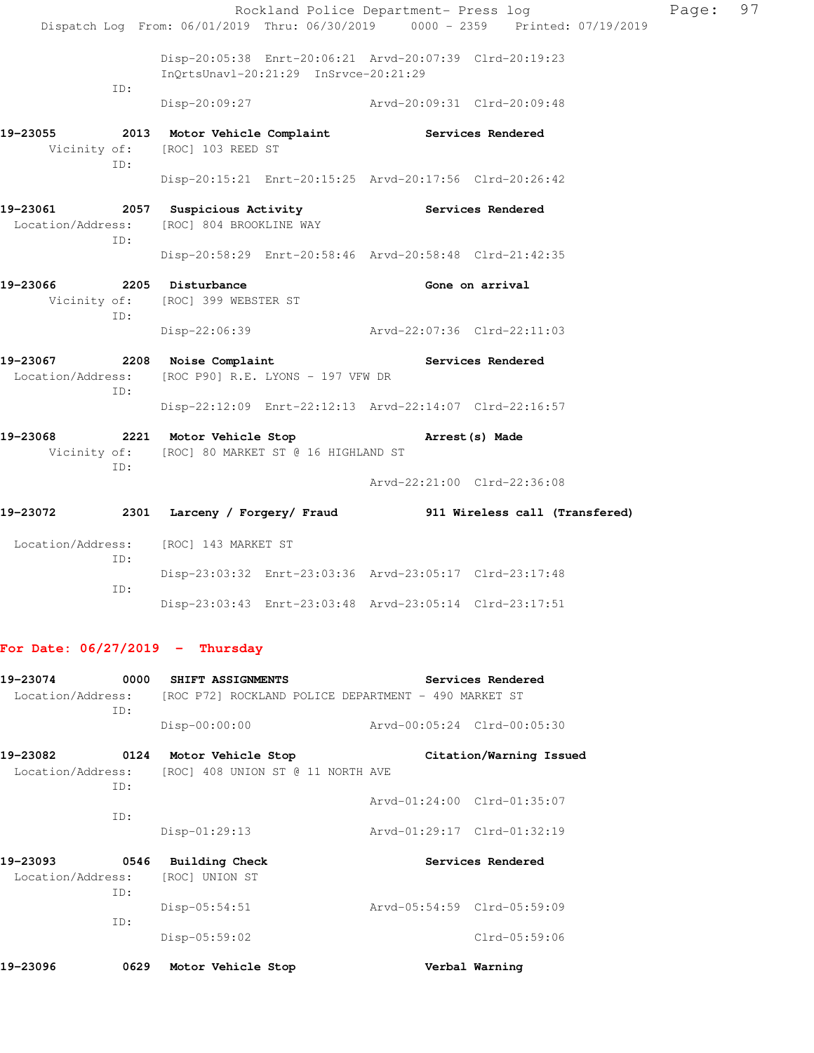|                           |     |                                                                                                           |  | Rockland Police Department- Press log | Dispatch Log From: 06/01/2019 Thru: 06/30/2019 0000 - 2359 Printed: 07/19/2019 | Page: | 97 |
|---------------------------|-----|-----------------------------------------------------------------------------------------------------------|--|---------------------------------------|--------------------------------------------------------------------------------|-------|----|
|                           | ID: | Disp-20:05:38 Enrt-20:06:21 Arvd-20:07:39 Clrd-20:19:23<br>InQrtsUnavl-20:21:29 InSrvce-20:21:29          |  |                                       |                                                                                |       |    |
|                           |     | Disp-20:09:27 Arvd-20:09:31 Clrd-20:09:48                                                                 |  |                                       |                                                                                |       |    |
| 19-23055                  | TD: | 2013 Motor Vehicle Complaint Services Rendered<br>Vicinity of: [ROC] 103 REED ST                          |  |                                       |                                                                                |       |    |
|                           |     | Disp-20:15:21 Enrt-20:15:25 Arvd-20:17:56 Clrd-20:26:42                                                   |  |                                       |                                                                                |       |    |
|                           | TD: | 19-23061 2057 Suspicious Activity Contract Services Rendered<br>Location/Address: [ROC] 804 BROOKLINE WAY |  |                                       |                                                                                |       |    |
|                           |     | Disp-20:58:29 Enrt-20:58:46 Arvd-20:58:48 Clrd-21:42:35                                                   |  |                                       |                                                                                |       |    |
| 19-23066 2205 Disturbance | TD: | Vicinity of: [ROC] 399 WEBSTER ST                                                                         |  |                                       | Gone on arrival                                                                |       |    |
|                           |     | Disp-22:06:39 Arvd-22:07:36 Clrd-22:11:03                                                                 |  |                                       |                                                                                |       |    |
|                           | TD: | 19-23067 2208 Noise Complaint<br>Location/Address: [ROC P90] R.E. LYONS - 197 VFW DR                      |  |                                       | Services Rendered                                                              |       |    |
|                           |     | Disp-22:12:09 Enrt-22:12:13 Arvd-22:14:07 Clrd-22:16:57                                                   |  |                                       |                                                                                |       |    |
| 19-23068                  | ID: | 2221 Motor Vehicle Stop<br>Vicinity of: [ROC] 80 MARKET ST @ 16 HIGHLAND ST                               |  | Arrest (s) Made                       |                                                                                |       |    |
|                           |     |                                                                                                           |  | Arvd-22:21:00 Clrd-22:36:08           |                                                                                |       |    |
| 19-23072                  |     |                                                                                                           |  |                                       | 2301 Larceny / Forgery/ Fraud 911 Wireless call (Transfered)                   |       |    |
|                           | ID: | Location/Address: [ROC] 143 MARKET ST                                                                     |  |                                       |                                                                                |       |    |
|                           | TD: | Disp-23:03:32 Enrt-23:03:36 Arvd-23:05:17 Clrd-23:17:48                                                   |  |                                       |                                                                                |       |    |
|                           |     | Disp-23:03:43 Enrt-23:03:48 Arvd-23:05:14 Clrd-23:17:51                                                   |  |                                       |                                                                                |       |    |

# **For Date: 06/27/2019 - Thursday**

| 19-23074                 | 0000 | SHIFT ASSIGNMENTS                 | Services Rendered                                    |  |
|--------------------------|------|-----------------------------------|------------------------------------------------------|--|
| Location/Address:<br>TD: |      |                                   | [ROC P72] ROCKLAND POLICE DEPARTMENT - 490 MARKET ST |  |
|                          |      | $Disp-00:00:00$                   | Arvd-00:05:24 Clrd-00:05:30                          |  |
| 19-23082                 | 0124 | Motor Vehicle Stop                | Citation/Warning Issued                              |  |
| Location/Address:        | TD:  | [ROC] 408 UNION ST @ 11 NORTH AVE |                                                      |  |
|                          |      |                                   | Arvd-01:24:00 Clrd-01:35:07                          |  |
|                          | TD:  | $Disp-01:29:13$                   | Arvd-01:29:17 Clrd-01:32:19                          |  |
| 19-23093                 | 0546 | <b>Building Check</b>             | Services Rendered                                    |  |
| Location/Address:        | TD:  | [ROC] UNION ST                    |                                                      |  |
|                          |      | $Disp-05:54:51$                   | Arvd-05:54:59 Clrd-05:59:09                          |  |
|                          | ID:  |                                   |                                                      |  |
|                          |      | Disp-05:59:02                     | $Clrd-05:59:06$                                      |  |
| 19-23096                 | 0629 | Motor Vehicle Stop                | Verbal Warning                                       |  |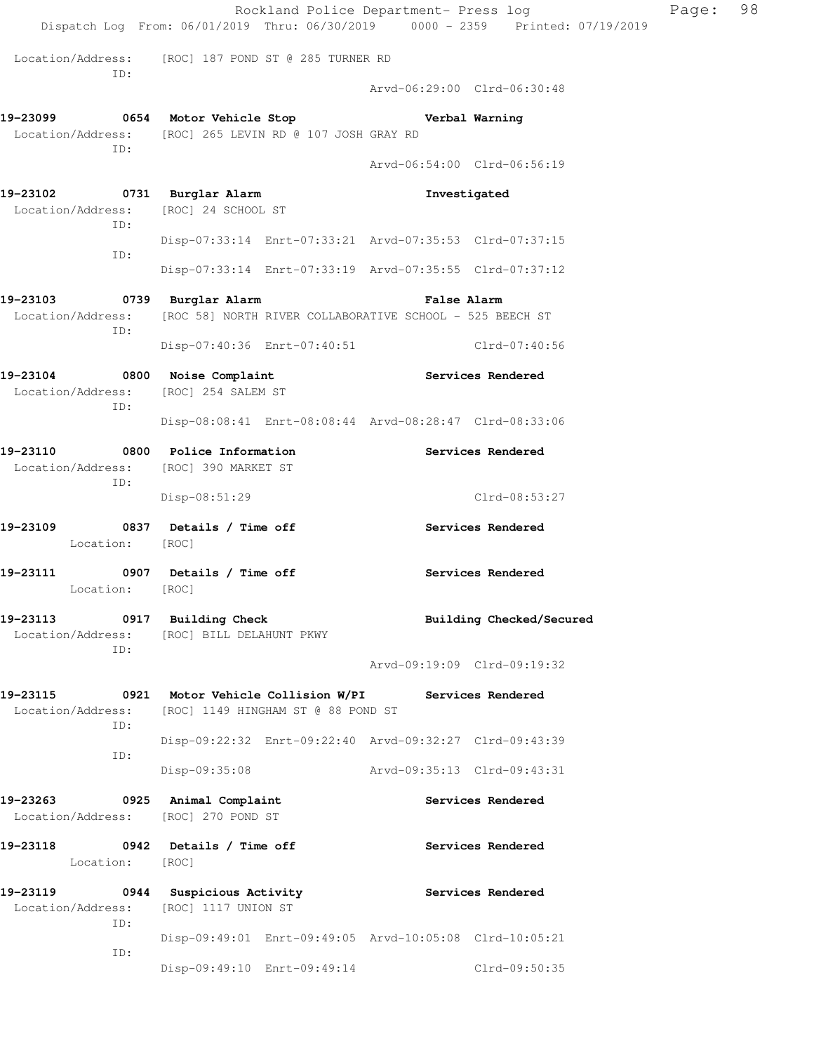|                                                                            |                                                                                                    | Rockland Police Department- Press log<br>Dispatch Log From: 06/01/2019 Thru: 06/30/2019 0000 - 2359 Printed: 07/19/2019 | Page: | 98 |
|----------------------------------------------------------------------------|----------------------------------------------------------------------------------------------------|-------------------------------------------------------------------------------------------------------------------------|-------|----|
| ID:                                                                        | Location/Address: [ROC] 187 POND ST @ 285 TURNER RD                                                | Arvd-06:29:00 Clrd-06:30:48                                                                                             |       |    |
| ID:                                                                        | 19-23099 0654 Motor Vehicle Stop<br>Location/Address: [ROC] 265 LEVIN RD @ 107 JOSH GRAY RD        | Verbal Warning<br>Arvd-06:54:00 Clrd-06:56:19                                                                           |       |    |
| 19-23102 0731 Burglar Alarm<br>Location/Address: [ROC] 24 SCHOOL ST<br>ID: |                                                                                                    | Investigated                                                                                                            |       |    |
| ID:                                                                        |                                                                                                    | Disp-07:33:14 Enrt-07:33:21 Arvd-07:35:53 Clrd-07:37:15<br>Disp-07:33:14 Enrt-07:33:19 Arvd-07:35:55 Clrd-07:37:12      |       |    |
| 19-23103<br>Location/Address:<br>ID:                                       | 0739 Burglar Alarm<br>[ROC 58] NORTH RIVER COLLABORATIVE SCHOOL - 525 BEECH ST                     | <b>False Alarm</b>                                                                                                      |       |    |
| 19-23104 0800 Noise Complaint<br>Location/Address: [ROC] 254 SALEM ST      |                                                                                                    | Disp-07:40:36 Enrt-07:40:51 Clrd-07:40:56<br>Services Rendered                                                          |       |    |
| ID:                                                                        |                                                                                                    | Disp-08:08:41 Enrt-08:08:44 Arvd-08:28:47 Clrd-08:33:06                                                                 |       |    |
| 19-23110 0800 Police Information<br>Location/Address:<br>ID:               | [ROC] 390 MARKET ST                                                                                | Services Rendered                                                                                                       |       |    |
|                                                                            | $Disp-08:51:29$                                                                                    | Clrd-08:53:27                                                                                                           |       |    |
| 19-23109 0837 Details / Time off<br>Location: [ROC]                        |                                                                                                    | Services Rendered                                                                                                       |       |    |
| 19-23111<br>Location:                                                      | 0907 Details / Time off<br>[ROC]                                                                   | Services Rendered                                                                                                       |       |    |
| ID:                                                                        | 19-23113 0917 Building Check<br>Location/Address: [ROC] BILL DELAHUNT PKWY                         | Building Checked/Secured<br>Arvd-09:19:09 Clrd-09:19:32                                                                 |       |    |
| Location/Address:<br>ID:                                                   | 19-23115 0921 Motor Vehicle Collision W/PI Services Rendered<br>[ROC] 1149 HINGHAM ST @ 88 POND ST |                                                                                                                         |       |    |
| ID:                                                                        |                                                                                                    | Disp-09:22:32 Enrt-09:22:40 Arvd-09:32:27 Clrd-09:43:39                                                                 |       |    |
|                                                                            | $Disp-09:35:08$                                                                                    | Arvd-09:35:13 Clrd-09:43:31                                                                                             |       |    |
| 19-23263<br>Location/Address: [ROC] 270 POND ST                            | 0925 Animal Complaint                                                                              | Services Rendered                                                                                                       |       |    |
| 19-23118 0942 Details / Time off<br>Location: [ROC]                        |                                                                                                    | Services Rendered                                                                                                       |       |    |
| Location/Address:<br>ID:                                                   | 19-23119 0944 Suspicious Activity<br>[ROC] 1117 UNION ST                                           | <b>Services Rendered</b>                                                                                                |       |    |
| ID:                                                                        |                                                                                                    | Disp-09:49:01 Enrt-09:49:05 Arvd-10:05:08 Clrd-10:05:21                                                                 |       |    |
|                                                                            |                                                                                                    | Disp-09:49:10 Enrt-09:49:14 Clrd-09:50:35                                                                               |       |    |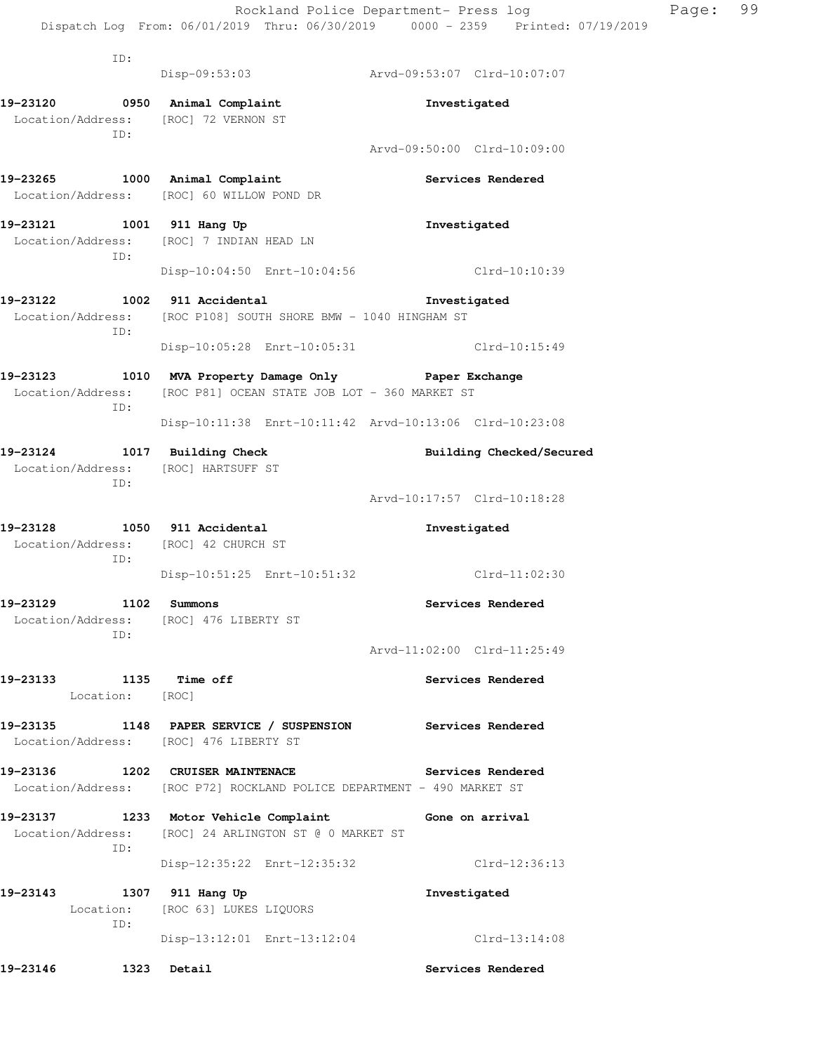|                                            |                                                                                    | Rockland Police Department- Press log<br>Dispatch Log From: 06/01/2019 Thru: 06/30/2019 0000 - 2359 Printed: 07/19/2019 |
|--------------------------------------------|------------------------------------------------------------------------------------|-------------------------------------------------------------------------------------------------------------------------|
|                                            |                                                                                    |                                                                                                                         |
| ID:                                        |                                                                                    |                                                                                                                         |
|                                            |                                                                                    | Disp-09:53:03 Arvd-09:53:07 Clrd-10:07:07                                                                               |
| 19-23120 0950 Animal Complaint             |                                                                                    | Investigated                                                                                                            |
| Location/Address: [ROC] 72 VERNON ST       |                                                                                    |                                                                                                                         |
| ID:                                        |                                                                                    | Arvd-09:50:00 Clrd-10:09:00                                                                                             |
|                                            |                                                                                    |                                                                                                                         |
|                                            | 19-23265 1000 Animal Complaint                                                     | Services Rendered                                                                                                       |
|                                            | Location/Address: [ROC] 60 WILLOW POND DR                                          |                                                                                                                         |
| 19-23121 1001 911 Hang Up                  |                                                                                    | Investigated                                                                                                            |
|                                            | Location/Address: [ROC] 7 INDIAN HEAD LN                                           |                                                                                                                         |
| ID:                                        |                                                                                    |                                                                                                                         |
|                                            | Disp-10:04:50 Enrt-10:04:56                                                        | Clrd-10:10:39                                                                                                           |
| 19-23122 1002 911 Accidental               |                                                                                    | Investigated                                                                                                            |
|                                            | Location/Address: [ROC P108] SOUTH SHORE BMW - 1040 HINGHAM ST                     |                                                                                                                         |
| ID:                                        |                                                                                    | Disp-10:05:28 Enrt-10:05:31 Clrd-10:15:49                                                                               |
|                                            |                                                                                    |                                                                                                                         |
|                                            | 19-23123 1010 MVA Property Damage Only Paper Exchange                              |                                                                                                                         |
|                                            |                                                                                    |                                                                                                                         |
| ID:                                        | Location/Address: [ROC P81] OCEAN STATE JOB LOT - 360 MARKET ST                    |                                                                                                                         |
|                                            |                                                                                    | Disp-10:11:38 Enrt-10:11:42 Arvd-10:13:06 Clrd-10:23:08                                                                 |
|                                            |                                                                                    |                                                                                                                         |
| 19-23124 1017 Building Check               |                                                                                    | Building Checked/Secured                                                                                                |
| Location/Address: [ROC] HARTSUFF ST<br>ID: |                                                                                    |                                                                                                                         |
|                                            |                                                                                    | Arvd-10:17:57 Clrd-10:18:28                                                                                             |
| 19-23128 1050 911 Accidental               |                                                                                    | Investigated                                                                                                            |
| Location/Address: [ROC] 42 CHURCH ST       |                                                                                    |                                                                                                                         |
| ID:                                        |                                                                                    |                                                                                                                         |
|                                            | Disp-10:51:25 Enrt-10:51:32                                                        | Clrd-11:02:30                                                                                                           |
| 19-23129                                   | 1102 Summons                                                                       | Services Rendered                                                                                                       |
|                                            | Location/Address: [ROC] 476 LIBERTY ST                                             |                                                                                                                         |
| ID:                                        |                                                                                    | Arvd-11:02:00 Clrd-11:25:49                                                                                             |
|                                            |                                                                                    |                                                                                                                         |
| 19–23133<br>1135 Time off                  |                                                                                    | Services Rendered                                                                                                       |
| Location: [ROC]                            |                                                                                    |                                                                                                                         |
|                                            | 19-23135 1148 PAPER SERVICE / SUSPENSION<br>Location/Address: [ROC] 476 LIBERTY ST | Services Rendered                                                                                                       |

Page: 99

**19-23136 1202 CRUISER MAINTENACE Services Rendered**  Location/Address: [ROC P72] ROCKLAND POLICE DEPARTMENT - 490 MARKET ST

19-23137 1233 Motor Vehicle Complaint Gone on arrival Location/Address: [ROC] 24 ARLINGTON ST @ 0 MARKET ST ID: Disp-12:35:22 Enrt-12:35:32 Clrd-12:36:13

**19-23143 1307 911 Hang Up Investigated**  Location: [ROC 63] LUKES LIQUORS ID: Disp-13:12:01 Enrt-13:12:04 Clrd-13:14:08

**19-23146 1323 Detail Services Rendered**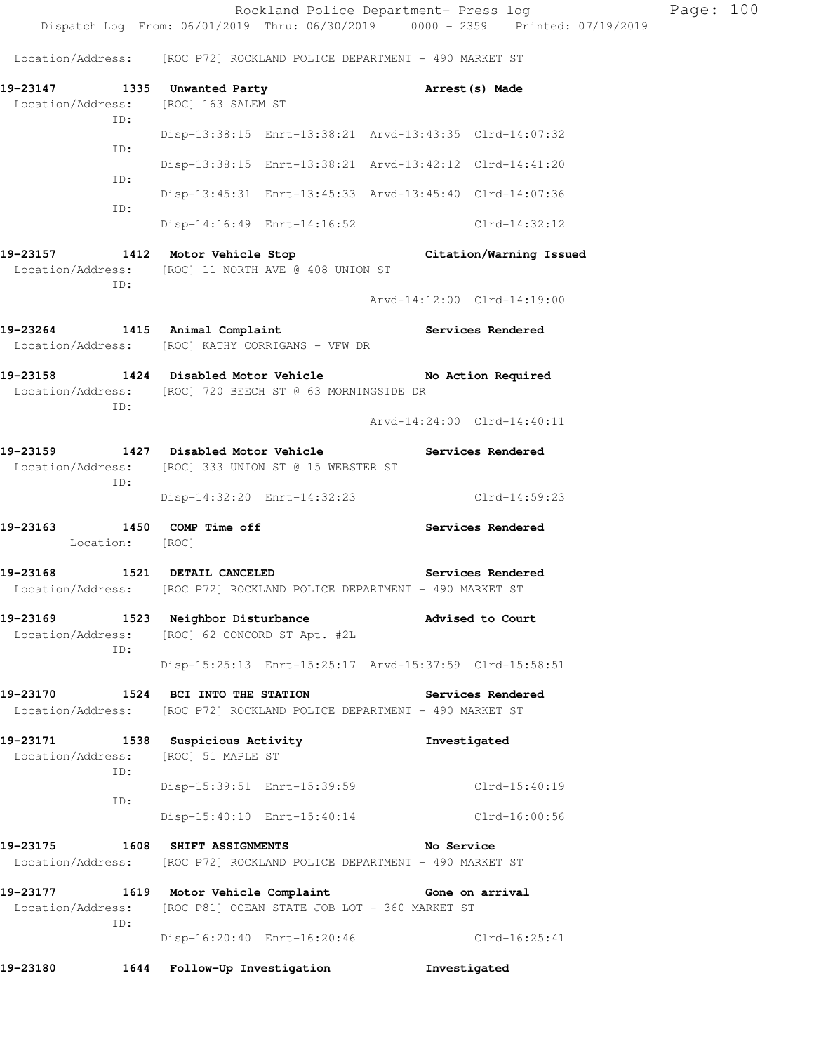Rockland Police Department- Press log Page: 100 Dispatch Log From: 06/01/2019 Thru: 06/30/2019 0000 - 2359 Printed: 07/19/2019 Location/Address: [ROC P72] ROCKLAND POLICE DEPARTMENT - 490 MARKET ST **19-23147 1335 Unwanted Party Arrest(s) Made**  Location/Address: [ROC] 163 SALEM ST ID: Disp-13:38:15 Enrt-13:38:21 Arvd-13:43:35 Clrd-14:07:32 ID: Disp-13:38:15 Enrt-13:38:21 Arvd-13:42:12 Clrd-14:41:20 ID: Disp-13:45:31 Enrt-13:45:33 Arvd-13:45:40 Clrd-14:07:36 ID: Disp-14:16:49 Enrt-14:16:52 Clrd-14:32:12 **19-23157 1412 Motor Vehicle Stop Citation/Warning Issued**  Location/Address: [ROC] 11 NORTH AVE @ 408 UNION ST ID: Arvd-14:12:00 Clrd-14:19:00 **19-23264 1415 Animal Complaint Services Rendered**  Location/Address: [ROC] KATHY CORRIGANS - VFW DR **19-23158 1424 Disabled Motor Vehicle No Action Required**  Location/Address: [ROC] 720 BEECH ST @ 63 MORNINGSIDE DR ID: Arvd-14:24:00 Clrd-14:40:11 **19-23159 1427 Disabled Motor Vehicle Services Rendered**  Location/Address: [ROC] 333 UNION ST @ 15 WEBSTER ST ID: Disp-14:32:20 Enrt-14:32:23 Clrd-14:59:23 **19-23163 1450 COMP Time off Services Rendered**  Location: [ROC] **19-23168 1521 DETAIL CANCELED Services Rendered**  Location/Address: [ROC P72] ROCKLAND POLICE DEPARTMENT - 490 MARKET ST **19-23169 1523 Neighbor Disturbance Advised to Court**  Location/Address: [ROC] 62 CONCORD ST Apt. #2L ID: Disp-15:25:13 Enrt-15:25:17 Arvd-15:37:59 Clrd-15:58:51 **19-23170 1524 BCI INTO THE STATION Services Rendered**  Location/Address: [ROC P72] ROCKLAND POLICE DEPARTMENT - 490 MARKET ST **19-23171 1538 Suspicious Activity Investigated**  Location/Address: [ROC] 51 MAPLE ST ID: Disp-15:39:51 Enrt-15:39:59 Clrd-15:40:19 ID: Disp-15:40:10 Enrt-15:40:14 Clrd-16:00:56 **19-23175 1608 SHIFT ASSIGNMENTS No Service**  Location/Address: [ROC P72] ROCKLAND POLICE DEPARTMENT - 490 MARKET ST **19-23177 1619 Motor Vehicle Complaint Gone on arrival**  Location/Address: [ROC P81] OCEAN STATE JOB LOT - 360 MARKET ST

 ID: Disp-16:20:40 Enrt-16:20:46 Clrd-16:25:41

**19-23180 1644 Follow-Up Investigation Investigated**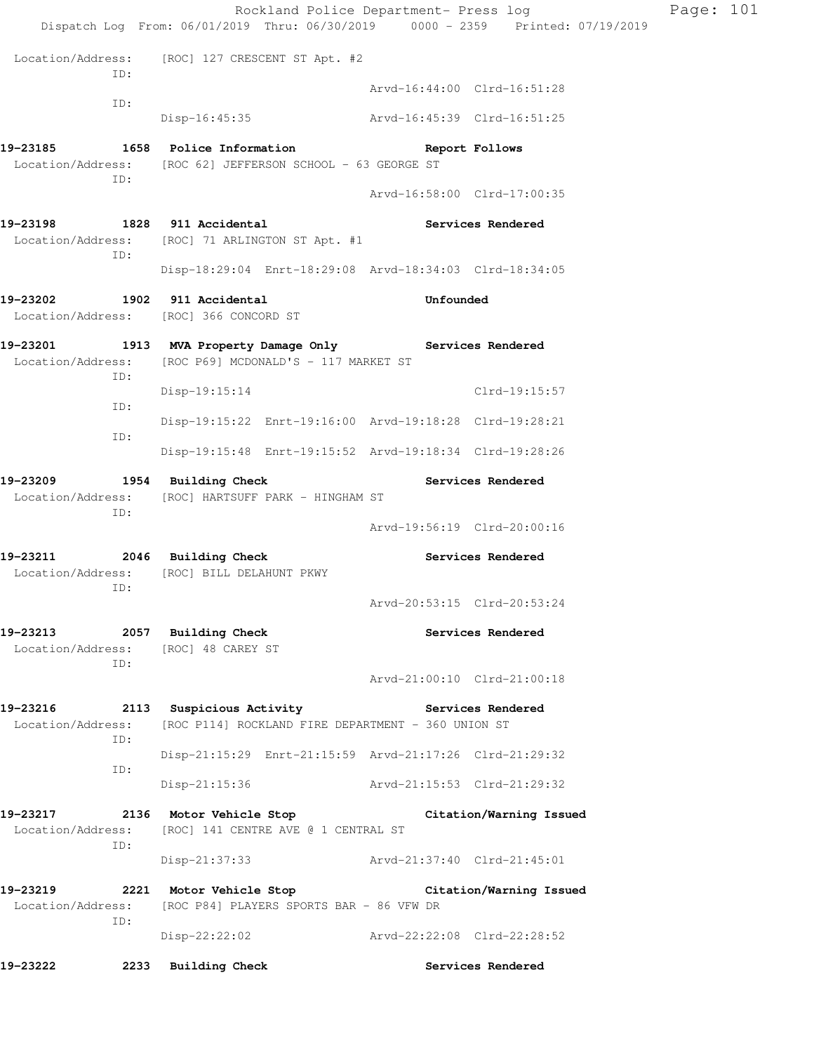| Dispatch Log From: 06/01/2019 Thru: 06/30/2019 0000 - 2359 Printed: 07/19/2019<br>Location/Address: [ROC] 127 CRESCENT ST Apt. #2<br>ID:<br>Arvd-16:44:00 Clrd-16:51:28<br>ID:<br>Disp-16:45:35 Arvd-16:45:39 Clrd-16:51:25<br>19-23185<br>1658 Police Information<br>Report Follows<br>Location/Address: [ROC 62] JEFFERSON SCHOOL - 63 GEORGE ST<br>ID:<br>Arvd-16:58:00 Clrd-17:00:35<br>19-23198<br>1828 911 Accidental<br>Services Rendered<br>Location/Address: [ROC] 71 ARLINGTON ST Apt. #1<br>ID:<br>Disp-18:29:04 Enrt-18:29:08 Arvd-18:34:03 Clrd-18:34:05<br>19-23202<br>1902 911 Accidental<br>Unfounded<br>Location/Address: [ROC] 366 CONCORD ST<br>19-23201<br>1913 MVA Property Damage Only Services Rendered<br>Location/Address:<br>[ROC P69] MCDONALD'S - 117 MARKET ST<br>ID:<br>Clrd-19:15:57<br>Disp-19:15:14<br>ID:<br>Disp-19:15:22 Enrt-19:16:00 Arvd-19:18:28 Clrd-19:28:21<br>ID:<br>Disp-19:15:48 Enrt-19:15:52 Arvd-19:18:34 Clrd-19:28:26<br>19-23209 1954 Building Check<br>Services Rendered<br>Location/Address: [ROC] HARTSUFF PARK - HINGHAM ST<br>ID:<br>Arvd-19:56:19 Clrd-20:00:16<br>19-23211 2046 Building Check<br>Services Rendered<br>Location/Address:<br>[ROC] BILL DELAHUNT PKWY<br>ID:<br>Arvd-20:53:15 Clrd-20:53:24<br>19-23213 2057 Building Check<br>Services Rendered<br>Location/Address: [ROC] 48 CAREY ST<br>ID:<br>Arvd-21:00:10 Clrd-21:00:18<br>19-23216 2113 Suspicious Activity Contract Services Rendered<br>Location/Address: [ROC P114] ROCKLAND FIRE DEPARTMENT - 360 UNION ST<br>ID:<br>Disp-21:15:29 Enrt-21:15:59 Arvd-21:17:26 Clrd-21:29:32<br>ID:<br>Disp-21:15:36 Arvd-21:15:53 Clrd-21:29:32<br>19-23217 2136 Motor Vehicle Stop<br>Citation/Warning Issued<br>Location/Address: [ROC] 141 CENTRE AVE @ 1 CENTRAL ST<br>ID:<br>Disp-21:37:33 Arvd-21:37:40 Clrd-21:45:01<br>19-23219<br>2221 Motor Vehicle Stop Citation/Warning Issued<br>Location/Address: [ROC P84] PLAYERS SPORTS BAR - 86 VFW DR<br>ID:<br>Disp-22:22:02<br>Arvd-22:22:08 Clrd-22:28:52 |          | Rockland Police Department- Press log |  | Page: 101 |
|---------------------------------------------------------------------------------------------------------------------------------------------------------------------------------------------------------------------------------------------------------------------------------------------------------------------------------------------------------------------------------------------------------------------------------------------------------------------------------------------------------------------------------------------------------------------------------------------------------------------------------------------------------------------------------------------------------------------------------------------------------------------------------------------------------------------------------------------------------------------------------------------------------------------------------------------------------------------------------------------------------------------------------------------------------------------------------------------------------------------------------------------------------------------------------------------------------------------------------------------------------------------------------------------------------------------------------------------------------------------------------------------------------------------------------------------------------------------------------------------------------------------------------------------------------------------------------------------------------------------------------------------------------------------------------------------------------------------------------------------------------------------------------------------------------------------------------------------------------------------------------------------------------------------------------------------------------------------------------------------------------------------------------------|----------|---------------------------------------|--|-----------|
|                                                                                                                                                                                                                                                                                                                                                                                                                                                                                                                                                                                                                                                                                                                                                                                                                                                                                                                                                                                                                                                                                                                                                                                                                                                                                                                                                                                                                                                                                                                                                                                                                                                                                                                                                                                                                                                                                                                                                                                                                                       |          |                                       |  |           |
|                                                                                                                                                                                                                                                                                                                                                                                                                                                                                                                                                                                                                                                                                                                                                                                                                                                                                                                                                                                                                                                                                                                                                                                                                                                                                                                                                                                                                                                                                                                                                                                                                                                                                                                                                                                                                                                                                                                                                                                                                                       |          |                                       |  |           |
|                                                                                                                                                                                                                                                                                                                                                                                                                                                                                                                                                                                                                                                                                                                                                                                                                                                                                                                                                                                                                                                                                                                                                                                                                                                                                                                                                                                                                                                                                                                                                                                                                                                                                                                                                                                                                                                                                                                                                                                                                                       |          |                                       |  |           |
|                                                                                                                                                                                                                                                                                                                                                                                                                                                                                                                                                                                                                                                                                                                                                                                                                                                                                                                                                                                                                                                                                                                                                                                                                                                                                                                                                                                                                                                                                                                                                                                                                                                                                                                                                                                                                                                                                                                                                                                                                                       |          |                                       |  |           |
|                                                                                                                                                                                                                                                                                                                                                                                                                                                                                                                                                                                                                                                                                                                                                                                                                                                                                                                                                                                                                                                                                                                                                                                                                                                                                                                                                                                                                                                                                                                                                                                                                                                                                                                                                                                                                                                                                                                                                                                                                                       |          |                                       |  |           |
|                                                                                                                                                                                                                                                                                                                                                                                                                                                                                                                                                                                                                                                                                                                                                                                                                                                                                                                                                                                                                                                                                                                                                                                                                                                                                                                                                                                                                                                                                                                                                                                                                                                                                                                                                                                                                                                                                                                                                                                                                                       |          |                                       |  |           |
|                                                                                                                                                                                                                                                                                                                                                                                                                                                                                                                                                                                                                                                                                                                                                                                                                                                                                                                                                                                                                                                                                                                                                                                                                                                                                                                                                                                                                                                                                                                                                                                                                                                                                                                                                                                                                                                                                                                                                                                                                                       |          |                                       |  |           |
|                                                                                                                                                                                                                                                                                                                                                                                                                                                                                                                                                                                                                                                                                                                                                                                                                                                                                                                                                                                                                                                                                                                                                                                                                                                                                                                                                                                                                                                                                                                                                                                                                                                                                                                                                                                                                                                                                                                                                                                                                                       |          |                                       |  |           |
|                                                                                                                                                                                                                                                                                                                                                                                                                                                                                                                                                                                                                                                                                                                                                                                                                                                                                                                                                                                                                                                                                                                                                                                                                                                                                                                                                                                                                                                                                                                                                                                                                                                                                                                                                                                                                                                                                                                                                                                                                                       |          |                                       |  |           |
|                                                                                                                                                                                                                                                                                                                                                                                                                                                                                                                                                                                                                                                                                                                                                                                                                                                                                                                                                                                                                                                                                                                                                                                                                                                                                                                                                                                                                                                                                                                                                                                                                                                                                                                                                                                                                                                                                                                                                                                                                                       |          |                                       |  |           |
|                                                                                                                                                                                                                                                                                                                                                                                                                                                                                                                                                                                                                                                                                                                                                                                                                                                                                                                                                                                                                                                                                                                                                                                                                                                                                                                                                                                                                                                                                                                                                                                                                                                                                                                                                                                                                                                                                                                                                                                                                                       |          |                                       |  |           |
|                                                                                                                                                                                                                                                                                                                                                                                                                                                                                                                                                                                                                                                                                                                                                                                                                                                                                                                                                                                                                                                                                                                                                                                                                                                                                                                                                                                                                                                                                                                                                                                                                                                                                                                                                                                                                                                                                                                                                                                                                                       |          |                                       |  |           |
|                                                                                                                                                                                                                                                                                                                                                                                                                                                                                                                                                                                                                                                                                                                                                                                                                                                                                                                                                                                                                                                                                                                                                                                                                                                                                                                                                                                                                                                                                                                                                                                                                                                                                                                                                                                                                                                                                                                                                                                                                                       |          |                                       |  |           |
|                                                                                                                                                                                                                                                                                                                                                                                                                                                                                                                                                                                                                                                                                                                                                                                                                                                                                                                                                                                                                                                                                                                                                                                                                                                                                                                                                                                                                                                                                                                                                                                                                                                                                                                                                                                                                                                                                                                                                                                                                                       |          |                                       |  |           |
|                                                                                                                                                                                                                                                                                                                                                                                                                                                                                                                                                                                                                                                                                                                                                                                                                                                                                                                                                                                                                                                                                                                                                                                                                                                                                                                                                                                                                                                                                                                                                                                                                                                                                                                                                                                                                                                                                                                                                                                                                                       |          |                                       |  |           |
|                                                                                                                                                                                                                                                                                                                                                                                                                                                                                                                                                                                                                                                                                                                                                                                                                                                                                                                                                                                                                                                                                                                                                                                                                                                                                                                                                                                                                                                                                                                                                                                                                                                                                                                                                                                                                                                                                                                                                                                                                                       |          |                                       |  |           |
|                                                                                                                                                                                                                                                                                                                                                                                                                                                                                                                                                                                                                                                                                                                                                                                                                                                                                                                                                                                                                                                                                                                                                                                                                                                                                                                                                                                                                                                                                                                                                                                                                                                                                                                                                                                                                                                                                                                                                                                                                                       |          |                                       |  |           |
|                                                                                                                                                                                                                                                                                                                                                                                                                                                                                                                                                                                                                                                                                                                                                                                                                                                                                                                                                                                                                                                                                                                                                                                                                                                                                                                                                                                                                                                                                                                                                                                                                                                                                                                                                                                                                                                                                                                                                                                                                                       |          |                                       |  |           |
|                                                                                                                                                                                                                                                                                                                                                                                                                                                                                                                                                                                                                                                                                                                                                                                                                                                                                                                                                                                                                                                                                                                                                                                                                                                                                                                                                                                                                                                                                                                                                                                                                                                                                                                                                                                                                                                                                                                                                                                                                                       |          |                                       |  |           |
|                                                                                                                                                                                                                                                                                                                                                                                                                                                                                                                                                                                                                                                                                                                                                                                                                                                                                                                                                                                                                                                                                                                                                                                                                                                                                                                                                                                                                                                                                                                                                                                                                                                                                                                                                                                                                                                                                                                                                                                                                                       |          |                                       |  |           |
|                                                                                                                                                                                                                                                                                                                                                                                                                                                                                                                                                                                                                                                                                                                                                                                                                                                                                                                                                                                                                                                                                                                                                                                                                                                                                                                                                                                                                                                                                                                                                                                                                                                                                                                                                                                                                                                                                                                                                                                                                                       |          |                                       |  |           |
|                                                                                                                                                                                                                                                                                                                                                                                                                                                                                                                                                                                                                                                                                                                                                                                                                                                                                                                                                                                                                                                                                                                                                                                                                                                                                                                                                                                                                                                                                                                                                                                                                                                                                                                                                                                                                                                                                                                                                                                                                                       |          |                                       |  |           |
|                                                                                                                                                                                                                                                                                                                                                                                                                                                                                                                                                                                                                                                                                                                                                                                                                                                                                                                                                                                                                                                                                                                                                                                                                                                                                                                                                                                                                                                                                                                                                                                                                                                                                                                                                                                                                                                                                                                                                                                                                                       |          |                                       |  |           |
|                                                                                                                                                                                                                                                                                                                                                                                                                                                                                                                                                                                                                                                                                                                                                                                                                                                                                                                                                                                                                                                                                                                                                                                                                                                                                                                                                                                                                                                                                                                                                                                                                                                                                                                                                                                                                                                                                                                                                                                                                                       |          |                                       |  |           |
|                                                                                                                                                                                                                                                                                                                                                                                                                                                                                                                                                                                                                                                                                                                                                                                                                                                                                                                                                                                                                                                                                                                                                                                                                                                                                                                                                                                                                                                                                                                                                                                                                                                                                                                                                                                                                                                                                                                                                                                                                                       |          |                                       |  |           |
|                                                                                                                                                                                                                                                                                                                                                                                                                                                                                                                                                                                                                                                                                                                                                                                                                                                                                                                                                                                                                                                                                                                                                                                                                                                                                                                                                                                                                                                                                                                                                                                                                                                                                                                                                                                                                                                                                                                                                                                                                                       |          |                                       |  |           |
|                                                                                                                                                                                                                                                                                                                                                                                                                                                                                                                                                                                                                                                                                                                                                                                                                                                                                                                                                                                                                                                                                                                                                                                                                                                                                                                                                                                                                                                                                                                                                                                                                                                                                                                                                                                                                                                                                                                                                                                                                                       |          |                                       |  |           |
|                                                                                                                                                                                                                                                                                                                                                                                                                                                                                                                                                                                                                                                                                                                                                                                                                                                                                                                                                                                                                                                                                                                                                                                                                                                                                                                                                                                                                                                                                                                                                                                                                                                                                                                                                                                                                                                                                                                                                                                                                                       |          |                                       |  |           |
|                                                                                                                                                                                                                                                                                                                                                                                                                                                                                                                                                                                                                                                                                                                                                                                                                                                                                                                                                                                                                                                                                                                                                                                                                                                                                                                                                                                                                                                                                                                                                                                                                                                                                                                                                                                                                                                                                                                                                                                                                                       |          |                                       |  |           |
|                                                                                                                                                                                                                                                                                                                                                                                                                                                                                                                                                                                                                                                                                                                                                                                                                                                                                                                                                                                                                                                                                                                                                                                                                                                                                                                                                                                                                                                                                                                                                                                                                                                                                                                                                                                                                                                                                                                                                                                                                                       |          |                                       |  |           |
|                                                                                                                                                                                                                                                                                                                                                                                                                                                                                                                                                                                                                                                                                                                                                                                                                                                                                                                                                                                                                                                                                                                                                                                                                                                                                                                                                                                                                                                                                                                                                                                                                                                                                                                                                                                                                                                                                                                                                                                                                                       |          |                                       |  |           |
|                                                                                                                                                                                                                                                                                                                                                                                                                                                                                                                                                                                                                                                                                                                                                                                                                                                                                                                                                                                                                                                                                                                                                                                                                                                                                                                                                                                                                                                                                                                                                                                                                                                                                                                                                                                                                                                                                                                                                                                                                                       |          |                                       |  |           |
|                                                                                                                                                                                                                                                                                                                                                                                                                                                                                                                                                                                                                                                                                                                                                                                                                                                                                                                                                                                                                                                                                                                                                                                                                                                                                                                                                                                                                                                                                                                                                                                                                                                                                                                                                                                                                                                                                                                                                                                                                                       |          |                                       |  |           |
|                                                                                                                                                                                                                                                                                                                                                                                                                                                                                                                                                                                                                                                                                                                                                                                                                                                                                                                                                                                                                                                                                                                                                                                                                                                                                                                                                                                                                                                                                                                                                                                                                                                                                                                                                                                                                                                                                                                                                                                                                                       |          |                                       |  |           |
|                                                                                                                                                                                                                                                                                                                                                                                                                                                                                                                                                                                                                                                                                                                                                                                                                                                                                                                                                                                                                                                                                                                                                                                                                                                                                                                                                                                                                                                                                                                                                                                                                                                                                                                                                                                                                                                                                                                                                                                                                                       |          |                                       |  |           |
| 2233 Building Check<br>Services Rendered                                                                                                                                                                                                                                                                                                                                                                                                                                                                                                                                                                                                                                                                                                                                                                                                                                                                                                                                                                                                                                                                                                                                                                                                                                                                                                                                                                                                                                                                                                                                                                                                                                                                                                                                                                                                                                                                                                                                                                                              | 19-23222 |                                       |  |           |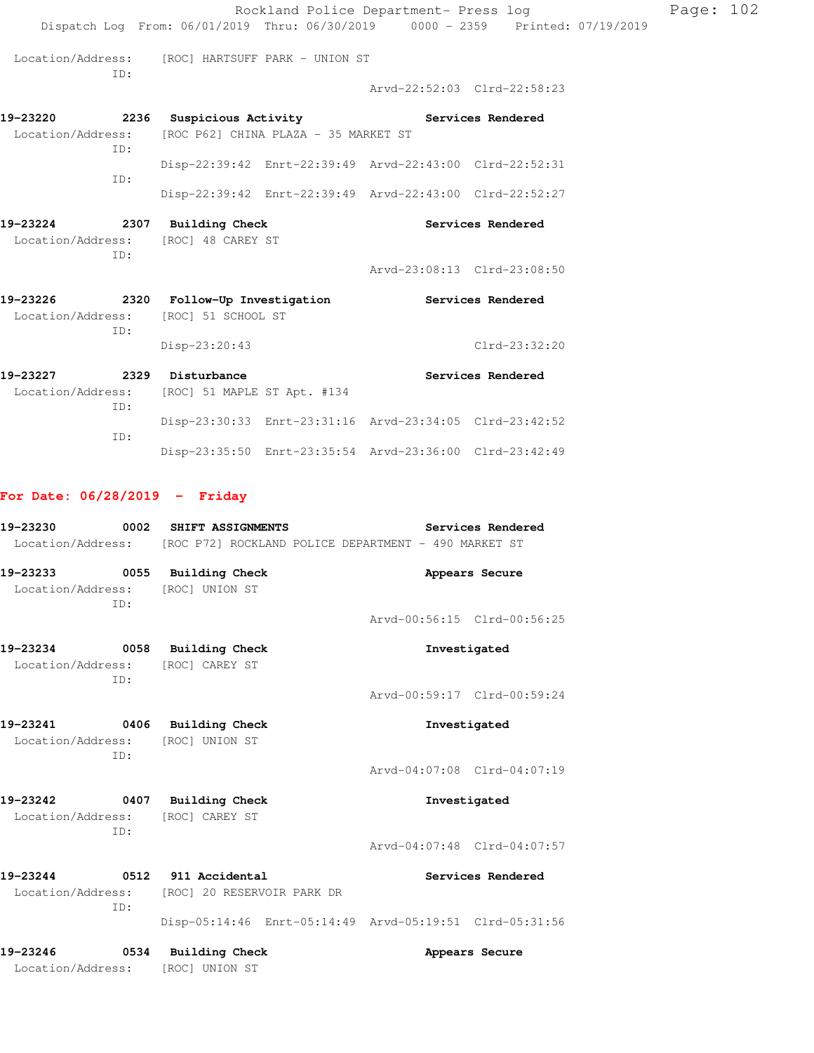|                                                                                                        |                                                                                | Rockland Police Department- Press log                   |                          |  |
|--------------------------------------------------------------------------------------------------------|--------------------------------------------------------------------------------|---------------------------------------------------------|--------------------------|--|
|                                                                                                        | Dispatch Log From: 06/01/2019 Thru: 06/30/2019 0000 - 2359 Printed: 07/19/2019 |                                                         |                          |  |
| Location/Address: [ROC] HARTSUFF PARK - UNION ST<br>ID:                                                |                                                                                |                                                         |                          |  |
|                                                                                                        |                                                                                | Arvd-22:52:03 Clrd-22:58:23                             |                          |  |
| 19-23220 2236 Suspicious Activity Contract Services Rendered                                           |                                                                                |                                                         |                          |  |
| Location/Address: [ROC P62] CHINA PLAZA - 35 MARKET ST<br>ID:                                          |                                                                                |                                                         |                          |  |
| ID:                                                                                                    |                                                                                | Disp-22:39:42 Enrt-22:39:49 Arvd-22:43:00 Clrd-22:52:31 |                          |  |
|                                                                                                        |                                                                                | Disp-22:39:42 Enrt-22:39:49 Arvd-22:43:00 Clrd-22:52:27 |                          |  |
| 19-23224 2307 Building Check<br>Location/Address: [ROC] 48 CAREY ST<br>ID:                             |                                                                                |                                                         | Services Rendered        |  |
|                                                                                                        |                                                                                | Arvd-23:08:13 Clrd-23:08:50                             |                          |  |
| 19-23226 2320 Follow-Up Investigation Services Rendered<br>Location/Address: [ROC] 51 SCHOOL ST<br>ID: |                                                                                |                                                         |                          |  |
|                                                                                                        | Disp-23:20:43                                                                  |                                                         | Clrd-23:32:20            |  |
| 19-23227 2329 Disturbance<br>Location/Address: [ROC] 51 MAPLE ST Apt. #134                             |                                                                                |                                                         | <b>Services Rendered</b> |  |
| ID:<br>ID:                                                                                             |                                                                                | Disp-23:30:33 Enrt-23:31:16 Arvd-23:34:05 Clrd-23:42:52 |                          |  |

Page: 102

## **For Date: 06/28/2019 - Friday**

| 19-23230          |     | 0002 SHIFT ASSIGNMENTS                                                 | Services Rendered                                       |
|-------------------|-----|------------------------------------------------------------------------|---------------------------------------------------------|
|                   |     | Location/Address: [ROC P72] ROCKLAND POLICE DEPARTMENT - 490 MARKET ST |                                                         |
|                   |     | 19-23233 0055 Building Check                                           | Appears Secure                                          |
|                   | TD: | Location/Address: [ROC] UNION ST                                       |                                                         |
|                   |     |                                                                        | Arvd-00:56:15 Clrd-00:56:25                             |
|                   |     | 19-23234 0058 Building Check                                           | Investigated                                            |
|                   | TD: | Location/Address: [ROC] CAREY ST                                       |                                                         |
|                   |     |                                                                        | Arvd-00:59:17 Clrd-00:59:24                             |
|                   |     | 19-23241 0406 Building Check                                           | Investigated                                            |
|                   | TD: | Location/Address: [ROC] UNION ST                                       |                                                         |
|                   |     |                                                                        | Arvd-04:07:08 Clrd-04:07:19                             |
|                   |     | 19-23242 0407 Building Check                                           | Investigated                                            |
|                   | TD: | Location/Address: [ROC] CAREY ST                                       |                                                         |
|                   |     |                                                                        | Arvd-04:07:48 Clrd-04:07:57                             |
|                   |     | 19-23244 0512 911 Accidental                                           | <b>Services Rendered</b>                                |
|                   | TD: | Location/Address: [ROC] 20 RESERVOIR PARK DR                           |                                                         |
|                   |     |                                                                        | Disp-05:14:46 Enrt-05:14:49 Arvd-05:19:51 Clrd-05:31:56 |
|                   |     | 19-23246 0534 Building Check                                           | Appears Secure                                          |
| Location/Address: |     | [ROC] UNION ST                                                         |                                                         |

Disp-23:35:50 Enrt-23:35:54 Arvd-23:36:00 Clrd-23:42:49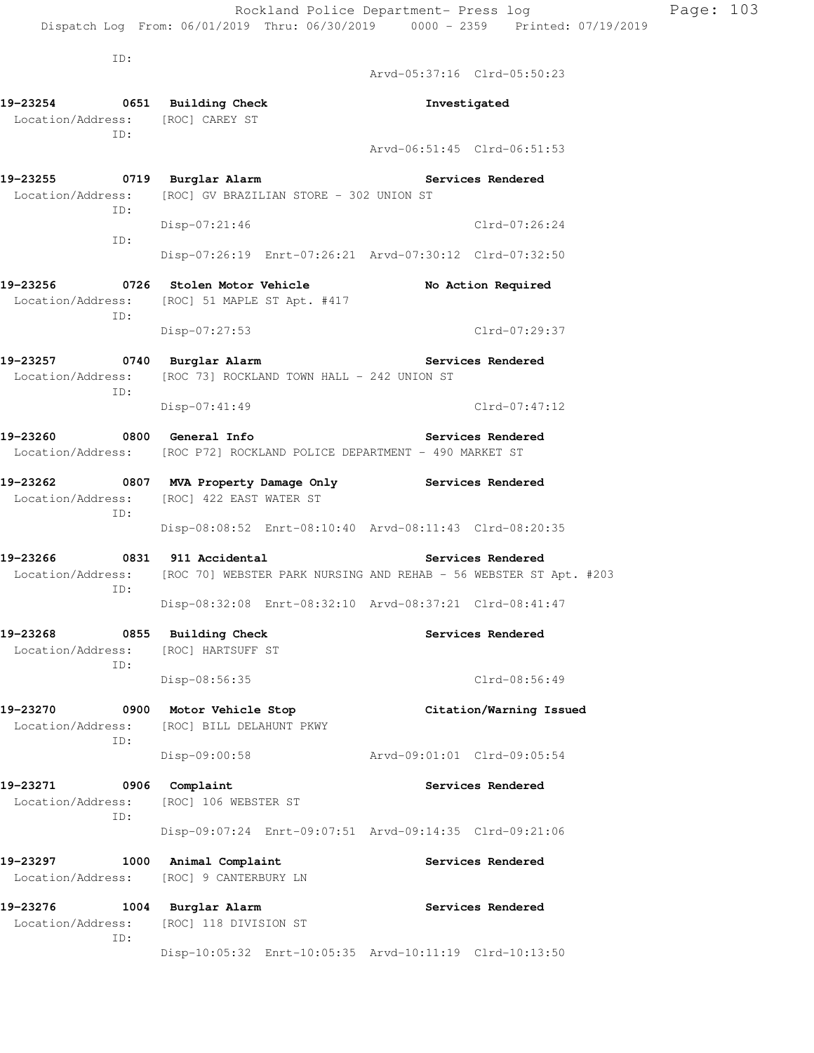Dispatch Log From: 06/01/2019 Thru: 06/30/2019 0000 - 2359 Printed: 07/19/2019

ID:

 Arvd-05:37:16 Clrd-05:50:23 **19-23254 0651 Building Check Investigated**  Location/Address: [ROC] CAREY ST ID: Arvd-06:51:45 Clrd-06:51:53 **19-23255 0719 Burglar Alarm Services Rendered**  Location/Address: [ROC] GV BRAZILIAN STORE - 302 UNION ST ID: Disp-07:21:46 Clrd-07:26:24 ID: Disp-07:26:19 Enrt-07:26:21 Arvd-07:30:12 Clrd-07:32:50 **19-23256 0726 Stolen Motor Vehicle No Action Required**  Location/Address: [ROC] 51 MAPLE ST Apt. #417 ID: Disp-07:27:53 Clrd-07:29:37 **19-23257 0740 Burglar Alarm Services Rendered**  Location/Address: [ROC 73] ROCKLAND TOWN HALL - 242 UNION ST ID: Disp-07:41:49 Clrd-07:47:12 **19-23260 0800 General Info Services Rendered**  Location/Address: [ROC P72] ROCKLAND POLICE DEPARTMENT - 490 MARKET ST **19-23262 0807 MVA Property Damage Only Services Rendered**  Location/Address: [ROC] 422 EAST WATER ST ID: Disp-08:08:52 Enrt-08:10:40 Arvd-08:11:43 Clrd-08:20:35 **19-23266 0831 911 Accidental Services Rendered**  Location/Address: [ROC 70] WEBSTER PARK NURSING AND REHAB - 56 WEBSTER ST Apt. #203 ID: Disp-08:32:08 Enrt-08:32:10 Arvd-08:37:21 Clrd-08:41:47 **19-23268 0855 Building Check Services Rendered**  Location/Address: [ROC] HARTSUFF ST ID: Disp-08:56:35 Clrd-08:56:49 **19-23270 0900 Motor Vehicle Stop Citation/Warning Issued**  Location/Address: [ROC] BILL DELAHUNT PKWY ID: Disp-09:00:58 Arvd-09:01:01 Clrd-09:05:54 19-23271 0906 Complaint **Services Rendered**  Location/Address: [ROC] 106 WEBSTER ST ID: Disp-09:07:24 Enrt-09:07:51 Arvd-09:14:35 Clrd-09:21:06 **19-23297 1000 Animal Complaint Services Rendered**  Location/Address: [ROC] 9 CANTERBURY LN 19-23276 1004 Burglar Alarm **19-23276** Services Rendered Location/Address: [ROC] 118 DIVISION ST ID: Disp-10:05:32 Enrt-10:05:35 Arvd-10:11:19 Clrd-10:13:50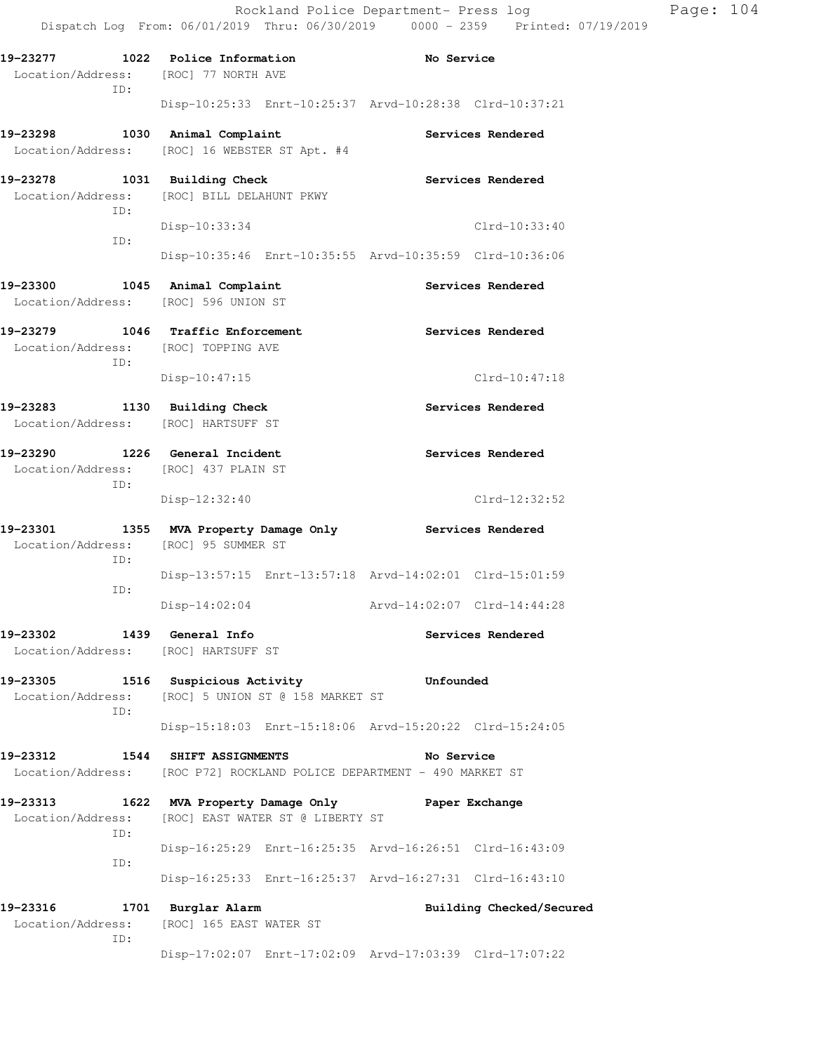|                                                                                 |                                                                                                      | Rockland Police Department- Press log<br>Dispatch Log From: 06/01/2019 Thru: 06/30/2019 0000 - 2359 Printed: 07/19/2019 | Page: 104 |
|---------------------------------------------------------------------------------|------------------------------------------------------------------------------------------------------|-------------------------------------------------------------------------------------------------------------------------|-----------|
| 19-23277 1022 Police Information<br>Location/Address: [ROC] 77 NORTH AVE<br>ID: |                                                                                                      | <b>Example 2018</b> No Service                                                                                          |           |
|                                                                                 |                                                                                                      | Disp-10:25:33 Enrt-10:25:37 Arvd-10:28:38 Clrd-10:37:21                                                                 |           |
| 19-23298                                                                        | 1030 Animal Complaint<br>Location/Address: [ROC] 16 WEBSTER ST Apt. #4                               | <b>Services Rendered</b>                                                                                                |           |
| 19-23278 1031 Building Check<br>ID:                                             | Location/Address: [ROC] BILL DELAHUNT PKWY                                                           | Services Rendered                                                                                                       |           |
| ID:                                                                             | Disp-10:33:34                                                                                        | Clrd-10:33:40<br>Disp-10:35:46 Enrt-10:35:55 Arvd-10:35:59 Clrd-10:36:06                                                |           |
| 19-23300 1045 Animal Complaint<br>Location/Address: [ROC] 596 UNION ST          |                                                                                                      | Services Rendered                                                                                                       |           |
| 19-23279 1046 Traffic Enforcement<br>Location/Address: [ROC] TOPPING AVE<br>ID: |                                                                                                      | Services Rendered                                                                                                       |           |
|                                                                                 | $Disp-10:47:15$                                                                                      | $Clrd-10:47:18$                                                                                                         |           |
| 19-23283 1130 Building Check<br>Location/Address: [ROC] HARTSUFF ST             |                                                                                                      | Services Rendered                                                                                                       |           |
| 19-23290 1226 General Incident<br>Location/Address: [ROC] 437 PLAIN ST<br>ID:   |                                                                                                      | Services Rendered                                                                                                       |           |
|                                                                                 | Disp-12:32:40                                                                                        | Clrd-12:32:52                                                                                                           |           |
| Location/Address: [ROC] 95 SUMMER ST<br>ID:                                     | 19-23301 1355 MVA Property Damage Only Services Rendered                                             |                                                                                                                         |           |
| ID:                                                                             |                                                                                                      | Disp-13:57:15 Enrt-13:57:18 Arvd-14:02:01 Clrd-15:01:59                                                                 |           |
|                                                                                 | $Disp-14:02:04$                                                                                      | Arvd-14:02:07 Clrd-14:44:28                                                                                             |           |
| 19-23302<br>Location/Address: [ROC] HARTSUFF ST                                 | 1439 General Info                                                                                    | Services Rendered                                                                                                       |           |
| 19-23305<br>ID:                                                                 | 1516 Suspicious Activity <b>1516</b> Unfounded<br>Location/Address: [ROC] 5 UNION ST @ 158 MARKET ST |                                                                                                                         |           |
|                                                                                 |                                                                                                      | Disp-15:18:03 Enrt-15:18:06 Arvd-15:20:22 Clrd-15:24:05                                                                 |           |
| 19-23312                                                                        | 1544 SHIFT ASSIGNMENTS<br>Location/Address: [ROC P72] ROCKLAND POLICE DEPARTMENT - 490 MARKET ST     | No Service                                                                                                              |           |
| 19-23313<br>Location/Address:<br>ID:                                            | 1622 MVA Property Damage Only<br>[ROC] EAST WATER ST @ LIBERTY ST                                    | Paper Exchange                                                                                                          |           |
| ID:                                                                             |                                                                                                      | Disp-16:25:29 Enrt-16:25:35 Arvd-16:26:51 Clrd-16:43:09                                                                 |           |
|                                                                                 |                                                                                                      | Disp-16:25:33 Enrt-16:25:37 Arvd-16:27:31 Clrd-16:43:10                                                                 |           |
| 19-23316<br>ID:                                                                 | 1701 Burglar Alarm<br>Location/Address: [ROC] 165 EAST WATER ST                                      | Building Checked/Secured                                                                                                |           |

Disp-17:02:07 Enrt-17:02:09 Arvd-17:03:39 Clrd-17:07:22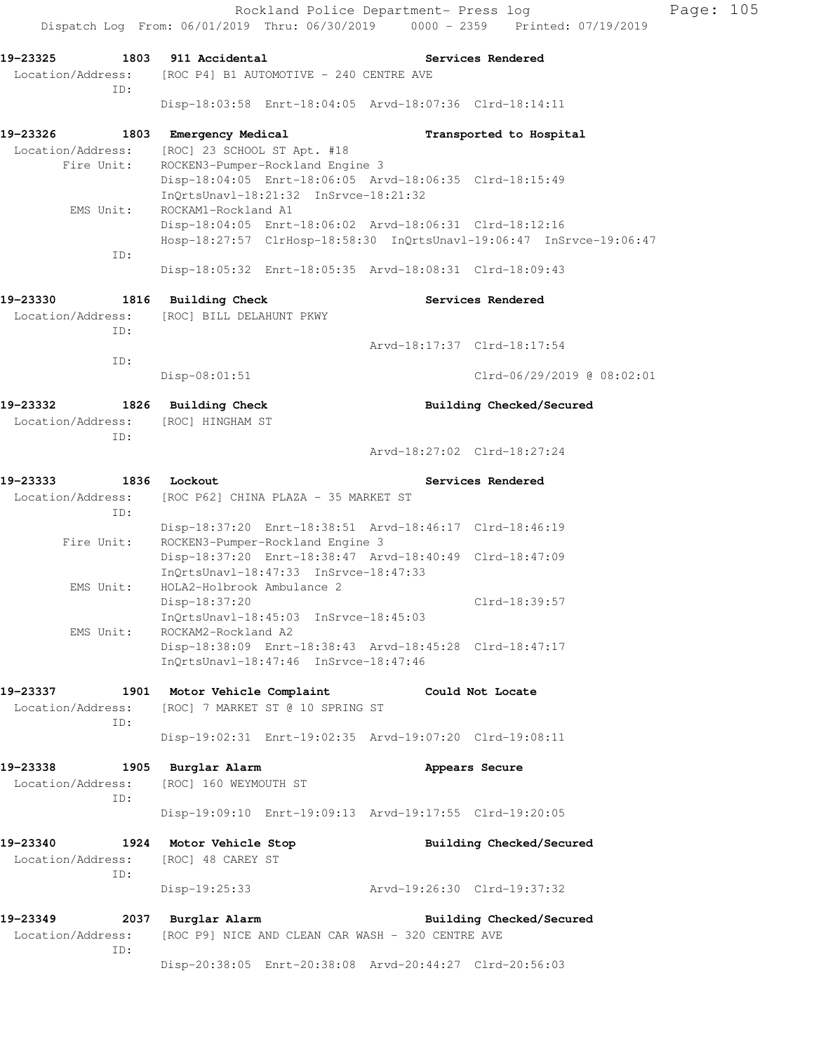Rockland Police Department- Press log Page: 105 Dispatch Log From: 06/01/2019 Thru: 06/30/2019 0000 - 2359 Printed: 07/19/2019 **19-23325 1803 911 Accidental Services Rendered**  Location/Address: [ROC P4] B1 AUTOMOTIVE - 240 CENTRE AVE ID: Disp-18:03:58 Enrt-18:04:05 Arvd-18:07:36 Clrd-18:14:11 **19-23326 1803 Emergency Medical Transported to Hospital**  Location/Address: [ROC] 23 SCHOOL ST Apt. #18 Fire Unit: ROCKEN3-Pumper-Rockland Engine 3 Disp-18:04:05 Enrt-18:06:05 Arvd-18:06:35 Clrd-18:15:49 InQrtsUnavl-18:21:32 InSrvce-18:21:32 EMS Unit: ROCKAM1-Rockland A1 Disp-18:04:05 Enrt-18:06:02 Arvd-18:06:31 Clrd-18:12:16 Hosp-18:27:57 ClrHosp-18:58:30 InQrtsUnavl-19:06:47 InSrvce-19:06:47 ID: Disp-18:05:32 Enrt-18:05:35 Arvd-18:08:31 Clrd-18:09:43 **19-23330 1816 Building Check Services Rendered**  Location/Address: [ROC] BILL DELAHUNT PKWY ID: Arvd-18:17:37 Clrd-18:17:54 ID: Disp-08:01:51 Clrd-06/29/2019 @ 08:02:01 **19-23332 1826 Building Check Building Checked/Secured**  Location/Address: [ROC] HINGHAM ST ID: Arvd-18:27:02 Clrd-18:27:24 **19-23333 1836 Lockout Services Rendered**  Location/Address: [ROC P62] CHINA PLAZA - 35 MARKET ST ID: Disp-18:37:20 Enrt-18:38:51 Arvd-18:46:17 Clrd-18:46:19 Fire Unit: ROCKEN3-Pumper-Rockland Engine 3 Disp-18:37:20 Enrt-18:38:47 Arvd-18:40:49 Clrd-18:47:09 InQrtsUnavl-18:47:33 InSrvce-18:47:33 EMS Unit: HOLA2-Holbrook Ambulance 2 Disp-18:37:20 Clrd-18:39:57 InQrtsUnavl-18:45:03 InSrvce-18:45:03 EMS Unit: ROCKAM2-Rockland A2 Disp-18:38:09 Enrt-18:38:43 Arvd-18:45:28 Clrd-18:47:17 InQrtsUnavl-18:47:46 InSrvce-18:47:46 **19-23337 1901 Motor Vehicle Complaint Could Not Locate**  Location/Address: [ROC] 7 MARKET ST @ 10 SPRING ST ID: Disp-19:02:31 Enrt-19:02:35 Arvd-19:07:20 Clrd-19:08:11 **19-23338 1905 Burglar Alarm Appears Secure**  Location/Address: [ROC] 160 WEYMOUTH ST ID: Disp-19:09:10 Enrt-19:09:13 Arvd-19:17:55 Clrd-19:20:05 **19-23340 1924 Motor Vehicle Stop Building Checked/Secured**  Location/Address: [ROC] 48 CAREY ST ID: Disp-19:25:33 Arvd-19:26:30 Clrd-19:37:32 **19-23349 2037 Burglar Alarm Building Checked/Secured**  Location/Address: [ROC P9] NICE AND CLEAN CAR WASH - 320 CENTRE AVE ID: Disp-20:38:05 Enrt-20:38:08 Arvd-20:44:27 Clrd-20:56:03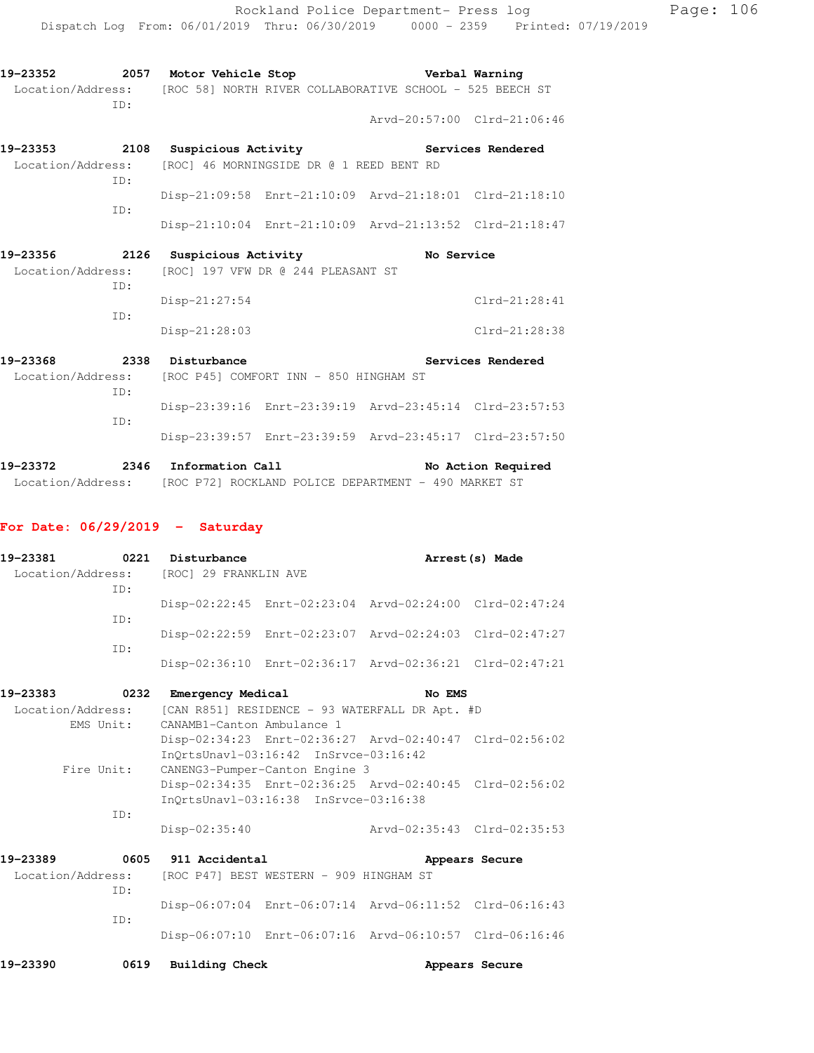| 19–23352          | 2057 | Motor Vehicle Stop                                       |  | Verbal Warning              |
|-------------------|------|----------------------------------------------------------|--|-----------------------------|
| Location/Address: |      | [ROC 58] NORTH RIVER COLLABORATIVE SCHOOL - 525 BEECH ST |  |                             |
|                   | TD:  |                                                          |  |                             |
|                   |      |                                                          |  | Arvd-20:57:00 Clrd-21:06:46 |
| 19–23353          | 2108 | Suspicious Activity                                      |  | Services Rendered           |

 Location/Address: [ROC] 46 MORNINGSIDE DR @ 1 REED BENT RD ID: Disp-21:09:58 Enrt-21:10:09 Arvd-21:18:01 Clrd-21:18:10 ID: Disp-21:10:04 Enrt-21:10:09 Arvd-21:13:52 Clrd-21:18:47

| 19–23356          | 2126 | Suspicious Activity                | No Service      |
|-------------------|------|------------------------------------|-----------------|
| Location/Address: |      | [ROC] 197 VFW DR @ 244 PLEASANT ST |                 |
|                   | TD:  |                                    |                 |
|                   |      | Disp-21:27:54                      | $Clrd-21:28:41$ |
|                   | TD:  |                                    |                 |
|                   |      | $Disp-21:28:03$                    | Clrd-21:28:38   |

| 19-23368 | 2338 | Disturbance      |                                                          |                                                         | Services Rendered  |
|----------|------|------------------|----------------------------------------------------------|---------------------------------------------------------|--------------------|
|          | TD:  |                  | Location/Address: [ROC P45] COMFORT INN - 850 HINGHAM ST |                                                         |                    |
|          | TD:  |                  |                                                          | Disp-23:39:16 Enrt-23:39:19 Arvd-23:45:14 Clrd-23:57:53 |                    |
|          |      |                  |                                                          | Disp-23:39:57 Enrt-23:39:59 Arvd-23:45:17 Clrd-23:57:50 |                    |
| 19-23372 | 2346 | Information Call |                                                          |                                                         | No Action Required |

Location/Address: [ROC P72] ROCKLAND POLICE DEPARTMENT - 490 MARKET ST

#### **For Date: 06/29/2019 - Saturday**

| 19-23381 | 0221 | Disturbance                             |                                                         | Arrest (s) Made |
|----------|------|-----------------------------------------|---------------------------------------------------------|-----------------|
|          | TD:  | Location/Address: [ROC] 29 FRANKLIN AVE |                                                         |                 |
|          | TD:  |                                         | Disp-02:22:45 Enrt-02:23:04 Arvd-02:24:00 Clrd-02:47:24 |                 |
|          | TD:  |                                         | Disp-02:22:59 Enrt-02:23:07 Arvd-02:24:03 Clrd-02:47:27 |                 |
|          |      |                                         | Disp-02:36:10 Enrt-02:36:17 Arvd-02:36:21 Clrd-02:47:21 |                 |
| 10-03303 | ハウマウ | Emergency Medical                       | No EMC                                                  |                 |

| 19–23383 UZ32     |            | Emergency Medical |                                                         | NO LMS |                             |
|-------------------|------------|-------------------|---------------------------------------------------------|--------|-----------------------------|
| Location/Address: |            |                   | [CAN R851] RESIDENCE - 93 WATERFALL DR Apt. #D          |        |                             |
|                   | EMS Unit:  |                   | CANAMB1-Canton Ambulance 1                              |        |                             |
|                   |            |                   | Disp-02:34:23 Enrt-02:36:27 Arvd-02:40:47 Clrd-02:56:02 |        |                             |
|                   |            |                   | $InOrtsUnav1-03:16:42 InSrvce-03:16:42$                 |        |                             |
|                   | Fire Unit: |                   | CANENG3-Pumper-Canton Engine 3                          |        |                             |
|                   |            |                   | Disp-02:34:35 Enrt-02:36:25 Arvd-02:40:45 Clrd-02:56:02 |        |                             |
|                   |            |                   | InOrtsUnav1-03:16:38 InSrvce-03:16:38                   |        |                             |
|                   | TD:        |                   |                                                         |        |                             |
|                   |            | $Disp-02:35:40$   |                                                         |        | Arvd-02:35:43 Clrd-02:35:53 |
|                   |            |                   |                                                         |        |                             |

| 19-23389                                                  |     | 0605 911 Accidental |  |                                                         | Appears Secure |  |
|-----------------------------------------------------------|-----|---------------------|--|---------------------------------------------------------|----------------|--|
| Location/Address: [ROC P47] BEST WESTERN - 909 HINGHAM ST |     |                     |  |                                                         |                |  |
|                                                           | TD: |                     |  |                                                         |                |  |
|                                                           |     |                     |  | Disp-06:07:04 Enrt-06:07:14 Arvd-06:11:52 Clrd-06:16:43 |                |  |
|                                                           | TD: |                     |  |                                                         |                |  |
|                                                           |     |                     |  | Disp-06:07:10 Enrt-06:07:16 Arvd-06:10:57 Clrd-06:16:46 |                |  |
|                                                           |     |                     |  |                                                         |                |  |

| 19-23390 | 0619 | Building Check | Appears Secure |  |
|----------|------|----------------|----------------|--|
|          |      |                |                |  |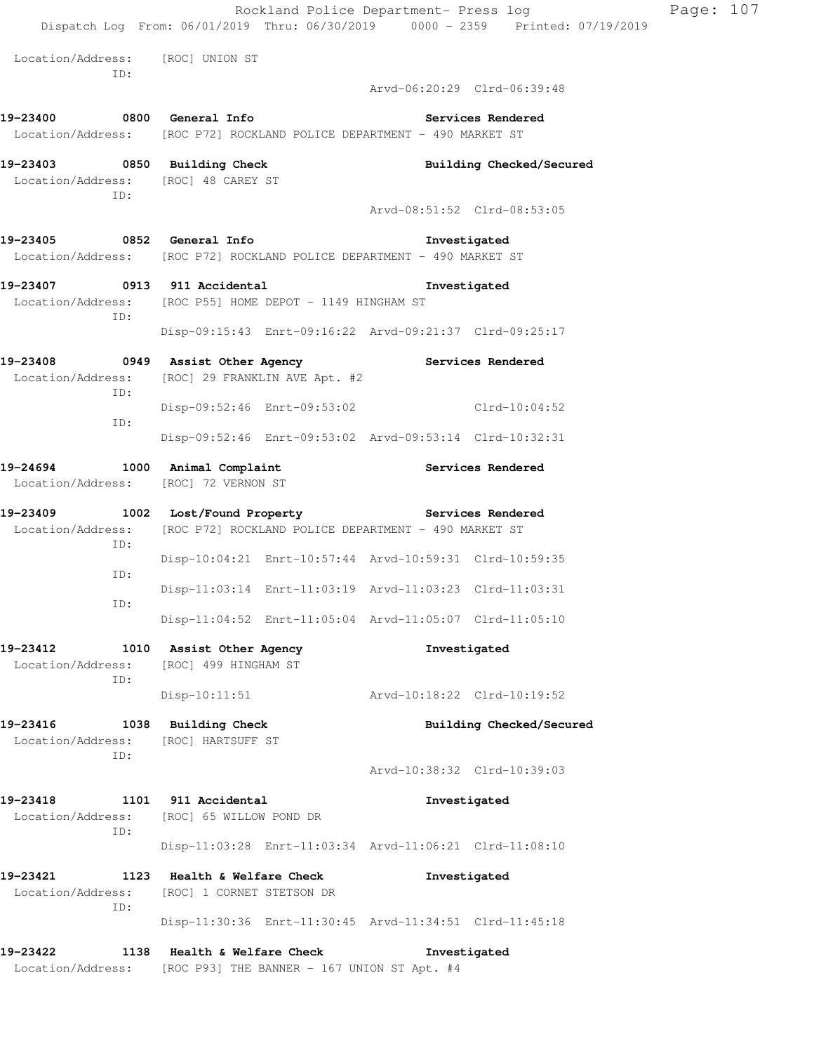|                                                  |                                                                                                                                   |                                                         | Rockland Police Department- Press log<br>Dispatch Log From: 06/01/2019 Thru: 06/30/2019 0000 - 2359 Printed: 07/19/2019 | Page: 107 |  |  |
|--------------------------------------------------|-----------------------------------------------------------------------------------------------------------------------------------|---------------------------------------------------------|-------------------------------------------------------------------------------------------------------------------------|-----------|--|--|
| Location/Address: [ROC] UNION ST<br>ID:          |                                                                                                                                   |                                                         |                                                                                                                         |           |  |  |
|                                                  |                                                                                                                                   |                                                         | Arvd-06:20:29 Clrd-06:39:48                                                                                             |           |  |  |
|                                                  | Services Rendered<br>Location/Address: [ROC P72] ROCKLAND POLICE DEPARTMENT - 490 MARKET ST                                       |                                                         |                                                                                                                         |           |  |  |
| Location/Address: [ROC] 48 CAREY ST<br>ID:       | 19-23403 0850 Building Check                                                                                                      |                                                         | Building Checked/Secured                                                                                                |           |  |  |
|                                                  |                                                                                                                                   |                                                         | Arvd-08:51:52 Clrd-08:53:05                                                                                             |           |  |  |
| 19-23405 0852 General Info                       | Location/Address: [ROC P72] ROCKLAND POLICE DEPARTMENT - 490 MARKET ST                                                            |                                                         | Investigated                                                                                                            |           |  |  |
|                                                  | 19-23407 0913 911 Accidental                                                                                                      |                                                         | Investigated                                                                                                            |           |  |  |
| ID:                                              | Location/Address: [ROC P55] HOME DEPOT - 1149 HINGHAM ST                                                                          |                                                         |                                                                                                                         |           |  |  |
|                                                  |                                                                                                                                   | Disp-09:15:43 Enrt-09:16:22 Arvd-09:21:37 Clrd-09:25:17 |                                                                                                                         |           |  |  |
| ID:                                              | 19-23408 0949 Assist Other Agency <b>19-23408</b> Services Rendered<br>Location/Address: [ROC] 29 FRANKLIN AVE Apt. #2            |                                                         |                                                                                                                         |           |  |  |
| ID:                                              |                                                                                                                                   | Disp-09:52:46 Enrt-09:53:02 Clrd-10:04:52               |                                                                                                                         |           |  |  |
|                                                  |                                                                                                                                   | Disp-09:52:46 Enrt-09:53:02 Arvd-09:53:14 Clrd-10:32:31 |                                                                                                                         |           |  |  |
| 19-24694<br>Location/Address: [ROC] 72 VERNON ST | 1000 Animal Complaint Complaint Services Rendered                                                                                 |                                                         |                                                                                                                         |           |  |  |
| ID:                                              | 19-23409 1002 Lost/Found Property The Services Rendered<br>Location/Address: [ROC P72] ROCKLAND POLICE DEPARTMENT - 490 MARKET ST |                                                         |                                                                                                                         |           |  |  |
| ID:                                              |                                                                                                                                   | Disp-10:04:21 Enrt-10:57:44 Arvd-10:59:31 Clrd-10:59:35 |                                                                                                                         |           |  |  |
| ID:                                              |                                                                                                                                   | Disp-11:03:14 Enrt-11:03:19 Arvd-11:03:23 Clrd-11:03:31 |                                                                                                                         |           |  |  |
|                                                  |                                                                                                                                   | Disp-11:04:52 Enrt-11:05:04 Arvd-11:05:07 Clrd-11:05:10 |                                                                                                                         |           |  |  |
| 19-23412<br>Location/Address:<br>ID:             | 1010 Assist Other Agency<br>[ROC] 499 HINGHAM ST                                                                                  |                                                         | Investigated                                                                                                            |           |  |  |
|                                                  | $Disp-10:11:51$                                                                                                                   |                                                         | Arvd-10:18:22 Clrd-10:19:52                                                                                             |           |  |  |
| 19-23416<br>Location/Address:<br>ID:             | 1038 Building Check<br>[ROC] HARTSUFF ST                                                                                          |                                                         | Building Checked/Secured                                                                                                |           |  |  |
|                                                  |                                                                                                                                   |                                                         | Arvd-10:38:32 Clrd-10:39:03                                                                                             |           |  |  |
| 19-23418                                         | 1101 911 Accidental<br>Investigated                                                                                               |                                                         |                                                                                                                         |           |  |  |
| Location/Address:<br>ID:                         | [ROC] 65 WILLOW POND DR                                                                                                           |                                                         |                                                                                                                         |           |  |  |
|                                                  |                                                                                                                                   | Disp-11:03:28 Enrt-11:03:34 Arvd-11:06:21 Clrd-11:08:10 |                                                                                                                         |           |  |  |
| 19-23421<br>1123<br>Location/Address:<br>ID:     | Health & Welfare Check<br>[ROC] 1 CORNET STETSON DR                                                                               |                                                         | Investigated                                                                                                            |           |  |  |
|                                                  |                                                                                                                                   | Disp-11:30:36 Enrt-11:30:45 Arvd-11:34:51 Clrd-11:45:18 |                                                                                                                         |           |  |  |
| 19–23422<br>Location/Address:                    | 1138 Health & Welfare Check                                                                                                       | [ROC P93] THE BANNER - 167 UNION ST Apt. #4             | Investigated                                                                                                            |           |  |  |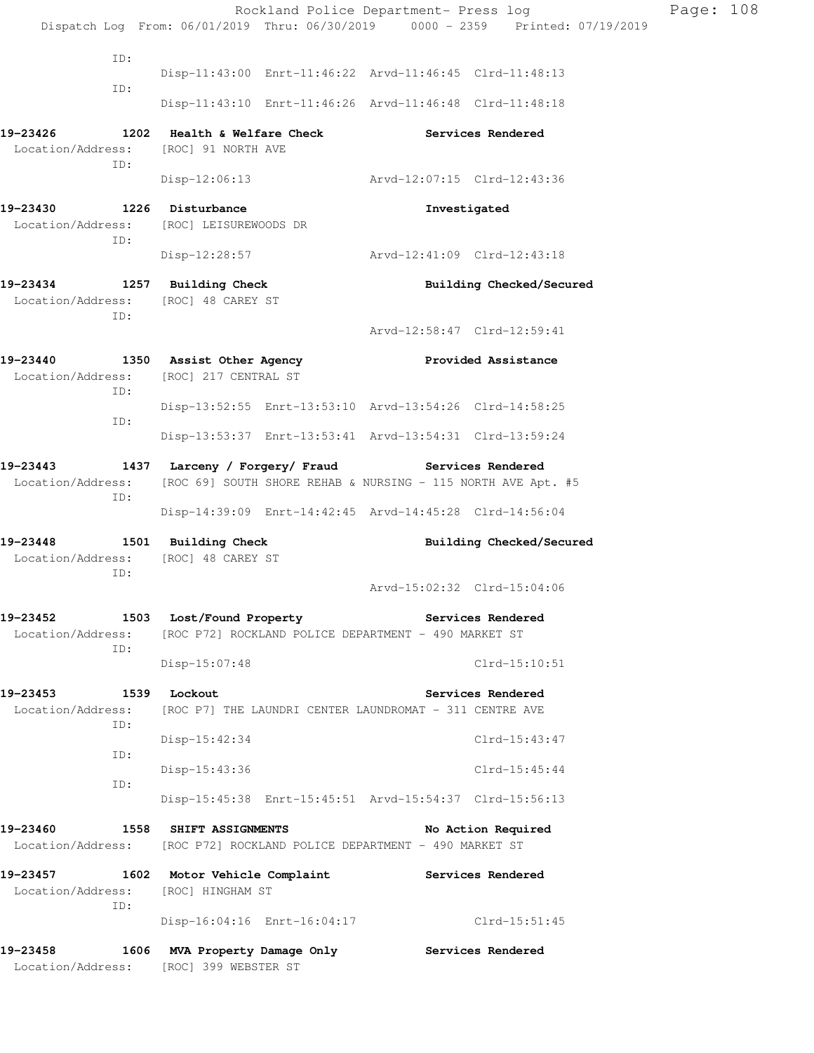|                                                                            |                                                                                                                 | Rockland Police Department- Press log<br>Dispatch Log From: 06/01/2019 Thru: 06/30/2019 0000 - 2359 Printed: 07/19/2019 | Page: 108 |  |  |  |
|----------------------------------------------------------------------------|-----------------------------------------------------------------------------------------------------------------|-------------------------------------------------------------------------------------------------------------------------|-----------|--|--|--|
|                                                                            |                                                                                                                 |                                                                                                                         |           |  |  |  |
| ID:                                                                        |                                                                                                                 | Disp-11:43:00 Enrt-11:46:22 Arvd-11:46:45 Clrd-11:48:13                                                                 |           |  |  |  |
| ID:                                                                        |                                                                                                                 | Disp-11:43:10 Enrt-11:46:26 Arvd-11:46:48 Clrd-11:48:18                                                                 |           |  |  |  |
|                                                                            |                                                                                                                 | <b>Services Rendered</b>                                                                                                |           |  |  |  |
| Location/Address:<br>ID:                                                   | [ROC] 91 NORTH AVE                                                                                              |                                                                                                                         |           |  |  |  |
|                                                                            |                                                                                                                 | Disp-12:06:13 Arvd-12:07:15 Clrd-12:43:36                                                                               |           |  |  |  |
| 19-23430 1226 Disturbance<br>ID:                                           | Location/Address: [ROC] LEISUREWOODS DR                                                                         | Investigated                                                                                                            |           |  |  |  |
|                                                                            | Disp-12:28:57                                                                                                   | Arvd-12:41:09 Clrd-12:43:18                                                                                             |           |  |  |  |
| 19-23434 1257 Building Check<br>Location/Address: [ROC] 48 CAREY ST<br>ID: |                                                                                                                 | Building Checked/Secured                                                                                                |           |  |  |  |
|                                                                            |                                                                                                                 | Arvd-12:58:47 Clrd-12:59:41                                                                                             |           |  |  |  |
| 19-23440<br>ID:<br>ID:                                                     | 1350 Assist Other Agency<br>Location/Address: [ROC] 217 CENTRAL ST                                              | Provided Assistance                                                                                                     |           |  |  |  |
|                                                                            |                                                                                                                 | Disp-13:52:55 Enrt-13:53:10 Arvd-13:54:26 Clrd-14:58:25                                                                 |           |  |  |  |
|                                                                            |                                                                                                                 | Disp-13:53:37 Enrt-13:53:41 Arvd-13:54:31 Clrd-13:59:24                                                                 |           |  |  |  |
| 19-23443<br>Location/Address:<br>ID:                                       | 1437 Larceny / Forgery/ Fraud Services Rendered<br>[ROC 69] SOUTH SHORE REHAB & NURSING - 115 NORTH AVE Apt. #5 |                                                                                                                         |           |  |  |  |
|                                                                            |                                                                                                                 | Disp-14:39:09 Enrt-14:42:45 Arvd-14:45:28 Clrd-14:56:04                                                                 |           |  |  |  |
| 19-23448 1501 Building Check<br>Location/Address: [ROC] 48 CAREY ST<br>ID: |                                                                                                                 | Building Checked/Secured                                                                                                |           |  |  |  |
|                                                                            |                                                                                                                 | Arvd-15:02:32 Clrd-15:04:06                                                                                             |           |  |  |  |
|                                                                            | 19-23452 1503 Lost/Found Property 19-23452 Services Rendered                                                    |                                                                                                                         |           |  |  |  |
| ID:                                                                        | Location/Address: [ROC P72] ROCKLAND POLICE DEPARTMENT - 490 MARKET ST                                          |                                                                                                                         |           |  |  |  |
|                                                                            | $Disp-15:07:48$                                                                                                 | $Clrd-15:10:51$                                                                                                         |           |  |  |  |
| 19-23453 1539 Lockout                                                      |                                                                                                                 | Services Rendered                                                                                                       |           |  |  |  |
| Location/Address:<br>ID:                                                   | [ROC P7] THE LAUNDRI CENTER LAUNDROMAT - 311 CENTRE AVE                                                         |                                                                                                                         |           |  |  |  |
| ID:                                                                        | Disp-15:42:34                                                                                                   | Clrd-15:43:47                                                                                                           |           |  |  |  |
|                                                                            | Disp-15:43:36                                                                                                   | $Clrd-15:45:44$                                                                                                         |           |  |  |  |
| ID:                                                                        | Disp-15:45:38 Enrt-15:45:51 Arvd-15:54:37 Clrd-15:56:13                                                         |                                                                                                                         |           |  |  |  |
| 19-23460                                                                   | <b>1558 SHIFT ASSIGNMENTS</b><br>Location/Address: [ROC P72] ROCKLAND POLICE DEPARTMENT - 490 MARKET ST         | No Action Required                                                                                                      |           |  |  |  |
| Location/Address:<br>ID:                                                   | 19-23457 1602 Motor Vehicle Complaint Services Rendered<br>[ROC] HINGHAM ST                                     |                                                                                                                         |           |  |  |  |
|                                                                            |                                                                                                                 | Disp-16:04:16 Enrt-16:04:17 Clrd-15:51:45                                                                               |           |  |  |  |
| 19-23458                                                                   | 1606 MVA Property Damage Only Services Rendered<br>Location/Address: [ROC] 399 WEBSTER ST                       |                                                                                                                         |           |  |  |  |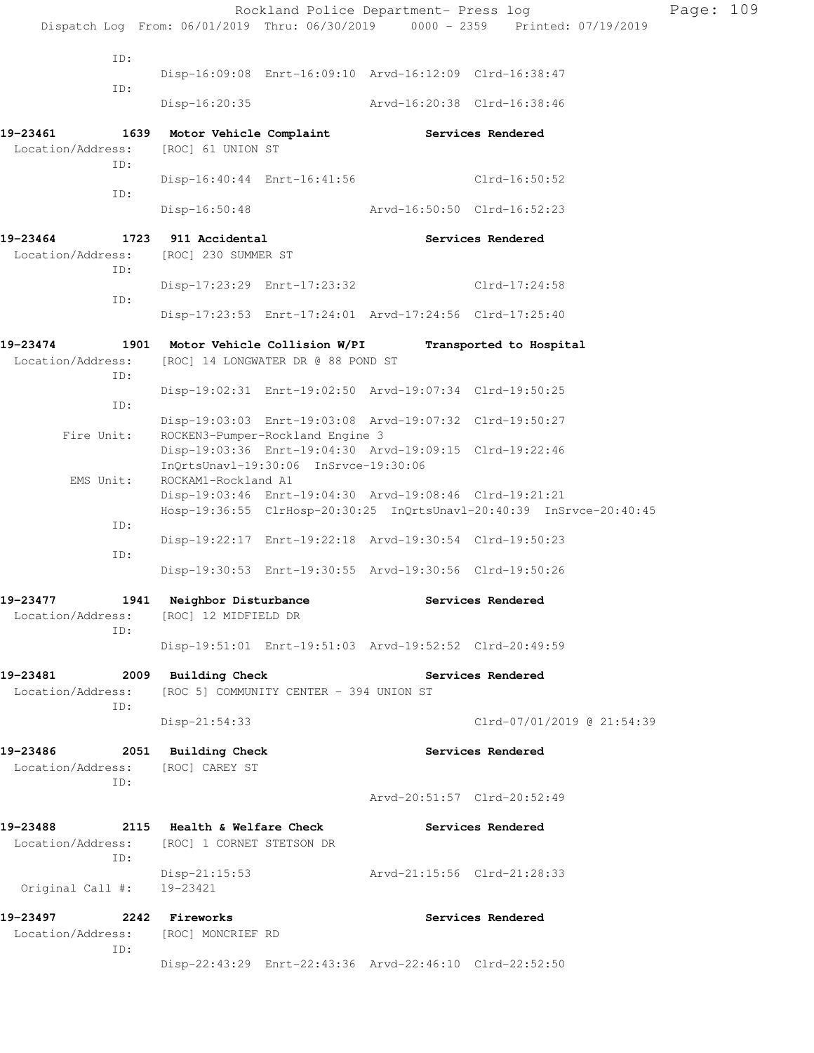| Dispatch Log From: 06/01/2019 Thru: 06/30/2019 0000 - 2359 Printed: 07/19/2019<br>ID:<br>Disp-16:09:08 Enrt-16:09:10 Arvd-16:12:09 Clrd-16:38:47<br>ID:<br>Arvd-16:20:38 Clrd-16:38:46<br>Disp-16:20:35<br>19-23461<br>1639 Motor Vehicle Complaint Services Rendered<br>Location/Address:<br>[ROC] 61 UNION ST<br>ID:<br>Disp-16:40:44 Enrt-16:41:56 Clrd-16:50:52<br>ID:<br>Arvd-16:50:50 Clrd-16:52:23<br>Disp-16:50:48<br>1723 911 Accidental<br>19-23464<br>Services Rendered<br>Location/Address: [ROC] 230 SUMMER ST<br>ID:<br>Disp-17:23:29 Enrt-17:23:32<br>Clrd-17:24:58<br>ID:<br>Disp-17:23:53 Enrt-17:24:01 Arvd-17:24:56 Clrd-17:25:40<br>19-23474<br>1901 Motor Vehicle Collision W/PI<br>Transported to Hospital<br>Location/Address:<br>[ROC] 14 LONGWATER DR @ 88 POND ST |  |
|---------------------------------------------------------------------------------------------------------------------------------------------------------------------------------------------------------------------------------------------------------------------------------------------------------------------------------------------------------------------------------------------------------------------------------------------------------------------------------------------------------------------------------------------------------------------------------------------------------------------------------------------------------------------------------------------------------------------------------------------------------------------------------------------|--|
|                                                                                                                                                                                                                                                                                                                                                                                                                                                                                                                                                                                                                                                                                                                                                                                             |  |
|                                                                                                                                                                                                                                                                                                                                                                                                                                                                                                                                                                                                                                                                                                                                                                                             |  |
|                                                                                                                                                                                                                                                                                                                                                                                                                                                                                                                                                                                                                                                                                                                                                                                             |  |
|                                                                                                                                                                                                                                                                                                                                                                                                                                                                                                                                                                                                                                                                                                                                                                                             |  |
|                                                                                                                                                                                                                                                                                                                                                                                                                                                                                                                                                                                                                                                                                                                                                                                             |  |
|                                                                                                                                                                                                                                                                                                                                                                                                                                                                                                                                                                                                                                                                                                                                                                                             |  |
|                                                                                                                                                                                                                                                                                                                                                                                                                                                                                                                                                                                                                                                                                                                                                                                             |  |
|                                                                                                                                                                                                                                                                                                                                                                                                                                                                                                                                                                                                                                                                                                                                                                                             |  |
|                                                                                                                                                                                                                                                                                                                                                                                                                                                                                                                                                                                                                                                                                                                                                                                             |  |
|                                                                                                                                                                                                                                                                                                                                                                                                                                                                                                                                                                                                                                                                                                                                                                                             |  |
| ID:                                                                                                                                                                                                                                                                                                                                                                                                                                                                                                                                                                                                                                                                                                                                                                                         |  |
| Disp-19:02:31 Enrt-19:02:50 Arvd-19:07:34 Clrd-19:50:25<br>ID:                                                                                                                                                                                                                                                                                                                                                                                                                                                                                                                                                                                                                                                                                                                              |  |
| Disp-19:03:03 Enrt-19:03:08 Arvd-19:07:32 Clrd-19:50:27<br>ROCKEN3-Pumper-Rockland Engine 3<br>Fire Unit:<br>Disp-19:03:36 Enrt-19:04:30 Arvd-19:09:15 Clrd-19:22:46                                                                                                                                                                                                                                                                                                                                                                                                                                                                                                                                                                                                                        |  |
| InQrtsUnavl-19:30:06 InSrvce-19:30:06<br>EMS Unit:<br>ROCKAM1-Rockland A1<br>Disp-19:03:46 Enrt-19:04:30 Arvd-19:08:46 Clrd-19:21:21                                                                                                                                                                                                                                                                                                                                                                                                                                                                                                                                                                                                                                                        |  |
| Hosp-19:36:55 ClrHosp-20:30:25 InQrtsUnavl-20:40:39 InSrvce-20:40:45<br>ID:                                                                                                                                                                                                                                                                                                                                                                                                                                                                                                                                                                                                                                                                                                                 |  |
| Disp-19:22:17 Enrt-19:22:18 Arvd-19:30:54 Clrd-19:50:23<br>ID:<br>Disp-19:30:53 Enrt-19:30:55 Arvd-19:30:56 Clrd-19:50:26                                                                                                                                                                                                                                                                                                                                                                                                                                                                                                                                                                                                                                                                   |  |
| 19-23477 1941 Neighbor Disturbance<br>Services Rendered                                                                                                                                                                                                                                                                                                                                                                                                                                                                                                                                                                                                                                                                                                                                     |  |
| Location/Address: [ROC] 12 MIDFIELD DR<br>ID:                                                                                                                                                                                                                                                                                                                                                                                                                                                                                                                                                                                                                                                                                                                                               |  |
| Disp-19:51:01 Enrt-19:51:03 Arvd-19:52:52 Clrd-20:49:59                                                                                                                                                                                                                                                                                                                                                                                                                                                                                                                                                                                                                                                                                                                                     |  |
| 19-23481<br>2009 Building Check<br>Services Rendered<br>[ROC 5] COMMUNITY CENTER - 394 UNION ST<br>Location/Address:<br>ID:                                                                                                                                                                                                                                                                                                                                                                                                                                                                                                                                                                                                                                                                 |  |
| Clrd-07/01/2019 @ 21:54:39<br>$Disp-21:54:33$                                                                                                                                                                                                                                                                                                                                                                                                                                                                                                                                                                                                                                                                                                                                               |  |
| 19–23486<br>2051 Building Check<br>Services Rendered<br>Location/Address: [ROC] CAREY ST<br>ID:                                                                                                                                                                                                                                                                                                                                                                                                                                                                                                                                                                                                                                                                                             |  |
| Arvd-20:51:57 Clrd-20:52:49                                                                                                                                                                                                                                                                                                                                                                                                                                                                                                                                                                                                                                                                                                                                                                 |  |
| 19-23488<br>2115 Health & Welfare Check<br>Services Rendered<br>Location/Address: [ROC] 1 CORNET STETSON DR<br>ID:                                                                                                                                                                                                                                                                                                                                                                                                                                                                                                                                                                                                                                                                          |  |
| Arvd-21:15:56 Clrd-21:28:33<br>Disp-21:15:53<br>Original Call #: 19-23421                                                                                                                                                                                                                                                                                                                                                                                                                                                                                                                                                                                                                                                                                                                   |  |
| 19-23497<br>2242 Fireworks<br>Services Rendered<br>Location/Address: [ROC] MONCRIEF RD                                                                                                                                                                                                                                                                                                                                                                                                                                                                                                                                                                                                                                                                                                      |  |
| ID:<br>Disp-22:43:29 Enrt-22:43:36 Arvd-22:46:10 Clrd-22:52:50                                                                                                                                                                                                                                                                                                                                                                                                                                                                                                                                                                                                                                                                                                                              |  |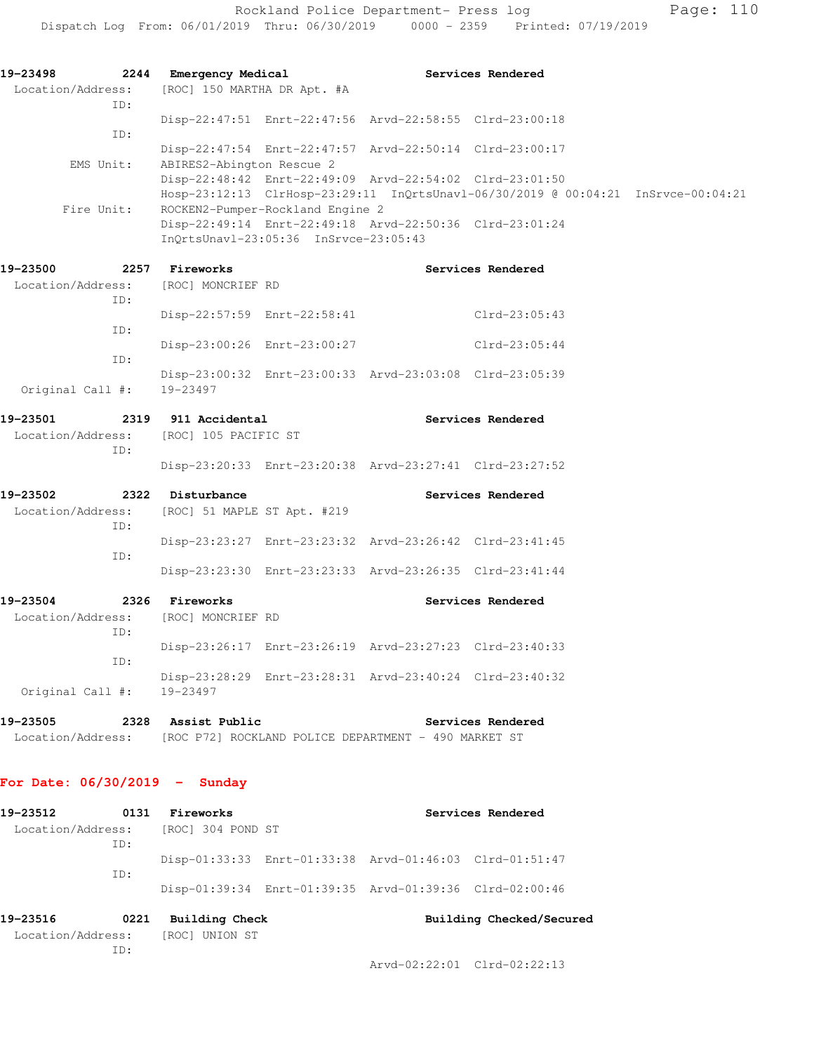Rockland Police Department- Press log Page: 110 Dispatch Log From: 06/01/2019 Thru: 06/30/2019 0000 - 2359 Printed: 07/19/2019

**19-23498 2244 Emergency Medical Services Rendered**  Location/Address: [ROC] 150 MARTHA DR Apt. #A ID: Disp-22:47:51 Enrt-22:47:56 Arvd-22:58:55 Clrd-23:00:18 ID: Disp-22:47:54 Enrt-22:47:57 Arvd-22:50:14 Clrd-23:00:17 EMS Unit: ABIRES2-Abington Rescue 2 Disp-22:48:42 Enrt-22:49:09 Arvd-22:54:02 Clrd-23:01:50 Hosp-23:12:13 ClrHosp-23:29:11 InQrtsUnavl-06/30/2019 @ 00:04:21 InSrvce-00:04:21 Fire Unit: ROCKEN2-Pumper-Rockland Engine 2 Disp-22:49:14 Enrt-22:49:18 Arvd-22:50:36 Clrd-23:01:24

**19-23500 2257 Fireworks Services Rendered**  Location/Address: [ROC] MONCRIEF RD ID: Disp-22:57:59 Enrt-22:58:41 Clrd-23:05:43 ID: Disp-23:00:26 Enrt-23:00:27 Clrd-23:05:44 ID: Disp-23:00:32 Enrt-23:00:33 Arvd-23:03:08 Clrd-23:05:39 Original Call #: 19-23497

InQrtsUnavl-23:05:36 InSrvce-23:05:43

- **19-23501 2319 911 Accidental Services Rendered**  Location/Address: [ROC] 105 PACIFIC ST ID: Disp-23:20:33 Enrt-23:20:38 Arvd-23:27:41 Clrd-23:27:52 **19-23502 2322 Disturbance Services Rendered**
- Location/Address: [ROC] 51 MAPLE ST Apt. #219 ID: Disp-23:23:27 Enrt-23:23:32 Arvd-23:26:42 Clrd-23:41:45 ID: Disp-23:23:30 Enrt-23:23:33 Arvd-23:26:35 Clrd-23:41:44
- **19-23504 2326 Fireworks Services Rendered**  Location/Address: [ROC] MONCRIEF RD ID: Disp-23:26:17 Enrt-23:26:19 Arvd-23:27:23 Clrd-23:40:33 ID: Disp-23:28:29 Enrt-23:28:31 Arvd-23:40:24 Clrd-23:40:32 Original Call #: 19-23497
- **19-23505 2328 Assist Public Services Rendered**  Location/Address: [ROC P72] ROCKLAND POLICE DEPARTMENT - 490 MARKET ST

## **For Date: 06/30/2019 - Sunday**

| 19–23512                 | 0131 | Fireworks         | Services Rendered |                                                         |  |
|--------------------------|------|-------------------|-------------------|---------------------------------------------------------|--|
| Location/Address:<br>ID: |      | [ROC] 304 POND ST |                   |                                                         |  |
|                          | TD:  |                   |                   | Disp-01:33:33 Enrt-01:33:38 Arvd-01:46:03 Clrd-01:51:47 |  |
|                          |      |                   |                   | Disp-01:39:34 Enrt-01:39:35 Arvd-01:39:36 Clrd-02:00:46 |  |
| 19-23516                 | 0221 | Building Check    |                   | Building Checked/Secured                                |  |
| Location/Address:        |      | [ROC] UNION ST    |                   |                                                         |  |
|                          | TD:  |                   |                   |                                                         |  |

Arvd-02:22:01 Clrd-02:22:13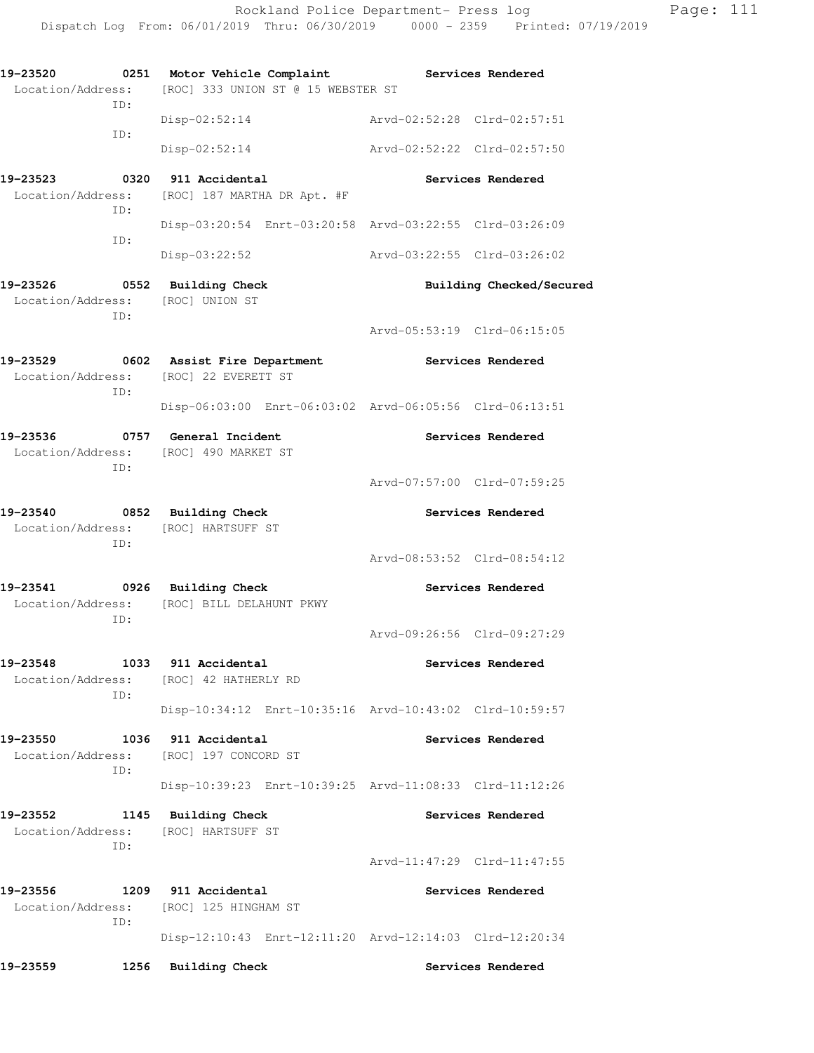**19-23520 0251 Motor Vehicle Complaint Services Rendered**  Location/Address: [ROC] 333 UNION ST @ 15 WEBSTER ST ID: Disp-02:52:14 Arvd-02:52:28 Clrd-02:57:51 ID: Disp-02:52:14 Arvd-02:52:22 Clrd-02:57:50 19-23523 0320 911 Accidental **19-23523** Services Rendered Location/Address: [ROC] 187 MARTHA DR Apt. #F ID: Disp-03:20:54 Enrt-03:20:58 Arvd-03:22:55 Clrd-03:26:09 ID: Disp-03:22:52 Arvd-03:22:55 Clrd-03:26:02 **19-23526 0552 Building Check Building Checked/Secured**  Location/Address: [ROC] UNION ST ID: Arvd-05:53:19 Clrd-06:15:05 **19-23529 0602 Assist Fire Department Services Rendered**  Location/Address: [ROC] 22 EVERETT ST ID: Disp-06:03:00 Enrt-06:03:02 Arvd-06:05:56 Clrd-06:13:51 19-23536 **0757** General Incident **Constructs** Services Rendered Location/Address: [ROC] 490 MARKET ST ID: Arvd-07:57:00 Clrd-07:59:25 **19-23540 0852 Building Check Services Rendered**  Location/Address: [ROC] HARTSUFF ST ID: Arvd-08:53:52 Clrd-08:54:12 **19-23541 0926 Building Check Services Rendered**  Location/Address: [ROC] BILL DELAHUNT PKWY ID: Arvd-09:26:56 Clrd-09:27:29 **19-23548 1033 911 Accidental Services Rendered**  Location/Address: [ROC] 42 HATHERLY RD ID: Disp-10:34:12 Enrt-10:35:16 Arvd-10:43:02 Clrd-10:59:57 **19-23550 1036 911 Accidental Services Rendered**  Location/Address: [ROC] 197 CONCORD ST ID: Disp-10:39:23 Enrt-10:39:25 Arvd-11:08:33 Clrd-11:12:26 **19-23552 1145 Building Check Services Rendered**  Location/Address: [ROC] HARTSUFF ST ID: Arvd-11:47:29 Clrd-11:47:55 **19-23556 1209 911 Accidental Services Rendered**  Location/Address: [ROC] 125 HINGHAM ST ID: Disp-12:10:43 Enrt-12:11:20 Arvd-12:14:03 Clrd-12:20:34 **19-23559 1256 Building Check Services Rendered**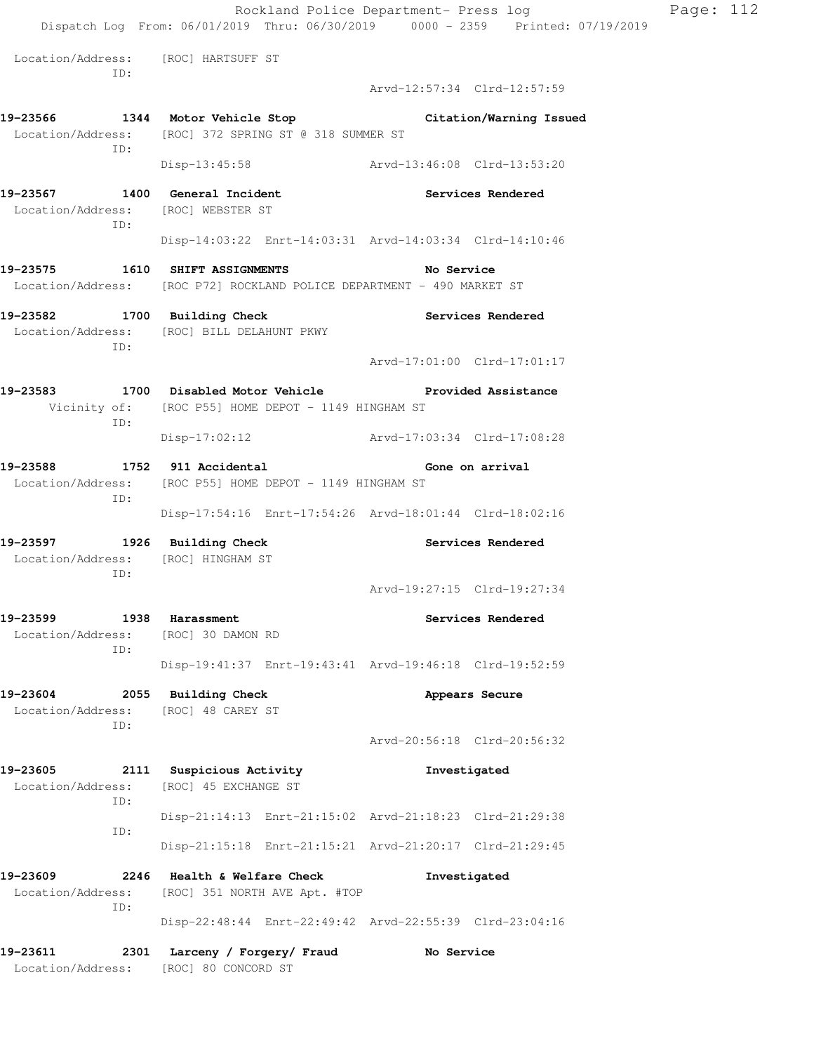Rockland Police Department- Press log Page: 112 Dispatch Log From: 06/01/2019 Thru: 06/30/2019 0000 - 2359 Printed: 07/19/2019 Location/Address: [ROC] HARTSUFF ST ID: Arvd-12:57:34 Clrd-12:57:59 **19-23566 1344 Motor Vehicle Stop Citation/Warning Issued**  Location/Address: [ROC] 372 SPRING ST @ 318 SUMMER ST ID: Disp-13:45:58 Arvd-13:46:08 Clrd-13:53:20 **19-23567 1400 General Incident Services Rendered**  Location/Address: [ROC] WEBSTER ST ID: Disp-14:03:22 Enrt-14:03:31 Arvd-14:03:34 Clrd-14:10:46 **19-23575 1610 SHIFT ASSIGNMENTS No Service**  Location/Address: [ROC P72] ROCKLAND POLICE DEPARTMENT - 490 MARKET ST **19-23582 1700 Building Check Services Rendered**  Location/Address: [ROC] BILL DELAHUNT PKWY ID: Arvd-17:01:00 Clrd-17:01:17 **19-23583 1700 Disabled Motor Vehicle Provided Assistance**  Vicinity of: [ROC P55] HOME DEPOT - 1149 HINGHAM ST ID: Disp-17:02:12 Arvd-17:03:34 Clrd-17:08:28 **19-23588 1752 911 Accidental Gone on arrival**  Location/Address: [ROC P55] HOME DEPOT - 1149 HINGHAM ST ID: Disp-17:54:16 Enrt-17:54:26 Arvd-18:01:44 Clrd-18:02:16 **19-23597 1926 Building Check Services Rendered**  Location/Address: [ROC] HINGHAM ST ID: Arvd-19:27:15 Clrd-19:27:34 **19-23599 1938 Harassment Services Rendered**  Location/Address: [ROC] 30 DAMON RD ID: Disp-19:41:37 Enrt-19:43:41 Arvd-19:46:18 Clrd-19:52:59 **19-23604 2055 Building Check Appears Secure**  Location/Address: [ROC] 48 CAREY ST ID: Arvd-20:56:18 Clrd-20:56:32 **19-23605 2111 Suspicious Activity Investigated**  Location/Address: [ROC] 45 EXCHANGE ST ID: Disp-21:14:13 Enrt-21:15:02 Arvd-21:18:23 Clrd-21:29:38 ID: Disp-21:15:18 Enrt-21:15:21 Arvd-21:20:17 Clrd-21:29:45 **19-23609 2246 Health & Welfare Check Investigated**  Location/Address: [ROC] 351 NORTH AVE Apt. #TOP ID: Disp-22:48:44 Enrt-22:49:42 Arvd-22:55:39 Clrd-23:04:16 **19-23611 2301 Larceny / Forgery/ Fraud No Service**  Location/Address: [ROC] 80 CONCORD ST